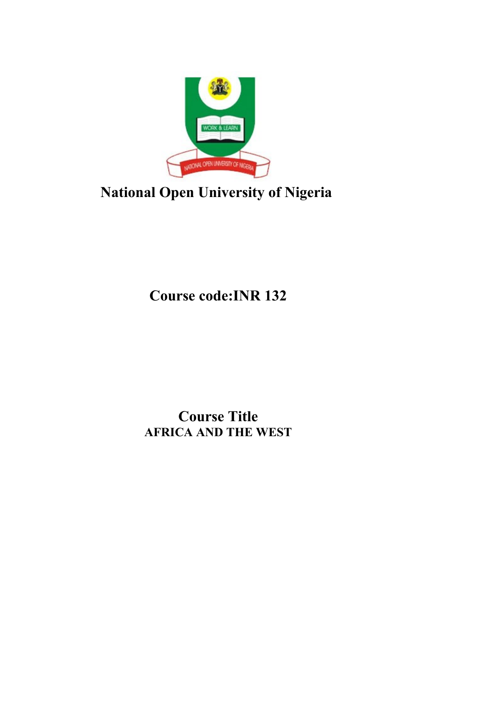

# **National Open University of Nigeria**

**Course code:INR 132**

**Course Title AFRICA AND THE WEST**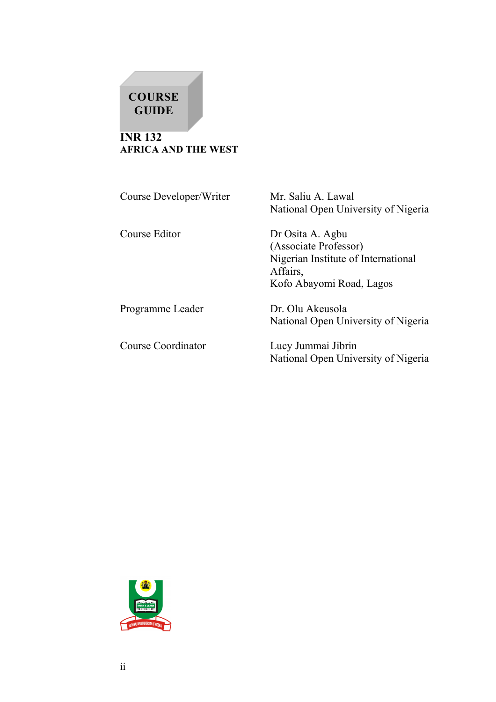# **COURSE GUIDE**

**INR 132 AFRICA AND THE WEST**

Course Developer/Writer Mr. Saliu A. Lawal

National Open University of Nigeria

Course Editor Dr Osita A. Agbu (Associate Professor) Nigerian Institute of International Affairs, Kofo Abayomi Road, Lagos

Programme Leader Dr. Olu Akeusola

Course Coordinator Lucy Jummai Jibrin

National Open University of Nigeria

National Open University of Nigeria

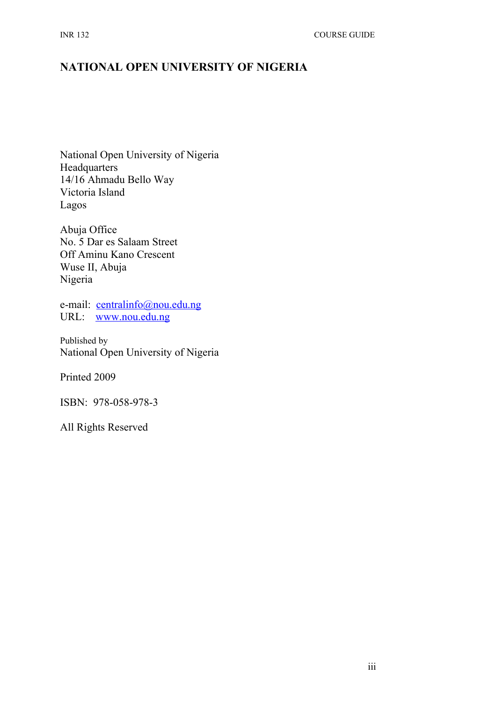# **NATIONAL OPEN UNIVERSITY OF NIGERIA**

National Open University of Nigeria **Headquarters** 14/16 Ahmadu Bello Way Victoria Island Lagos

Abuja Office No. 5 Dar es Salaam Street Off Aminu Kano Crescent Wuse II, Abuja Nigeria

e-mail: [centralinfo@nou.edu.ng](mailto:centralinfo@nou.edu.ng) URL: [www.nou.edu.ng](http://www.nou.edu.ng/)

Published by National Open University of Nigeria

Printed 2009

ISBN: 978-058-978-3

All Rights Reserved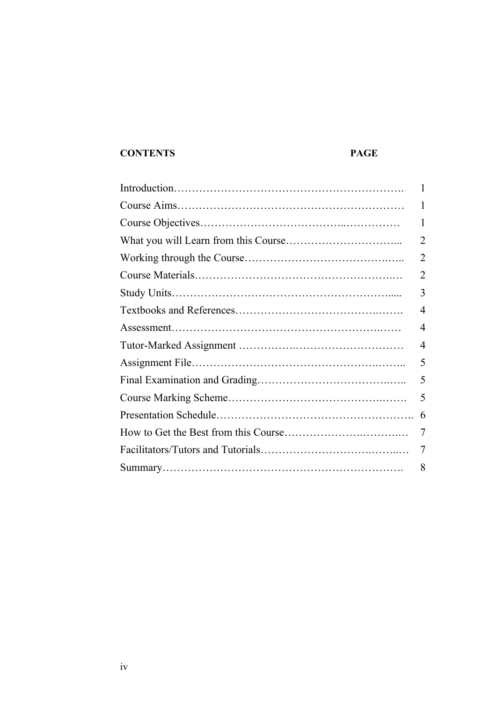# **CONTENTS PAGE**

| 1              |
|----------------|
| 1              |
| 1              |
| $\overline{2}$ |
| 2              |
| 2              |
| 3              |
| 4              |
| 4              |
| 4              |
| 5              |
| 5              |
| 5              |
| 6              |
| 7              |
| 7              |
| 8              |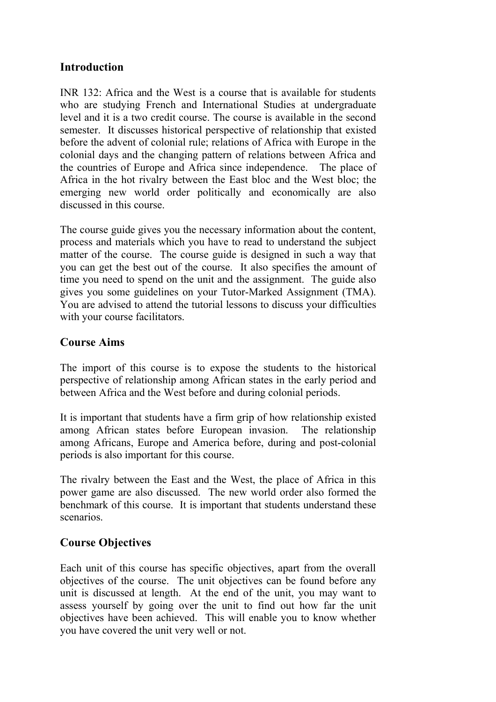## **Introduction**

INR 132: Africa and the West is a course that is available for students who are studying French and International Studies at undergraduate level and it is a two credit course. The course is available in the second semester. It discusses historical perspective of relationship that existed before the advent of colonial rule; relations of Africa with Europe in the colonial days and the changing pattern of relations between Africa and the countries of Europe and Africa since independence. The place of Africa in the hot rivalry between the East bloc and the West bloc; the emerging new world order politically and economically are also discussed in this course.

The course guide gives you the necessary information about the content, process and materials which you have to read to understand the subject matter of the course. The course guide is designed in such a way that you can get the best out of the course. It also specifies the amount of time you need to spend on the unit and the assignment. The guide also gives you some guidelines on your Tutor-Marked Assignment (TMA). You are advised to attend the tutorial lessons to discuss your difficulties with your course facilitators.

#### **Course Aims**

The import of this course is to expose the students to the historical perspective of relationship among African states in the early period and between Africa and the West before and during colonial periods.

It is important that students have a firm grip of how relationship existed among African states before European invasion. The relationship among Africans, Europe and America before, during and post-colonial periods is also important for this course.

The rivalry between the East and the West, the place of Africa in this power game are also discussed. The new world order also formed the benchmark of this course. It is important that students understand these scenarios.

#### **Course Objectives**

Each unit of this course has specific objectives, apart from the overall objectives of the course. The unit objectives can be found before any unit is discussed at length. At the end of the unit, you may want to assess yourself by going over the unit to find out how far the unit objectives have been achieved. This will enable you to know whether you have covered the unit very well or not.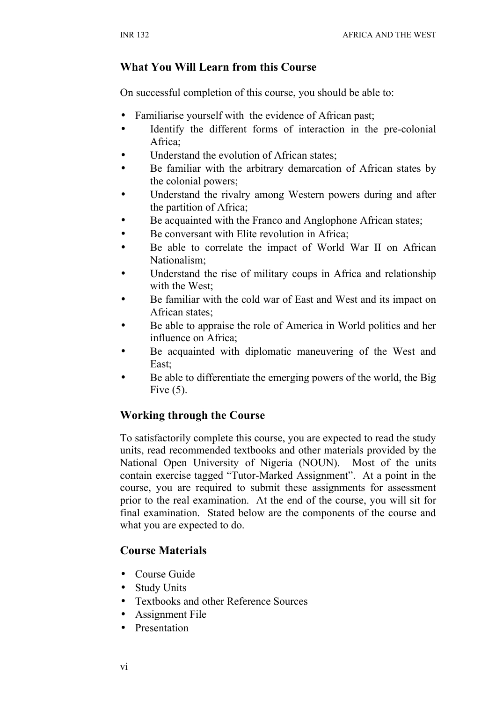#### **What You Will Learn from this Course**

On successful completion of this course, you should be able to:

- Familiarise yourself with the evidence of African past;
- Identify the different forms of interaction in the pre-colonial Africa;
- Understand the evolution of African states;
- Be familiar with the arbitrary demarcation of African states by the colonial powers;
- Understand the rivalry among Western powers during and after the partition of Africa;
- Be acquainted with the Franco and Anglophone African states;
- Be conversant with Elite revolution in Africa;
- Be able to correlate the impact of World War II on African Nationalism;
- Understand the rise of military coups in Africa and relationship with the West;
- Be familiar with the cold war of East and West and its impact on African states;
- Be able to appraise the role of America in World politics and her influence on Africa;
- Be acquainted with diplomatic maneuvering of the West and East;
- Be able to differentiate the emerging powers of the world, the Big Five  $(5)$ .

#### **Working through the Course**

To satisfactorily complete this course, you are expected to read the study units, read recommended textbooks and other materials provided by the National Open University of Nigeria (NOUN). Most of the units contain exercise tagged "Tutor-Marked Assignment". At a point in the course, you are required to submit these assignments for assessment prior to the real examination. At the end of the course, you will sit for final examination. Stated below are the components of the course and what you are expected to do.

#### **Course Materials**

- Course Guide
- Study Units
- Textbooks and other Reference Sources
- Assignment File
- Presentation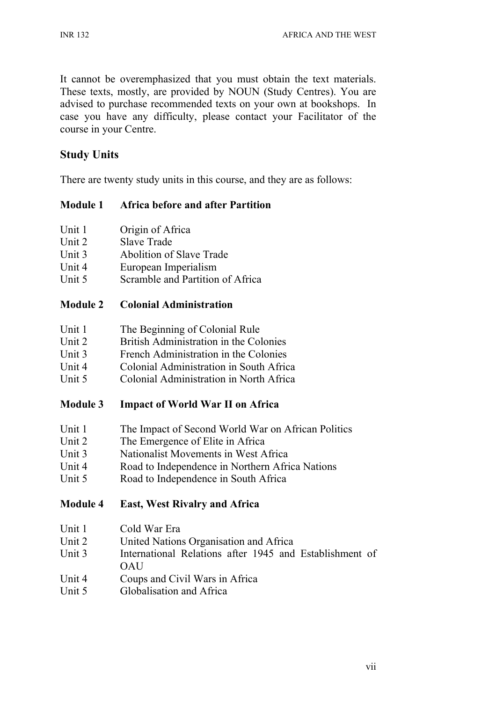It cannot be overemphasized that you must obtain the text materials. These texts, mostly, are provided by NOUN (Study Centres). You are advised to purchase recommended texts on your own at bookshops. In case you have any difficulty, please contact your Facilitator of the course in your Centre.

# **Study Units**

There are twenty study units in this course, and they are as follows:

# **Module 1 Africa before and after Partition**

- Unit 1 Origin of Africa
- Unit 2 Slave Trade
- Unit 3 Abolition of Slave Trade
- Unit 4 European Imperialism
- Unit 5 Scramble and Partition of Africa

## **Module 2 Colonial Administration**

- Unit 1 The Beginning of Colonial Rule
- Unit 2 British Administration in the Colonies
- Unit 3 French Administration in the Colonies
- Unit 4 Colonial Administration in South Africa
- Unit 5 Colonial Administration in North Africa

# **Module 3 Impact of World War II on Africa**

- Unit 1 The Impact of Second World War on African Politics
- Unit 2 The Emergence of Elite in Africa
- Unit 3 Nationalist Movements in West Africa
- Unit 4 Road to Independence in Northern Africa Nations
- Unit 5 Road to Independence in South Africa

# **Module 4 East, West Rivalry and Africa**

- Unit 1 Cold War Era
- Unit 2 United Nations Organisation and Africa
- Unit 3 International Relations after 1945 and Establishment of **OAU**
- Unit 4 Coups and Civil Wars in Africa
- Unit 5 Globalisation and Africa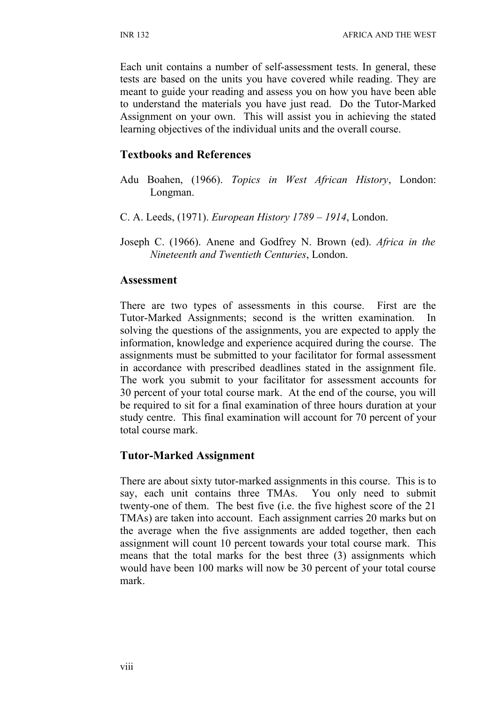Each unit contains a number of self-assessment tests. In general, these tests are based on the units you have covered while reading. They are meant to guide your reading and assess you on how you have been able to understand the materials you have just read. Do the Tutor-Marked Assignment on your own. This will assist you in achieving the stated learning objectives of the individual units and the overall course.

#### **Textbooks and References**

- Adu Boahen, (1966). *Topics in West African History*, London: Longman.
- C. A. Leeds, (1971). *European History 1789 1914*, London.
- Joseph C. (1966). Anene and Godfrey N. Brown (ed). *Africa in the Nineteenth and Twentieth Centuries*, London.

#### **Assessment**

There are two types of assessments in this course. First are the Tutor-Marked Assignments; second is the written examination. In solving the questions of the assignments, you are expected to apply the information, knowledge and experience acquired during the course. The assignments must be submitted to your facilitator for formal assessment in accordance with prescribed deadlines stated in the assignment file. The work you submit to your facilitator for assessment accounts for 30 percent of your total course mark. At the end of the course, you will be required to sit for a final examination of three hours duration at your study centre. This final examination will account for 70 percent of your total course mark.

#### **Tutor-Marked Assignment**

There are about sixty tutor-marked assignments in this course. This is to say, each unit contains three TMAs. You only need to submit twenty-one of them. The best five (i.e. the five highest score of the 21 TMAs) are taken into account. Each assignment carries 20 marks but on the average when the five assignments are added together, then each assignment will count 10 percent towards your total course mark. This means that the total marks for the best three (3) assignments which would have been 100 marks will now be 30 percent of your total course mark.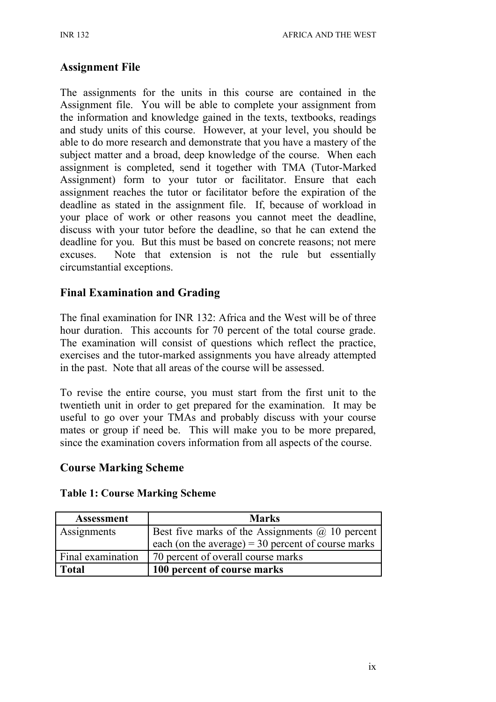#### **Assignment File**

The assignments for the units in this course are contained in the Assignment file. You will be able to complete your assignment from the information and knowledge gained in the texts, textbooks, readings and study units of this course. However, at your level, you should be able to do more research and demonstrate that you have a mastery of the subject matter and a broad, deep knowledge of the course. When each assignment is completed, send it together with TMA (Tutor-Marked Assignment) form to your tutor or facilitator. Ensure that each assignment reaches the tutor or facilitator before the expiration of the deadline as stated in the assignment file. If, because of workload in your place of work or other reasons you cannot meet the deadline, discuss with your tutor before the deadline, so that he can extend the deadline for you. But this must be based on concrete reasons; not mere excuses. Note that extension is not the rule but essentially circumstantial exceptions.

## **Final Examination and Grading**

The final examination for INR 132: Africa and the West will be of three hour duration. This accounts for 70 percent of the total course grade. The examination will consist of questions which reflect the practice, exercises and the tutor-marked assignments you have already attempted in the past. Note that all areas of the course will be assessed.

To revise the entire course, you must start from the first unit to the twentieth unit in order to get prepared for the examination. It may be useful to go over your TMAs and probably discuss with your course mates or group if need be. This will make you to be more prepared, since the examination covers information from all aspects of the course.

#### **Course Marking Scheme**

| Assessment        | <b>Marks</b>                                           |
|-------------------|--------------------------------------------------------|
| Assignments       | Best five marks of the Assignments $\omega$ 10 percent |
|                   | each (on the average) = $30$ percent of course marks   |
| Final examination | 70 percent of overall course marks                     |
| Total             | 100 percent of course marks                            |

#### **Table 1: Course Marking Scheme**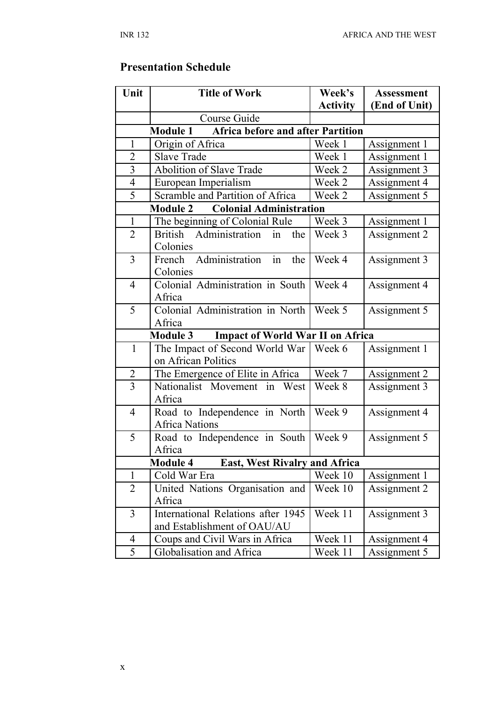# **Presentation Schedule**

| Unit                                                 | <b>Title of Work</b>                                              | Week's          | <b>Assessment</b> |  |  |
|------------------------------------------------------|-------------------------------------------------------------------|-----------------|-------------------|--|--|
|                                                      |                                                                   | <b>Activity</b> | (End of Unit)     |  |  |
|                                                      | Course Guide                                                      |                 |                   |  |  |
| <b>Module 1</b><br>Africa before and after Partition |                                                                   |                 |                   |  |  |
| $\mathbf{1}$                                         | Origin of Africa                                                  | Week 1          | Assignment 1      |  |  |
| $\overline{2}$                                       | <b>Slave Trade</b>                                                | Week 1          | Assignment 1      |  |  |
| $\overline{3}$                                       | Abolition of Slave Trade                                          | Week 2          | Assignment 3      |  |  |
| $\overline{4}$                                       | European Imperialism                                              | Week 2          | Assignment 4      |  |  |
| 5                                                    | Scramble and Partition of Africa                                  | Week 2          | Assignment 5      |  |  |
|                                                      | <b>Colonial Administration</b><br><b>Module 2</b>                 |                 |                   |  |  |
| $\mathbf{1}$                                         | The beginning of Colonial Rule                                    | Week 3          | Assignment 1      |  |  |
| $\overline{2}$                                       | Administration<br><b>British</b><br>in<br>the<br>Colonies         | Week 3          | Assignment 2      |  |  |
| 3                                                    | in<br>Administration<br>the<br>French<br>Colonies                 | Week 4          | Assignment 3      |  |  |
| $\overline{4}$                                       | Colonial Administration in South<br>Africa                        | Week 4          | Assignment 4      |  |  |
| 5                                                    | Colonial Administration in North<br>Africa                        | Week 5          | Assignment 5      |  |  |
|                                                      | <b>Impact of World War II on Africa</b><br><b>Module 3</b>        |                 |                   |  |  |
| $\mathbf{1}$                                         | The Impact of Second World War  <br>on African Politics           | Week 6          | Assignment 1      |  |  |
| $\overline{2}$                                       | The Emergence of Elite in Africa                                  | Week 7          | Assignment 2      |  |  |
| $\overline{3}$                                       | Nationalist Movement in<br>West<br>Africa                         | Week 8          | Assignment 3      |  |  |
| $\overline{4}$                                       | Road to Independence in North<br><b>Africa Nations</b>            | Week 9          | Assignment 4      |  |  |
| 5                                                    | Road to Independence in South<br>Africa                           | Week 9          | Assignment 5      |  |  |
|                                                      | <b>Module 4</b><br><b>East, West Rivalry and Africa</b>           |                 |                   |  |  |
| $\mathbf{1}$                                         | Cold War Era                                                      | Week 10         | Assignment 1      |  |  |
| $\overline{2}$                                       | United Nations Organisation and<br>Africa                         | Week 10         | Assignment 2      |  |  |
| 3                                                    | International Relations after 1945<br>and Establishment of OAU/AU | Week 11         | Assignment 3      |  |  |
| $\overline{4}$                                       | Coups and Civil Wars in Africa                                    | Week 11         | Assignment 4      |  |  |
| 5                                                    | Globalisation and Africa                                          | Week 11         | Assignment 5      |  |  |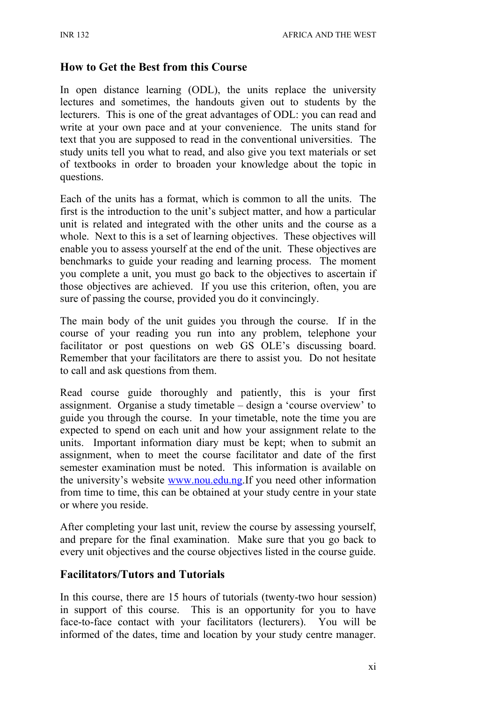#### **How to Get the Best from this Course**

In open distance learning (ODL), the units replace the university lectures and sometimes, the handouts given out to students by the lecturers. This is one of the great advantages of ODL: you can read and write at your own pace and at your convenience. The units stand for text that you are supposed to read in the conventional universities. The study units tell you what to read, and also give you text materials or set of textbooks in order to broaden your knowledge about the topic in questions.

Each of the units has a format, which is common to all the units. The first is the introduction to the unit's subject matter, and how a particular unit is related and integrated with the other units and the course as a whole. Next to this is a set of learning objectives. These objectives will enable you to assess yourself at the end of the unit. These objectives are benchmarks to guide your reading and learning process. The moment you complete a unit, you must go back to the objectives to ascertain if those objectives are achieved. If you use this criterion, often, you are sure of passing the course, provided you do it convincingly.

The main body of the unit guides you through the course. If in the course of your reading you run into any problem, telephone your facilitator or post questions on web GS OLE's discussing board. Remember that your facilitators are there to assist you. Do not hesitate to call and ask questions from them.

Read course guide thoroughly and patiently, this is your first assignment. Organise a study timetable – design a 'course overview' to guide you through the course. In your timetable, note the time you are expected to spend on each unit and how your assignment relate to the units. Important information diary must be kept; when to submit an assignment, when to meet the course facilitator and date of the first semester examination must be noted. This information is available on the university's website [www.nou.edu.ng.](http://www.nou.edu.ng/)If you need other information from time to time, this can be obtained at your study centre in your state or where you reside.

After completing your last unit, review the course by assessing yourself, and prepare for the final examination. Make sure that you go back to every unit objectives and the course objectives listed in the course guide.

#### **Facilitators/Tutors and Tutorials**

In this course, there are 15 hours of tutorials (twenty-two hour session) in support of this course. This is an opportunity for you to have face-to-face contact with your facilitators (lecturers). You will be informed of the dates, time and location by your study centre manager.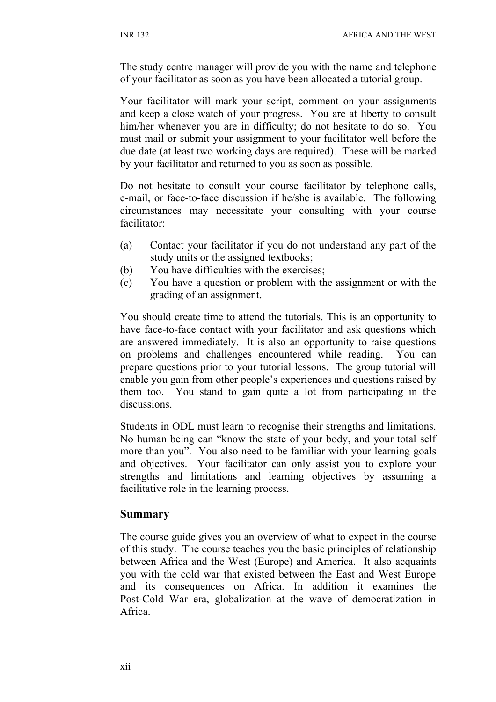The study centre manager will provide you with the name and telephone of your facilitator as soon as you have been allocated a tutorial group.

Your facilitator will mark your script, comment on your assignments and keep a close watch of your progress. You are at liberty to consult him/her whenever you are in difficulty; do not hesitate to do so. You must mail or submit your assignment to your facilitator well before the due date (at least two working days are required). These will be marked by your facilitator and returned to you as soon as possible.

Do not hesitate to consult your course facilitator by telephone calls, e-mail, or face-to-face discussion if he/she is available. The following circumstances may necessitate your consulting with your course facilitator:

- (a) Contact your facilitator if you do not understand any part of the study units or the assigned textbooks;
- (b) You have difficulties with the exercises;
- (c) You have a question or problem with the assignment or with the grading of an assignment.

You should create time to attend the tutorials. This is an opportunity to have face-to-face contact with your facilitator and ask questions which are answered immediately. It is also an opportunity to raise questions on problems and challenges encountered while reading. You can prepare questions prior to your tutorial lessons. The group tutorial will enable you gain from other people's experiences and questions raised by them too. You stand to gain quite a lot from participating in the discussions.

Students in ODL must learn to recognise their strengths and limitations. No human being can "know the state of your body, and your total self more than you". You also need to be familiar with your learning goals and objectives. Your facilitator can only assist you to explore your strengths and limitations and learning objectives by assuming a facilitative role in the learning process.

#### **Summary**

The course guide gives you an overview of what to expect in the course of this study. The course teaches you the basic principles of relationship between Africa and the West (Europe) and America. It also acquaints you with the cold war that existed between the East and West Europe and its consequences on Africa. In addition it examines the Post-Cold War era, globalization at the wave of democratization in Africa.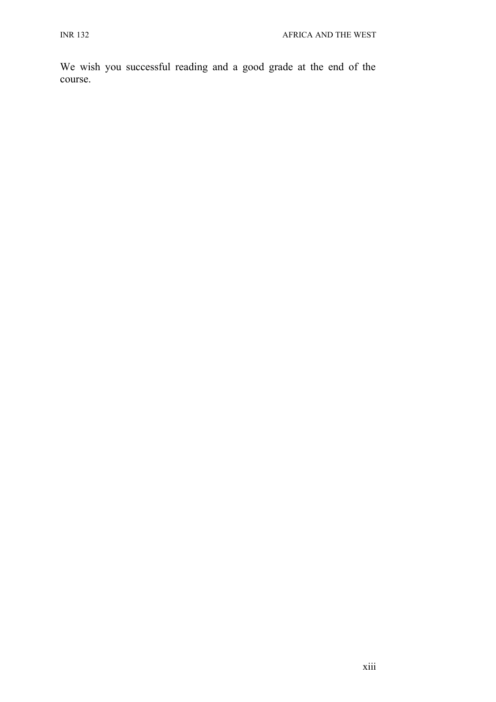We wish you successful reading and a good grade at the end of the course.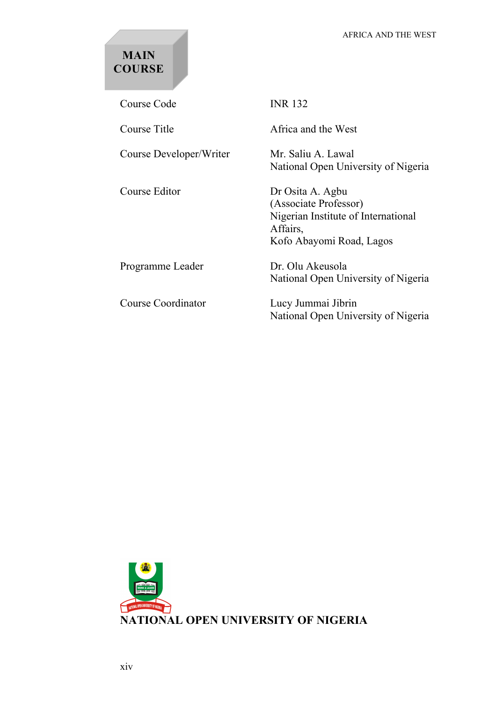# **MAIN COURSE**

Course Code INR 132 Course Title **Africa** and the West Course Developer/Writer Mr. Saliu A. Lawal National Open University of Nigeria Course Editor Dr Osita A. Agbu (Associate Professor) Nigerian Institute of International Affairs, Kofo Abayomi Road, Lagos Programme Leader Dr. Olu Akeusola National Open University of Nigeria Course Coordinator Lucy Jummai Jibrin National Open University of Nigeria

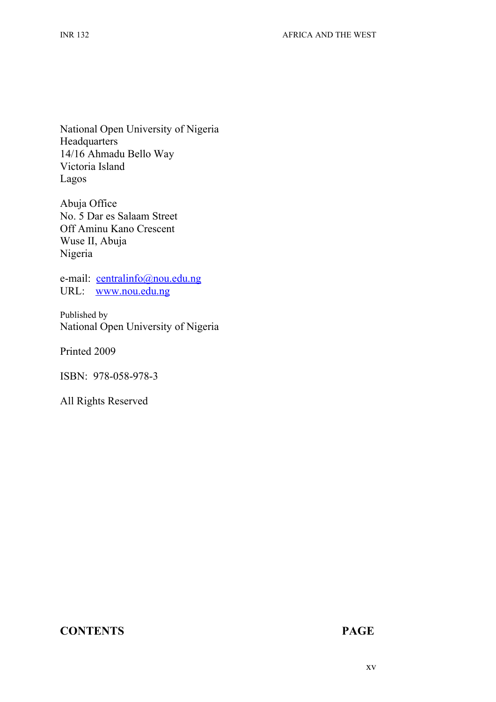National Open University of Nigeria **Headquarters** 14/16 Ahmadu Bello Way Victoria Island Lagos

Abuja Office No. 5 Dar es Salaam Street Off Aminu Kano Crescent Wuse II, Abuja Nigeria

e-mail: [centralinfo@nou.edu.ng](mailto:centralinfo@nou.edu.ng) URL: [www.nou.edu.ng](http://www.nou.edu.ng/)

Published by National Open University of Nigeria

Printed 2009

ISBN: 978-058-978-3

All Rights Reserved

#### **CONTENTS PAGE**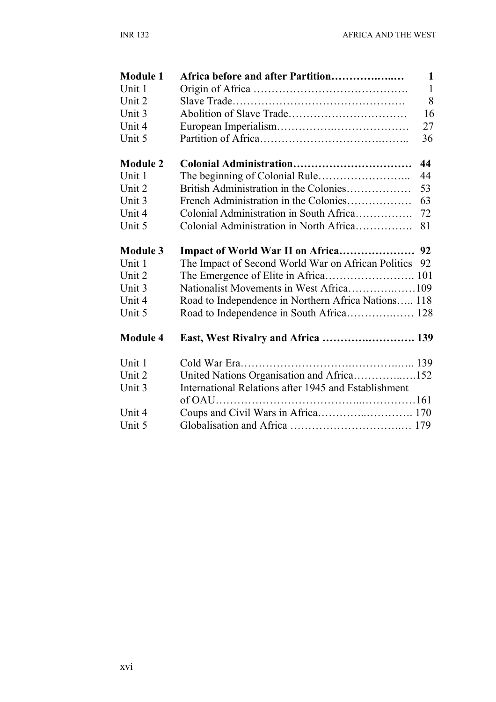| <b>Module 1</b> | Africa before and after Partition                        | $\mathbf{1}$ |
|-----------------|----------------------------------------------------------|--------------|
| Unit 1          |                                                          | $\mathbf{1}$ |
| Unit 2          |                                                          | 8            |
| Unit 3          |                                                          | 16           |
| Unit 4          | 27                                                       |              |
| Unit 5          | 36                                                       |              |
| <b>Module 2</b> | Colonial Administration<br>44                            |              |
| Unit 1          | 44                                                       |              |
| Unit 2          | British Administration in the Colonies<br>53             |              |
| Unit 3          | French Administration in the Colonies<br>63              |              |
| Unit 4          | Colonial Administration in South Africa<br>72            |              |
| Unit 5          | Colonial Administration in North Africa<br>81            |              |
| <b>Module 3</b> |                                                          |              |
| Unit 1          | The Impact of Second World War on African Politics<br>92 |              |
| Unit 2          |                                                          |              |
| Unit 3          |                                                          |              |
| Unit 4          | Road to Independence in Northern Africa Nations 118      |              |
| Unit 5          |                                                          |              |
| <b>Module 4</b> | East, West Rivalry and Africa  139                       |              |
| Unit 1          |                                                          |              |
| Unit 2          | United Nations Organisation and Africa152                |              |
| Unit 3          | International Relations after 1945 and Establishment     |              |
|                 |                                                          |              |
| Unit 4          |                                                          |              |
| Unit 5          |                                                          |              |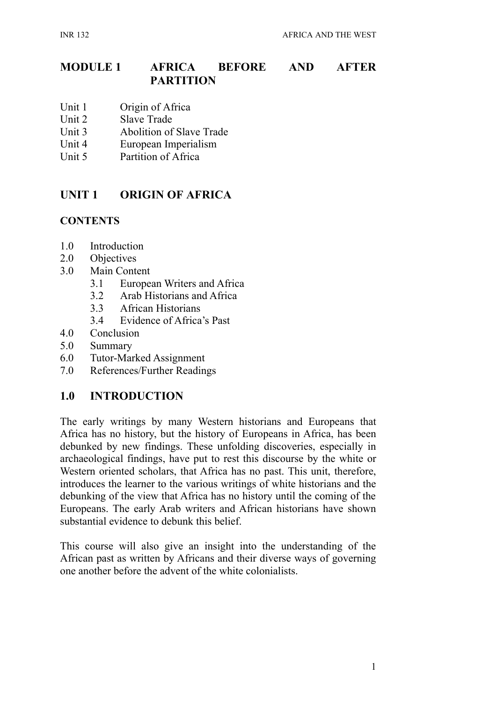# **MODULE 1 AFRICA BEFORE AND AFTER PARTITION**

- Unit 1 Origin of Africa
- Unit 2 Slave Trade
- Unit 3 Abolition of Slave Trade
- Unit 4 European Imperialism
- Unit 5 Partition of Africa

# **UNIT 1 ORIGIN OF AFRICA**

#### **CONTENTS**

- 1.0 Introduction
- 2.0 Objectives
- 3.0 Main Content
	- 3.1 European Writers and Africa
	- 3.2 Arab Historians and Africa
	- 3.3 African Historians
	- 3.4 Evidence of Africa's Past
- 4.0 Conclusion
- 5.0 Summary
- 6.0 Tutor-Marked Assignment
- 7.0 References/Further Readings

# **1.0 INTRODUCTION**

The early writings by many Western historians and Europeans that Africa has no history, but the history of Europeans in Africa, has been debunked by new findings. These unfolding discoveries, especially in archaeological findings, have put to rest this discourse by the white or Western oriented scholars, that Africa has no past. This unit, therefore, introduces the learner to the various writings of white historians and the debunking of the view that Africa has no history until the coming of the Europeans. The early Arab writers and African historians have shown substantial evidence to debunk this belief.

This course will also give an insight into the understanding of the African past as written by Africans and their diverse ways of governing one another before the advent of the white colonialists.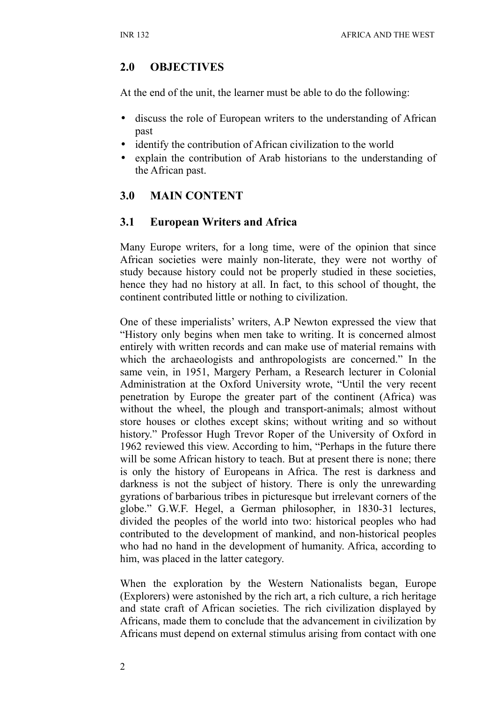# **2.0 OBJECTIVES**

At the end of the unit, the learner must be able to do the following:

- discuss the role of European writers to the understanding of African past
- identify the contribution of African civilization to the world
- explain the contribution of Arab historians to the understanding of the African past.

# **3.0 MAIN CONTENT**

#### **3.1 European Writers and Africa**

Many Europe writers, for a long time, were of the opinion that since African societies were mainly non-literate, they were not worthy of study because history could not be properly studied in these societies, hence they had no history at all. In fact, to this school of thought, the continent contributed little or nothing to civilization.

One of these imperialists' writers, A.P Newton expressed the view that "History only begins when men take to writing. It is concerned almost entirely with written records and can make use of material remains with which the archaeologists and anthropologists are concerned." In the same vein, in 1951, Margery Perham, a Research lecturer in Colonial Administration at the Oxford University wrote, "Until the very recent penetration by Europe the greater part of the continent (Africa) was without the wheel, the plough and transport-animals; almost without store houses or clothes except skins; without writing and so without history." Professor Hugh Trevor Roper of the University of Oxford in 1962 reviewed this view. According to him, "Perhaps in the future there will be some African history to teach. But at present there is none; there is only the history of Europeans in Africa. The rest is darkness and darkness is not the subject of history. There is only the unrewarding gyrations of barbarious tribes in picturesque but irrelevant corners of the globe." G.W.F. Hegel, a German philosopher, in 1830-31 lectures, divided the peoples of the world into two: historical peoples who had contributed to the development of mankind, and non-historical peoples who had no hand in the development of humanity. Africa, according to him, was placed in the latter category.

When the exploration by the Western Nationalists began, Europe (Explorers) were astonished by the rich art, a rich culture, a rich heritage and state craft of African societies. The rich civilization displayed by Africans, made them to conclude that the advancement in civilization by Africans must depend on external stimulus arising from contact with one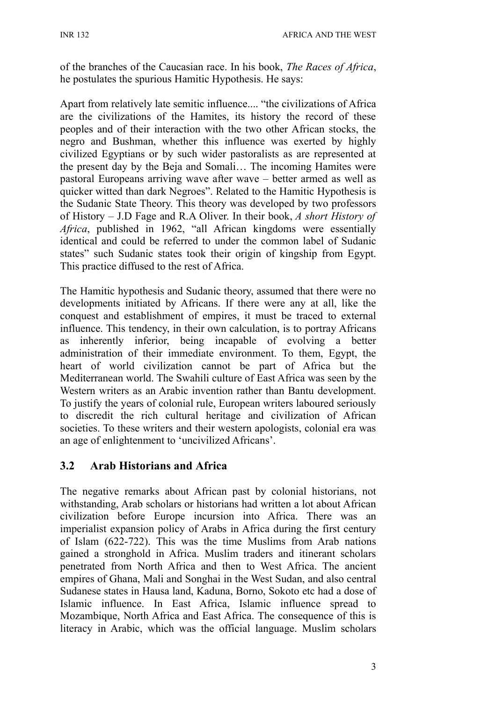of the branches of the Caucasian race. In his book, *The Races of Africa*, he postulates the spurious Hamitic Hypothesis. He says:

Apart from relatively late semitic influence.... "the civilizations of Africa are the civilizations of the Hamites, its history the record of these peoples and of their interaction with the two other African stocks, the negro and Bushman, whether this influence was exerted by highly civilized Egyptians or by such wider pastoralists as are represented at the present day by the Beja and Somali… The incoming Hamites were pastoral Europeans arriving wave after wave – better armed as well as quicker witted than dark Negroes". Related to the Hamitic Hypothesis is the Sudanic State Theory. This theory was developed by two professors of History – J.D Fage and R.A Oliver. In their book, *A short History of Africa*, published in 1962, "all African kingdoms were essentially identical and could be referred to under the common label of Sudanic states" such Sudanic states took their origin of kingship from Egypt. This practice diffused to the rest of Africa.

The Hamitic hypothesis and Sudanic theory, assumed that there were no developments initiated by Africans. If there were any at all, like the conquest and establishment of empires, it must be traced to external influence. This tendency, in their own calculation, is to portray Africans as inherently inferior, being incapable of evolving a better administration of their immediate environment. To them, Egypt, the heart of world civilization cannot be part of Africa but the Mediterranean world. The Swahili culture of East Africa was seen by the Western writers as an Arabic invention rather than Bantu development. To justify the years of colonial rule, European writers laboured seriously to discredit the rich cultural heritage and civilization of African societies. To these writers and their western apologists, colonial era was an age of enlightenment to 'uncivilized Africans'.

# **3.2 Arab Historians and Africa**

The negative remarks about African past by colonial historians, not withstanding, Arab scholars or historians had written a lot about African civilization before Europe incursion into Africa. There was an imperialist expansion policy of Arabs in Africa during the first century of Islam (622-722). This was the time Muslims from Arab nations gained a stronghold in Africa. Muslim traders and itinerant scholars penetrated from North Africa and then to West Africa. The ancient empires of Ghana, Mali and Songhai in the West Sudan, and also central Sudanese states in Hausa land, Kaduna, Borno, Sokoto etc had a dose of Islamic influence. In East Africa, Islamic influence spread to Mozambique, North Africa and East Africa. The consequence of this is literacy in Arabic, which was the official language. Muslim scholars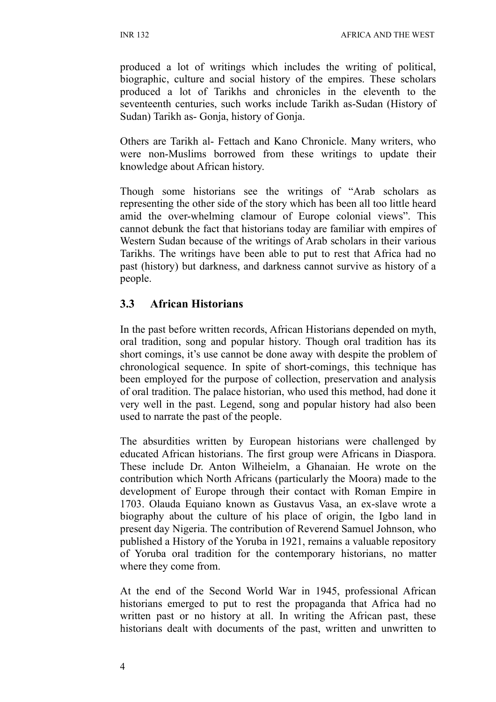INR 132 AFRICA AND THE WEST

produced a lot of writings which includes the writing of political, biographic, culture and social history of the empires. These scholars produced a lot of Tarikhs and chronicles in the eleventh to the seventeenth centuries, such works include Tarikh as-Sudan (History of Sudan) Tarikh as- Gonja, history of Gonja.

Others are Tarikh al- Fettach and Kano Chronicle. Many writers, who were non-Muslims borrowed from these writings to update their knowledge about African history.

Though some historians see the writings of "Arab scholars as representing the other side of the story which has been all too little heard amid the over-whelming clamour of Europe colonial views". This cannot debunk the fact that historians today are familiar with empires of Western Sudan because of the writings of Arab scholars in their various Tarikhs. The writings have been able to put to rest that Africa had no past (history) but darkness, and darkness cannot survive as history of a people.

#### **3.3 African Historians**

In the past before written records, African Historians depended on myth, oral tradition, song and popular history. Though oral tradition has its short comings, it's use cannot be done away with despite the problem of chronological sequence. In spite of short-comings, this technique has been employed for the purpose of collection, preservation and analysis of oral tradition. The palace historian, who used this method, had done it very well in the past. Legend, song and popular history had also been used to narrate the past of the people.

The absurdities written by European historians were challenged by educated African historians. The first group were Africans in Diaspora. These include Dr. Anton Wilheielm, a Ghanaian. He wrote on the contribution which North Africans (particularly the Moora) made to the development of Europe through their contact with Roman Empire in 1703. Olauda Equiano known as Gustavus Vasa, an ex-slave wrote a biography about the culture of his place of origin, the Igbo land in present day Nigeria. The contribution of Reverend Samuel Johnson, who published a History of the Yoruba in 1921, remains a valuable repository of Yoruba oral tradition for the contemporary historians, no matter where they come from.

At the end of the Second World War in 1945, professional African historians emerged to put to rest the propaganda that Africa had no written past or no history at all. In writing the African past, these historians dealt with documents of the past, written and unwritten to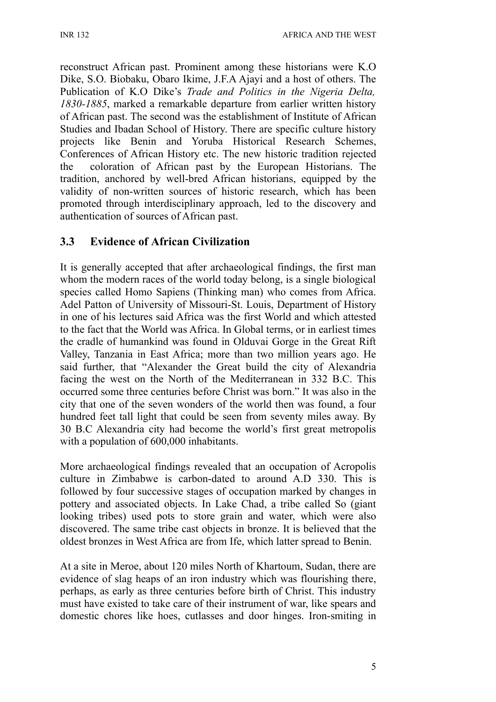reconstruct African past. Prominent among these historians were K.O Dike, S.O. Biobaku, Obaro Ikime, J.F.A Ajayi and a host of others. The Publication of K.O Dike's *Trade and Politics in the Nigeria Delta, 1830-1885*, marked a remarkable departure from earlier written history of African past. The second was the establishment of Institute of African Studies and Ibadan School of History. There are specific culture history projects like Benin and Yoruba Historical Research Schemes, Conferences of African History etc. The new historic tradition rejected the coloration of African past by the European Historians. The tradition, anchored by well-bred African historians, equipped by the validity of non-written sources of historic research, which has been promoted through interdisciplinary approach, led to the discovery and authentication of sources of African past.

# **3.3 Evidence of African Civilization**

It is generally accepted that after archaeological findings, the first man whom the modern races of the world today belong, is a single biological species called Homo Sapiens (Thinking man) who comes from Africa. Adel Patton of University of Missouri-St. Louis, Department of History in one of his lectures said Africa was the first World and which attested to the fact that the World was Africa. In Global terms, or in earliest times the cradle of humankind was found in Olduvai Gorge in the Great Rift Valley, Tanzania in East Africa; more than two million years ago. He said further, that "Alexander the Great build the city of Alexandria facing the west on the North of the Mediterranean in 332 B.C. This occurred some three centuries before Christ was born." It was also in the city that one of the seven wonders of the world then was found, a four hundred feet tall light that could be seen from seventy miles away. By 30 B.C Alexandria city had become the world's first great metropolis with a population of  $600,000$  inhabitants.

More archaeological findings revealed that an occupation of Acropolis culture in Zimbabwe is carbon-dated to around A.D 330. This is followed by four successive stages of occupation marked by changes in pottery and associated objects. In Lake Chad, a tribe called So (giant looking tribes) used pots to store grain and water, which were also discovered. The same tribe cast objects in bronze. It is believed that the oldest bronzes in West Africa are from Ife, which latter spread to Benin.

At a site in Meroe, about 120 miles North of Khartoum, Sudan, there are evidence of slag heaps of an iron industry which was flourishing there, perhaps, as early as three centuries before birth of Christ. This industry must have existed to take care of their instrument of war, like spears and domestic chores like hoes, cutlasses and door hinges. Iron-smiting in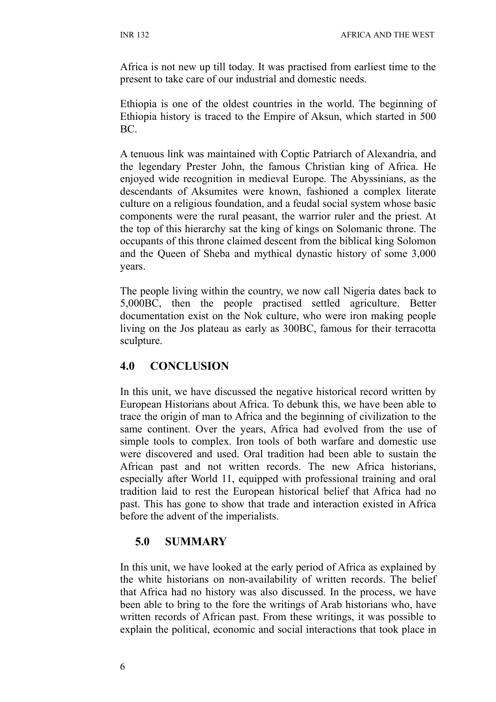Africa is not new up till today. It was practised from earliest time to the present to take care of our industrial and domestic needs.

Ethiopia is one of the oldest countries in the world. The beginning of Ethiopia history is traced to the Empire of Aksun, which started in 500 BC.

A tenuous link was maintained with Coptic Patriarch of Alexandria, and the legendary Prester John, the famous Christian king of Africa. He enjoyed wide recognition in medieval Europe. The Abyssinians, as the descendants of Aksumites were known, fashioned a complex literate culture on a religious foundation, and a feudal social system whose basic components were the rural peasant, the warrior ruler and the priest. At the top of this hierarchy sat the king of kings on Solomanic throne. The occupants of this throne claimed descent from the biblical king Solomon and the Queen of Sheba and mythical dynastic history of some 3,000 years.

The people living within the country, we now call Nigeria dates back to 5,000BC, then the people practised settled agriculture. Better documentation exist on the Nok culture, who were iron making people living on the Jos plateau as early as 300BC, famous for their terracotta sculpture.

# **4.0 CONCLUSION**

In this unit, we have discussed the negative historical record written by European Historians about Africa. To debunk this, we have been able to trace the origin of man to Africa and the beginning of civilization to the same continent. Over the years, Africa had evolved from the use of simple tools to complex. Iron tools of both warfare and domestic use were discovered and used. Oral tradition had been able to sustain the African past and not written records. The new Africa historians, especially after World 11, equipped with professional training and oral tradition laid to rest the European historical belief that Africa had no past. This has gone to show that trade and interaction existed in Africa before the advent of the imperialists.

# **5.0 SUMMARY**

In this unit, we have looked at the early period of Africa as explained by the white historians on non-availability of written records. The belief that Africa had no history was also discussed. In the process, we have been able to bring to the fore the writings of Arab historians who, have written records of African past. From these writings, it was possible to explain the political, economic and social interactions that took place in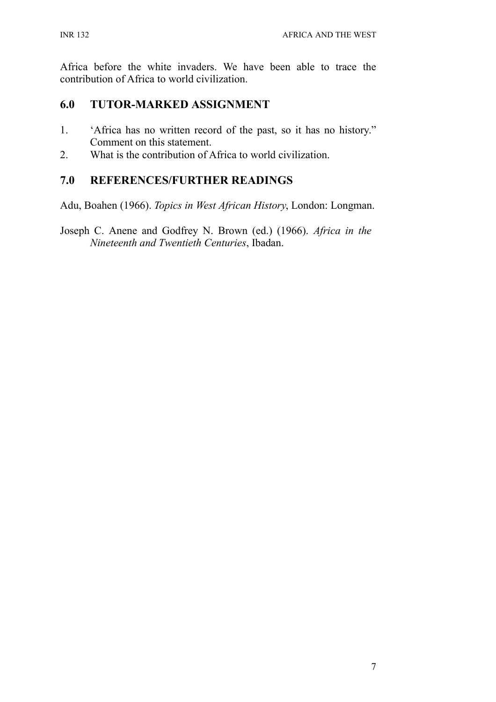Africa before the white invaders. We have been able to trace the contribution of Africa to world civilization.

## **6.0 TUTOR-MARKED ASSIGNMENT**

- 1. 'Africa has no written record of the past, so it has no history." Comment on this statement.
- 2. What is the contribution of Africa to world civilization.

# **7.0 REFERENCES/FURTHER READINGS**

Adu, Boahen (1966). *Topics in West African History*, London: Longman.

Joseph C. Anene and Godfrey N. Brown (ed.) (1966). *Africa in the Nineteenth and Twentieth Centuries*, Ibadan.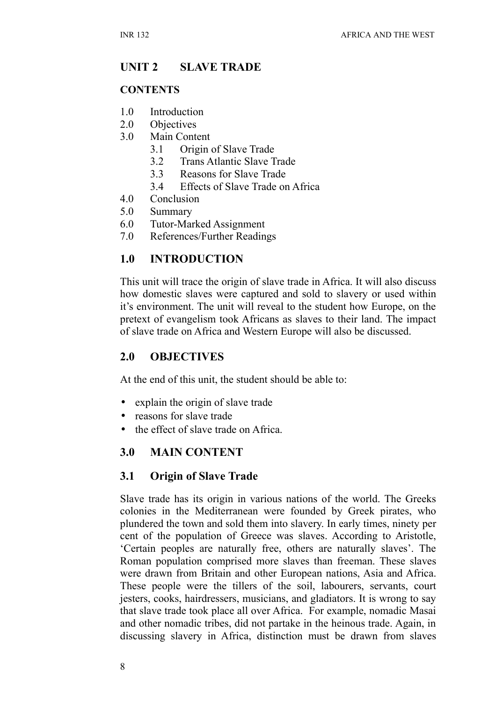# **UNIT 2 SLAVE TRADE**

#### **CONTENTS**

- 1.0 Introduction
- 2.0 Objectives
- 3.0 Main Content
	- 3.1 Origin of Slave Trade
	- 3.2 Trans Atlantic Slave Trade
	- 3.3 Reasons for Slave Trade
	- 3.4 Effects of Slave Trade on Africa
- 4.0 Conclusion
- 5.0 Summary
- 6.0 Tutor-Marked Assignment
- 7.0 References/Further Readings

## **1.0 INTRODUCTION**

This unit will trace the origin of slave trade in Africa. It will also discuss how domestic slaves were captured and sold to slavery or used within it's environment. The unit will reveal to the student how Europe, on the pretext of evangelism took Africans as slaves to their land. The impact of slave trade on Africa and Western Europe will also be discussed.

#### **2.0 OBJECTIVES**

At the end of this unit, the student should be able to:

- explain the origin of slave trade
- reasons for slave trade
- the effect of slave trade on Africa.

# **3.0 MAIN CONTENT**

#### **3.1 Origin of Slave Trade**

Slave trade has its origin in various nations of the world. The Greeks colonies in the Mediterranean were founded by Greek pirates, who plundered the town and sold them into slavery. In early times, ninety per cent of the population of Greece was slaves. According to Aristotle, 'Certain peoples are naturally free, others are naturally slaves'. The Roman population comprised more slaves than freeman. These slaves were drawn from Britain and other European nations, Asia and Africa. These people were the tillers of the soil, labourers, servants, court jesters, cooks, hairdressers, musicians, and gladiators. It is wrong to say that slave trade took place all over Africa. For example, nomadic Masai and other nomadic tribes, did not partake in the heinous trade. Again, in discussing slavery in Africa, distinction must be drawn from slaves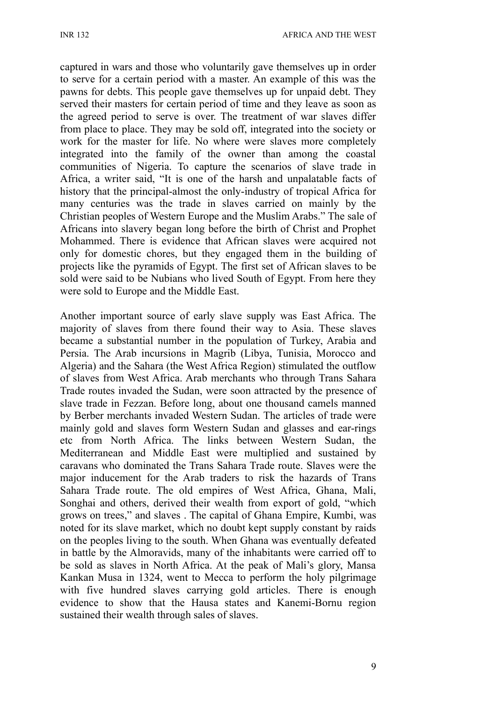captured in wars and those who voluntarily gave themselves up in order to serve for a certain period with a master. An example of this was the pawns for debts. This people gave themselves up for unpaid debt. They served their masters for certain period of time and they leave as soon as the agreed period to serve is over. The treatment of war slaves differ from place to place. They may be sold off, integrated into the society or work for the master for life. No where were slaves more completely integrated into the family of the owner than among the coastal communities of Nigeria. To capture the scenarios of slave trade in Africa, a writer said, "It is one of the harsh and unpalatable facts of history that the principal-almost the only-industry of tropical Africa for many centuries was the trade in slaves carried on mainly by the Christian peoples of Western Europe and the Muslim Arabs." The sale of Africans into slavery began long before the birth of Christ and Prophet Mohammed. There is evidence that African slaves were acquired not only for domestic chores, but they engaged them in the building of projects like the pyramids of Egypt. The first set of African slaves to be sold were said to be Nubians who lived South of Egypt. From here they were sold to Europe and the Middle East.

Another important source of early slave supply was East Africa. The majority of slaves from there found their way to Asia. These slaves became a substantial number in the population of Turkey, Arabia and Persia. The Arab incursions in Magrib (Libya, Tunisia, Morocco and Algeria) and the Sahara (the West Africa Region) stimulated the outflow of slaves from West Africa. Arab merchants who through Trans Sahara Trade routes invaded the Sudan, were soon attracted by the presence of slave trade in Fezzan. Before long, about one thousand camels manned by Berber merchants invaded Western Sudan. The articles of trade were mainly gold and slaves form Western Sudan and glasses and ear-rings etc from North Africa. The links between Western Sudan, the Mediterranean and Middle East were multiplied and sustained by caravans who dominated the Trans Sahara Trade route. Slaves were the major inducement for the Arab traders to risk the hazards of Trans Sahara Trade route. The old empires of West Africa, Ghana, Mali, Songhai and others, derived their wealth from export of gold, "which grows on trees," and slaves . The capital of Ghana Empire, Kumbi, was noted for its slave market, which no doubt kept supply constant by raids on the peoples living to the south. When Ghana was eventually defeated in battle by the Almoravids, many of the inhabitants were carried off to be sold as slaves in North Africa. At the peak of Mali's glory, Mansa Kankan Musa in 1324, went to Mecca to perform the holy pilgrimage with five hundred slaves carrying gold articles. There is enough evidence to show that the Hausa states and Kanemi-Bornu region sustained their wealth through sales of slaves.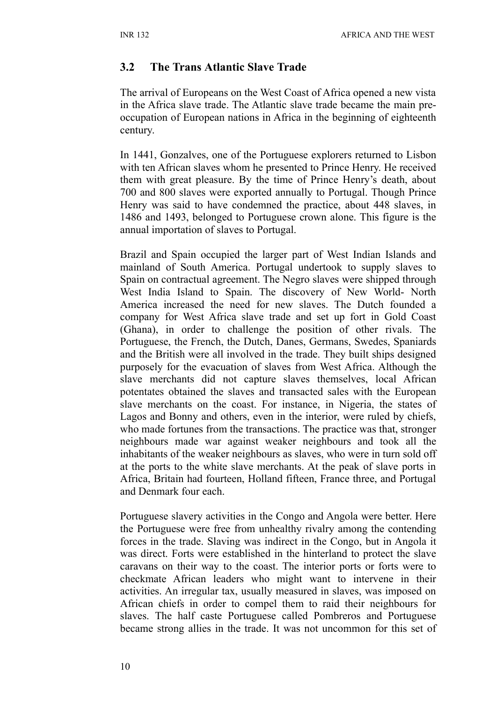#### **3.2 The Trans Atlantic Slave Trade**

The arrival of Europeans on the West Coast of Africa opened a new vista in the Africa slave trade. The Atlantic slave trade became the main preoccupation of European nations in Africa in the beginning of eighteenth century.

In 1441, Gonzalves, one of the Portuguese explorers returned to Lisbon with ten African slaves whom he presented to Prince Henry. He received them with great pleasure. By the time of Prince Henry's death, about 700 and 800 slaves were exported annually to Portugal. Though Prince Henry was said to have condemned the practice, about 448 slaves, in 1486 and 1493, belonged to Portuguese crown alone. This figure is the annual importation of slaves to Portugal.

Brazil and Spain occupied the larger part of West Indian Islands and mainland of South America. Portugal undertook to supply slaves to Spain on contractual agreement. The Negro slaves were shipped through West India Island to Spain. The discovery of New World- North America increased the need for new slaves. The Dutch founded a company for West Africa slave trade and set up fort in Gold Coast (Ghana), in order to challenge the position of other rivals. The Portuguese, the French, the Dutch, Danes, Germans, Swedes, Spaniards and the British were all involved in the trade. They built ships designed purposely for the evacuation of slaves from West Africa. Although the slave merchants did not capture slaves themselves, local African potentates obtained the slaves and transacted sales with the European slave merchants on the coast. For instance, in Nigeria, the states of Lagos and Bonny and others, even in the interior, were ruled by chiefs, who made fortunes from the transactions. The practice was that, stronger neighbours made war against weaker neighbours and took all the inhabitants of the weaker neighbours as slaves, who were in turn sold off at the ports to the white slave merchants. At the peak of slave ports in Africa, Britain had fourteen, Holland fifteen, France three, and Portugal and Denmark four each.

Portuguese slavery activities in the Congo and Angola were better. Here the Portuguese were free from unhealthy rivalry among the contending forces in the trade. Slaving was indirect in the Congo, but in Angola it was direct. Forts were established in the hinterland to protect the slave caravans on their way to the coast. The interior ports or forts were to checkmate African leaders who might want to intervene in their activities. An irregular tax, usually measured in slaves, was imposed on African chiefs in order to compel them to raid their neighbours for slaves. The half caste Portuguese called Pombreros and Portuguese became strong allies in the trade. It was not uncommon for this set of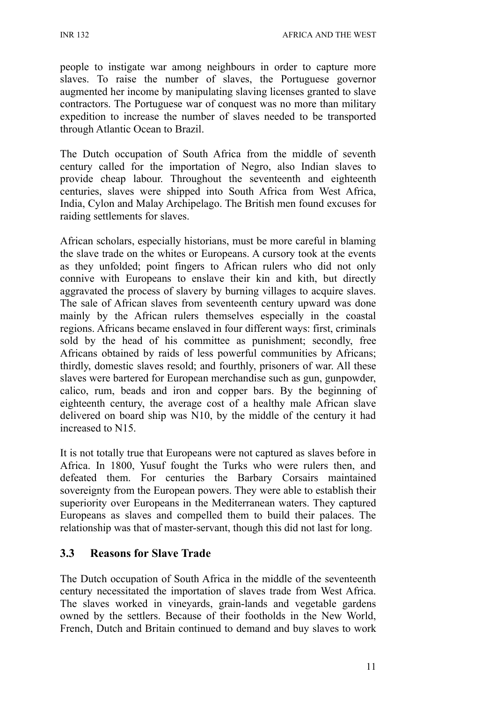INR 132 AFRICA AND THE WEST

people to instigate war among neighbours in order to capture more slaves. To raise the number of slaves, the Portuguese governor augmented her income by manipulating slaving licenses granted to slave contractors. The Portuguese war of conquest was no more than military expedition to increase the number of slaves needed to be transported through Atlantic Ocean to Brazil.

The Dutch occupation of South Africa from the middle of seventh century called for the importation of Negro, also Indian slaves to provide cheap labour. Throughout the seventeenth and eighteenth centuries, slaves were shipped into South Africa from West Africa, India, Cylon and Malay Archipelago. The British men found excuses for raiding settlements for slaves.

African scholars, especially historians, must be more careful in blaming the slave trade on the whites or Europeans. A cursory took at the events as they unfolded; point fingers to African rulers who did not only connive with Europeans to enslave their kin and kith, but directly aggravated the process of slavery by burning villages to acquire slaves. The sale of African slaves from seventeenth century upward was done mainly by the African rulers themselves especially in the coastal regions. Africans became enslaved in four different ways: first, criminals sold by the head of his committee as punishment; secondly, free Africans obtained by raids of less powerful communities by Africans; thirdly, domestic slaves resold; and fourthly, prisoners of war. All these slaves were bartered for European merchandise such as gun, gunpowder, calico, rum, beads and iron and copper bars. By the beginning of eighteenth century, the average cost of a healthy male African slave delivered on board ship was N10, by the middle of the century it had increased to N15.

It is not totally true that Europeans were not captured as slaves before in Africa. In 1800, Yusuf fought the Turks who were rulers then, and defeated them. For centuries the Barbary Corsairs maintained sovereignty from the European powers. They were able to establish their superiority over Europeans in the Mediterranean waters. They captured Europeans as slaves and compelled them to build their palaces. The relationship was that of master-servant, though this did not last for long.

#### **3.3 Reasons for Slave Trade**

The Dutch occupation of South Africa in the middle of the seventeenth century necessitated the importation of slaves trade from West Africa. The slaves worked in vineyards, grain-lands and vegetable gardens owned by the settlers. Because of their footholds in the New World, French, Dutch and Britain continued to demand and buy slaves to work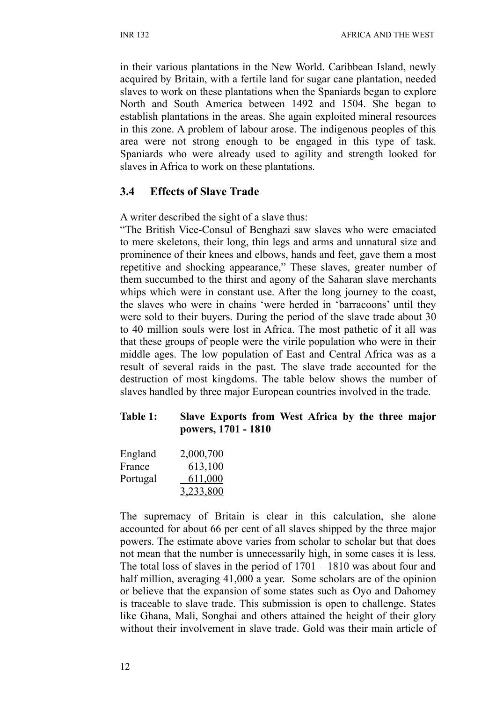in their various plantations in the New World. Caribbean Island, newly acquired by Britain, with a fertile land for sugar cane plantation, needed slaves to work on these plantations when the Spaniards began to explore North and South America between 1492 and 1504. She began to establish plantations in the areas. She again exploited mineral resources in this zone. A problem of labour arose. The indigenous peoples of this area were not strong enough to be engaged in this type of task. Spaniards who were already used to agility and strength looked for slaves in Africa to work on these plantations.

# **3.4 Effects of Slave Trade**

A writer described the sight of a slave thus:

"The British Vice-Consul of Benghazi saw slaves who were emaciated to mere skeletons, their long, thin legs and arms and unnatural size and prominence of their knees and elbows, hands and feet, gave them a most repetitive and shocking appearance," These slaves, greater number of them succumbed to the thirst and agony of the Saharan slave merchants whips which were in constant use. After the long journey to the coast, the slaves who were in chains 'were herded in 'barracoons' until they were sold to their buyers. During the period of the slave trade about 30 to 40 million souls were lost in Africa. The most pathetic of it all was that these groups of people were the virile population who were in their middle ages. The low population of East and Central Africa was as a result of several raids in the past. The slave trade accounted for the destruction of most kingdoms. The table below shows the number of slaves handled by three major European countries involved in the trade.

#### **Table 1: Slave Exports from West Africa by the three major powers, 1701 - 1810**

| England  | 2,000,700      |
|----------|----------------|
| France   | 613,100        |
| Portugal | <u>611,000</u> |
|          | 3,233,800      |

The supremacy of Britain is clear in this calculation, she alone accounted for about 66 per cent of all slaves shipped by the three major powers. The estimate above varies from scholar to scholar but that does not mean that the number is unnecessarily high, in some cases it is less. The total loss of slaves in the period of 1701 – 1810 was about four and half million, averaging 41,000 a year. Some scholars are of the opinion or believe that the expansion of some states such as Oyo and Dahomey is traceable to slave trade. This submission is open to challenge. States like Ghana, Mali, Songhai and others attained the height of their glory without their involvement in slave trade. Gold was their main article of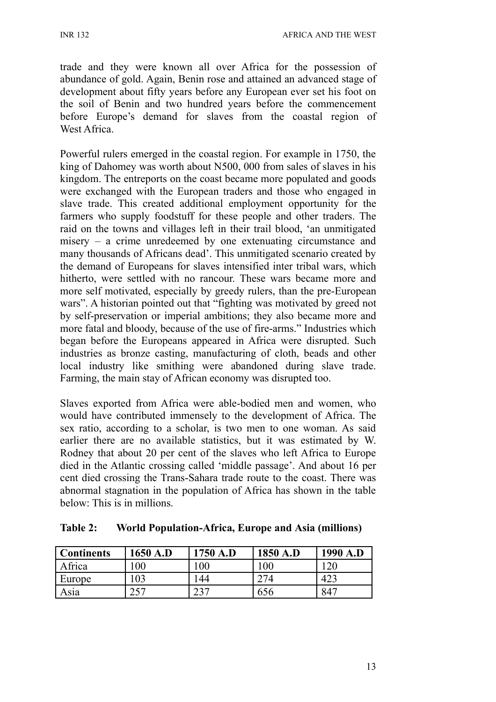INR 132 AFRICA AND THE WEST

trade and they were known all over Africa for the possession of abundance of gold. Again, Benin rose and attained an advanced stage of development about fifty years before any European ever set his foot on the soil of Benin and two hundred years before the commencement before Europe's demand for slaves from the coastal region of West Africa

Powerful rulers emerged in the coastal region. For example in 1750, the king of Dahomey was worth about N500, 000 from sales of slaves in his kingdom. The entreports on the coast became more populated and goods were exchanged with the European traders and those who engaged in slave trade. This created additional employment opportunity for the farmers who supply foodstuff for these people and other traders. The raid on the towns and villages left in their trail blood, 'an unmitigated misery – a crime unredeemed by one extenuating circumstance and many thousands of Africans dead'. This unmitigated scenario created by the demand of Europeans for slaves intensified inter tribal wars, which hitherto, were settled with no rancour. These wars became more and more self motivated, especially by greedy rulers, than the pre-European wars". A historian pointed out that "fighting was motivated by greed not by self-preservation or imperial ambitions; they also became more and more fatal and bloody, because of the use of fire-arms." Industries which began before the Europeans appeared in Africa were disrupted. Such industries as bronze casting, manufacturing of cloth, beads and other local industry like smithing were abandoned during slave trade. Farming, the main stay of African economy was disrupted too.

Slaves exported from Africa were able-bodied men and women, who would have contributed immensely to the development of Africa. The sex ratio, according to a scholar, is two men to one woman. As said earlier there are no available statistics, but it was estimated by W. Rodney that about 20 per cent of the slaves who left Africa to Europe died in the Atlantic crossing called 'middle passage'. And about 16 per cent died crossing the Trans-Sahara trade route to the coast. There was abnormal stagnation in the population of Africa has shown in the table below: This is in millions.

| Continents | 1650 A.D        | 1750 A.D | 1850 A.D | 1990 A.D |
|------------|-----------------|----------|----------|----------|
| Africa     | $\overline{00}$ | 100      | 100      | 120      |
| Europe     | 103             | -44      | 274      | 423      |
| Asia       | つくつ             | าวา      | 656      | 847      |

**Table 2: World Population-Africa, Europe and Asia (millions)**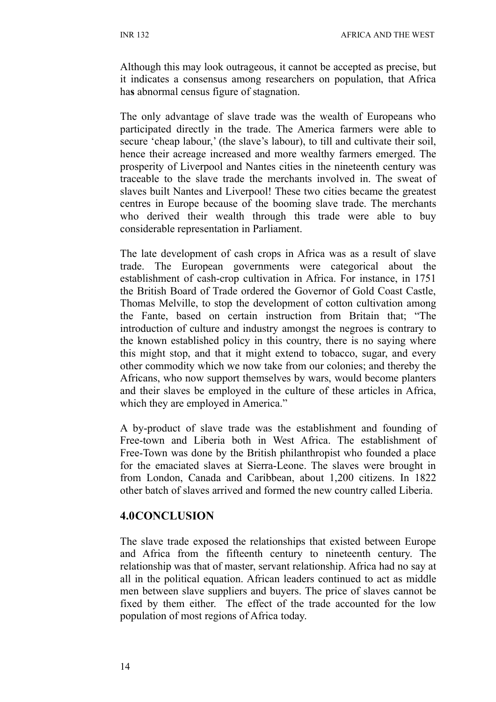Although this may look outrageous, it cannot be accepted as precise, but it indicates a consensus among researchers on population, that Africa ha**s** abnormal census figure of stagnation.

The only advantage of slave trade was the wealth of Europeans who participated directly in the trade. The America farmers were able to secure 'cheap labour,' (the slave's labour), to till and cultivate their soil, hence their acreage increased and more wealthy farmers emerged. The prosperity of Liverpool and Nantes cities in the nineteenth century was traceable to the slave trade the merchants involved in. The sweat of slaves built Nantes and Liverpool! These two cities became the greatest centres in Europe because of the booming slave trade. The merchants who derived their wealth through this trade were able to buy considerable representation in Parliament.

The late development of cash crops in Africa was as a result of slave trade. The European governments were categorical about the establishment of cash-crop cultivation in Africa. For instance, in 1751 the British Board of Trade ordered the Governor of Gold Coast Castle, Thomas Melville, to stop the development of cotton cultivation among the Fante, based on certain instruction from Britain that; "The introduction of culture and industry amongst the negroes is contrary to the known established policy in this country, there is no saying where this might stop, and that it might extend to tobacco, sugar, and every other commodity which we now take from our colonies; and thereby the Africans, who now support themselves by wars, would become planters and their slaves be employed in the culture of these articles in Africa, which they are employed in America."

A by-product of slave trade was the establishment and founding of Free-town and Liberia both in West Africa. The establishment of Free-Town was done by the British philanthropist who founded a place for the emaciated slaves at Sierra-Leone. The slaves were brought in from London, Canada and Caribbean, about 1,200 citizens. In 1822 other batch of slaves arrived and formed the new country called Liberia.

#### **4.0CONCLUSION**

The slave trade exposed the relationships that existed between Europe and Africa from the fifteenth century to nineteenth century. The relationship was that of master, servant relationship. Africa had no say at all in the political equation. African leaders continued to act as middle men between slave suppliers and buyers. The price of slaves cannot be fixed by them either. The effect of the trade accounted for the low population of most regions of Africa today.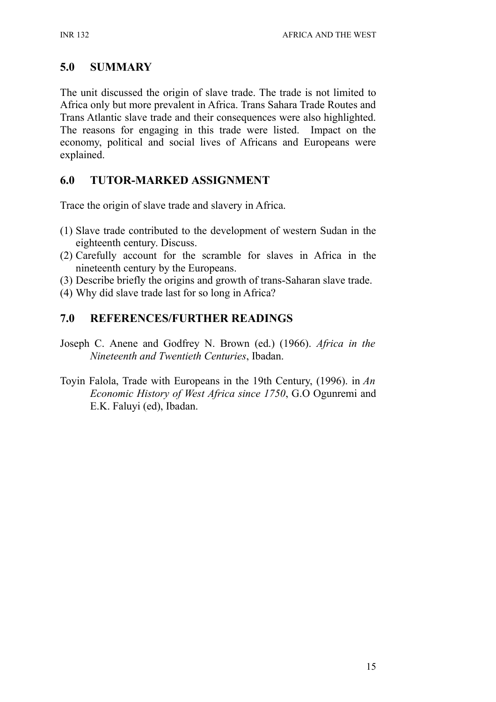# **5.0 SUMMARY**

The unit discussed the origin of slave trade. The trade is not limited to Africa only but more prevalent in Africa. Trans Sahara Trade Routes and Trans Atlantic slave trade and their consequences were also highlighted. The reasons for engaging in this trade were listed. Impact on the economy, political and social lives of Africans and Europeans were explained.

# **6.0 TUTOR-MARKED ASSIGNMENT**

Trace the origin of slave trade and slavery in Africa.

- (1) Slave trade contributed to the development of western Sudan in the eighteenth century. Discuss.
- (2) Carefully account for the scramble for slaves in Africa in the nineteenth century by the Europeans.
- (3) Describe briefly the origins and growth of trans-Saharan slave trade.
- (4) Why did slave trade last for so long in Africa?

# **7.0 REFERENCES/FURTHER READINGS**

- Joseph C. Anene and Godfrey N. Brown (ed.) (1966). *Africa in the Nineteenth and Twentieth Centuries*, Ibadan.
- Toyin Falola, Trade with Europeans in the 19th Century, (1996). in *An Economic History of West Africa since 1750*, G.O Ogunremi and E.K. Faluyi (ed), Ibadan.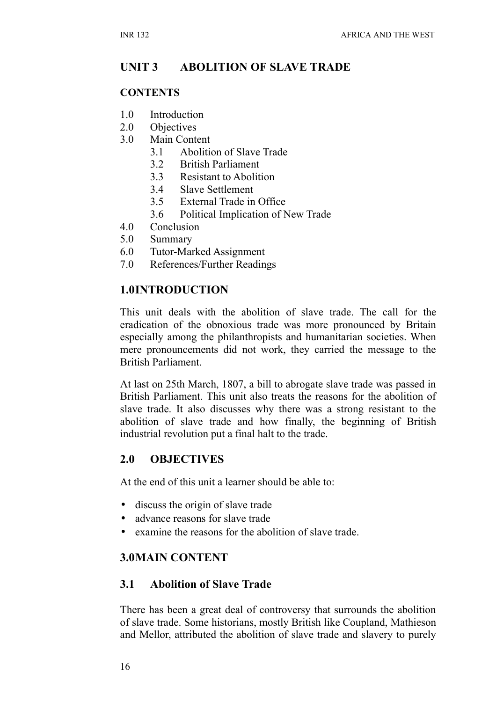# **UNIT 3 ABOLITION OF SLAVE TRADE**

#### **CONTENTS**

- 1.0 Introduction
- 2.0 Objectives
- 3.0 Main Content
	- 3.1 Abolition of Slave Trade
	- 3.2 British Parliament
	- 3.3 Resistant to Abolition
	- 3.4 Slave Settlement
	- 3.5 External Trade in Office
	- 3.6 Political Implication of New Trade
- 4.0 Conclusion
- 5.0 Summary
- 6.0 Tutor-Marked Assignment
- 7.0 References/Further Readings

#### **1.0INTRODUCTION**

This unit deals with the abolition of slave trade. The call for the eradication of the obnoxious trade was more pronounced by Britain especially among the philanthropists and humanitarian societies. When mere pronouncements did not work, they carried the message to the British Parliament.

At last on 25th March, 1807, a bill to abrogate slave trade was passed in British Parliament. This unit also treats the reasons for the abolition of slave trade. It also discusses why there was a strong resistant to the abolition of slave trade and how finally, the beginning of British industrial revolution put a final halt to the trade.

#### **2.0 OBJECTIVES**

At the end of this unit a learner should be able to:

- discuss the origin of slave trade
- advance reasons for slave trade
- examine the reasons for the abolition of slave trade.

#### **3.0MAIN CONTENT**

#### **3.1 Abolition of Slave Trade**

There has been a great deal of controversy that surrounds the abolition of slave trade. Some historians, mostly British like Coupland, Mathieson and Mellor, attributed the abolition of slave trade and slavery to purely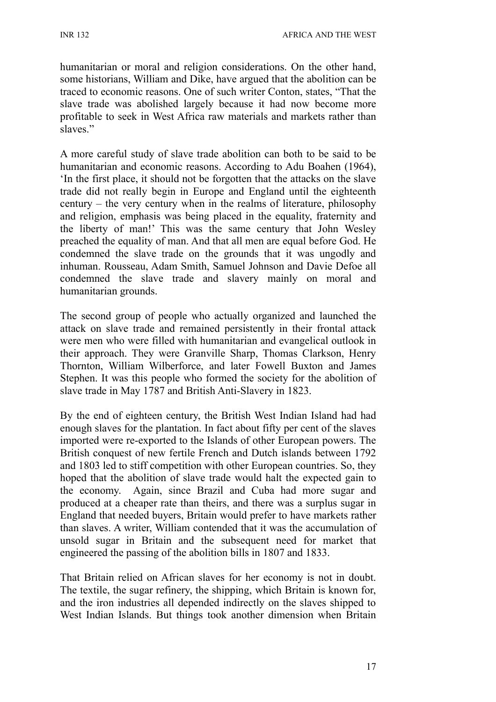humanitarian or moral and religion considerations. On the other hand, some historians, William and Dike, have argued that the abolition can be traced to economic reasons. One of such writer Conton, states, "That the slave trade was abolished largely because it had now become more profitable to seek in West Africa raw materials and markets rather than slaves"

A more careful study of slave trade abolition can both to be said to be humanitarian and economic reasons. According to Adu Boahen (1964), 'In the first place, it should not be forgotten that the attacks on the slave trade did not really begin in Europe and England until the eighteenth century – the very century when in the realms of literature, philosophy and religion, emphasis was being placed in the equality, fraternity and the liberty of man!' This was the same century that John Wesley preached the equality of man. And that all men are equal before God. He condemned the slave trade on the grounds that it was ungodly and inhuman. Rousseau, Adam Smith, Samuel Johnson and Davie Defoe all condemned the slave trade and slavery mainly on moral and humanitarian grounds.

The second group of people who actually organized and launched the attack on slave trade and remained persistently in their frontal attack were men who were filled with humanitarian and evangelical outlook in their approach. They were Granville Sharp, Thomas Clarkson, Henry Thornton, William Wilberforce, and later Fowell Buxton and James Stephen. It was this people who formed the society for the abolition of slave trade in May 1787 and British Anti-Slavery in 1823.

By the end of eighteen century, the British West Indian Island had had enough slaves for the plantation. In fact about fifty per cent of the slaves imported were re-exported to the Islands of other European powers. The British conquest of new fertile French and Dutch islands between 1792 and 1803 led to stiff competition with other European countries. So, they hoped that the abolition of slave trade would halt the expected gain to the economy. Again, since Brazil and Cuba had more sugar and produced at a cheaper rate than theirs, and there was a surplus sugar in England that needed buyers, Britain would prefer to have markets rather than slaves. A writer, William contended that it was the accumulation of unsold sugar in Britain and the subsequent need for market that engineered the passing of the abolition bills in 1807 and 1833.

That Britain relied on African slaves for her economy is not in doubt. The textile, the sugar refinery, the shipping, which Britain is known for, and the iron industries all depended indirectly on the slaves shipped to West Indian Islands. But things took another dimension when Britain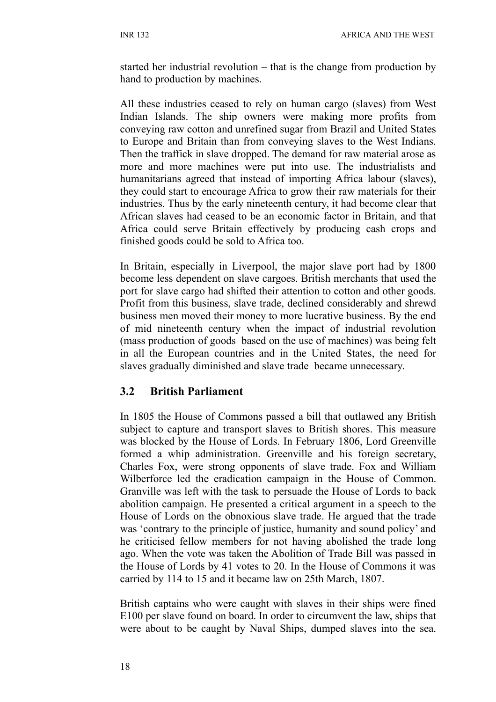started her industrial revolution – that is the change from production by hand to production by machines.

All these industries ceased to rely on human cargo (slaves) from West Indian Islands. The ship owners were making more profits from conveying raw cotton and unrefined sugar from Brazil and United States to Europe and Britain than from conveying slaves to the West Indians. Then the traffick in slave dropped. The demand for raw material arose as more and more machines were put into use. The industrialists and humanitarians agreed that instead of importing Africa labour (slaves), they could start to encourage Africa to grow their raw materials for their industries. Thus by the early nineteenth century, it had become clear that African slaves had ceased to be an economic factor in Britain, and that Africa could serve Britain effectively by producing cash crops and finished goods could be sold to Africa too.

In Britain, especially in Liverpool, the major slave port had by 1800 become less dependent on slave cargoes. British merchants that used the port for slave cargo had shifted their attention to cotton and other goods. Profit from this business, slave trade, declined considerably and shrewd business men moved their money to more lucrative business. By the end of mid nineteenth century when the impact of industrial revolution (mass production of goods based on the use of machines) was being felt in all the European countries and in the United States, the need for slaves gradually diminished and slave trade became unnecessary.

#### **3.2 British Parliament**

In 1805 the House of Commons passed a bill that outlawed any British subject to capture and transport slaves to British shores. This measure was blocked by the House of Lords. In February 1806, Lord Greenville formed a whip administration. Greenville and his foreign secretary, Charles Fox, were strong opponents of slave trade. Fox and William Wilberforce led the eradication campaign in the House of Common. Granville was left with the task to persuade the House of Lords to back abolition campaign. He presented a critical argument in a speech to the House of Lords on the obnoxious slave trade. He argued that the trade was 'contrary to the principle of justice, humanity and sound policy' and he criticised fellow members for not having abolished the trade long ago. When the vote was taken the Abolition of Trade Bill was passed in the House of Lords by 41 votes to 20. In the House of Commons it was carried by 114 to 15 and it became law on 25th March, 1807.

British captains who were caught with slaves in their ships were fined E100 per slave found on board. In order to circumvent the law, ships that were about to be caught by Naval Ships, dumped slaves into the sea.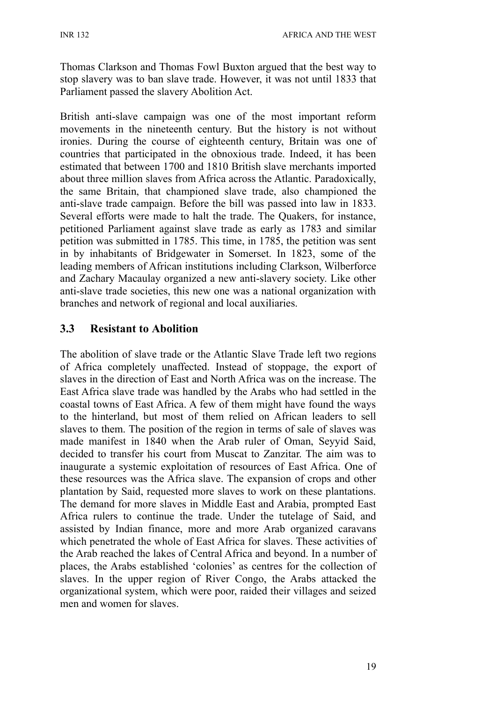Thomas Clarkson and Thomas Fowl Buxton argued that the best way to stop slavery was to ban slave trade. However, it was not until 1833 that Parliament passed the slavery Abolition Act.

British anti-slave campaign was one of the most important reform movements in the nineteenth century. But the history is not without ironies. During the course of eighteenth century, Britain was one of countries that participated in the obnoxious trade. Indeed, it has been estimated that between 1700 and 1810 British slave merchants imported about three million slaves from Africa across the Atlantic. Paradoxically, the same Britain, that championed slave trade, also championed the anti-slave trade campaign. Before the bill was passed into law in 1833. Several efforts were made to halt the trade. The Quakers, for instance, petitioned Parliament against slave trade as early as 1783 and similar petition was submitted in 1785. This time, in 1785, the petition was sent in by inhabitants of Bridgewater in Somerset. In 1823, some of the leading members of African institutions including Clarkson, Wilberforce and Zachary Macaulay organized a new anti-slavery society. Like other anti-slave trade societies, this new one was a national organization with branches and network of regional and local auxiliaries.

## **3.3 Resistant to Abolition**

The abolition of slave trade or the Atlantic Slave Trade left two regions of Africa completely unaffected. Instead of stoppage, the export of slaves in the direction of East and North Africa was on the increase. The East Africa slave trade was handled by the Arabs who had settled in the coastal towns of East Africa. A few of them might have found the ways to the hinterland, but most of them relied on African leaders to sell slaves to them. The position of the region in terms of sale of slaves was made manifest in 1840 when the Arab ruler of Oman, Seyyid Said, decided to transfer his court from Muscat to Zanzitar. The aim was to inaugurate a systemic exploitation of resources of East Africa. One of these resources was the Africa slave. The expansion of crops and other plantation by Said, requested more slaves to work on these plantations. The demand for more slaves in Middle East and Arabia, prompted East Africa rulers to continue the trade. Under the tutelage of Said, and assisted by Indian finance, more and more Arab organized caravans which penetrated the whole of East Africa for slaves. These activities of the Arab reached the lakes of Central Africa and beyond. In a number of places, the Arabs established 'colonies' as centres for the collection of slaves. In the upper region of River Congo, the Arabs attacked the organizational system, which were poor, raided their villages and seized men and women for slaves.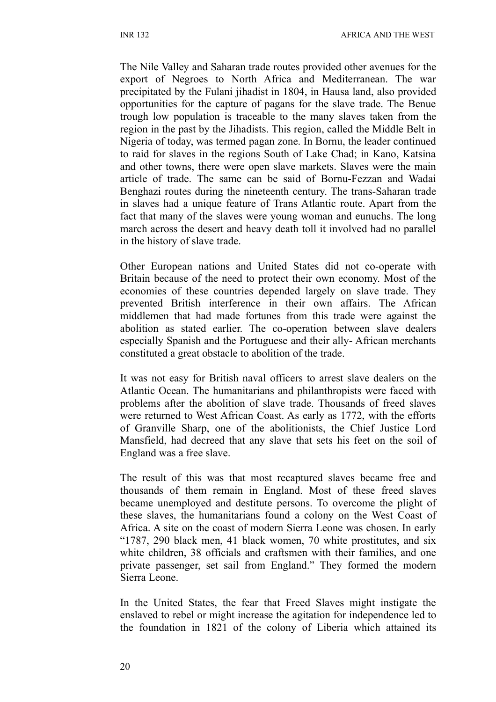The Nile Valley and Saharan trade routes provided other avenues for the export of Negroes to North Africa and Mediterranean. The war precipitated by the Fulani jihadist in 1804, in Hausa land, also provided opportunities for the capture of pagans for the slave trade. The Benue trough low population is traceable to the many slaves taken from the region in the past by the Jihadists. This region, called the Middle Belt in Nigeria of today, was termed pagan zone. In Bornu, the leader continued to raid for slaves in the regions South of Lake Chad; in Kano, Katsina and other towns, there were open slave markets. Slaves were the main article of trade. The same can be said of Bornu-Fezzan and Wadai Benghazi routes during the nineteenth century. The trans-Saharan trade in slaves had a unique feature of Trans Atlantic route. Apart from the fact that many of the slaves were young woman and eunuchs. The long march across the desert and heavy death toll it involved had no parallel in the history of slave trade.

Other European nations and United States did not co-operate with Britain because of the need to protect their own economy. Most of the economies of these countries depended largely on slave trade. They prevented British interference in their own affairs. The African middlemen that had made fortunes from this trade were against the abolition as stated earlier. The co-operation between slave dealers especially Spanish and the Portuguese and their ally- African merchants constituted a great obstacle to abolition of the trade.

It was not easy for British naval officers to arrest slave dealers on the Atlantic Ocean. The humanitarians and philanthropists were faced with problems after the abolition of slave trade. Thousands of freed slaves were returned to West African Coast. As early as 1772, with the efforts of Granville Sharp, one of the abolitionists, the Chief Justice Lord Mansfield, had decreed that any slave that sets his feet on the soil of England was a free slave.

The result of this was that most recaptured slaves became free and thousands of them remain in England. Most of these freed slaves became unemployed and destitute persons. To overcome the plight of these slaves, the humanitarians found a colony on the West Coast of Africa. A site on the coast of modern Sierra Leone was chosen. In early "1787, 290 black men, 41 black women, 70 white prostitutes, and six white children, 38 officials and craftsmen with their families, and one private passenger, set sail from England." They formed the modern Sierra Leone.

In the United States, the fear that Freed Slaves might instigate the enslaved to rebel or might increase the agitation for independence led to the foundation in 1821 of the colony of Liberia which attained its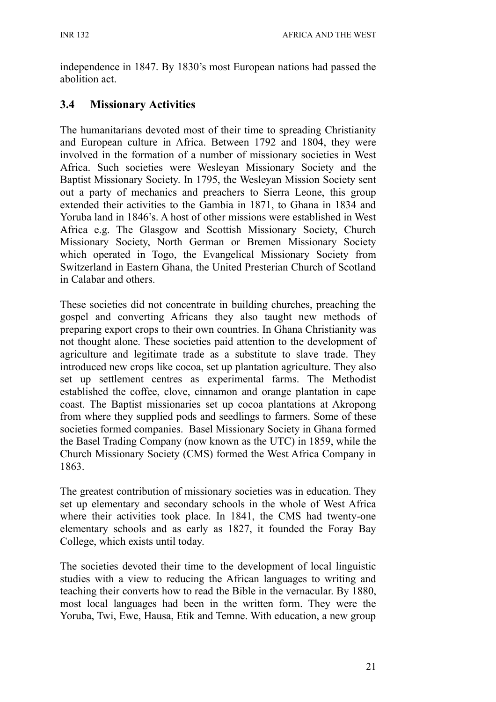independence in 1847. By 1830's most European nations had passed the abolition act.

## **3.4 Missionary Activities**

The humanitarians devoted most of their time to spreading Christianity and European culture in Africa. Between 1792 and 1804, they were involved in the formation of a number of missionary societies in West Africa. Such societies were Wesleyan Missionary Society and the Baptist Missionary Society. In 1795, the Wesleyan Mission Society sent out a party of mechanics and preachers to Sierra Leone, this group extended their activities to the Gambia in 1871, to Ghana in 1834 and Yoruba land in 1846's. A host of other missions were established in West Africa e.g. The Glasgow and Scottish Missionary Society, Church Missionary Society, North German or Bremen Missionary Society which operated in Togo, the Evangelical Missionary Society from Switzerland in Eastern Ghana, the United Presterian Church of Scotland in Calabar and others.

These societies did not concentrate in building churches, preaching the gospel and converting Africans they also taught new methods of preparing export crops to their own countries. In Ghana Christianity was not thought alone. These societies paid attention to the development of agriculture and legitimate trade as a substitute to slave trade. They introduced new crops like cocoa, set up plantation agriculture. They also set up settlement centres as experimental farms. The Methodist established the coffee, clove, cinnamon and orange plantation in cape coast. The Baptist missionaries set up cocoa plantations at Akropong from where they supplied pods and seedlings to farmers. Some of these societies formed companies. Basel Missionary Society in Ghana formed the Basel Trading Company (now known as the UTC) in 1859, while the Church Missionary Society (CMS) formed the West Africa Company in 1863.

The greatest contribution of missionary societies was in education. They set up elementary and secondary schools in the whole of West Africa where their activities took place. In 1841, the CMS had twenty-one elementary schools and as early as 1827, it founded the Foray Bay College, which exists until today.

The societies devoted their time to the development of local linguistic studies with a view to reducing the African languages to writing and teaching their converts how to read the Bible in the vernacular. By 1880, most local languages had been in the written form. They were the Yoruba, Twi, Ewe, Hausa, Etik and Temne. With education, a new group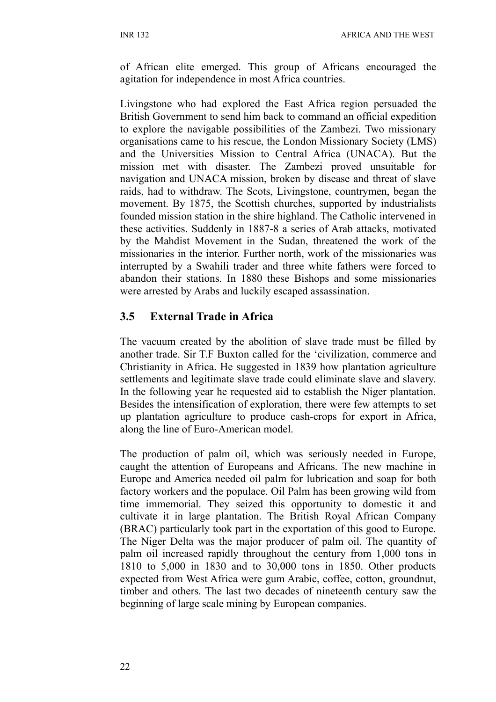of African elite emerged. This group of Africans encouraged the agitation for independence in most Africa countries.

Livingstone who had explored the East Africa region persuaded the British Government to send him back to command an official expedition to explore the navigable possibilities of the Zambezi. Two missionary organisations came to his rescue, the London Missionary Society (LMS) and the Universities Mission to Central Africa (UNACA). But the mission met with disaster. The Zambezi proved unsuitable for navigation and UNACA mission, broken by disease and threat of slave raids, had to withdraw. The Scots, Livingstone, countrymen, began the movement. By 1875, the Scottish churches, supported by industrialists founded mission station in the shire highland. The Catholic intervened in these activities. Suddenly in 1887-8 a series of Arab attacks, motivated by the Mahdist Movement in the Sudan, threatened the work of the missionaries in the interior. Further north, work of the missionaries was interrupted by a Swahili trader and three white fathers were forced to abandon their stations. In 1880 these Bishops and some missionaries were arrested by Arabs and luckily escaped assassination.

# **3.5 External Trade in Africa**

The vacuum created by the abolition of slave trade must be filled by another trade. Sir T.F Buxton called for the 'civilization, commerce and Christianity in Africa. He suggested in 1839 how plantation agriculture settlements and legitimate slave trade could eliminate slave and slavery. In the following year he requested aid to establish the Niger plantation. Besides the intensification of exploration, there were few attempts to set up plantation agriculture to produce cash-crops for export in Africa, along the line of Euro-American model.

The production of palm oil, which was seriously needed in Europe, caught the attention of Europeans and Africans. The new machine in Europe and America needed oil palm for lubrication and soap for both factory workers and the populace. Oil Palm has been growing wild from time immemorial. They seized this opportunity to domestic it and cultivate it in large plantation. The British Royal African Company (BRAC) particularly took part in the exportation of this good to Europe. The Niger Delta was the major producer of palm oil. The quantity of palm oil increased rapidly throughout the century from 1,000 tons in 1810 to 5,000 in 1830 and to 30,000 tons in 1850. Other products expected from West Africa were gum Arabic, coffee, cotton, groundnut, timber and others. The last two decades of nineteenth century saw the beginning of large scale mining by European companies.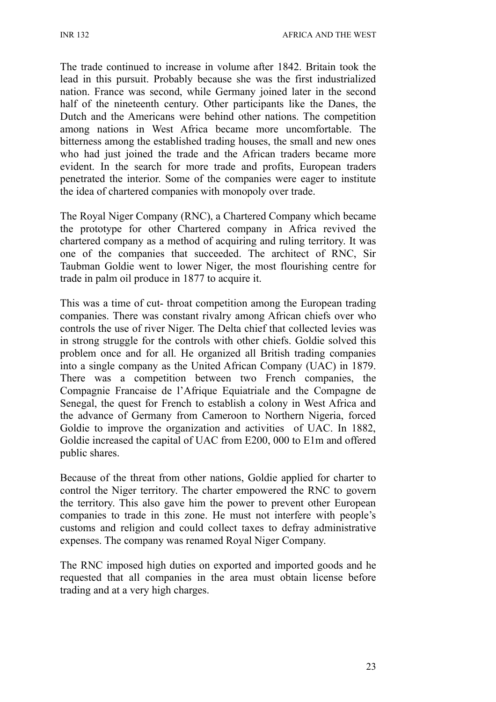The trade continued to increase in volume after 1842. Britain took the lead in this pursuit. Probably because she was the first industrialized nation. France was second, while Germany joined later in the second half of the nineteenth century. Other participants like the Danes, the Dutch and the Americans were behind other nations. The competition among nations in West Africa became more uncomfortable. The bitterness among the established trading houses, the small and new ones who had just joined the trade and the African traders became more evident. In the search for more trade and profits, European traders penetrated the interior. Some of the companies were eager to institute the idea of chartered companies with monopoly over trade.

The Royal Niger Company (RNC), a Chartered Company which became the prototype for other Chartered company in Africa revived the chartered company as a method of acquiring and ruling territory. It was one of the companies that succeeded. The architect of RNC, Sir Taubman Goldie went to lower Niger, the most flourishing centre for trade in palm oil produce in 1877 to acquire it.

This was a time of cut- throat competition among the European trading companies. There was constant rivalry among African chiefs over who controls the use of river Niger. The Delta chief that collected levies was in strong struggle for the controls with other chiefs. Goldie solved this problem once and for all. He organized all British trading companies into a single company as the United African Company (UAC) in 1879. There was a competition between two French companies, the Compagnie Francaise de l'Afrique Equiatriale and the Compagne de Senegal, the quest for French to establish a colony in West Africa and the advance of Germany from Cameroon to Northern Nigeria, forced Goldie to improve the organization and activities of UAC. In 1882, Goldie increased the capital of UAC from E200, 000 to E1m and offered public shares.

Because of the threat from other nations, Goldie applied for charter to control the Niger territory. The charter empowered the RNC to govern the territory. This also gave him the power to prevent other European companies to trade in this zone. He must not interfere with people's customs and religion and could collect taxes to defray administrative expenses. The company was renamed Royal Niger Company.

The RNC imposed high duties on exported and imported goods and he requested that all companies in the area must obtain license before trading and at a very high charges.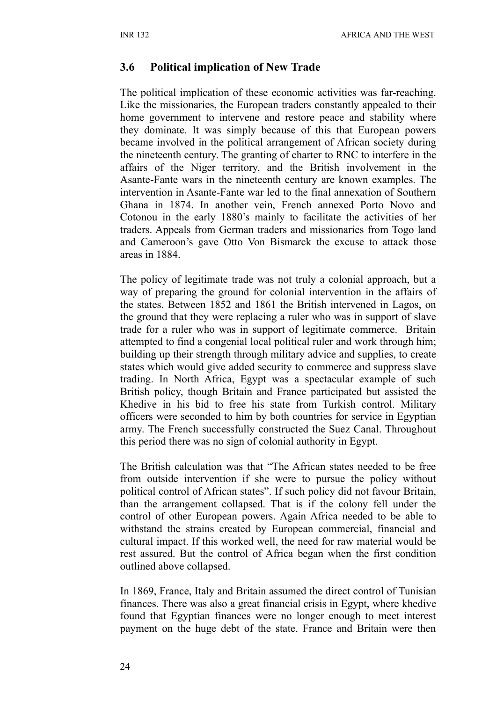#### **3.6 Political implication of New Trade**

The political implication of these economic activities was far-reaching. Like the missionaries, the European traders constantly appealed to their home government to intervene and restore peace and stability where they dominate. It was simply because of this that European powers became involved in the political arrangement of African society during the nineteenth century. The granting of charter to RNC to interfere in the affairs of the Niger territory, and the British involvement in the Asante-Fante wars in the nineteenth century are known examples. The intervention in Asante-Fante war led to the final annexation of Southern Ghana in 1874. In another vein, French annexed Porto Novo and Cotonou in the early 1880's mainly to facilitate the activities of her traders. Appeals from German traders and missionaries from Togo land and Cameroon's gave Otto Von Bismarck the excuse to attack those areas in 1884.

The policy of legitimate trade was not truly a colonial approach, but a way of preparing the ground for colonial intervention in the affairs of the states. Between 1852 and 1861 the British intervened in Lagos, on the ground that they were replacing a ruler who was in support of slave trade for a ruler who was in support of legitimate commerce. Britain attempted to find a congenial local political ruler and work through him; building up their strength through military advice and supplies, to create states which would give added security to commerce and suppress slave trading. In North Africa, Egypt was a spectacular example of such British policy, though Britain and France participated but assisted the Khedive in his bid to free his state from Turkish control. Military officers were seconded to him by both countries for service in Egyptian army. The French successfully constructed the Suez Canal. Throughout this period there was no sign of colonial authority in Egypt.

The British calculation was that "The African states needed to be free from outside intervention if she were to pursue the policy without political control of African states". If such policy did not favour Britain, than the arrangement collapsed. That is if the colony fell under the control of other European powers. Again Africa needed to be able to withstand the strains created by European commercial, financial and cultural impact. If this worked well, the need for raw material would be rest assured. But the control of Africa began when the first condition outlined above collapsed.

In 1869, France, Italy and Britain assumed the direct control of Tunisian finances. There was also a great financial crisis in Egypt, where khedive found that Egyptian finances were no longer enough to meet interest payment on the huge debt of the state. France and Britain were then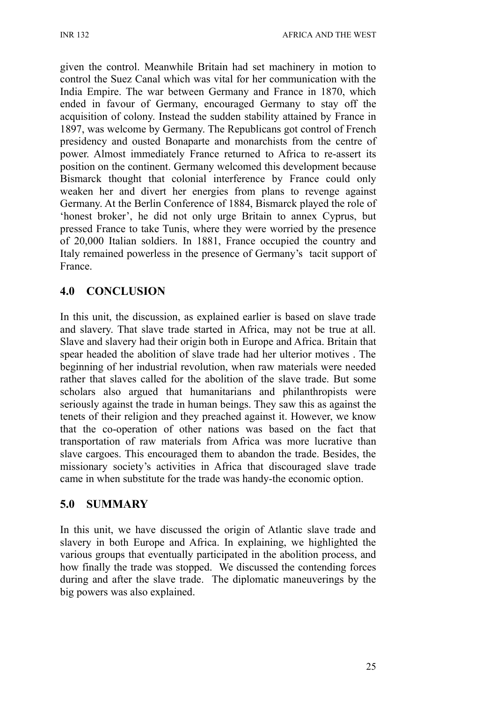given the control. Meanwhile Britain had set machinery in motion to control the Suez Canal which was vital for her communication with the India Empire. The war between Germany and France in 1870, which ended in favour of Germany, encouraged Germany to stay off the acquisition of colony. Instead the sudden stability attained by France in 1897, was welcome by Germany. The Republicans got control of French presidency and ousted Bonaparte and monarchists from the centre of power. Almost immediately France returned to Africa to re-assert its position on the continent. Germany welcomed this development because Bismarck thought that colonial interference by France could only weaken her and divert her energies from plans to revenge against Germany. At the Berlin Conference of 1884, Bismarck played the role of 'honest broker', he did not only urge Britain to annex Cyprus, but pressed France to take Tunis, where they were worried by the presence of 20,000 Italian soldiers. In 1881, France occupied the country and Italy remained powerless in the presence of Germany's tacit support of France.

# **4.0 CONCLUSION**

In this unit, the discussion, as explained earlier is based on slave trade and slavery. That slave trade started in Africa, may not be true at all. Slave and slavery had their origin both in Europe and Africa. Britain that spear headed the abolition of slave trade had her ulterior motives . The beginning of her industrial revolution, when raw materials were needed rather that slaves called for the abolition of the slave trade. But some scholars also argued that humanitarians and philanthropists were seriously against the trade in human beings. They saw this as against the tenets of their religion and they preached against it. However, we know that the co-operation of other nations was based on the fact that transportation of raw materials from Africa was more lucrative than slave cargoes. This encouraged them to abandon the trade. Besides, the missionary society's activities in Africa that discouraged slave trade came in when substitute for the trade was handy-the economic option.

# **5.0 SUMMARY**

In this unit, we have discussed the origin of Atlantic slave trade and slavery in both Europe and Africa. In explaining, we highlighted the various groups that eventually participated in the abolition process, and how finally the trade was stopped. We discussed the contending forces during and after the slave trade. The diplomatic maneuverings by the big powers was also explained.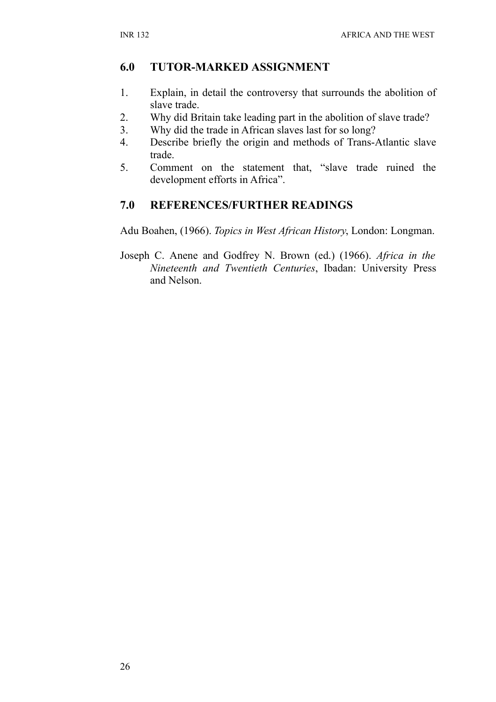# **6.0 TUTOR-MARKED ASSIGNMENT**

- 1. Explain, in detail the controversy that surrounds the abolition of slave trade.
- 2. Why did Britain take leading part in the abolition of slave trade?
- 3. Why did the trade in African slaves last for so long?
- 4. Describe briefly the origin and methods of Trans-Atlantic slave trade.
- 5. Comment on the statement that, "slave trade ruined the development efforts in Africa".

# **7.0 REFERENCES/FURTHER READINGS**

Adu Boahen, (1966). *Topics in West African History*, London: Longman.

Joseph C. Anene and Godfrey N. Brown (ed.) (1966). *Africa in the Nineteenth and Twentieth Centuries*, Ibadan: University Press and Nelson.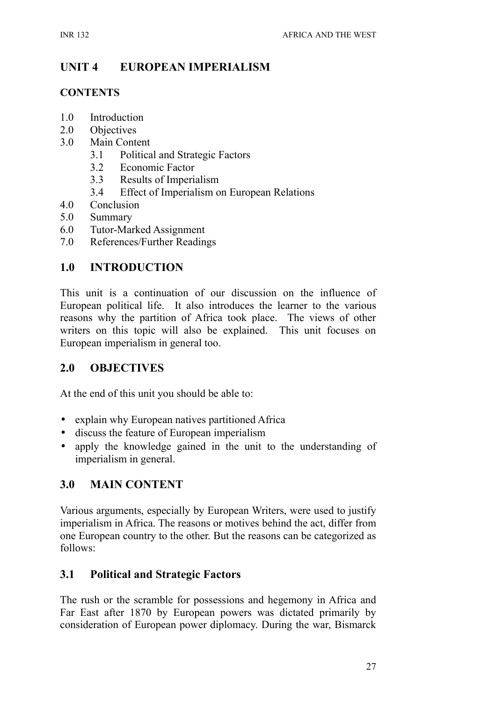# **UNIT 4 EUROPEAN IMPERIALISM**

#### **CONTENTS**

- 1.0 Introduction
- 2.0 Objectives
- 3.0 Main Content
	- 3.1 Political and Strategic Factors
	- 3.2 Economic Factor
	- 3.3 Results of Imperialism
	- 3.4 Effect of Imperialism on European Relations
- 4.0 Conclusion
- 5.0 Summary
- 6.0 Tutor-Marked Assignment
- 7.0 References/Further Readings

## **1.0 INTRODUCTION**

This unit is a continuation of our discussion on the influence of European political life. It also introduces the learner to the various reasons why the partition of Africa took place. The views of other writers on this topic will also be explained. This unit focuses on European imperialism in general too.

### **2.0 OBJECTIVES**

At the end of this unit you should be able to:

- explain why European natives partitioned Africa
- discuss the feature of European imperialism
- apply the knowledge gained in the unit to the understanding of imperialism in general.

# **3.0 MAIN CONTENT**

Various arguments, especially by European Writers, were used to justify imperialism in Africa. The reasons or motives behind the act, differ from one European country to the other. But the reasons can be categorized as follows:

### **3.1 Political and Strategic Factors**

The rush or the scramble for possessions and hegemony in Africa and Far East after 1870 by European powers was dictated primarily by consideration of European power diplomacy. During the war, Bismarck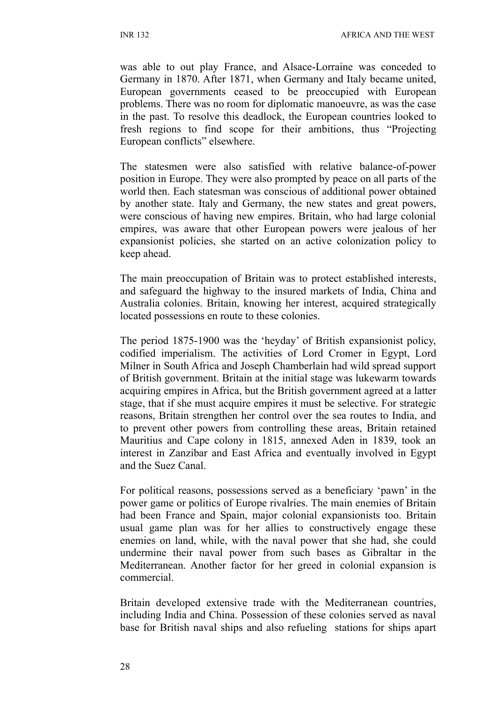was able to out play France, and Alsace-Lorraine was conceded to Germany in 1870. After 1871, when Germany and Italy became united, European governments ceased to be preoccupied with European problems. There was no room for diplomatic manoeuvre, as was the case in the past. To resolve this deadlock, the European countries looked to fresh regions to find scope for their ambitions, thus "Projecting European conflicts" elsewhere.

The statesmen were also satisfied with relative balance-of-power position in Europe. They were also prompted by peace on all parts of the world then. Each statesman was conscious of additional power obtained by another state. Italy and Germany, the new states and great powers, were conscious of having new empires. Britain, who had large colonial empires, was aware that other European powers were jealous of her expansionist policies, she started on an active colonization policy to keep ahead.

The main preoccupation of Britain was to protect established interests, and safeguard the highway to the insured markets of India, China and Australia colonies. Britain, knowing her interest, acquired strategically located possessions en route to these colonies.

The period 1875-1900 was the 'heyday' of British expansionist policy, codified imperialism. The activities of Lord Cromer in Egypt, Lord Milner in South Africa and Joseph Chamberlain had wild spread support of British government. Britain at the initial stage was lukewarm towards acquiring empires in Africa, but the British government agreed at a latter stage, that if she must acquire empires it must be selective. For strategic reasons, Britain strengthen her control over the sea routes to India, and to prevent other powers from controlling these areas, Britain retained Mauritius and Cape colony in 1815, annexed Aden in 1839, took an interest in Zanzibar and East Africa and eventually involved in Egypt and the Suez Canal.

For political reasons, possessions served as a beneficiary 'pawn' in the power game or politics of Europe rivalries. The main enemies of Britain had been France and Spain, major colonial expansionists too. Britain usual game plan was for her allies to constructively engage these enemies on land, while, with the naval power that she had, she could undermine their naval power from such bases as Gibraltar in the Mediterranean. Another factor for her greed in colonial expansion is commercial.

Britain developed extensive trade with the Mediterranean countries, including India and China. Possession of these colonies served as naval base for British naval ships and also refueling stations for ships apart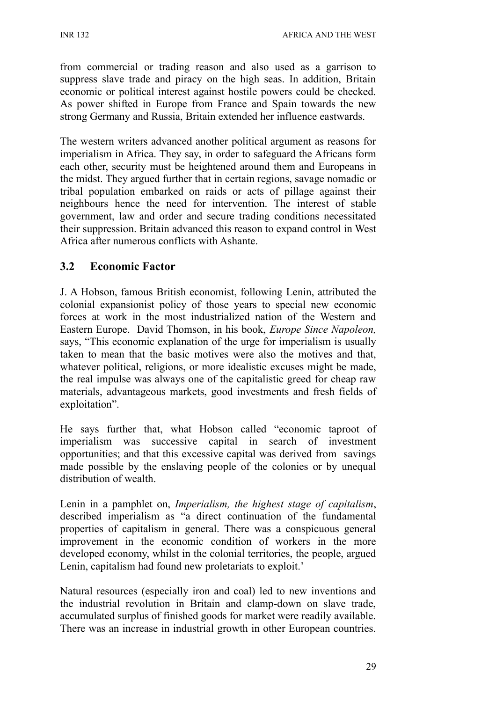from commercial or trading reason and also used as a garrison to suppress slave trade and piracy on the high seas. In addition, Britain economic or political interest against hostile powers could be checked. As power shifted in Europe from France and Spain towards the new strong Germany and Russia, Britain extended her influence eastwards.

The western writers advanced another political argument as reasons for imperialism in Africa. They say, in order to safeguard the Africans form each other, security must be heightened around them and Europeans in the midst. They argued further that in certain regions, savage nomadic or tribal population embarked on raids or acts of pillage against their neighbours hence the need for intervention. The interest of stable government, law and order and secure trading conditions necessitated their suppression. Britain advanced this reason to expand control in West Africa after numerous conflicts with Ashante.

## **3.2 Economic Factor**

J. A Hobson, famous British economist, following Lenin, attributed the colonial expansionist policy of those years to special new economic forces at work in the most industrialized nation of the Western and Eastern Europe. David Thomson, in his book, *Europe Since Napoleon,* says, "This economic explanation of the urge for imperialism is usually taken to mean that the basic motives were also the motives and that, whatever political, religions, or more idealistic excuses might be made, the real impulse was always one of the capitalistic greed for cheap raw materials, advantageous markets, good investments and fresh fields of exploitation".

He says further that, what Hobson called "economic taproot of imperialism was successive capital in search of investment opportunities; and that this excessive capital was derived from savings made possible by the enslaving people of the colonies or by unequal distribution of wealth.

Lenin in a pamphlet on, *Imperialism, the highest stage of capitalism*, described imperialism as "a direct continuation of the fundamental properties of capitalism in general. There was a conspicuous general improvement in the economic condition of workers in the more developed economy, whilst in the colonial territories, the people, argued Lenin, capitalism had found new proletariats to exploit.'

Natural resources (especially iron and coal) led to new inventions and the industrial revolution in Britain and clamp-down on slave trade, accumulated surplus of finished goods for market were readily available. There was an increase in industrial growth in other European countries.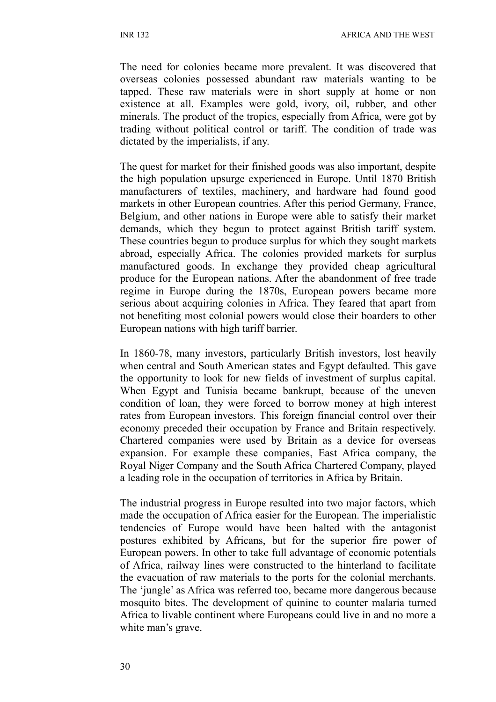The need for colonies became more prevalent. It was discovered that overseas colonies possessed abundant raw materials wanting to be tapped. These raw materials were in short supply at home or non existence at all. Examples were gold, ivory, oil, rubber, and other minerals. The product of the tropics, especially from Africa, were got by trading without political control or tariff. The condition of trade was dictated by the imperialists, if any.

The quest for market for their finished goods was also important, despite the high population upsurge experienced in Europe. Until 1870 British manufacturers of textiles, machinery, and hardware had found good markets in other European countries. After this period Germany, France, Belgium, and other nations in Europe were able to satisfy their market demands, which they begun to protect against British tariff system. These countries begun to produce surplus for which they sought markets abroad, especially Africa. The colonies provided markets for surplus manufactured goods. In exchange they provided cheap agricultural produce for the European nations. After the abandonment of free trade regime in Europe during the 1870s, European powers became more serious about acquiring colonies in Africa. They feared that apart from not benefiting most colonial powers would close their boarders to other European nations with high tariff barrier.

In 1860-78, many investors, particularly British investors, lost heavily when central and South American states and Egypt defaulted. This gave the opportunity to look for new fields of investment of surplus capital. When Egypt and Tunisia became bankrupt, because of the uneven condition of loan, they were forced to borrow money at high interest rates from European investors. This foreign financial control over their economy preceded their occupation by France and Britain respectively. Chartered companies were used by Britain as a device for overseas expansion. For example these companies, East Africa company, the Royal Niger Company and the South Africa Chartered Company, played a leading role in the occupation of territories in Africa by Britain.

The industrial progress in Europe resulted into two major factors, which made the occupation of Africa easier for the European. The imperialistic tendencies of Europe would have been halted with the antagonist postures exhibited by Africans, but for the superior fire power of European powers. In other to take full advantage of economic potentials of Africa, railway lines were constructed to the hinterland to facilitate the evacuation of raw materials to the ports for the colonial merchants. The 'jungle' as Africa was referred too, became more dangerous because mosquito bites. The development of quinine to counter malaria turned Africa to livable continent where Europeans could live in and no more a white man's grave.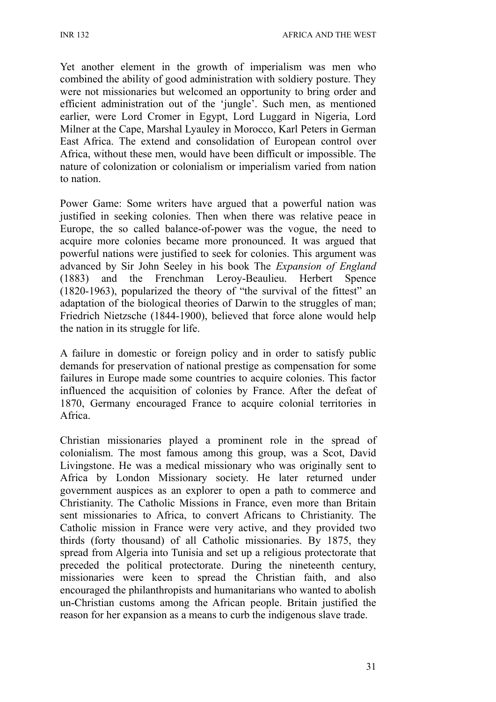INR 132 AFRICA AND THE WEST

Yet another element in the growth of imperialism was men who combined the ability of good administration with soldiery posture. They were not missionaries but welcomed an opportunity to bring order and efficient administration out of the 'jungle'. Such men, as mentioned earlier, were Lord Cromer in Egypt, Lord Luggard in Nigeria, Lord Milner at the Cape, Marshal Lyauley in Morocco, Karl Peters in German East Africa. The extend and consolidation of European control over Africa, without these men, would have been difficult or impossible. The nature of colonization or colonialism or imperialism varied from nation to nation.

Power Game: Some writers have argued that a powerful nation was justified in seeking colonies. Then when there was relative peace in Europe, the so called balance-of-power was the vogue, the need to acquire more colonies became more pronounced. It was argued that powerful nations were justified to seek for colonies. This argument was advanced by Sir John Seeley in his book The *Expansion of England* (1883) and the Frenchman Leroy-Beaulieu. Herbert Spence (1820-1963), popularized the theory of "the survival of the fittest" an adaptation of the biological theories of Darwin to the struggles of man; Friedrich Nietzsche (1844-1900), believed that force alone would help the nation in its struggle for life.

A failure in domestic or foreign policy and in order to satisfy public demands for preservation of national prestige as compensation for some failures in Europe made some countries to acquire colonies. This factor influenced the acquisition of colonies by France. After the defeat of 1870, Germany encouraged France to acquire colonial territories in Africa.

Christian missionaries played a prominent role in the spread of colonialism. The most famous among this group, was a Scot, David Livingstone. He was a medical missionary who was originally sent to Africa by London Missionary society. He later returned under government auspices as an explorer to open a path to commerce and Christianity. The Catholic Missions in France, even more than Britain sent missionaries to Africa, to convert Africans to Christianity. The Catholic mission in France were very active, and they provided two thirds (forty thousand) of all Catholic missionaries. By 1875, they spread from Algeria into Tunisia and set up a religious protectorate that preceded the political protectorate. During the nineteenth century, missionaries were keen to spread the Christian faith, and also encouraged the philanthropists and humanitarians who wanted to abolish un-Christian customs among the African people. Britain justified the reason for her expansion as a means to curb the indigenous slave trade.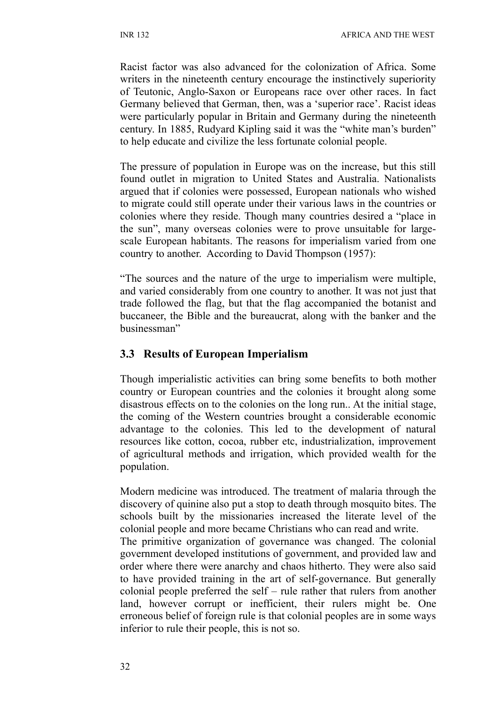Racist factor was also advanced for the colonization of Africa. Some writers in the nineteenth century encourage the instinctively superiority of Teutonic, Anglo-Saxon or Europeans race over other races. In fact Germany believed that German, then, was a 'superior race'. Racist ideas were particularly popular in Britain and Germany during the nineteenth century. In 1885, Rudyard Kipling said it was the "white man's burden" to help educate and civilize the less fortunate colonial people.

The pressure of population in Europe was on the increase, but this still found outlet in migration to United States and Australia. Nationalists argued that if colonies were possessed, European nationals who wished to migrate could still operate under their various laws in the countries or colonies where they reside. Though many countries desired a "place in the sun", many overseas colonies were to prove unsuitable for largescale European habitants. The reasons for imperialism varied from one country to another. According to David Thompson (1957):

"The sources and the nature of the urge to imperialism were multiple, and varied considerably from one country to another. It was not just that trade followed the flag, but that the flag accompanied the botanist and buccaneer, the Bible and the bureaucrat, along with the banker and the businessman"

### **3.3 Results of European Imperialism**

Though imperialistic activities can bring some benefits to both mother country or European countries and the colonies it brought along some disastrous effects on to the colonies on the long run.. At the initial stage, the coming of the Western countries brought a considerable economic advantage to the colonies. This led to the development of natural resources like cotton, cocoa, rubber etc, industrialization, improvement of agricultural methods and irrigation, which provided wealth for the population.

Modern medicine was introduced. The treatment of malaria through the discovery of quinine also put a stop to death through mosquito bites. The schools built by the missionaries increased the literate level of the colonial people and more became Christians who can read and write.

The primitive organization of governance was changed. The colonial government developed institutions of government, and provided law and order where there were anarchy and chaos hitherto. They were also said to have provided training in the art of self-governance. But generally colonial people preferred the self – rule rather that rulers from another land, however corrupt or inefficient, their rulers might be. One erroneous belief of foreign rule is that colonial peoples are in some ways inferior to rule their people, this is not so.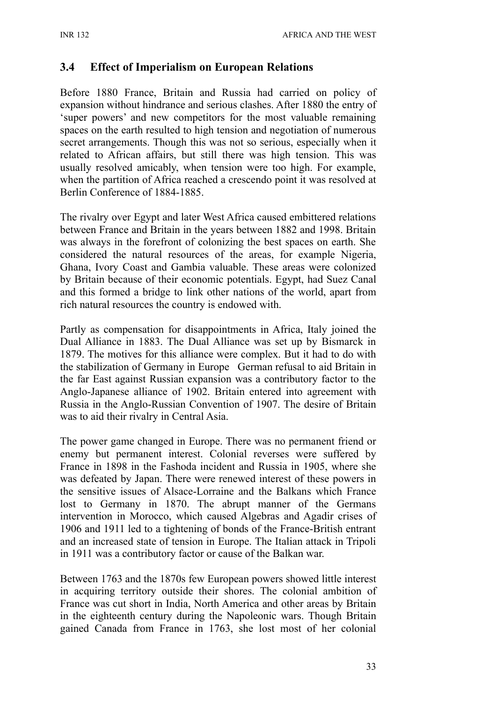## **3.4 Effect of Imperialism on European Relations**

Before 1880 France, Britain and Russia had carried on policy of expansion without hindrance and serious clashes. After 1880 the entry of 'super powers' and new competitors for the most valuable remaining spaces on the earth resulted to high tension and negotiation of numerous secret arrangements. Though this was not so serious, especially when it related to African affairs, but still there was high tension. This was usually resolved amicably, when tension were too high. For example, when the partition of Africa reached a crescendo point it was resolved at Berlin Conference of 1884-1885.

The rivalry over Egypt and later West Africa caused embittered relations between France and Britain in the years between 1882 and 1998. Britain was always in the forefront of colonizing the best spaces on earth. She considered the natural resources of the areas, for example Nigeria, Ghana, Ivory Coast and Gambia valuable. These areas were colonized by Britain because of their economic potentials. Egypt, had Suez Canal and this formed a bridge to link other nations of the world, apart from rich natural resources the country is endowed with.

Partly as compensation for disappointments in Africa, Italy joined the Dual Alliance in 1883. The Dual Alliance was set up by Bismarck in 1879. The motives for this alliance were complex. But it had to do with the stabilization of Germany in Europe German refusal to aid Britain in the far East against Russian expansion was a contributory factor to the Anglo-Japanese alliance of 1902. Britain entered into agreement with Russia in the Anglo-Russian Convention of 1907. The desire of Britain was to aid their rivalry in Central Asia.

The power game changed in Europe. There was no permanent friend or enemy but permanent interest. Colonial reverses were suffered by France in 1898 in the Fashoda incident and Russia in 1905, where she was defeated by Japan. There were renewed interest of these powers in the sensitive issues of Alsace-Lorraine and the Balkans which France lost to Germany in 1870. The abrupt manner of the Germans intervention in Morocco, which caused Algebras and Agadir crises of 1906 and 1911 led to a tightening of bonds of the France-British entrant and an increased state of tension in Europe. The Italian attack in Tripoli in 1911 was a contributory factor or cause of the Balkan war.

Between 1763 and the 1870s few European powers showed little interest in acquiring territory outside their shores. The colonial ambition of France was cut short in India, North America and other areas by Britain in the eighteenth century during the Napoleonic wars. Though Britain gained Canada from France in 1763, she lost most of her colonial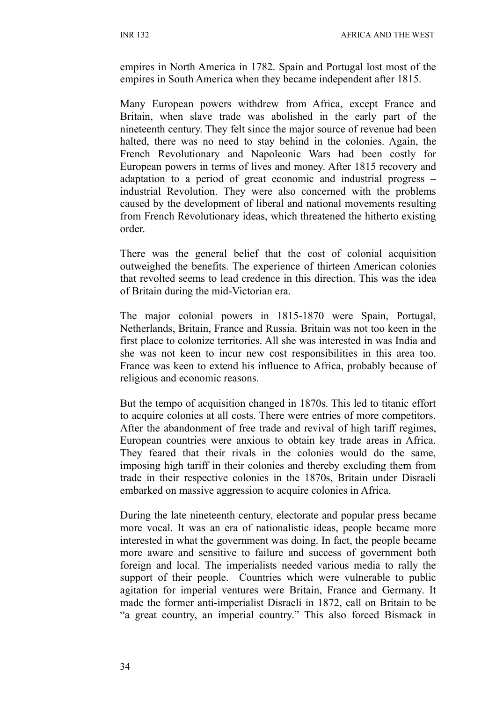empires in North America in 1782. Spain and Portugal lost most of the empires in South America when they became independent after 1815.

Many European powers withdrew from Africa, except France and Britain, when slave trade was abolished in the early part of the nineteenth century. They felt since the major source of revenue had been halted, there was no need to stay behind in the colonies. Again, the French Revolutionary and Napoleonic Wars had been costly for European powers in terms of lives and money. After 1815 recovery and adaptation to a period of great economic and industrial progress – industrial Revolution. They were also concerned with the problems caused by the development of liberal and national movements resulting from French Revolutionary ideas, which threatened the hitherto existing order.

There was the general belief that the cost of colonial acquisition outweighed the benefits. The experience of thirteen American colonies that revolted seems to lead credence in this direction. This was the idea of Britain during the mid-Victorian era.

The major colonial powers in 1815-1870 were Spain, Portugal, Netherlands, Britain, France and Russia. Britain was not too keen in the first place to colonize territories. All she was interested in was India and she was not keen to incur new cost responsibilities in this area too. France was keen to extend his influence to Africa, probably because of religious and economic reasons.

But the tempo of acquisition changed in 1870s. This led to titanic effort to acquire colonies at all costs. There were entries of more competitors. After the abandonment of free trade and revival of high tariff regimes, European countries were anxious to obtain key trade areas in Africa. They feared that their rivals in the colonies would do the same, imposing high tariff in their colonies and thereby excluding them from trade in their respective colonies in the 1870s, Britain under Disraeli embarked on massive aggression to acquire colonies in Africa.

During the late nineteenth century, electorate and popular press became more vocal. It was an era of nationalistic ideas, people became more interested in what the government was doing. In fact, the people became more aware and sensitive to failure and success of government both foreign and local. The imperialists needed various media to rally the support of their people. Countries which were vulnerable to public agitation for imperial ventures were Britain, France and Germany. It made the former anti-imperialist Disraeli in 1872, call on Britain to be "a great country, an imperial country." This also forced Bismack in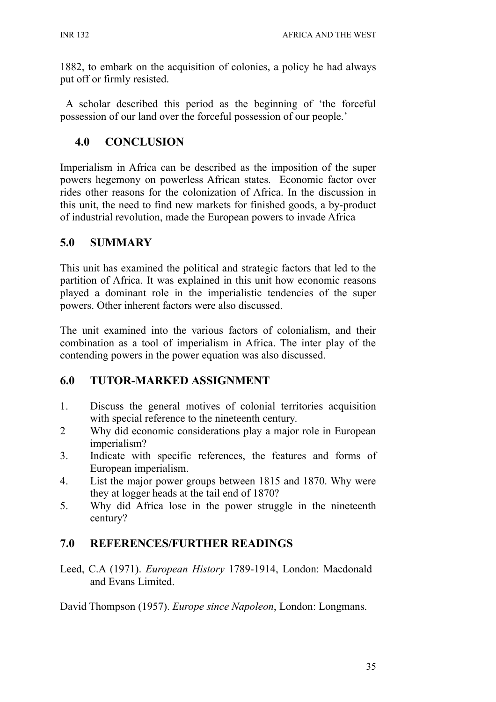1882, to embark on the acquisition of colonies, a policy he had always put off or firmly resisted.

 A scholar described this period as the beginning of 'the forceful possession of our land over the forceful possession of our people.'

# **4.0 CONCLUSION**

Imperialism in Africa can be described as the imposition of the super powers hegemony on powerless African states. Economic factor over rides other reasons for the colonization of Africa. In the discussion in this unit, the need to find new markets for finished goods, a by-product of industrial revolution, made the European powers to invade Africa

# **5.0 SUMMARY**

This unit has examined the political and strategic factors that led to the partition of Africa. It was explained in this unit how economic reasons played a dominant role in the imperialistic tendencies of the super powers. Other inherent factors were also discussed.

The unit examined into the various factors of colonialism, and their combination as a tool of imperialism in Africa. The inter play of the contending powers in the power equation was also discussed.

# **6.0 TUTOR-MARKED ASSIGNMENT**

- 1. Discuss the general motives of colonial territories acquisition with special reference to the nineteenth century.
- 2 Why did economic considerations play a major role in European imperialism?
- 3. Indicate with specific references, the features and forms of European imperialism.
- 4. List the major power groups between 1815 and 1870. Why were they at logger heads at the tail end of 1870?
- 5. Why did Africa lose in the power struggle in the nineteenth century?

# **7.0 REFERENCES/FURTHER READINGS**

Leed, C.A (1971). *European History* 1789-1914, London: Macdonald and Evans Limited.

David Thompson (1957). *Europe since Napoleon*, London: Longmans.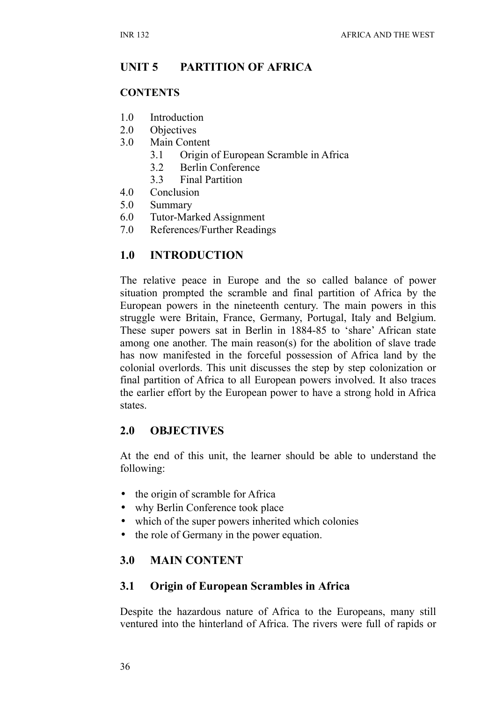# **UNIT 5 PARTITION OF AFRICA**

#### **CONTENTS**

- 1.0 Introduction
- 2.0 Objectives
- 3.0 Main Content
	- 3.1 Origin of European Scramble in Africa
	- 3.2 Berlin Conference
	- 3.3 Final Partition
- 4.0 Conclusion
- 5.0 Summary
- 6.0 Tutor-Marked Assignment
- 7.0 References/Further Readings

# **1.0 INTRODUCTION**

The relative peace in Europe and the so called balance of power situation prompted the scramble and final partition of Africa by the European powers in the nineteenth century. The main powers in this struggle were Britain, France, Germany, Portugal, Italy and Belgium. These super powers sat in Berlin in 1884-85 to 'share' African state among one another. The main reason(s) for the abolition of slave trade has now manifested in the forceful possession of Africa land by the colonial overlords. This unit discusses the step by step colonization or final partition of Africa to all European powers involved. It also traces the earlier effort by the European power to have a strong hold in Africa states.

### **2.0 OBJECTIVES**

At the end of this unit, the learner should be able to understand the following:

- the origin of scramble for Africa
- why Berlin Conference took place
- which of the super powers inherited which colonies
- the role of Germany in the power equation.

# **3.0 MAIN CONTENT**

### **3.1 Origin of European Scrambles in Africa**

Despite the hazardous nature of Africa to the Europeans, many still ventured into the hinterland of Africa. The rivers were full of rapids or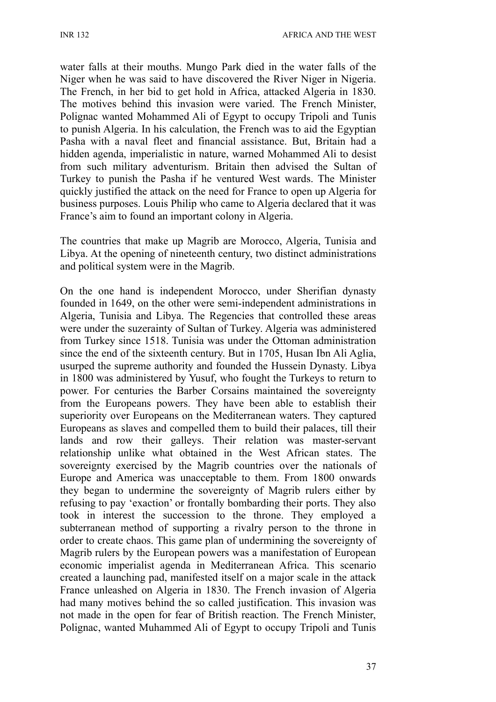water falls at their mouths. Mungo Park died in the water falls of the Niger when he was said to have discovered the River Niger in Nigeria. The French, in her bid to get hold in Africa, attacked Algeria in 1830. The motives behind this invasion were varied. The French Minister, Polignac wanted Mohammed Ali of Egypt to occupy Tripoli and Tunis to punish Algeria. In his calculation, the French was to aid the Egyptian Pasha with a naval fleet and financial assistance. But, Britain had a hidden agenda, imperialistic in nature, warned Mohammed Ali to desist from such military adventurism. Britain then advised the Sultan of Turkey to punish the Pasha if he ventured West wards. The Minister quickly justified the attack on the need for France to open up Algeria for business purposes. Louis Philip who came to Algeria declared that it was France's aim to found an important colony in Algeria.

The countries that make up Magrib are Morocco, Algeria, Tunisia and Libya. At the opening of nineteenth century, two distinct administrations and political system were in the Magrib.

On the one hand is independent Morocco, under Sherifian dynasty founded in 1649, on the other were semi-independent administrations in Algeria, Tunisia and Libya. The Regencies that controlled these areas were under the suzerainty of Sultan of Turkey. Algeria was administered from Turkey since 1518. Tunisia was under the Ottoman administration since the end of the sixteenth century. But in 1705, Husan Ibn Ali Aglia, usurped the supreme authority and founded the Hussein Dynasty. Libya in 1800 was administered by Yusuf, who fought the Turkeys to return to power. For centuries the Barber Corsains maintained the sovereignty from the Europeans powers. They have been able to establish their superiority over Europeans on the Mediterranean waters. They captured Europeans as slaves and compelled them to build their palaces, till their lands and row their galleys. Their relation was master-servant relationship unlike what obtained in the West African states. The sovereignty exercised by the Magrib countries over the nationals of Europe and America was unacceptable to them. From 1800 onwards they began to undermine the sovereignty of Magrib rulers either by refusing to pay 'exaction' or frontally bombarding their ports. They also took in interest the succession to the throne. They employed a subterranean method of supporting a rivalry person to the throne in order to create chaos. This game plan of undermining the sovereignty of Magrib rulers by the European powers was a manifestation of European economic imperialist agenda in Mediterranean Africa. This scenario created a launching pad, manifested itself on a major scale in the attack France unleashed on Algeria in 1830. The French invasion of Algeria had many motives behind the so called justification. This invasion was not made in the open for fear of British reaction. The French Minister, Polignac, wanted Muhammed Ali of Egypt to occupy Tripoli and Tunis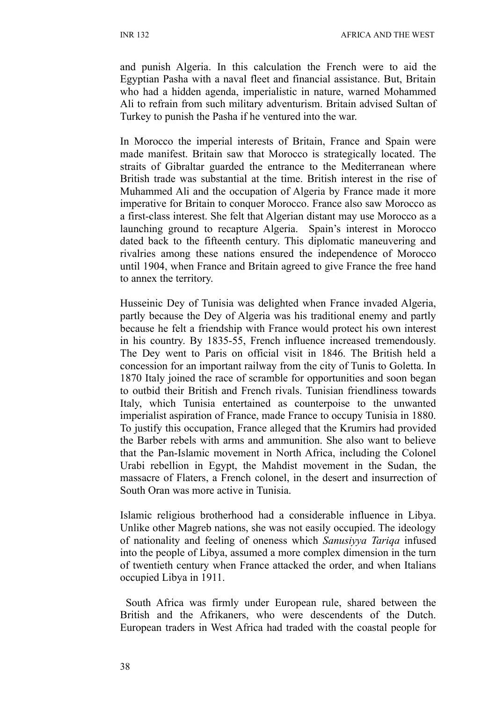and punish Algeria. In this calculation the French were to aid the Egyptian Pasha with a naval fleet and financial assistance. But, Britain who had a hidden agenda, imperialistic in nature, warned Mohammed Ali to refrain from such military adventurism. Britain advised Sultan of Turkey to punish the Pasha if he ventured into the war.

In Morocco the imperial interests of Britain, France and Spain were made manifest. Britain saw that Morocco is strategically located. The straits of Gibraltar guarded the entrance to the Mediterranean where British trade was substantial at the time. British interest in the rise of Muhammed Ali and the occupation of Algeria by France made it more imperative for Britain to conquer Morocco. France also saw Morocco as a first-class interest. She felt that Algerian distant may use Morocco as a launching ground to recapture Algeria. Spain's interest in Morocco dated back to the fifteenth century. This diplomatic maneuvering and rivalries among these nations ensured the independence of Morocco until 1904, when France and Britain agreed to give France the free hand to annex the territory.

Husseinic Dey of Tunisia was delighted when France invaded Algeria, partly because the Dey of Algeria was his traditional enemy and partly because he felt a friendship with France would protect his own interest in his country. By 1835-55, French influence increased tremendously. The Dey went to Paris on official visit in 1846. The British held a concession for an important railway from the city of Tunis to Goletta. In 1870 Italy joined the race of scramble for opportunities and soon began to outbid their British and French rivals. Tunisian friendliness towards Italy, which Tunisia entertained as counterpoise to the unwanted imperialist aspiration of France, made France to occupy Tunisia in 1880. To justify this occupation, France alleged that the Krumirs had provided the Barber rebels with arms and ammunition. She also want to believe that the Pan-Islamic movement in North Africa, including the Colonel Urabi rebellion in Egypt, the Mahdist movement in the Sudan, the massacre of Flaters, a French colonel, in the desert and insurrection of South Oran was more active in Tunisia.

Islamic religious brotherhood had a considerable influence in Libya. Unlike other Magreb nations, she was not easily occupied. The ideology of nationality and feeling of oneness which *Sanusiyya Tariqa* infused into the people of Libya, assumed a more complex dimension in the turn of twentieth century when France attacked the order, and when Italians occupied Libya in 1911.

 South Africa was firmly under European rule, shared between the British and the Afrikaners, who were descendents of the Dutch. European traders in West Africa had traded with the coastal people for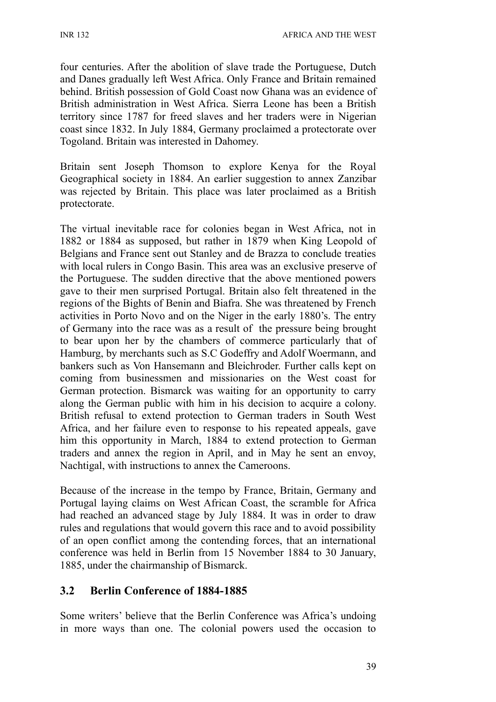INR 132 AFRICA AND THE WEST

four centuries. After the abolition of slave trade the Portuguese, Dutch and Danes gradually left West Africa. Only France and Britain remained behind. British possession of Gold Coast now Ghana was an evidence of British administration in West Africa. Sierra Leone has been a British territory since 1787 for freed slaves and her traders were in Nigerian coast since 1832. In July 1884, Germany proclaimed a protectorate over Togoland. Britain was interested in Dahomey.

Britain sent Joseph Thomson to explore Kenya for the Royal Geographical society in 1884. An earlier suggestion to annex Zanzibar was rejected by Britain. This place was later proclaimed as a British protectorate.

The virtual inevitable race for colonies began in West Africa, not in 1882 or 1884 as supposed, but rather in 1879 when King Leopold of Belgians and France sent out Stanley and de Brazza to conclude treaties with local rulers in Congo Basin. This area was an exclusive preserve of the Portuguese. The sudden directive that the above mentioned powers gave to their men surprised Portugal. Britain also felt threatened in the regions of the Bights of Benin and Biafra. She was threatened by French activities in Porto Novo and on the Niger in the early 1880's. The entry of Germany into the race was as a result of the pressure being brought to bear upon her by the chambers of commerce particularly that of Hamburg, by merchants such as S.C Godeffry and Adolf Woermann, and bankers such as Von Hansemann and Bleichroder. Further calls kept on coming from businessmen and missionaries on the West coast for German protection. Bismarck was waiting for an opportunity to carry along the German public with him in his decision to acquire a colony. British refusal to extend protection to German traders in South West Africa, and her failure even to response to his repeated appeals, gave him this opportunity in March, 1884 to extend protection to German traders and annex the region in April, and in May he sent an envoy, Nachtigal, with instructions to annex the Cameroons.

Because of the increase in the tempo by France, Britain, Germany and Portugal laying claims on West African Coast, the scramble for Africa had reached an advanced stage by July 1884. It was in order to draw rules and regulations that would govern this race and to avoid possibility of an open conflict among the contending forces, that an international conference was held in Berlin from 15 November 1884 to 30 January, 1885, under the chairmanship of Bismarck.

### **3.2 Berlin Conference of 1884-1885**

Some writers' believe that the Berlin Conference was Africa's undoing in more ways than one. The colonial powers used the occasion to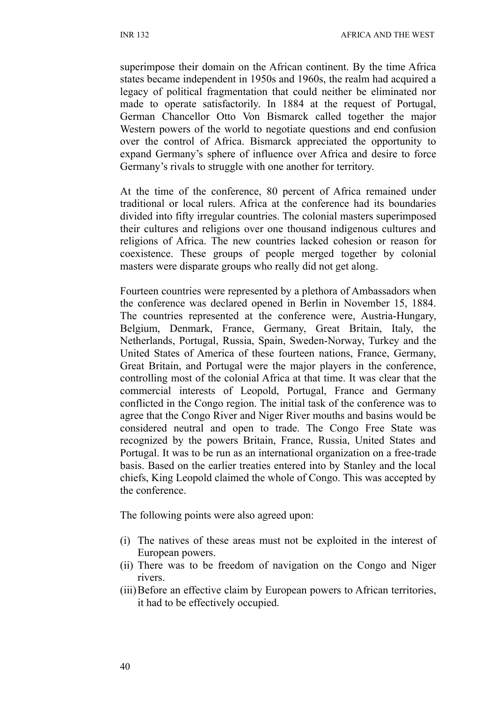superimpose their domain on the African continent. By the time Africa states became independent in 1950s and 1960s, the realm had acquired a legacy of political fragmentation that could neither be eliminated nor made to operate satisfactorily. In 1884 at the request of Portugal, German Chancellor Otto Von Bismarck called together the major Western powers of the world to negotiate questions and end confusion over the control of Africa. Bismarck appreciated the opportunity to expand Germany's sphere of influence over Africa and desire to force Germany's rivals to struggle with one another for territory.

At the time of the conference, 80 percent of Africa remained under traditional or local rulers. Africa at the conference had its boundaries divided into fifty irregular countries. The colonial masters superimposed their cultures and religions over one thousand indigenous cultures and religions of Africa. The new countries lacked cohesion or reason for coexistence. These groups of people merged together by colonial masters were disparate groups who really did not get along.

Fourteen countries were represented by a plethora of Ambassadors when the conference was declared opened in Berlin in November 15, 1884. The countries represented at the conference were, Austria-Hungary, Belgium, Denmark, France, Germany, Great Britain, Italy, the Netherlands, Portugal, Russia, Spain, Sweden-Norway, Turkey and the United States of America of these fourteen nations, France, Germany, Great Britain, and Portugal were the major players in the conference, controlling most of the colonial Africa at that time. It was clear that the commercial interests of Leopold, Portugal, France and Germany conflicted in the Congo region. The initial task of the conference was to agree that the Congo River and Niger River mouths and basins would be considered neutral and open to trade. The Congo Free State was recognized by the powers Britain, France, Russia, United States and Portugal. It was to be run as an international organization on a free-trade basis. Based on the earlier treaties entered into by Stanley and the local chiefs, King Leopold claimed the whole of Congo. This was accepted by the conference.

The following points were also agreed upon:

- (i) The natives of these areas must not be exploited in the interest of European powers.
- (ii) There was to be freedom of navigation on the Congo and Niger rivers.
- (iii)Before an effective claim by European powers to African territories, it had to be effectively occupied.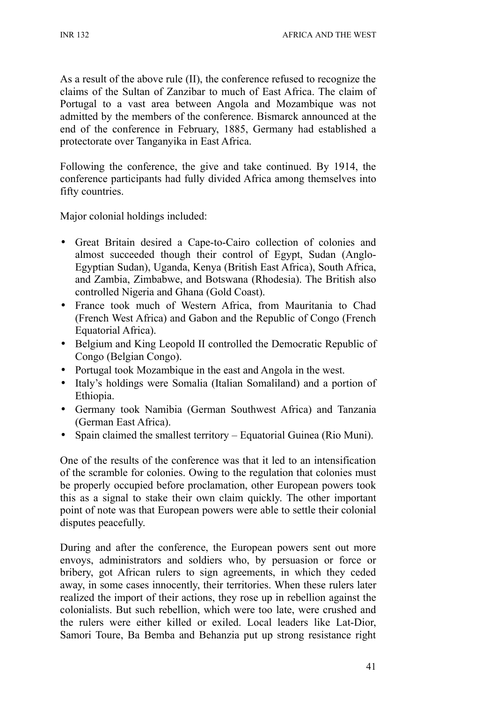As a result of the above rule (II), the conference refused to recognize the claims of the Sultan of Zanzibar to much of East Africa. The claim of Portugal to a vast area between Angola and Mozambique was not admitted by the members of the conference. Bismarck announced at the end of the conference in February, 1885, Germany had established a protectorate over Tanganyika in East Africa.

Following the conference, the give and take continued. By 1914, the conference participants had fully divided Africa among themselves into fifty countries.

Major colonial holdings included:

- Great Britain desired a Cape-to-Cairo collection of colonies and almost succeeded though their control of Egypt, Sudan (Anglo-Egyptian Sudan), Uganda, Kenya (British East Africa), South Africa, and Zambia, Zimbabwe, and Botswana (Rhodesia). The British also controlled Nigeria and Ghana (Gold Coast).
- France took much of Western Africa, from Mauritania to Chad (French West Africa) and Gabon and the Republic of Congo (French Equatorial Africa).
- Belgium and King Leopold II controlled the Democratic Republic of Congo (Belgian Congo).
- Portugal took Mozambique in the east and Angola in the west.
- Italy's holdings were Somalia (Italian Somaliland) and a portion of Ethiopia.
- Germany took Namibia (German Southwest Africa) and Tanzania (German East Africa).
- Spain claimed the smallest territory Equatorial Guinea (Rio Muni).

One of the results of the conference was that it led to an intensification of the scramble for colonies. Owing to the regulation that colonies must be properly occupied before proclamation, other European powers took this as a signal to stake their own claim quickly. The other important point of note was that European powers were able to settle their colonial disputes peacefully.

During and after the conference, the European powers sent out more envoys, administrators and soldiers who, by persuasion or force or bribery, got African rulers to sign agreements, in which they ceded away, in some cases innocently, their territories. When these rulers later realized the import of their actions, they rose up in rebellion against the colonialists. But such rebellion, which were too late, were crushed and the rulers were either killed or exiled. Local leaders like Lat-Dior, Samori Toure, Ba Bemba and Behanzia put up strong resistance right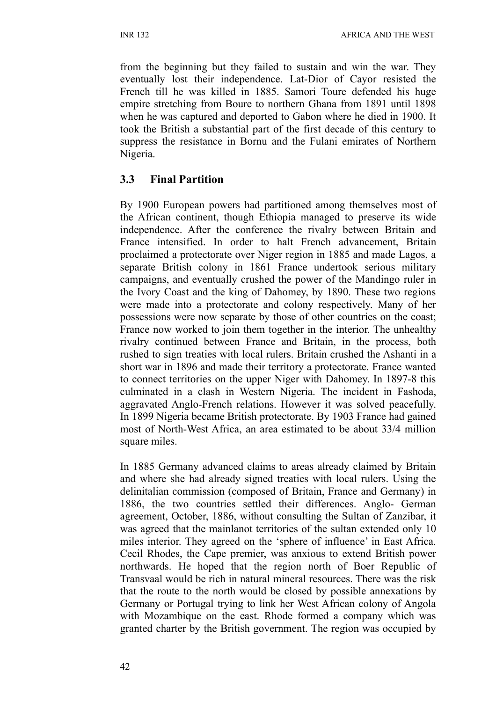from the beginning but they failed to sustain and win the war. They eventually lost their independence. Lat-Dior of Cayor resisted the French till he was killed in 1885. Samori Toure defended his huge empire stretching from Boure to northern Ghana from 1891 until 1898 when he was captured and deported to Gabon where he died in 1900. It took the British a substantial part of the first decade of this century to suppress the resistance in Bornu and the Fulani emirates of Northern Nigeria.

# **3.3 Final Partition**

By 1900 European powers had partitioned among themselves most of the African continent, though Ethiopia managed to preserve its wide independence. After the conference the rivalry between Britain and France intensified. In order to halt French advancement, Britain proclaimed a protectorate over Niger region in 1885 and made Lagos, a separate British colony in 1861 France undertook serious military campaigns, and eventually crushed the power of the Mandingo ruler in the Ivory Coast and the king of Dahomey, by 1890. These two regions were made into a protectorate and colony respectively. Many of her possessions were now separate by those of other countries on the coast; France now worked to join them together in the interior. The unhealthy rivalry continued between France and Britain, in the process, both rushed to sign treaties with local rulers. Britain crushed the Ashanti in a short war in 1896 and made their territory a protectorate. France wanted to connect territories on the upper Niger with Dahomey. In 1897-8 this culminated in a clash in Western Nigeria. The incident in Fashoda, aggravated Anglo-French relations. However it was solved peacefully. In 1899 Nigeria became British protectorate. By 1903 France had gained most of North-West Africa, an area estimated to be about 33/4 million square miles.

In 1885 Germany advanced claims to areas already claimed by Britain and where she had already signed treaties with local rulers. Using the delinitalian commission (composed of Britain, France and Germany) in 1886, the two countries settled their differences. Anglo- German agreement, October, 1886, without consulting the Sultan of Zanzibar, it was agreed that the mainlanot territories of the sultan extended only 10 miles interior. They agreed on the 'sphere of influence' in East Africa. Cecil Rhodes, the Cape premier, was anxious to extend British power northwards. He hoped that the region north of Boer Republic of Transvaal would be rich in natural mineral resources. There was the risk that the route to the north would be closed by possible annexations by Germany or Portugal trying to link her West African colony of Angola with Mozambique on the east. Rhode formed a company which was granted charter by the British government. The region was occupied by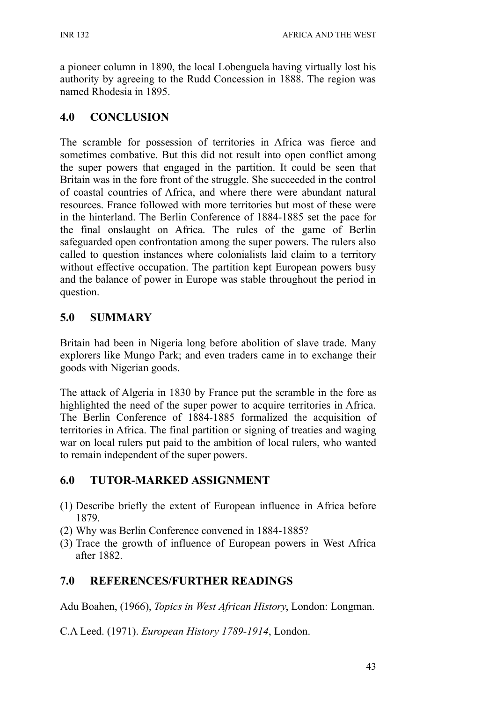a pioneer column in 1890, the local Lobenguela having virtually lost his authority by agreeing to the Rudd Concession in 1888. The region was named Rhodesia in 1895.

# **4.0 CONCLUSION**

The scramble for possession of territories in Africa was fierce and sometimes combative. But this did not result into open conflict among the super powers that engaged in the partition. It could be seen that Britain was in the fore front of the struggle. She succeeded in the control of coastal countries of Africa, and where there were abundant natural resources. France followed with more territories but most of these were in the hinterland. The Berlin Conference of 1884-1885 set the pace for the final onslaught on Africa. The rules of the game of Berlin safeguarded open confrontation among the super powers. The rulers also called to question instances where colonialists laid claim to a territory without effective occupation. The partition kept European powers busy and the balance of power in Europe was stable throughout the period in question.

# **5.0 SUMMARY**

Britain had been in Nigeria long before abolition of slave trade. Many explorers like Mungo Park; and even traders came in to exchange their goods with Nigerian goods.

The attack of Algeria in 1830 by France put the scramble in the fore as highlighted the need of the super power to acquire territories in Africa. The Berlin Conference of 1884-1885 formalized the acquisition of territories in Africa. The final partition or signing of treaties and waging war on local rulers put paid to the ambition of local rulers, who wanted to remain independent of the super powers.

# **6.0 TUTOR-MARKED ASSIGNMENT**

- (1) Describe briefly the extent of European influence in Africa before 1879.
- (2) Why was Berlin Conference convened in 1884-1885?
- (3) Trace the growth of influence of European powers in West Africa after 1882.

# **7.0 REFERENCES/FURTHER READINGS**

Adu Boahen, (1966), *Topics in West African History*, London: Longman.

C.A Leed. (1971). *European History 1789-1914*, London.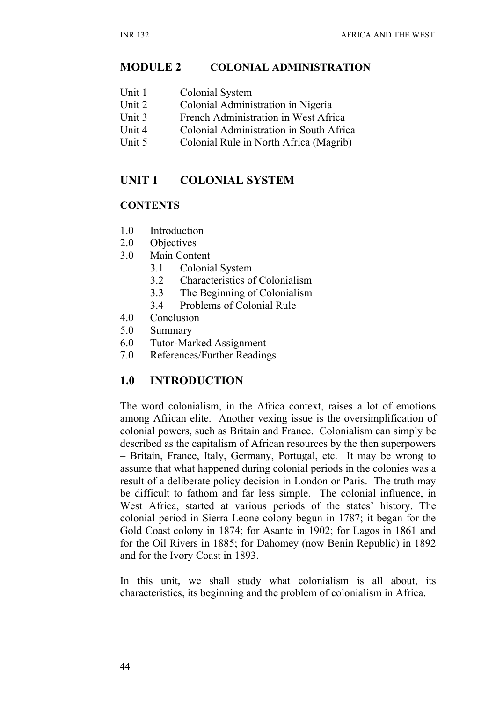#### **MODULE 2 COLONIAL ADMINISTRATION**

| Unit 1 | Colonial System |
|--------|-----------------|
|--------|-----------------|

- Unit 2 Colonial Administration in Nigeria
- Unit 3 French Administration in West Africa
- Unit 4 Colonial Administration in South Africa
- Unit 5 Colonial Rule in North Africa (Magrib)

#### **UNIT 1 COLONIAL SYSTEM**

#### **CONTENTS**

- 1.0 Introduction
- 2.0 Objectives
- 3.0 Main Content
	- 3.1 Colonial System
	- 3.2 Characteristics of Colonialism
	- 3.3 The Beginning of Colonialism
	- 3.4 Problems of Colonial Rule
- 4.0 Conclusion
- 5.0 Summary
- 6.0 Tutor-Marked Assignment
- 7.0 References/Further Readings

### **1.0 INTRODUCTION**

The word colonialism, in the Africa context, raises a lot of emotions among African elite. Another vexing issue is the oversimplification of colonial powers, such as Britain and France. Colonialism can simply be described as the capitalism of African resources by the then superpowers – Britain, France, Italy, Germany, Portugal, etc. It may be wrong to assume that what happened during colonial periods in the colonies was a result of a deliberate policy decision in London or Paris. The truth may be difficult to fathom and far less simple. The colonial influence, in West Africa, started at various periods of the states' history. The colonial period in Sierra Leone colony begun in 1787; it began for the Gold Coast colony in 1874; for Asante in 1902; for Lagos in 1861 and for the Oil Rivers in 1885; for Dahomey (now Benin Republic) in 1892 and for the Ivory Coast in 1893.

In this unit, we shall study what colonialism is all about, its characteristics, its beginning and the problem of colonialism in Africa.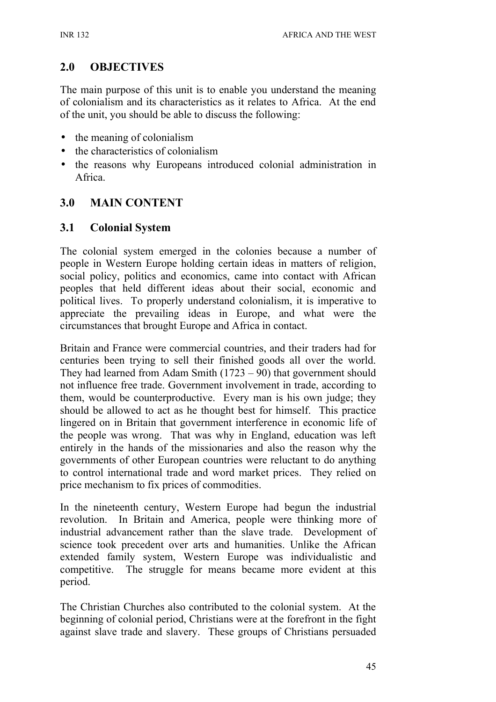# **2.0 OBJECTIVES**

The main purpose of this unit is to enable you understand the meaning of colonialism and its characteristics as it relates to Africa. At the end of the unit, you should be able to discuss the following:

- the meaning of colonialism
- the characteristics of colonialism
- the reasons why Europeans introduced colonial administration in Africa.

# **3.0 MAIN CONTENT**

## **3.1 Colonial System**

The colonial system emerged in the colonies because a number of people in Western Europe holding certain ideas in matters of religion, social policy, politics and economics, came into contact with African peoples that held different ideas about their social, economic and political lives. To properly understand colonialism, it is imperative to appreciate the prevailing ideas in Europe, and what were the circumstances that brought Europe and Africa in contact.

Britain and France were commercial countries, and their traders had for centuries been trying to sell their finished goods all over the world. They had learned from Adam Smith  $(1723 - 90)$  that government should not influence free trade. Government involvement in trade, according to them, would be counterproductive. Every man is his own judge; they should be allowed to act as he thought best for himself. This practice lingered on in Britain that government interference in economic life of the people was wrong. That was why in England, education was left entirely in the hands of the missionaries and also the reason why the governments of other European countries were reluctant to do anything to control international trade and word market prices. They relied on price mechanism to fix prices of commodities.

In the nineteenth century, Western Europe had begun the industrial revolution. In Britain and America, people were thinking more of industrial advancement rather than the slave trade. Development of science took precedent over arts and humanities. Unlike the African extended family system, Western Europe was individualistic and competitive. The struggle for means became more evident at this period.

The Christian Churches also contributed to the colonial system. At the beginning of colonial period, Christians were at the forefront in the fight against slave trade and slavery. These groups of Christians persuaded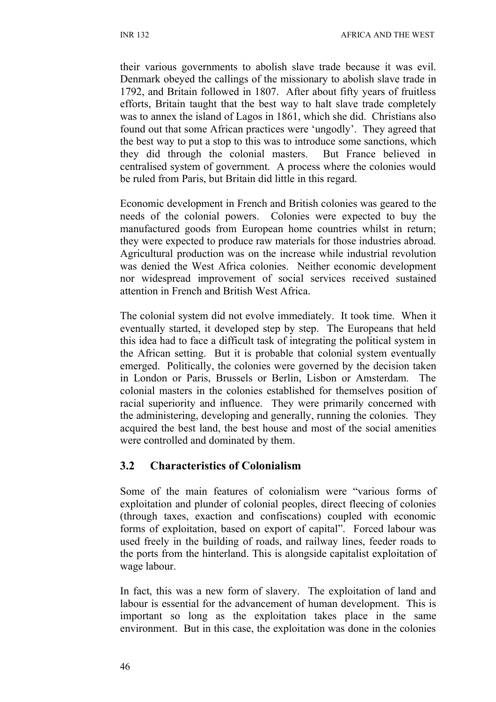their various governments to abolish slave trade because it was evil. Denmark obeyed the callings of the missionary to abolish slave trade in 1792, and Britain followed in 1807. After about fifty years of fruitless efforts, Britain taught that the best way to halt slave trade completely was to annex the island of Lagos in 1861, which she did. Christians also found out that some African practices were 'ungodly'. They agreed that the best way to put a stop to this was to introduce some sanctions, which they did through the colonial masters. But France believed in centralised system of government. A process where the colonies would be ruled from Paris, but Britain did little in this regard.

Economic development in French and British colonies was geared to the needs of the colonial powers. Colonies were expected to buy the manufactured goods from European home countries whilst in return; they were expected to produce raw materials for those industries abroad. Agricultural production was on the increase while industrial revolution was denied the West Africa colonies. Neither economic development nor widespread improvement of social services received sustained attention in French and British West Africa.

The colonial system did not evolve immediately. It took time. When it eventually started, it developed step by step. The Europeans that held this idea had to face a difficult task of integrating the political system in the African setting. But it is probable that colonial system eventually emerged. Politically, the colonies were governed by the decision taken in London or Paris, Brussels or Berlin, Lisbon or Amsterdam. The colonial masters in the colonies established for themselves position of racial superiority and influence. They were primarily concerned with the administering, developing and generally, running the colonies. They acquired the best land, the best house and most of the social amenities were controlled and dominated by them.

### **3.2 Characteristics of Colonialism**

Some of the main features of colonialism were "various forms of exploitation and plunder of colonial peoples, direct fleecing of colonies (through taxes, exaction and confiscations) coupled with economic forms of exploitation, based on export of capital". Forced labour was used freely in the building of roads, and railway lines, feeder roads to the ports from the hinterland. This is alongside capitalist exploitation of wage labour.

In fact, this was a new form of slavery. The exploitation of land and labour is essential for the advancement of human development. This is important so long as the exploitation takes place in the same environment. But in this case, the exploitation was done in the colonies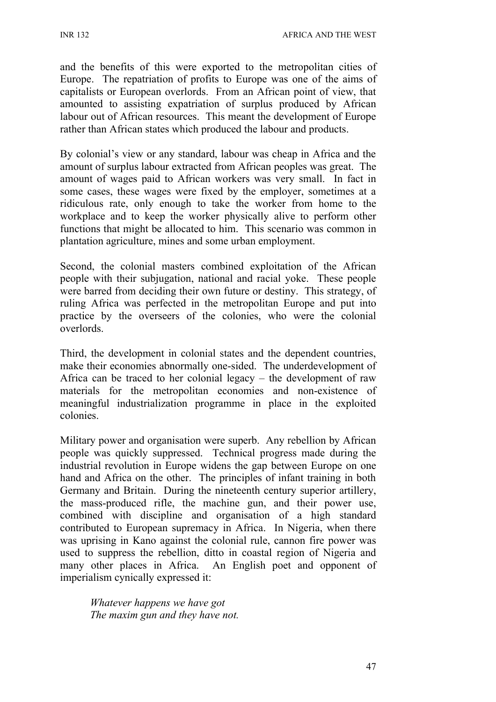and the benefits of this were exported to the metropolitan cities of Europe. The repatriation of profits to Europe was one of the aims of capitalists or European overlords. From an African point of view, that amounted to assisting expatriation of surplus produced by African labour out of African resources. This meant the development of Europe rather than African states which produced the labour and products.

By colonial's view or any standard, labour was cheap in Africa and the amount of surplus labour extracted from African peoples was great. The amount of wages paid to African workers was very small. In fact in some cases, these wages were fixed by the employer, sometimes at a ridiculous rate, only enough to take the worker from home to the workplace and to keep the worker physically alive to perform other functions that might be allocated to him. This scenario was common in plantation agriculture, mines and some urban employment.

Second, the colonial masters combined exploitation of the African people with their subjugation, national and racial yoke. These people were barred from deciding their own future or destiny. This strategy, of ruling Africa was perfected in the metropolitan Europe and put into practice by the overseers of the colonies, who were the colonial overlords.

Third, the development in colonial states and the dependent countries, make their economies abnormally one-sided. The underdevelopment of Africa can be traced to her colonial legacy – the development of raw materials for the metropolitan economies and non-existence of meaningful industrialization programme in place in the exploited colonies.

Military power and organisation were superb. Any rebellion by African people was quickly suppressed. Technical progress made during the industrial revolution in Europe widens the gap between Europe on one hand and Africa on the other. The principles of infant training in both Germany and Britain. During the nineteenth century superior artillery, the mass-produced rifle, the machine gun, and their power use, combined with discipline and organisation of a high standard contributed to European supremacy in Africa. In Nigeria, when there was uprising in Kano against the colonial rule, cannon fire power was used to suppress the rebellion, ditto in coastal region of Nigeria and many other places in Africa. An English poet and opponent of imperialism cynically expressed it:

*Whatever happens we have got The maxim gun and they have not.*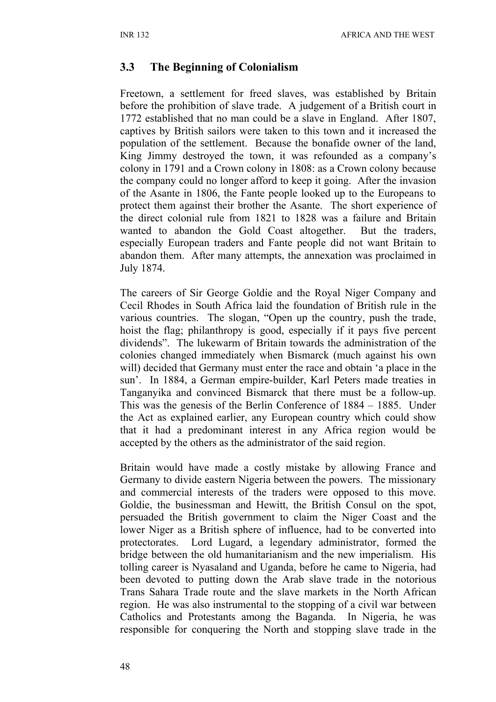#### **3.3 The Beginning of Colonialism**

Freetown, a settlement for freed slaves, was established by Britain before the prohibition of slave trade. A judgement of a British court in 1772 established that no man could be a slave in England. After 1807, captives by British sailors were taken to this town and it increased the population of the settlement. Because the bonafide owner of the land, King Jimmy destroyed the town, it was refounded as a company's colony in 1791 and a Crown colony in 1808: as a Crown colony because the company could no longer afford to keep it going. After the invasion of the Asante in 1806, the Fante people looked up to the Europeans to protect them against their brother the Asante. The short experience of the direct colonial rule from 1821 to 1828 was a failure and Britain wanted to abandon the Gold Coast altogether. But the traders, especially European traders and Fante people did not want Britain to abandon them. After many attempts, the annexation was proclaimed in July 1874.

The careers of Sir George Goldie and the Royal Niger Company and Cecil Rhodes in South Africa laid the foundation of British rule in the various countries. The slogan, "Open up the country, push the trade, hoist the flag; philanthropy is good, especially if it pays five percent dividends". The lukewarm of Britain towards the administration of the colonies changed immediately when Bismarck (much against his own will) decided that Germany must enter the race and obtain 'a place in the sun'. In 1884, a German empire-builder, Karl Peters made treaties in Tanganyika and convinced Bismarck that there must be a follow-up. This was the genesis of the Berlin Conference of 1884 – 1885. Under the Act as explained earlier, any European country which could show that it had a predominant interest in any Africa region would be accepted by the others as the administrator of the said region.

Britain would have made a costly mistake by allowing France and Germany to divide eastern Nigeria between the powers. The missionary and commercial interests of the traders were opposed to this move. Goldie, the businessman and Hewitt, the British Consul on the spot, persuaded the British government to claim the Niger Coast and the lower Niger as a British sphere of influence, had to be converted into protectorates. Lord Lugard, a legendary administrator, formed the bridge between the old humanitarianism and the new imperialism. His tolling career is Nyasaland and Uganda, before he came to Nigeria, had been devoted to putting down the Arab slave trade in the notorious Trans Sahara Trade route and the slave markets in the North African region. He was also instrumental to the stopping of a civil war between Catholics and Protestants among the Baganda. In Nigeria, he was responsible for conquering the North and stopping slave trade in the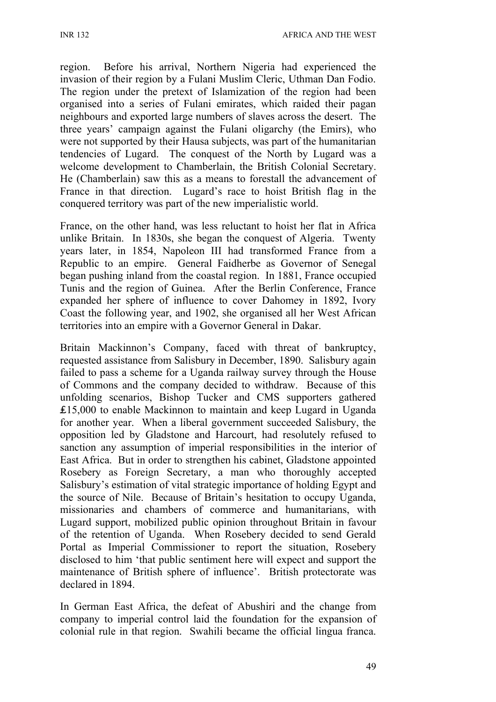region. Before his arrival, Northern Nigeria had experienced the invasion of their region by a Fulani Muslim Cleric, Uthman Dan Fodio. The region under the pretext of Islamization of the region had been organised into a series of Fulani emirates, which raided their pagan neighbours and exported large numbers of slaves across the desert. The three years' campaign against the Fulani oligarchy (the Emirs), who were not supported by their Hausa subjects, was part of the humanitarian tendencies of Lugard. The conquest of the North by Lugard was a welcome development to Chamberlain, the British Colonial Secretary. He (Chamberlain) saw this as a means to forestall the advancement of France in that direction. Lugard's race to hoist British flag in the conquered territory was part of the new imperialistic world.

France, on the other hand, was less reluctant to hoist her flat in Africa unlike Britain. In 1830s, she began the conquest of Algeria. Twenty years later, in 1854, Napoleon III had transformed France from a Republic to an empire. General Faidherbe as Governor of Senegal began pushing inland from the coastal region. In 1881, France occupied Tunis and the region of Guinea. After the Berlin Conference, France expanded her sphere of influence to cover Dahomey in 1892, Ivory Coast the following year, and 1902, she organised all her West African territories into an empire with a Governor General in Dakar.

Britain Mackinnon's Company, faced with threat of bankruptcy, requested assistance from Salisbury in December, 1890. Salisbury again failed to pass a scheme for a Uganda railway survey through the House of Commons and the company decided to withdraw. Because of this unfolding scenarios, Bishop Tucker and CMS supporters gathered ₤15,000 to enable Mackinnon to maintain and keep Lugard in Uganda for another year. When a liberal government succeeded Salisbury, the opposition led by Gladstone and Harcourt, had resolutely refused to sanction any assumption of imperial responsibilities in the interior of East Africa. But in order to strengthen his cabinet, Gladstone appointed Rosebery as Foreign Secretary, a man who thoroughly accepted Salisbury's estimation of vital strategic importance of holding Egypt and the source of Nile. Because of Britain's hesitation to occupy Uganda, missionaries and chambers of commerce and humanitarians, with Lugard support, mobilized public opinion throughout Britain in favour of the retention of Uganda. When Rosebery decided to send Gerald Portal as Imperial Commissioner to report the situation, Rosebery disclosed to him 'that public sentiment here will expect and support the maintenance of British sphere of influence'. British protectorate was declared in 1894.

In German East Africa, the defeat of Abushiri and the change from company to imperial control laid the foundation for the expansion of colonial rule in that region. Swahili became the official lingua franca.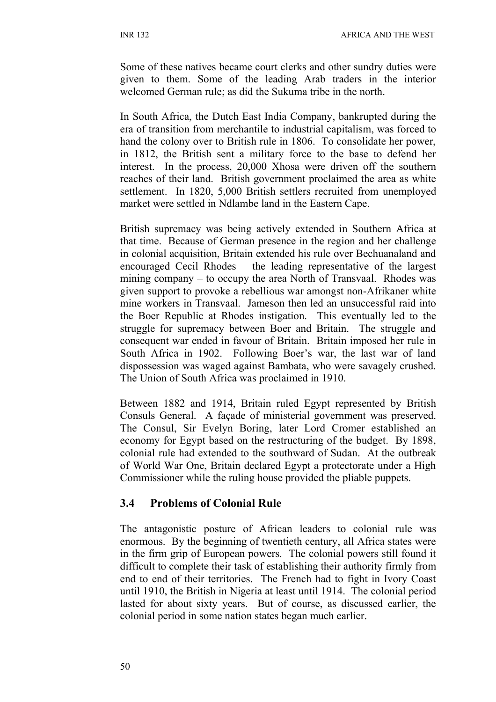Some of these natives became court clerks and other sundry duties were given to them. Some of the leading Arab traders in the interior welcomed German rule; as did the Sukuma tribe in the north.

In South Africa, the Dutch East India Company, bankrupted during the era of transition from merchantile to industrial capitalism, was forced to hand the colony over to British rule in 1806. To consolidate her power, in 1812, the British sent a military force to the base to defend her interest. In the process, 20,000 Xhosa were driven off the southern reaches of their land. British government proclaimed the area as white settlement. In 1820, 5,000 British settlers recruited from unemployed market were settled in Ndlambe land in the Eastern Cape.

British supremacy was being actively extended in Southern Africa at that time. Because of German presence in the region and her challenge in colonial acquisition, Britain extended his rule over Bechuanaland and encouraged Cecil Rhodes – the leading representative of the largest mining company – to occupy the area North of Transvaal. Rhodes was given support to provoke a rebellious war amongst non-Afrikaner white mine workers in Transvaal. Jameson then led an unsuccessful raid into the Boer Republic at Rhodes instigation. This eventually led to the struggle for supremacy between Boer and Britain. The struggle and consequent war ended in favour of Britain. Britain imposed her rule in South Africa in 1902. Following Boer's war, the last war of land dispossession was waged against Bambata, who were savagely crushed. The Union of South Africa was proclaimed in 1910.

Between 1882 and 1914, Britain ruled Egypt represented by British Consuls General. A façade of ministerial government was preserved. The Consul, Sir Evelyn Boring, later Lord Cromer established an economy for Egypt based on the restructuring of the budget. By 1898, colonial rule had extended to the southward of Sudan. At the outbreak of World War One, Britain declared Egypt a protectorate under a High Commissioner while the ruling house provided the pliable puppets.

### **3.4 Problems of Colonial Rule**

The antagonistic posture of African leaders to colonial rule was enormous. By the beginning of twentieth century, all Africa states were in the firm grip of European powers. The colonial powers still found it difficult to complete their task of establishing their authority firmly from end to end of their territories. The French had to fight in Ivory Coast until 1910, the British in Nigeria at least until 1914. The colonial period lasted for about sixty years. But of course, as discussed earlier, the colonial period in some nation states began much earlier.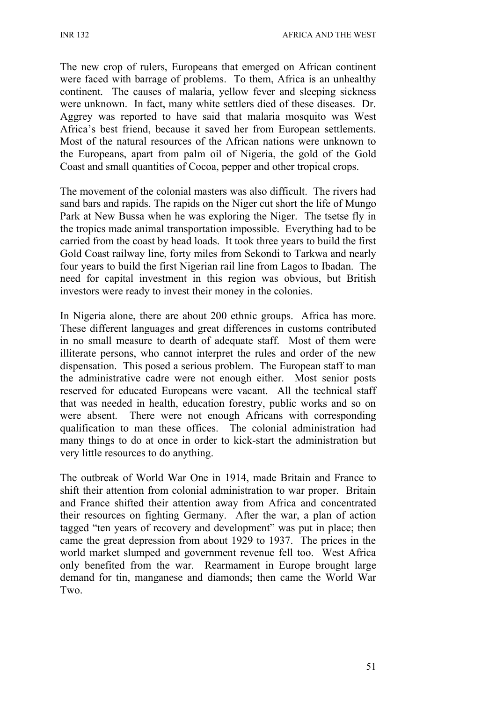INR 132 AFRICA AND THE WEST

The new crop of rulers, Europeans that emerged on African continent were faced with barrage of problems. To them, Africa is an unhealthy continent. The causes of malaria, yellow fever and sleeping sickness were unknown. In fact, many white settlers died of these diseases. Dr. Aggrey was reported to have said that malaria mosquito was West Africa's best friend, because it saved her from European settlements. Most of the natural resources of the African nations were unknown to the Europeans, apart from palm oil of Nigeria, the gold of the Gold Coast and small quantities of Cocoa, pepper and other tropical crops.

The movement of the colonial masters was also difficult. The rivers had sand bars and rapids. The rapids on the Niger cut short the life of Mungo Park at New Bussa when he was exploring the Niger. The tsetse fly in the tropics made animal transportation impossible. Everything had to be carried from the coast by head loads. It took three years to build the first Gold Coast railway line, forty miles from Sekondi to Tarkwa and nearly four years to build the first Nigerian rail line from Lagos to Ibadan. The need for capital investment in this region was obvious, but British investors were ready to invest their money in the colonies.

In Nigeria alone, there are about 200 ethnic groups. Africa has more. These different languages and great differences in customs contributed in no small measure to dearth of adequate staff. Most of them were illiterate persons, who cannot interpret the rules and order of the new dispensation. This posed a serious problem. The European staff to man the administrative cadre were not enough either. Most senior posts reserved for educated Europeans were vacant. All the technical staff that was needed in health, education forestry, public works and so on were absent. There were not enough Africans with corresponding qualification to man these offices. The colonial administration had many things to do at once in order to kick-start the administration but very little resources to do anything.

The outbreak of World War One in 1914, made Britain and France to shift their attention from colonial administration to war proper. Britain and France shifted their attention away from Africa and concentrated their resources on fighting Germany. After the war, a plan of action tagged "ten years of recovery and development" was put in place; then came the great depression from about 1929 to 1937. The prices in the world market slumped and government revenue fell too. West Africa only benefited from the war. Rearmament in Europe brought large demand for tin, manganese and diamonds; then came the World War Two.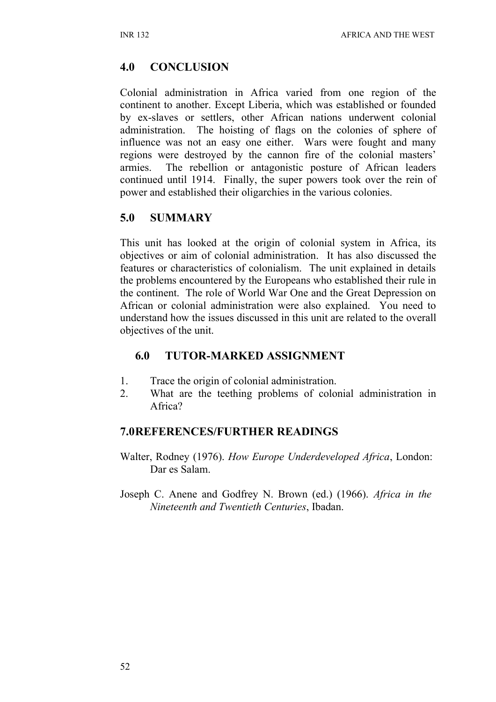## **4.0 CONCLUSION**

Colonial administration in Africa varied from one region of the continent to another. Except Liberia, which was established or founded by ex-slaves or settlers, other African nations underwent colonial administration. The hoisting of flags on the colonies of sphere of influence was not an easy one either. Wars were fought and many regions were destroyed by the cannon fire of the colonial masters' armies. The rebellion or antagonistic posture of African leaders continued until 1914. Finally, the super powers took over the rein of power and established their oligarchies in the various colonies.

## **5.0 SUMMARY**

This unit has looked at the origin of colonial system in Africa, its objectives or aim of colonial administration. It has also discussed the features or characteristics of colonialism. The unit explained in details the problems encountered by the Europeans who established their rule in the continent. The role of World War One and the Great Depression on African or colonial administration were also explained. You need to understand how the issues discussed in this unit are related to the overall objectives of the unit.

## **6.0 TUTOR-MARKED ASSIGNMENT**

- 1. Trace the origin of colonial administration.
- 2. What are the teething problems of colonial administration in Africa?

### **7.0REFERENCES/FURTHER READINGS**

- Walter, Rodney (1976). *How Europe Underdeveloped Africa*, London: Dar es Salam.
- Joseph C. Anene and Godfrey N. Brown (ed.) (1966). *Africa in the Nineteenth and Twentieth Centuries*, Ibadan.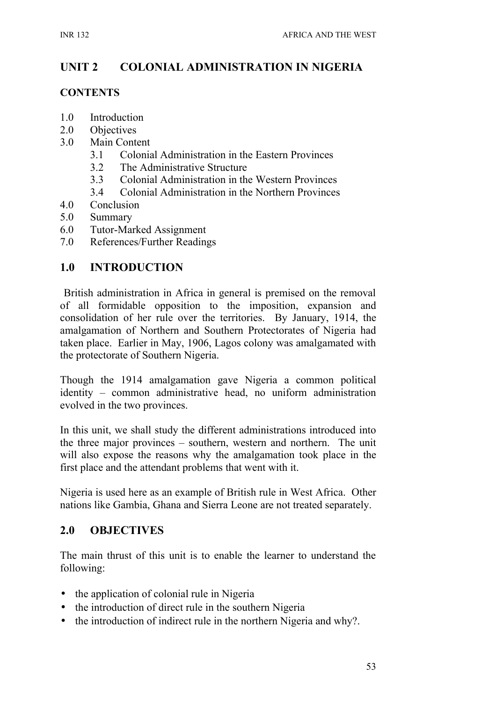# **UNIT 2 COLONIAL ADMINISTRATION IN NIGERIA**

#### **CONTENTS**

- 1.0 Introduction
- 2.0 Objectives
- 3.0 Main Content
	- 3.1 Colonial Administration in the Eastern Provinces
	- 3.2 The Administrative Structure
	- 3.3 Colonial Administration in the Western Provinces
	- 3.4 Colonial Administration in the Northern Provinces
- 4.0 Conclusion
- 5.0 Summary
- 6.0 Tutor-Marked Assignment
- 7.0 References/Further Readings

## **1.0 INTRODUCTION**

 British administration in Africa in general is premised on the removal of all formidable opposition to the imposition, expansion and consolidation of her rule over the territories. By January, 1914, the amalgamation of Northern and Southern Protectorates of Nigeria had taken place. Earlier in May, 1906, Lagos colony was amalgamated with the protectorate of Southern Nigeria.

Though the 1914 amalgamation gave Nigeria a common political identity – common administrative head, no uniform administration evolved in the two provinces.

In this unit, we shall study the different administrations introduced into the three major provinces – southern, western and northern. The unit will also expose the reasons why the amalgamation took place in the first place and the attendant problems that went with it.

Nigeria is used here as an example of British rule in West Africa. Other nations like Gambia, Ghana and Sierra Leone are not treated separately.

### **2.0 OBJECTIVES**

The main thrust of this unit is to enable the learner to understand the following:

- the application of colonial rule in Nigeria
- the introduction of direct rule in the southern Nigeria
- the introduction of indirect rule in the northern Nigeria and why?.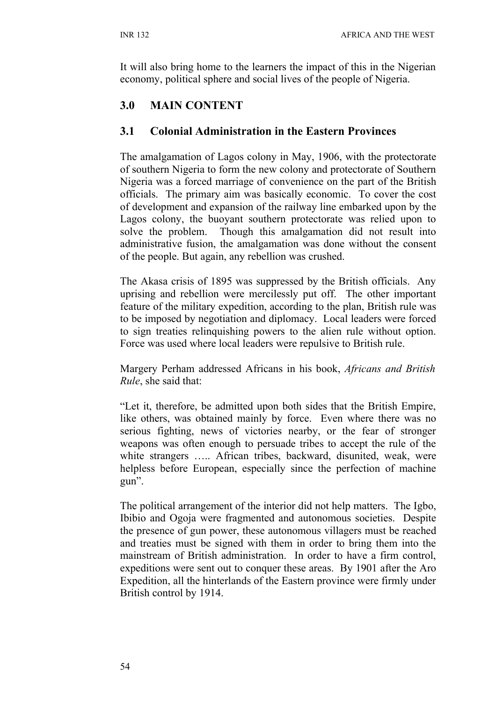It will also bring home to the learners the impact of this in the Nigerian economy, political sphere and social lives of the people of Nigeria.

# **3.0 MAIN CONTENT**

### **3.1 Colonial Administration in the Eastern Provinces**

The amalgamation of Lagos colony in May, 1906, with the protectorate of southern Nigeria to form the new colony and protectorate of Southern Nigeria was a forced marriage of convenience on the part of the British officials. The primary aim was basically economic. To cover the cost of development and expansion of the railway line embarked upon by the Lagos colony, the buoyant southern protectorate was relied upon to solve the problem. Though this amalgamation did not result into administrative fusion, the amalgamation was done without the consent of the people. But again, any rebellion was crushed.

The Akasa crisis of 1895 was suppressed by the British officials. Any uprising and rebellion were mercilessly put off. The other important feature of the military expedition, according to the plan, British rule was to be imposed by negotiation and diplomacy. Local leaders were forced to sign treaties relinquishing powers to the alien rule without option. Force was used where local leaders were repulsive to British rule.

Margery Perham addressed Africans in his book, *Africans and British Rule*, she said that:

"Let it, therefore, be admitted upon both sides that the British Empire, like others, was obtained mainly by force. Even where there was no serious fighting, news of victories nearby, or the fear of stronger weapons was often enough to persuade tribes to accept the rule of the white strangers ..... African tribes, backward, disunited, weak, were helpless before European, especially since the perfection of machine gun".

The political arrangement of the interior did not help matters. The Igbo, Ibibio and Ogoja were fragmented and autonomous societies. Despite the presence of gun power, these autonomous villagers must be reached and treaties must be signed with them in order to bring them into the mainstream of British administration. In order to have a firm control, expeditions were sent out to conquer these areas. By 1901 after the Aro Expedition, all the hinterlands of the Eastern province were firmly under British control by 1914.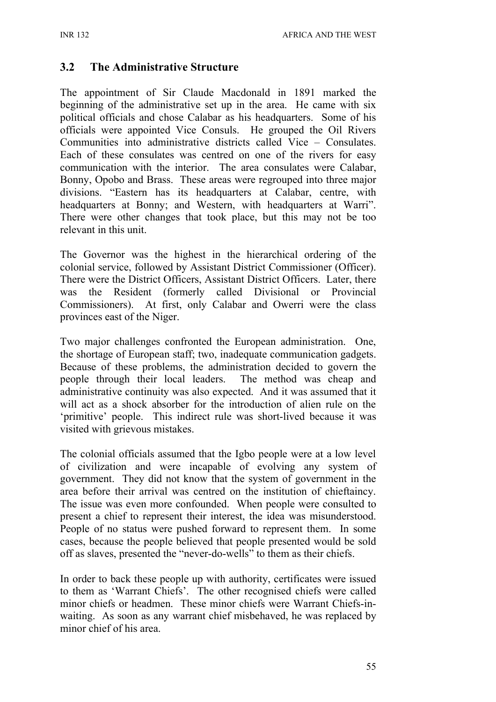### **3.2 The Administrative Structure**

The appointment of Sir Claude Macdonald in 1891 marked the beginning of the administrative set up in the area. He came with six political officials and chose Calabar as his headquarters. Some of his officials were appointed Vice Consuls. He grouped the Oil Rivers Communities into administrative districts called Vice – Consulates. Each of these consulates was centred on one of the rivers for easy communication with the interior. The area consulates were Calabar, Bonny, Opobo and Brass. These areas were regrouped into three major divisions. "Eastern has its headquarters at Calabar, centre, with headquarters at Bonny; and Western, with headquarters at Warri". There were other changes that took place, but this may not be too relevant in this unit.

The Governor was the highest in the hierarchical ordering of the colonial service, followed by Assistant District Commissioner (Officer). There were the District Officers, Assistant District Officers. Later, there was the Resident (formerly called Divisional or Provincial Commissioners). At first, only Calabar and Owerri were the class provinces east of the Niger.

Two major challenges confronted the European administration. One, the shortage of European staff; two, inadequate communication gadgets. Because of these problems, the administration decided to govern the people through their local leaders. The method was cheap and administrative continuity was also expected. And it was assumed that it will act as a shock absorber for the introduction of alien rule on the 'primitive' people. This indirect rule was short-lived because it was visited with grievous mistakes.

The colonial officials assumed that the Igbo people were at a low level of civilization and were incapable of evolving any system of government. They did not know that the system of government in the area before their arrival was centred on the institution of chieftaincy. The issue was even more confounded. When people were consulted to present a chief to represent their interest, the idea was misunderstood. People of no status were pushed forward to represent them. In some cases, because the people believed that people presented would be sold off as slaves, presented the "never-do-wells" to them as their chiefs.

In order to back these people up with authority, certificates were issued to them as 'Warrant Chiefs'. The other recognised chiefs were called minor chiefs or headmen. These minor chiefs were Warrant Chiefs-inwaiting. As soon as any warrant chief misbehaved, he was replaced by minor chief of his area.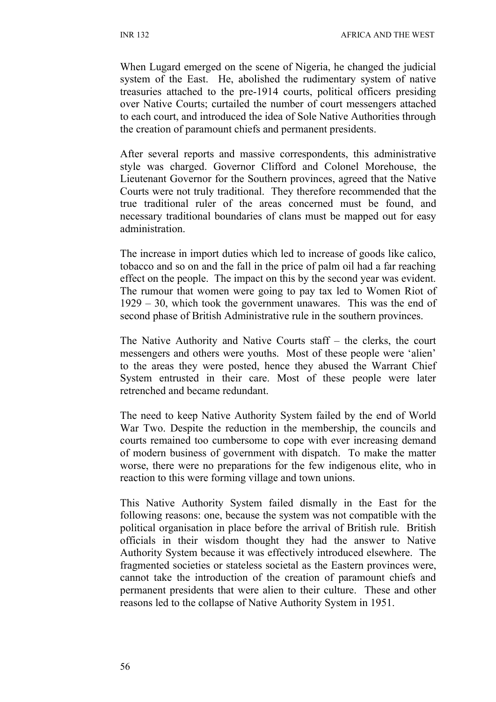When Lugard emerged on the scene of Nigeria, he changed the judicial system of the East. He, abolished the rudimentary system of native treasuries attached to the pre-1914 courts, political officers presiding over Native Courts; curtailed the number of court messengers attached to each court, and introduced the idea of Sole Native Authorities through the creation of paramount chiefs and permanent presidents.

After several reports and massive correspondents, this administrative style was charged. Governor Clifford and Colonel Morehouse, the Lieutenant Governor for the Southern provinces, agreed that the Native Courts were not truly traditional. They therefore recommended that the true traditional ruler of the areas concerned must be found, and necessary traditional boundaries of clans must be mapped out for easy administration.

The increase in import duties which led to increase of goods like calico, tobacco and so on and the fall in the price of palm oil had a far reaching effect on the people. The impact on this by the second year was evident. The rumour that women were going to pay tax led to Women Riot of 1929 – 30, which took the government unawares. This was the end of second phase of British Administrative rule in the southern provinces.

The Native Authority and Native Courts staff – the clerks, the court messengers and others were youths. Most of these people were 'alien' to the areas they were posted, hence they abused the Warrant Chief System entrusted in their care. Most of these people were later retrenched and became redundant.

The need to keep Native Authority System failed by the end of World War Two. Despite the reduction in the membership, the councils and courts remained too cumbersome to cope with ever increasing demand of modern business of government with dispatch. To make the matter worse, there were no preparations for the few indigenous elite, who in reaction to this were forming village and town unions.

This Native Authority System failed dismally in the East for the following reasons: one, because the system was not compatible with the political organisation in place before the arrival of British rule. British officials in their wisdom thought they had the answer to Native Authority System because it was effectively introduced elsewhere. The fragmented societies or stateless societal as the Eastern provinces were, cannot take the introduction of the creation of paramount chiefs and permanent presidents that were alien to their culture. These and other reasons led to the collapse of Native Authority System in 1951.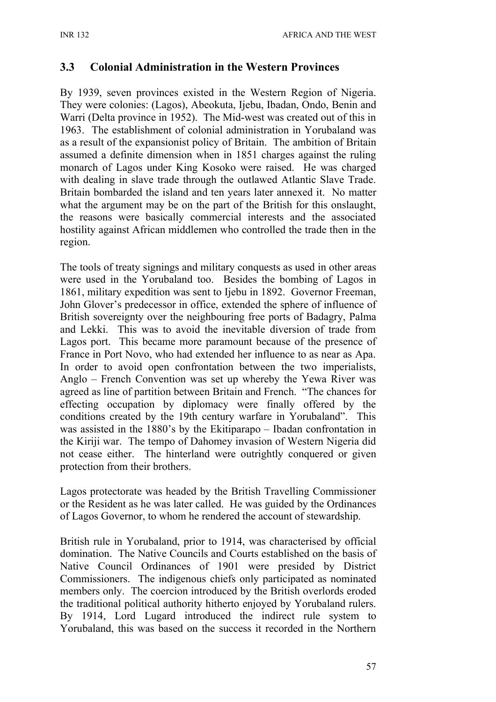### **3.3 Colonial Administration in the Western Provinces**

By 1939, seven provinces existed in the Western Region of Nigeria. They were colonies: (Lagos), Abeokuta, Ijebu, Ibadan, Ondo, Benin and Warri (Delta province in 1952). The Mid-west was created out of this in 1963. The establishment of colonial administration in Yorubaland was as a result of the expansionist policy of Britain. The ambition of Britain assumed a definite dimension when in 1851 charges against the ruling monarch of Lagos under King Kosoko were raised. He was charged with dealing in slave trade through the outlawed Atlantic Slave Trade. Britain bombarded the island and ten years later annexed it. No matter what the argument may be on the part of the British for this onslaught, the reasons were basically commercial interests and the associated hostility against African middlemen who controlled the trade then in the region.

The tools of treaty signings and military conquests as used in other areas were used in the Yorubaland too. Besides the bombing of Lagos in 1861, military expedition was sent to Ijebu in 1892. Governor Freeman, John Glover's predecessor in office, extended the sphere of influence of British sovereignty over the neighbouring free ports of Badagry, Palma and Lekki. This was to avoid the inevitable diversion of trade from Lagos port. This became more paramount because of the presence of France in Port Novo, who had extended her influence to as near as Apa. In order to avoid open confrontation between the two imperialists, Anglo – French Convention was set up whereby the Yewa River was agreed as line of partition between Britain and French. "The chances for effecting occupation by diplomacy were finally offered by the conditions created by the 19th century warfare in Yorubaland". This was assisted in the 1880's by the Ekitiparapo – Ibadan confrontation in the Kiriji war. The tempo of Dahomey invasion of Western Nigeria did not cease either. The hinterland were outrightly conquered or given protection from their brothers.

Lagos protectorate was headed by the British Travelling Commissioner or the Resident as he was later called. He was guided by the Ordinances of Lagos Governor, to whom he rendered the account of stewardship.

British rule in Yorubaland, prior to 1914, was characterised by official domination. The Native Councils and Courts established on the basis of Native Council Ordinances of 1901 were presided by District Commissioners. The indigenous chiefs only participated as nominated members only. The coercion introduced by the British overlords eroded the traditional political authority hitherto enjoyed by Yorubaland rulers. By 1914, Lord Lugard introduced the indirect rule system to Yorubaland, this was based on the success it recorded in the Northern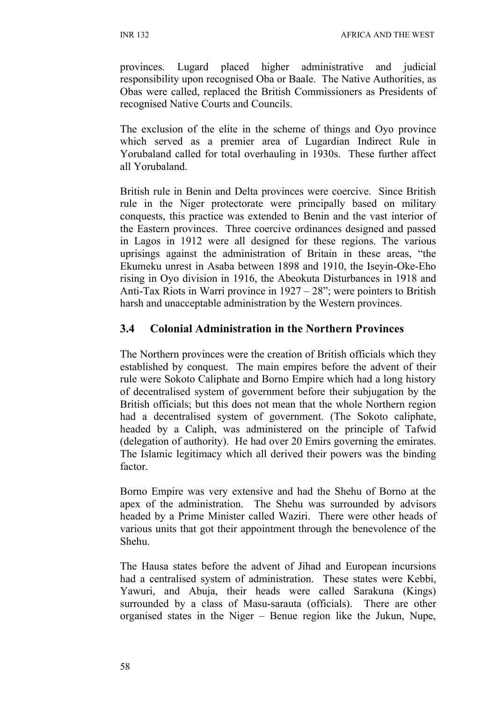provinces. Lugard placed higher administrative and judicial responsibility upon recognised Oba or Baale. The Native Authorities, as Obas were called, replaced the British Commissioners as Presidents of recognised Native Courts and Councils.

The exclusion of the elite in the scheme of things and Oyo province which served as a premier area of Lugardian Indirect Rule in Yorubaland called for total overhauling in 1930s. These further affect all Yorubaland.

British rule in Benin and Delta provinces were coercive. Since British rule in the Niger protectorate were principally based on military conquests, this practice was extended to Benin and the vast interior of the Eastern provinces. Three coercive ordinances designed and passed in Lagos in 1912 were all designed for these regions. The various uprisings against the administration of Britain in these areas, "the Ekumeku unrest in Asaba between 1898 and 1910, the Iseyin-Oke-Eho rising in Oyo division in 1916, the Abeokuta Disturbances in 1918 and Anti-Tax Riots in Warri province in 1927 – 28"; were pointers to British harsh and unacceptable administration by the Western provinces.

### **3.4 Colonial Administration in the Northern Provinces**

The Northern provinces were the creation of British officials which they established by conquest. The main empires before the advent of their rule were Sokoto Caliphate and Borno Empire which had a long history of decentralised system of government before their subjugation by the British officials; but this does not mean that the whole Northern region had a decentralised system of government. (The Sokoto caliphate, headed by a Caliph, was administered on the principle of Tafwid (delegation of authority). He had over 20 Emirs governing the emirates. The Islamic legitimacy which all derived their powers was the binding factor.

Borno Empire was very extensive and had the Shehu of Borno at the apex of the administration. The Shehu was surrounded by advisors headed by a Prime Minister called Waziri. There were other heads of various units that got their appointment through the benevolence of the Shehu.

The Hausa states before the advent of Jihad and European incursions had a centralised system of administration. These states were Kebbi, Yawuri, and Abuja, their heads were called Sarakuna (Kings) surrounded by a class of Masu-sarauta (officials). There are other organised states in the Niger – Benue region like the Jukun, Nupe,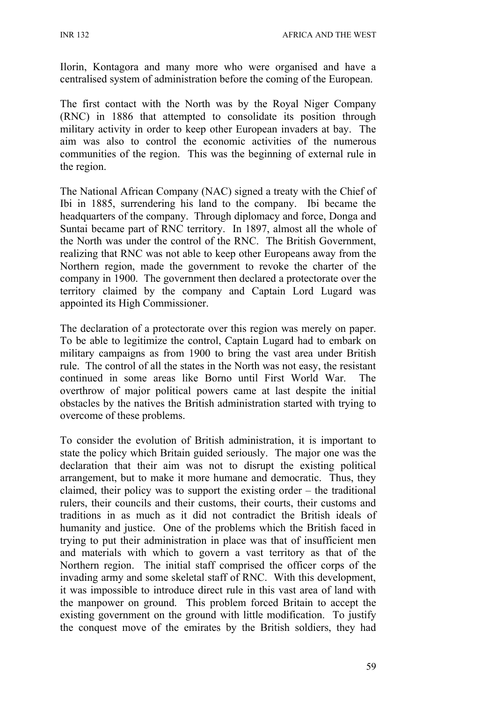Ilorin, Kontagora and many more who were organised and have a centralised system of administration before the coming of the European.

The first contact with the North was by the Royal Niger Company (RNC) in 1886 that attempted to consolidate its position through military activity in order to keep other European invaders at bay. The aim was also to control the economic activities of the numerous communities of the region. This was the beginning of external rule in the region.

The National African Company (NAC) signed a treaty with the Chief of Ibi in 1885, surrendering his land to the company. Ibi became the headquarters of the company. Through diplomacy and force, Donga and Suntai became part of RNC territory. In 1897, almost all the whole of the North was under the control of the RNC. The British Government, realizing that RNC was not able to keep other Europeans away from the Northern region, made the government to revoke the charter of the company in 1900. The government then declared a protectorate over the territory claimed by the company and Captain Lord Lugard was appointed its High Commissioner.

The declaration of a protectorate over this region was merely on paper. To be able to legitimize the control, Captain Lugard had to embark on military campaigns as from 1900 to bring the vast area under British rule. The control of all the states in the North was not easy, the resistant continued in some areas like Borno until First World War. The overthrow of major political powers came at last despite the initial obstacles by the natives the British administration started with trying to overcome of these problems.

To consider the evolution of British administration, it is important to state the policy which Britain guided seriously. The major one was the declaration that their aim was not to disrupt the existing political arrangement, but to make it more humane and democratic. Thus, they claimed, their policy was to support the existing order – the traditional rulers, their councils and their customs, their courts, their customs and traditions in as much as it did not contradict the British ideals of humanity and justice. One of the problems which the British faced in trying to put their administration in place was that of insufficient men and materials with which to govern a vast territory as that of the Northern region. The initial staff comprised the officer corps of the invading army and some skeletal staff of RNC. With this development, it was impossible to introduce direct rule in this vast area of land with the manpower on ground. This problem forced Britain to accept the existing government on the ground with little modification. To justify the conquest move of the emirates by the British soldiers, they had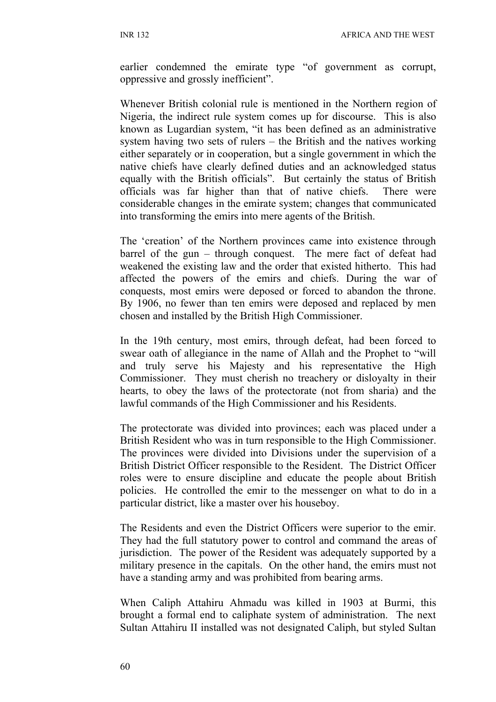earlier condemned the emirate type "of government as corrupt, oppressive and grossly inefficient".

Whenever British colonial rule is mentioned in the Northern region of Nigeria, the indirect rule system comes up for discourse. This is also known as Lugardian system, "it has been defined as an administrative system having two sets of rulers – the British and the natives working either separately or in cooperation, but a single government in which the native chiefs have clearly defined duties and an acknowledged status equally with the British officials". But certainly the status of British officials was far higher than that of native chiefs. There were considerable changes in the emirate system; changes that communicated into transforming the emirs into mere agents of the British.

The 'creation' of the Northern provinces came into existence through barrel of the gun – through conquest. The mere fact of defeat had weakened the existing law and the order that existed hitherto. This had affected the powers of the emirs and chiefs. During the war of conquests, most emirs were deposed or forced to abandon the throne. By 1906, no fewer than ten emirs were deposed and replaced by men chosen and installed by the British High Commissioner.

In the 19th century, most emirs, through defeat, had been forced to swear oath of allegiance in the name of Allah and the Prophet to "will and truly serve his Majesty and his representative the High Commissioner. They must cherish no treachery or disloyalty in their hearts, to obey the laws of the protectorate (not from sharia) and the lawful commands of the High Commissioner and his Residents.

The protectorate was divided into provinces; each was placed under a British Resident who was in turn responsible to the High Commissioner. The provinces were divided into Divisions under the supervision of a British District Officer responsible to the Resident. The District Officer roles were to ensure discipline and educate the people about British policies. He controlled the emir to the messenger on what to do in a particular district, like a master over his houseboy.

The Residents and even the District Officers were superior to the emir. They had the full statutory power to control and command the areas of jurisdiction. The power of the Resident was adequately supported by a military presence in the capitals. On the other hand, the emirs must not have a standing army and was prohibited from bearing arms.

When Caliph Attahiru Ahmadu was killed in 1903 at Burmi, this brought a formal end to caliphate system of administration. The next Sultan Attahiru II installed was not designated Caliph, but styled Sultan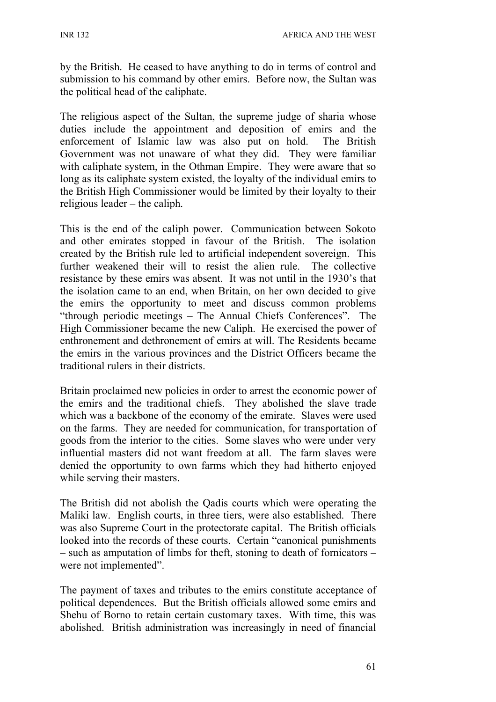by the British. He ceased to have anything to do in terms of control and submission to his command by other emirs. Before now, the Sultan was the political head of the caliphate.

The religious aspect of the Sultan, the supreme judge of sharia whose duties include the appointment and deposition of emirs and the enforcement of Islamic law was also put on hold. The British Government was not unaware of what they did. They were familiar with caliphate system, in the Othman Empire. They were aware that so long as its caliphate system existed, the loyalty of the individual emirs to the British High Commissioner would be limited by their loyalty to their religious leader – the caliph.

This is the end of the caliph power. Communication between Sokoto and other emirates stopped in favour of the British. The isolation created by the British rule led to artificial independent sovereign. This further weakened their will to resist the alien rule. The collective resistance by these emirs was absent. It was not until in the 1930's that the isolation came to an end, when Britain, on her own decided to give the emirs the opportunity to meet and discuss common problems "through periodic meetings – The Annual Chiefs Conferences". The High Commissioner became the new Caliph. He exercised the power of enthronement and dethronement of emirs at will. The Residents became the emirs in the various provinces and the District Officers became the traditional rulers in their districts.

Britain proclaimed new policies in order to arrest the economic power of the emirs and the traditional chiefs. They abolished the slave trade which was a backbone of the economy of the emirate. Slaves were used on the farms. They are needed for communication, for transportation of goods from the interior to the cities. Some slaves who were under very influential masters did not want freedom at all. The farm slaves were denied the opportunity to own farms which they had hitherto enjoyed while serving their masters.

The British did not abolish the Qadis courts which were operating the Maliki law. English courts, in three tiers, were also established. There was also Supreme Court in the protectorate capital. The British officials looked into the records of these courts. Certain "canonical punishments – such as amputation of limbs for theft, stoning to death of fornicators – were not implemented".

The payment of taxes and tributes to the emirs constitute acceptance of political dependences. But the British officials allowed some emirs and Shehu of Borno to retain certain customary taxes. With time, this was abolished. British administration was increasingly in need of financial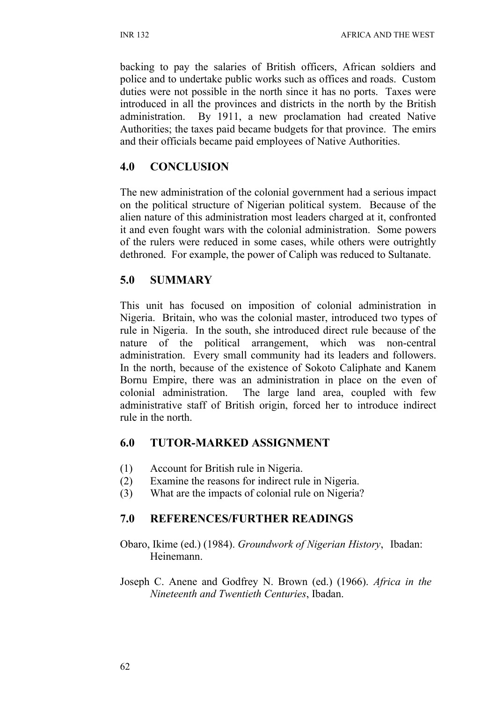backing to pay the salaries of British officers, African soldiers and police and to undertake public works such as offices and roads. Custom duties were not possible in the north since it has no ports. Taxes were introduced in all the provinces and districts in the north by the British administration. By 1911, a new proclamation had created Native Authorities; the taxes paid became budgets for that province. The emirs and their officials became paid employees of Native Authorities.

## **4.0 CONCLUSION**

The new administration of the colonial government had a serious impact on the political structure of Nigerian political system. Because of the alien nature of this administration most leaders charged at it, confronted it and even fought wars with the colonial administration. Some powers of the rulers were reduced in some cases, while others were outrightly dethroned. For example, the power of Caliph was reduced to Sultanate.

## **5.0 SUMMARY**

This unit has focused on imposition of colonial administration in Nigeria. Britain, who was the colonial master, introduced two types of rule in Nigeria. In the south, she introduced direct rule because of the nature of the political arrangement, which was non-central administration. Every small community had its leaders and followers. In the north, because of the existence of Sokoto Caliphate and Kanem Bornu Empire, there was an administration in place on the even of colonial administration. The large land area, coupled with few administrative staff of British origin, forced her to introduce indirect rule in the north.

## **6.0 TUTOR-MARKED ASSIGNMENT**

- (1) Account for British rule in Nigeria.
- (2) Examine the reasons for indirect rule in Nigeria.
- (3) What are the impacts of colonial rule on Nigeria?

## **7.0 REFERENCES/FURTHER READINGS**

- Obaro, Ikime (ed.) (1984). *Groundwork of Nigerian History*, Ibadan: Heinemann.
- Joseph C. Anene and Godfrey N. Brown (ed.) (1966). *Africa in the Nineteenth and Twentieth Centuries*, Ibadan.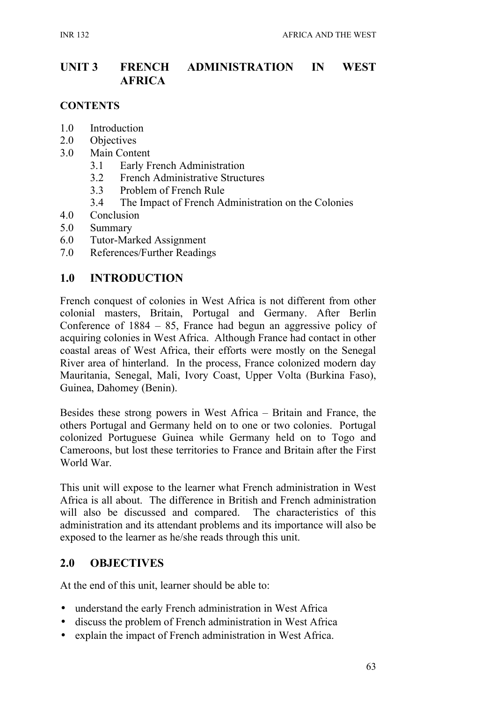### **UNIT 3 FRENCH ADMINISTRATION IN WEST AFRICA**

#### **CONTENTS**

- 1.0 Introduction
- 2.0 Objectives
- 3.0 Main Content
	- 3.1 Early French Administration
	- 3.2 French Administrative Structures
	- 3.3 Problem of French Rule
	- 3.4 The Impact of French Administration on the Colonies
- 4.0 Conclusion
- 5.0 Summary
- 6.0 Tutor-Marked Assignment
- 7.0 References/Further Readings

#### **1.0 INTRODUCTION**

French conquest of colonies in West Africa is not different from other colonial masters, Britain, Portugal and Germany. After Berlin Conference of 1884 – 85, France had begun an aggressive policy of acquiring colonies in West Africa. Although France had contact in other coastal areas of West Africa, their efforts were mostly on the Senegal River area of hinterland. In the process, France colonized modern day Mauritania, Senegal, Mali, Ivory Coast, Upper Volta (Burkina Faso), Guinea, Dahomey (Benin).

Besides these strong powers in West Africa – Britain and France, the others Portugal and Germany held on to one or two colonies. Portugal colonized Portuguese Guinea while Germany held on to Togo and Cameroons, but lost these territories to France and Britain after the First World War.

This unit will expose to the learner what French administration in West Africa is all about. The difference in British and French administration will also be discussed and compared. The characteristics of this administration and its attendant problems and its importance will also be exposed to the learner as he/she reads through this unit.

#### **2.0 OBJECTIVES**

At the end of this unit, learner should be able to:

- understand the early French administration in West Africa
- discuss the problem of French administration in West Africa
- explain the impact of French administration in West Africa.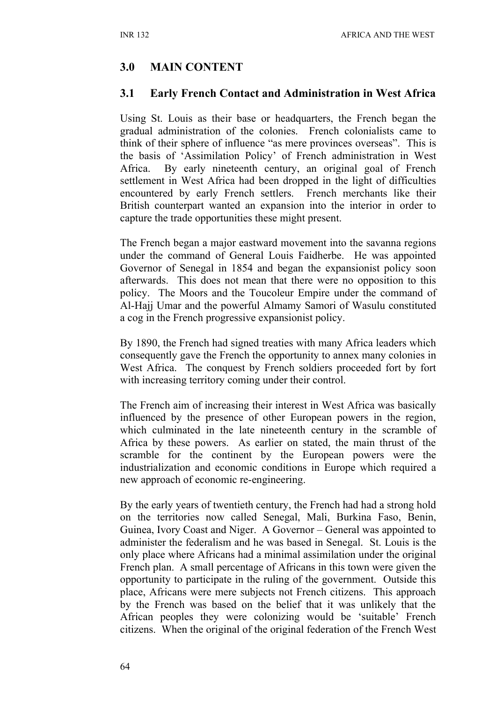### **3.0 MAIN CONTENT**

#### **3.1 Early French Contact and Administration in West Africa**

Using St. Louis as their base or headquarters, the French began the gradual administration of the colonies. French colonialists came to think of their sphere of influence "as mere provinces overseas". This is the basis of 'Assimilation Policy' of French administration in West Africa. By early nineteenth century, an original goal of French settlement in West Africa had been dropped in the light of difficulties encountered by early French settlers. French merchants like their British counterpart wanted an expansion into the interior in order to capture the trade opportunities these might present.

The French began a major eastward movement into the savanna regions under the command of General Louis Faidherbe. He was appointed Governor of Senegal in 1854 and began the expansionist policy soon afterwards. This does not mean that there were no opposition to this policy. The Moors and the Toucoleur Empire under the command of Al-Hajj Umar and the powerful Almamy Samori of Wasulu constituted a cog in the French progressive expansionist policy.

By 1890, the French had signed treaties with many Africa leaders which consequently gave the French the opportunity to annex many colonies in West Africa. The conquest by French soldiers proceeded fort by fort with increasing territory coming under their control.

The French aim of increasing their interest in West Africa was basically influenced by the presence of other European powers in the region, which culminated in the late nineteenth century in the scramble of Africa by these powers. As earlier on stated, the main thrust of the scramble for the continent by the European powers were the industrialization and economic conditions in Europe which required a new approach of economic re-engineering.

By the early years of twentieth century, the French had had a strong hold on the territories now called Senegal, Mali, Burkina Faso, Benin, Guinea, Ivory Coast and Niger. A Governor – General was appointed to administer the federalism and he was based in Senegal. St. Louis is the only place where Africans had a minimal assimilation under the original French plan. A small percentage of Africans in this town were given the opportunity to participate in the ruling of the government. Outside this place, Africans were mere subjects not French citizens. This approach by the French was based on the belief that it was unlikely that the African peoples they were colonizing would be 'suitable' French citizens. When the original of the original federation of the French West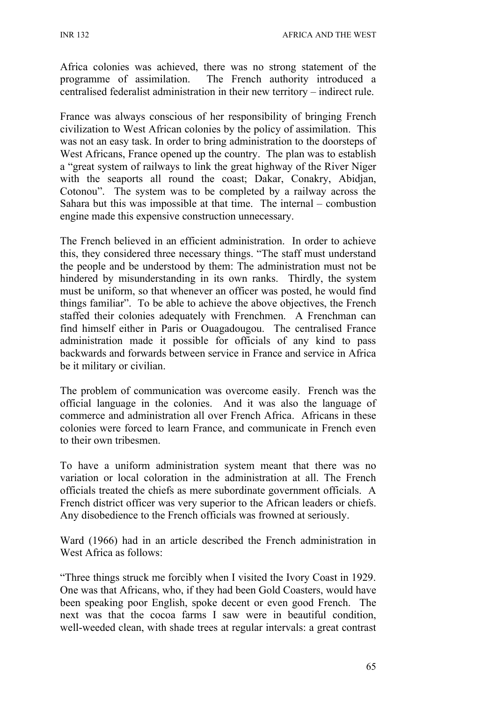INR 132 AFRICA AND THE WEST

Africa colonies was achieved, there was no strong statement of the programme of assimilation. The French authority introduced a centralised federalist administration in their new territory – indirect rule.

France was always conscious of her responsibility of bringing French civilization to West African colonies by the policy of assimilation. This was not an easy task. In order to bring administration to the doorsteps of West Africans, France opened up the country. The plan was to establish a "great system of railways to link the great highway of the River Niger with the seaports all round the coast; Dakar, Conakry, Abidjan, Cotonou". The system was to be completed by a railway across the Sahara but this was impossible at that time. The internal – combustion engine made this expensive construction unnecessary.

The French believed in an efficient administration. In order to achieve this, they considered three necessary things. "The staff must understand the people and be understood by them: The administration must not be hindered by misunderstanding in its own ranks. Thirdly, the system must be uniform, so that whenever an officer was posted, he would find things familiar". To be able to achieve the above objectives, the French staffed their colonies adequately with Frenchmen. A Frenchman can find himself either in Paris or Ouagadougou. The centralised France administration made it possible for officials of any kind to pass backwards and forwards between service in France and service in Africa be it military or civilian.

The problem of communication was overcome easily. French was the official language in the colonies. And it was also the language of commerce and administration all over French Africa. Africans in these colonies were forced to learn France, and communicate in French even to their own tribesmen.

To have a uniform administration system meant that there was no variation or local coloration in the administration at all. The French officials treated the chiefs as mere subordinate government officials. A French district officer was very superior to the African leaders or chiefs. Any disobedience to the French officials was frowned at seriously.

Ward (1966) had in an article described the French administration in West Africa as follows:

"Three things struck me forcibly when I visited the Ivory Coast in 1929. One was that Africans, who, if they had been Gold Coasters, would have been speaking poor English, spoke decent or even good French. The next was that the cocoa farms I saw were in beautiful condition, well-weeded clean, with shade trees at regular intervals: a great contrast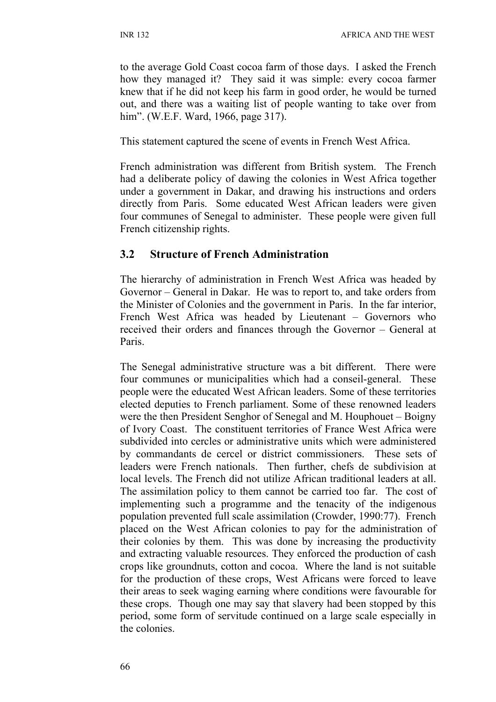to the average Gold Coast cocoa farm of those days. I asked the French how they managed it? They said it was simple: every cocoa farmer knew that if he did not keep his farm in good order, he would be turned out, and there was a waiting list of people wanting to take over from him". (W.E.F. Ward, 1966, page 317).

This statement captured the scene of events in French West Africa.

French administration was different from British system. The French had a deliberate policy of dawing the colonies in West Africa together under a government in Dakar, and drawing his instructions and orders directly from Paris. Some educated West African leaders were given four communes of Senegal to administer. These people were given full French citizenship rights.

#### **3.2 Structure of French Administration**

The hierarchy of administration in French West Africa was headed by Governor – General in Dakar. He was to report to, and take orders from the Minister of Colonies and the government in Paris. In the far interior, French West Africa was headed by Lieutenant – Governors who received their orders and finances through the Governor – General at Paris.

The Senegal administrative structure was a bit different. There were four communes or municipalities which had a conseil-general. These people were the educated West African leaders. Some of these territories elected deputies to French parliament. Some of these renowned leaders were the then President Senghor of Senegal and M. Houphouet – Boigny of Ivory Coast. The constituent territories of France West Africa were subdivided into cercles or administrative units which were administered by commandants de cercel or district commissioners. These sets of leaders were French nationals. Then further, chefs de subdivision at local levels. The French did not utilize African traditional leaders at all. The assimilation policy to them cannot be carried too far. The cost of implementing such a programme and the tenacity of the indigenous population prevented full scale assimilation (Crowder, 1990:77). French placed on the West African colonies to pay for the administration of their colonies by them. This was done by increasing the productivity and extracting valuable resources. They enforced the production of cash crops like groundnuts, cotton and cocoa. Where the land is not suitable for the production of these crops, West Africans were forced to leave their areas to seek waging earning where conditions were favourable for these crops. Though one may say that slavery had been stopped by this period, some form of servitude continued on a large scale especially in the colonies.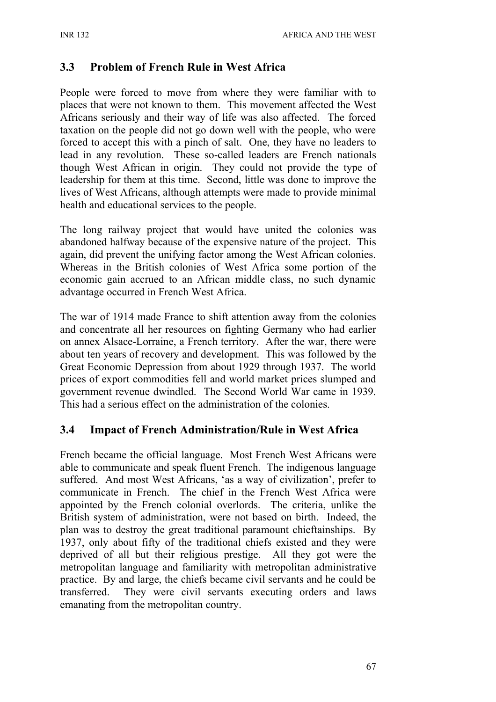### **3.3 Problem of French Rule in West Africa**

People were forced to move from where they were familiar with to places that were not known to them. This movement affected the West Africans seriously and their way of life was also affected. The forced taxation on the people did not go down well with the people, who were forced to accept this with a pinch of salt. One, they have no leaders to lead in any revolution. These so-called leaders are French nationals though West African in origin. They could not provide the type of leadership for them at this time. Second, little was done to improve the lives of West Africans, although attempts were made to provide minimal health and educational services to the people.

The long railway project that would have united the colonies was abandoned halfway because of the expensive nature of the project. This again, did prevent the unifying factor among the West African colonies. Whereas in the British colonies of West Africa some portion of the economic gain accrued to an African middle class, no such dynamic advantage occurred in French West Africa.

The war of 1914 made France to shift attention away from the colonies and concentrate all her resources on fighting Germany who had earlier on annex Alsace-Lorraine, a French territory. After the war, there were about ten years of recovery and development. This was followed by the Great Economic Depression from about 1929 through 1937. The world prices of export commodities fell and world market prices slumped and government revenue dwindled. The Second World War came in 1939. This had a serious effect on the administration of the colonies.

#### **3.4 Impact of French Administration/Rule in West Africa**

French became the official language. Most French West Africans were able to communicate and speak fluent French. The indigenous language suffered. And most West Africans, 'as a way of civilization', prefer to communicate in French. The chief in the French West Africa were appointed by the French colonial overlords. The criteria, unlike the British system of administration, were not based on birth. Indeed, the plan was to destroy the great traditional paramount chieftainships. By 1937, only about fifty of the traditional chiefs existed and they were deprived of all but their religious prestige. All they got were the metropolitan language and familiarity with metropolitan administrative practice. By and large, the chiefs became civil servants and he could be transferred. They were civil servants executing orders and laws emanating from the metropolitan country.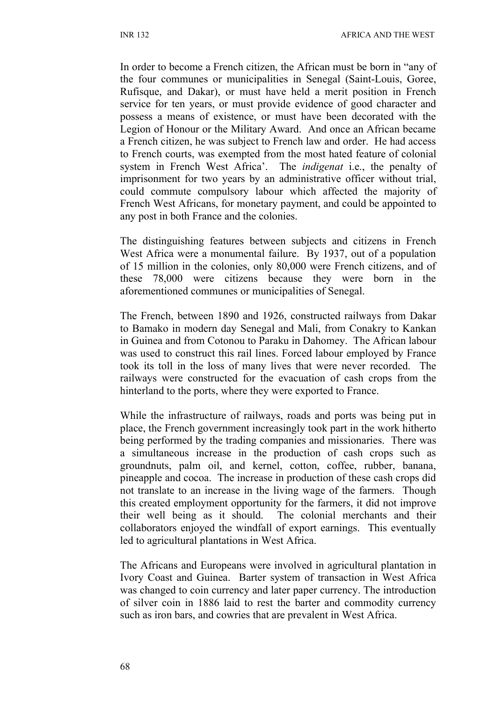In order to become a French citizen, the African must be born in "any of the four communes or municipalities in Senegal (Saint-Louis, Goree, Rufisque, and Dakar), or must have held a merit position in French service for ten years, or must provide evidence of good character and possess a means of existence, or must have been decorated with the Legion of Honour or the Military Award. And once an African became a French citizen, he was subject to French law and order. He had access to French courts, was exempted from the most hated feature of colonial system in French West Africa'. The *indigenat* i.e., the penalty of imprisonment for two years by an administrative officer without trial, could commute compulsory labour which affected the majority of French West Africans, for monetary payment, and could be appointed to any post in both France and the colonies.

The distinguishing features between subjects and citizens in French West Africa were a monumental failure. By 1937, out of a population of 15 million in the colonies, only 80,000 were French citizens, and of these 78,000 were citizens because they were born in the aforementioned communes or municipalities of Senegal.

The French, between 1890 and 1926, constructed railways from Dakar to Bamako in modern day Senegal and Mali, from Conakry to Kankan in Guinea and from Cotonou to Paraku in Dahomey. The African labour was used to construct this rail lines. Forced labour employed by France took its toll in the loss of many lives that were never recorded. The railways were constructed for the evacuation of cash crops from the hinterland to the ports, where they were exported to France.

While the infrastructure of railways, roads and ports was being put in place, the French government increasingly took part in the work hitherto being performed by the trading companies and missionaries. There was a simultaneous increase in the production of cash crops such as groundnuts, palm oil, and kernel, cotton, coffee, rubber, banana, pineapple and cocoa. The increase in production of these cash crops did not translate to an increase in the living wage of the farmers. Though this created employment opportunity for the farmers, it did not improve their well being as it should. The colonial merchants and their collaborators enjoyed the windfall of export earnings. This eventually led to agricultural plantations in West Africa.

The Africans and Europeans were involved in agricultural plantation in Ivory Coast and Guinea. Barter system of transaction in West Africa was changed to coin currency and later paper currency. The introduction of silver coin in 1886 laid to rest the barter and commodity currency such as iron bars, and cowries that are prevalent in West Africa.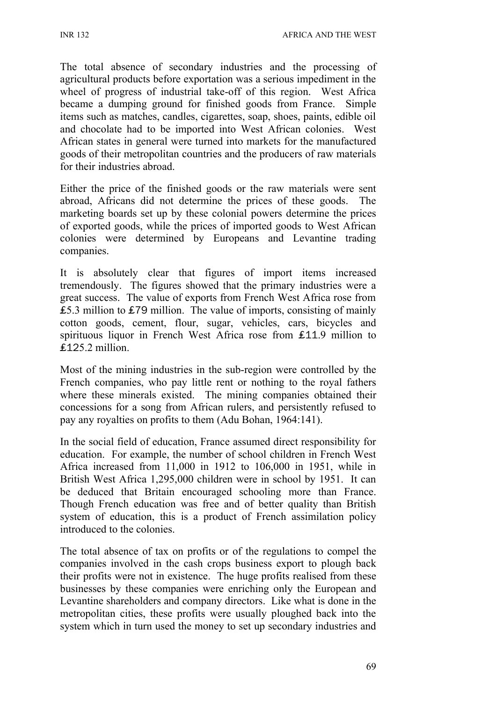The total absence of secondary industries and the processing of agricultural products before exportation was a serious impediment in the wheel of progress of industrial take-off of this region. West Africa became a dumping ground for finished goods from France. Simple items such as matches, candles, cigarettes, soap, shoes, paints, edible oil and chocolate had to be imported into West African colonies. West African states in general were turned into markets for the manufactured goods of their metropolitan countries and the producers of raw materials for their industries abroad.

Either the price of the finished goods or the raw materials were sent abroad, Africans did not determine the prices of these goods. The marketing boards set up by these colonial powers determine the prices of exported goods, while the prices of imported goods to West African colonies were determined by Europeans and Levantine trading companies.

It is absolutely clear that figures of import items increased tremendously. The figures showed that the primary industries were a great success. The value of exports from French West Africa rose from ₤5.3 million to ₤79 million. The value of imports, consisting of mainly cotton goods, cement, flour, sugar, vehicles, cars, bicycles and spirituous liquor in French West Africa rose from £11.9 million to ₤125.2 million.

Most of the mining industries in the sub-region were controlled by the French companies, who pay little rent or nothing to the royal fathers where these minerals existed. The mining companies obtained their concessions for a song from African rulers, and persistently refused to pay any royalties on profits to them (Adu Bohan, 1964:141).

In the social field of education, France assumed direct responsibility for education. For example, the number of school children in French West Africa increased from 11,000 in 1912 to 106,000 in 1951, while in British West Africa 1,295,000 children were in school by 1951. It can be deduced that Britain encouraged schooling more than France. Though French education was free and of better quality than British system of education, this is a product of French assimilation policy introduced to the colonies.

The total absence of tax on profits or of the regulations to compel the companies involved in the cash crops business export to plough back their profits were not in existence. The huge profits realised from these businesses by these companies were enriching only the European and Levantine shareholders and company directors. Like what is done in the metropolitan cities, these profits were usually ploughed back into the system which in turn used the money to set up secondary industries and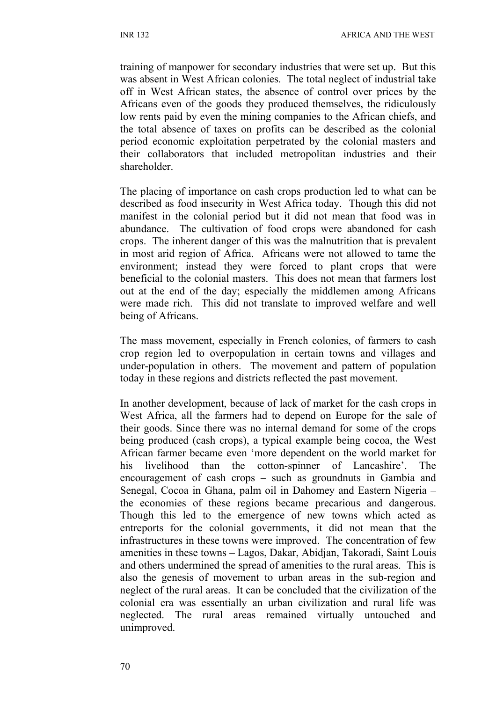training of manpower for secondary industries that were set up. But this was absent in West African colonies. The total neglect of industrial take off in West African states, the absence of control over prices by the Africans even of the goods they produced themselves, the ridiculously low rents paid by even the mining companies to the African chiefs, and the total absence of taxes on profits can be described as the colonial period economic exploitation perpetrated by the colonial masters and their collaborators that included metropolitan industries and their shareholder.

The placing of importance on cash crops production led to what can be described as food insecurity in West Africa today. Though this did not manifest in the colonial period but it did not mean that food was in abundance. The cultivation of food crops were abandoned for cash crops. The inherent danger of this was the malnutrition that is prevalent in most arid region of Africa. Africans were not allowed to tame the environment; instead they were forced to plant crops that were beneficial to the colonial masters. This does not mean that farmers lost out at the end of the day; especially the middlemen among Africans were made rich. This did not translate to improved welfare and well being of Africans.

The mass movement, especially in French colonies, of farmers to cash crop region led to overpopulation in certain towns and villages and under-population in others. The movement and pattern of population today in these regions and districts reflected the past movement.

In another development, because of lack of market for the cash crops in West Africa, all the farmers had to depend on Europe for the sale of their goods. Since there was no internal demand for some of the crops being produced (cash crops), a typical example being cocoa, the West African farmer became even 'more dependent on the world market for his livelihood than the cotton-spinner of Lancashire'. The encouragement of cash crops – such as groundnuts in Gambia and Senegal, Cocoa in Ghana, palm oil in Dahomey and Eastern Nigeria – the economies of these regions became precarious and dangerous. Though this led to the emergence of new towns which acted as entreports for the colonial governments, it did not mean that the infrastructures in these towns were improved. The concentration of few amenities in these towns – Lagos, Dakar, Abidjan, Takoradi, Saint Louis and others undermined the spread of amenities to the rural areas. This is also the genesis of movement to urban areas in the sub-region and neglect of the rural areas. It can be concluded that the civilization of the colonial era was essentially an urban civilization and rural life was neglected. The rural areas remained virtually untouched and unimproved.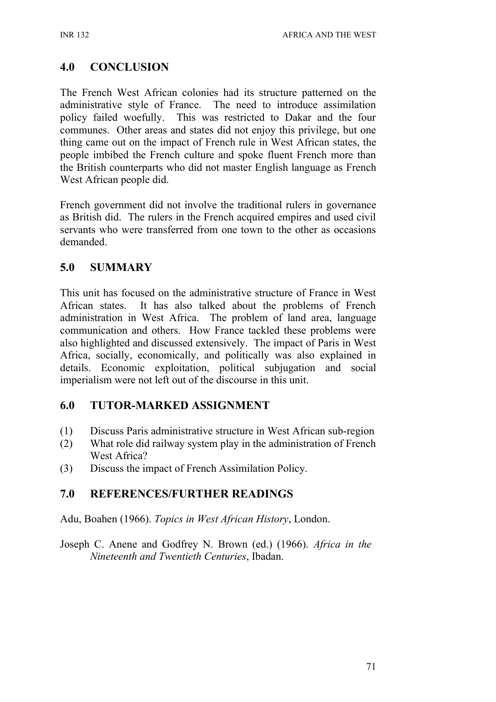# **4.0 CONCLUSION**

The French West African colonies had its structure patterned on the administrative style of France. The need to introduce assimilation policy failed woefully. This was restricted to Dakar and the four communes. Other areas and states did not enjoy this privilege, but one thing came out on the impact of French rule in West African states, the people imbibed the French culture and spoke fluent French more than the British counterparts who did not master English language as French West African people did.

French government did not involve the traditional rulers in governance as British did. The rulers in the French acquired empires and used civil servants who were transferred from one town to the other as occasions demanded.

### **5.0 SUMMARY**

This unit has focused on the administrative structure of France in West African states. It has also talked about the problems of French administration in West Africa. The problem of land area, language communication and others. How France tackled these problems were also highlighted and discussed extensively. The impact of Paris in West Africa, socially, economically, and politically was also explained in details. Economic exploitation, political subjugation and social imperialism were not left out of the discourse in this unit.

## **6.0 TUTOR-MARKED ASSIGNMENT**

- (1) Discuss Paris administrative structure in West African sub-region
- (2) What role did railway system play in the administration of French West Africa?
- (3) Discuss the impact of French Assimilation Policy.

#### **7.0 REFERENCES/FURTHER READINGS**

Adu, Boahen (1966). *Topics in West African History*, London.

Joseph C. Anene and Godfrey N. Brown (ed.) (1966). *Africa in the Nineteenth and Twentieth Centuries*, Ibadan.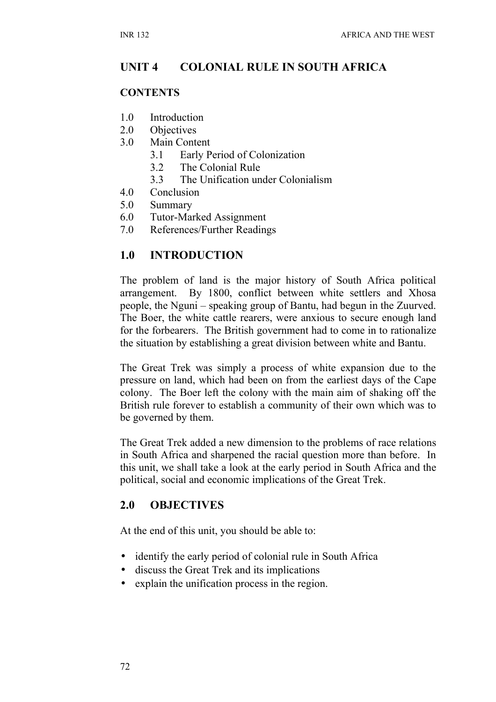# **UNIT 4 COLONIAL RULE IN SOUTH AFRICA**

#### **CONTENTS**

- 1.0 Introduction
- 2.0 Objectives
- 3.0 Main Content
	- 3.1 Early Period of Colonization
	- 3.2 The Colonial Rule
	- 3.3 The Unification under Colonialism
- 4.0 Conclusion
- 5.0 Summary
- 6.0 Tutor-Marked Assignment
- 7.0 References/Further Readings

### **1.0 INTRODUCTION**

The problem of land is the major history of South Africa political arrangement. By 1800, conflict between white settlers and Xhosa people, the Nguni – speaking group of Bantu, had begun in the Zuurved. The Boer, the white cattle rearers, were anxious to secure enough land for the forbearers. The British government had to come in to rationalize the situation by establishing a great division between white and Bantu.

The Great Trek was simply a process of white expansion due to the pressure on land, which had been on from the earliest days of the Cape colony. The Boer left the colony with the main aim of shaking off the British rule forever to establish a community of their own which was to be governed by them.

The Great Trek added a new dimension to the problems of race relations in South Africa and sharpened the racial question more than before. In this unit, we shall take a look at the early period in South Africa and the political, social and economic implications of the Great Trek.

#### **2.0 OBJECTIVES**

At the end of this unit, you should be able to:

- identify the early period of colonial rule in South Africa
- discuss the Great Trek and its implications
- explain the unification process in the region.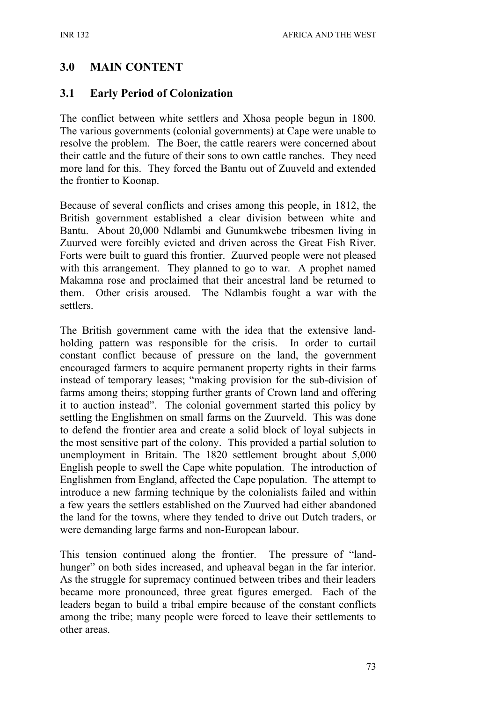### **3.0 MAIN CONTENT**

#### **3.1 Early Period of Colonization**

The conflict between white settlers and Xhosa people begun in 1800. The various governments (colonial governments) at Cape were unable to resolve the problem. The Boer, the cattle rearers were concerned about their cattle and the future of their sons to own cattle ranches. They need more land for this. They forced the Bantu out of Zuuveld and extended the frontier to Koonap.

Because of several conflicts and crises among this people, in 1812, the British government established a clear division between white and Bantu. About 20,000 Ndlambi and Gunumkwebe tribesmen living in Zuurved were forcibly evicted and driven across the Great Fish River. Forts were built to guard this frontier. Zuurved people were not pleased with this arrangement. They planned to go to war. A prophet named Makamna rose and proclaimed that their ancestral land be returned to them. Other crisis aroused. The Ndlambis fought a war with the settlers.

The British government came with the idea that the extensive landholding pattern was responsible for the crisis. In order to curtail constant conflict because of pressure on the land, the government encouraged farmers to acquire permanent property rights in their farms instead of temporary leases; "making provision for the sub-division of farms among theirs; stopping further grants of Crown land and offering it to auction instead". The colonial government started this policy by settling the Englishmen on small farms on the Zuurveld. This was done to defend the frontier area and create a solid block of loyal subjects in the most sensitive part of the colony. This provided a partial solution to unemployment in Britain. The 1820 settlement brought about 5,000 English people to swell the Cape white population. The introduction of Englishmen from England, affected the Cape population. The attempt to introduce a new farming technique by the colonialists failed and within a few years the settlers established on the Zuurved had either abandoned the land for the towns, where they tended to drive out Dutch traders, or were demanding large farms and non-European labour.

This tension continued along the frontier. The pressure of "landhunger" on both sides increased, and upheaval began in the far interior. As the struggle for supremacy continued between tribes and their leaders became more pronounced, three great figures emerged. Each of the leaders began to build a tribal empire because of the constant conflicts among the tribe; many people were forced to leave their settlements to other areas.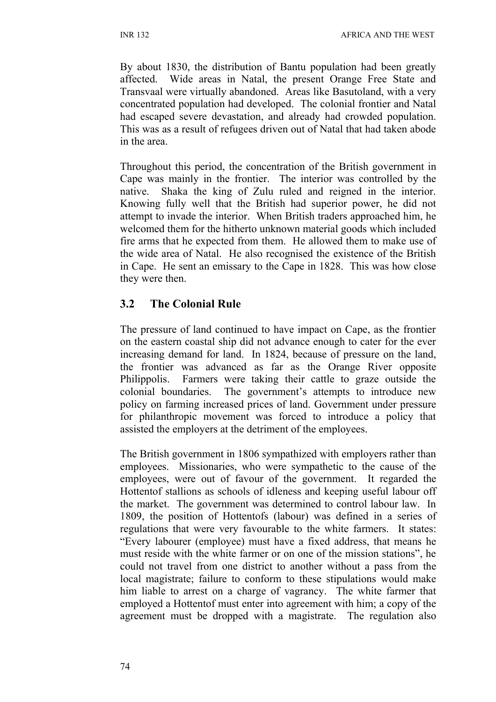By about 1830, the distribution of Bantu population had been greatly affected. Wide areas in Natal, the present Orange Free State and Transvaal were virtually abandoned. Areas like Basutoland, with a very concentrated population had developed. The colonial frontier and Natal had escaped severe devastation, and already had crowded population. This was as a result of refugees driven out of Natal that had taken abode in the area.

Throughout this period, the concentration of the British government in Cape was mainly in the frontier. The interior was controlled by the native. Shaka the king of Zulu ruled and reigned in the interior. Knowing fully well that the British had superior power, he did not attempt to invade the interior. When British traders approached him, he welcomed them for the hitherto unknown material goods which included fire arms that he expected from them. He allowed them to make use of the wide area of Natal. He also recognised the existence of the British in Cape. He sent an emissary to the Cape in 1828. This was how close they were then.

### **3.2 The Colonial Rule**

The pressure of land continued to have impact on Cape, as the frontier on the eastern coastal ship did not advance enough to cater for the ever increasing demand for land. In 1824, because of pressure on the land, the frontier was advanced as far as the Orange River opposite Philippolis. Farmers were taking their cattle to graze outside the colonial boundaries. The government's attempts to introduce new policy on farming increased prices of land. Government under pressure for philanthropic movement was forced to introduce a policy that assisted the employers at the detriment of the employees.

The British government in 1806 sympathized with employers rather than employees. Missionaries, who were sympathetic to the cause of the employees, were out of favour of the government. It regarded the Hottentof stallions as schools of idleness and keeping useful labour off the market. The government was determined to control labour law. In 1809, the position of Hottentofs (labour) was defined in a series of regulations that were very favourable to the white farmers. It states: "Every labourer (employee) must have a fixed address, that means he must reside with the white farmer or on one of the mission stations", he could not travel from one district to another without a pass from the local magistrate; failure to conform to these stipulations would make him liable to arrest on a charge of vagrancy. The white farmer that employed a Hottentof must enter into agreement with him; a copy of the agreement must be dropped with a magistrate. The regulation also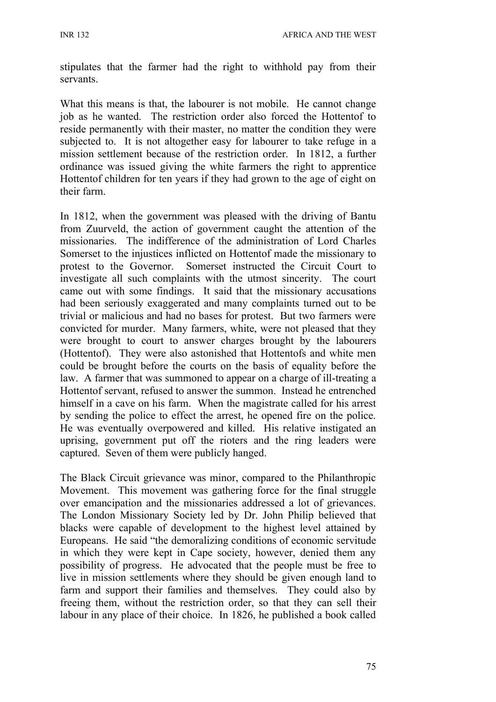stipulates that the farmer had the right to withhold pay from their servants.

What this means is that, the labourer is not mobile. He cannot change job as he wanted. The restriction order also forced the Hottentof to reside permanently with their master, no matter the condition they were subjected to. It is not altogether easy for labourer to take refuge in a mission settlement because of the restriction order. In 1812, a further ordinance was issued giving the white farmers the right to apprentice Hottentof children for ten years if they had grown to the age of eight on their farm.

In 1812, when the government was pleased with the driving of Bantu from Zuurveld, the action of government caught the attention of the missionaries. The indifference of the administration of Lord Charles Somerset to the injustices inflicted on Hottentof made the missionary to protest to the Governor. Somerset instructed the Circuit Court to investigate all such complaints with the utmost sincerity. The court came out with some findings. It said that the missionary accusations had been seriously exaggerated and many complaints turned out to be trivial or malicious and had no bases for protest. But two farmers were convicted for murder. Many farmers, white, were not pleased that they were brought to court to answer charges brought by the labourers (Hottentof). They were also astonished that Hottentofs and white men could be brought before the courts on the basis of equality before the law. A farmer that was summoned to appear on a charge of ill-treating a Hottentof servant, refused to answer the summon. Instead he entrenched himself in a cave on his farm. When the magistrate called for his arrest by sending the police to effect the arrest, he opened fire on the police. He was eventually overpowered and killed. His relative instigated an uprising, government put off the rioters and the ring leaders were captured. Seven of them were publicly hanged.

The Black Circuit grievance was minor, compared to the Philanthropic Movement. This movement was gathering force for the final struggle over emancipation and the missionaries addressed a lot of grievances. The London Missionary Society led by Dr. John Philip believed that blacks were capable of development to the highest level attained by Europeans. He said "the demoralizing conditions of economic servitude in which they were kept in Cape society, however, denied them any possibility of progress. He advocated that the people must be free to live in mission settlements where they should be given enough land to farm and support their families and themselves. They could also by freeing them, without the restriction order, so that they can sell their labour in any place of their choice. In 1826, he published a book called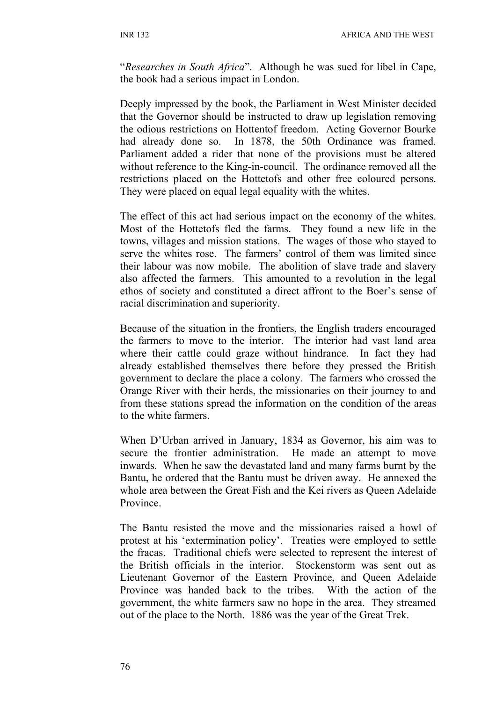"*Researches in South Africa*". Although he was sued for libel in Cape, the book had a serious impact in London.

Deeply impressed by the book, the Parliament in West Minister decided that the Governor should be instructed to draw up legislation removing the odious restrictions on Hottentof freedom. Acting Governor Bourke had already done so. In 1878, the 50th Ordinance was framed. Parliament added a rider that none of the provisions must be altered without reference to the King-in-council. The ordinance removed all the restrictions placed on the Hottetofs and other free coloured persons. They were placed on equal legal equality with the whites.

The effect of this act had serious impact on the economy of the whites. Most of the Hottetofs fled the farms. They found a new life in the towns, villages and mission stations. The wages of those who stayed to serve the whites rose. The farmers' control of them was limited since their labour was now mobile. The abolition of slave trade and slavery also affected the farmers. This amounted to a revolution in the legal ethos of society and constituted a direct affront to the Boer's sense of racial discrimination and superiority.

Because of the situation in the frontiers, the English traders encouraged the farmers to move to the interior. The interior had vast land area where their cattle could graze without hindrance. In fact they had already established themselves there before they pressed the British government to declare the place a colony. The farmers who crossed the Orange River with their herds, the missionaries on their journey to and from these stations spread the information on the condition of the areas to the white farmers.

When D'Urban arrived in January, 1834 as Governor, his aim was to secure the frontier administration. He made an attempt to move inwards. When he saw the devastated land and many farms burnt by the Bantu, he ordered that the Bantu must be driven away. He annexed the whole area between the Great Fish and the Kei rivers as Queen Adelaide Province.

The Bantu resisted the move and the missionaries raised a howl of protest at his 'extermination policy'. Treaties were employed to settle the fracas. Traditional chiefs were selected to represent the interest of the British officials in the interior. Stockenstorm was sent out as Lieutenant Governor of the Eastern Province, and Queen Adelaide Province was handed back to the tribes. With the action of the government, the white farmers saw no hope in the area. They streamed out of the place to the North. 1886 was the year of the Great Trek.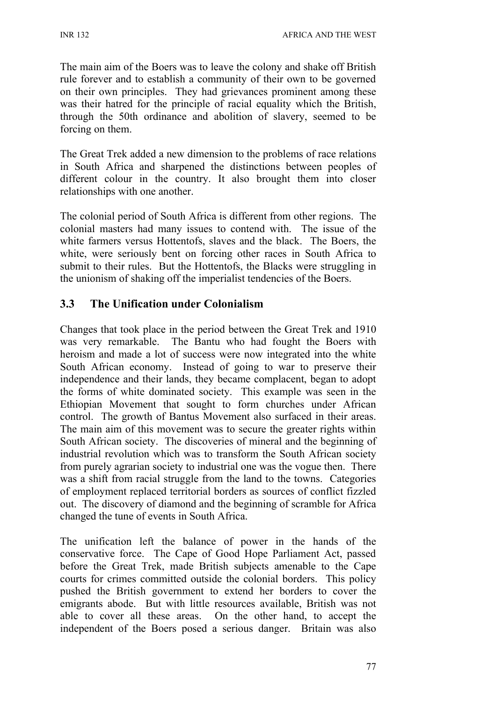The main aim of the Boers was to leave the colony and shake off British rule forever and to establish a community of their own to be governed on their own principles. They had grievances prominent among these was their hatred for the principle of racial equality which the British, through the 50th ordinance and abolition of slavery, seemed to be forcing on them.

The Great Trek added a new dimension to the problems of race relations in South Africa and sharpened the distinctions between peoples of different colour in the country. It also brought them into closer relationships with one another.

The colonial period of South Africa is different from other regions. The colonial masters had many issues to contend with. The issue of the white farmers versus Hottentofs, slaves and the black. The Boers, the white, were seriously bent on forcing other races in South Africa to submit to their rules. But the Hottentofs, the Blacks were struggling in the unionism of shaking off the imperialist tendencies of the Boers.

## **3.3 The Unification under Colonialism**

Changes that took place in the period between the Great Trek and 1910 was very remarkable. The Bantu who had fought the Boers with heroism and made a lot of success were now integrated into the white South African economy. Instead of going to war to preserve their independence and their lands, they became complacent, began to adopt the forms of white dominated society. This example was seen in the Ethiopian Movement that sought to form churches under African control. The growth of Bantus Movement also surfaced in their areas. The main aim of this movement was to secure the greater rights within South African society. The discoveries of mineral and the beginning of industrial revolution which was to transform the South African society from purely agrarian society to industrial one was the vogue then. There was a shift from racial struggle from the land to the towns. Categories of employment replaced territorial borders as sources of conflict fizzled out. The discovery of diamond and the beginning of scramble for Africa changed the tune of events in South Africa.

The unification left the balance of power in the hands of the conservative force. The Cape of Good Hope Parliament Act, passed before the Great Trek, made British subjects amenable to the Cape courts for crimes committed outside the colonial borders. This policy pushed the British government to extend her borders to cover the emigrants abode. But with little resources available, British was not able to cover all these areas. On the other hand, to accept the independent of the Boers posed a serious danger. Britain was also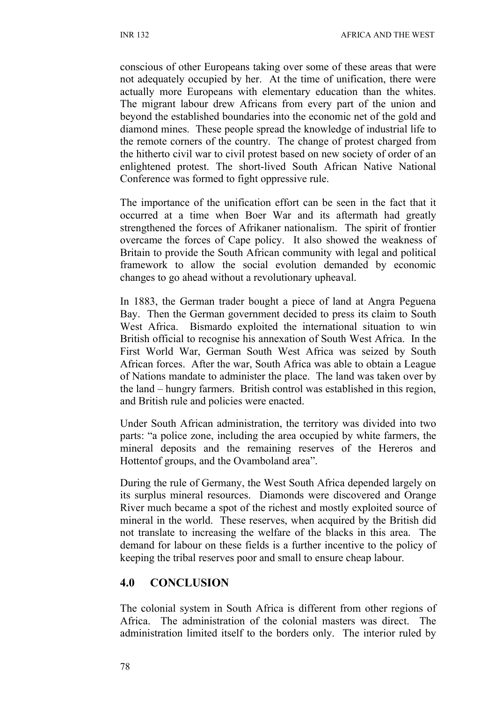conscious of other Europeans taking over some of these areas that were not adequately occupied by her. At the time of unification, there were actually more Europeans with elementary education than the whites. The migrant labour drew Africans from every part of the union and beyond the established boundaries into the economic net of the gold and diamond mines. These people spread the knowledge of industrial life to the remote corners of the country. The change of protest charged from the hitherto civil war to civil protest based on new society of order of an enlightened protest. The short-lived South African Native National Conference was formed to fight oppressive rule.

The importance of the unification effort can be seen in the fact that it occurred at a time when Boer War and its aftermath had greatly strengthened the forces of Afrikaner nationalism. The spirit of frontier overcame the forces of Cape policy. It also showed the weakness of Britain to provide the South African community with legal and political framework to allow the social evolution demanded by economic changes to go ahead without a revolutionary upheaval.

In 1883, the German trader bought a piece of land at Angra Peguena Bay. Then the German government decided to press its claim to South West Africa. Bismardo exploited the international situation to win British official to recognise his annexation of South West Africa. In the First World War, German South West Africa was seized by South African forces. After the war, South Africa was able to obtain a League of Nations mandate to administer the place. The land was taken over by the land – hungry farmers. British control was established in this region, and British rule and policies were enacted.

Under South African administration, the territory was divided into two parts: "a police zone, including the area occupied by white farmers, the mineral deposits and the remaining reserves of the Hereros and Hottentof groups, and the Ovamboland area".

During the rule of Germany, the West South Africa depended largely on its surplus mineral resources. Diamonds were discovered and Orange River much became a spot of the richest and mostly exploited source of mineral in the world. These reserves, when acquired by the British did not translate to increasing the welfare of the blacks in this area. The demand for labour on these fields is a further incentive to the policy of keeping the tribal reserves poor and small to ensure cheap labour.

#### **4.0 CONCLUSION**

The colonial system in South Africa is different from other regions of Africa. The administration of the colonial masters was direct. The administration limited itself to the borders only. The interior ruled by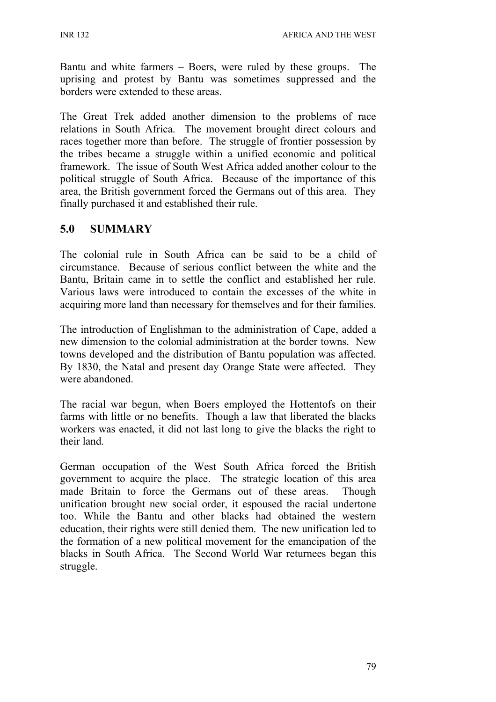Bantu and white farmers – Boers, were ruled by these groups. The uprising and protest by Bantu was sometimes suppressed and the borders were extended to these areas.

The Great Trek added another dimension to the problems of race relations in South Africa. The movement brought direct colours and races together more than before. The struggle of frontier possession by the tribes became a struggle within a unified economic and political framework. The issue of South West Africa added another colour to the political struggle of South Africa. Because of the importance of this area, the British government forced the Germans out of this area. They finally purchased it and established their rule.

### **5.0 SUMMARY**

The colonial rule in South Africa can be said to be a child of circumstance. Because of serious conflict between the white and the Bantu, Britain came in to settle the conflict and established her rule. Various laws were introduced to contain the excesses of the white in acquiring more land than necessary for themselves and for their families.

The introduction of Englishman to the administration of Cape, added a new dimension to the colonial administration at the border towns. New towns developed and the distribution of Bantu population was affected. By 1830, the Natal and present day Orange State were affected. They were abandoned.

The racial war begun, when Boers employed the Hottentofs on their farms with little or no benefits. Though a law that liberated the blacks workers was enacted, it did not last long to give the blacks the right to their land.

German occupation of the West South Africa forced the British government to acquire the place. The strategic location of this area made Britain to force the Germans out of these areas. Though unification brought new social order, it espoused the racial undertone too. While the Bantu and other blacks had obtained the western education, their rights were still denied them. The new unification led to the formation of a new political movement for the emancipation of the blacks in South Africa. The Second World War returnees began this struggle.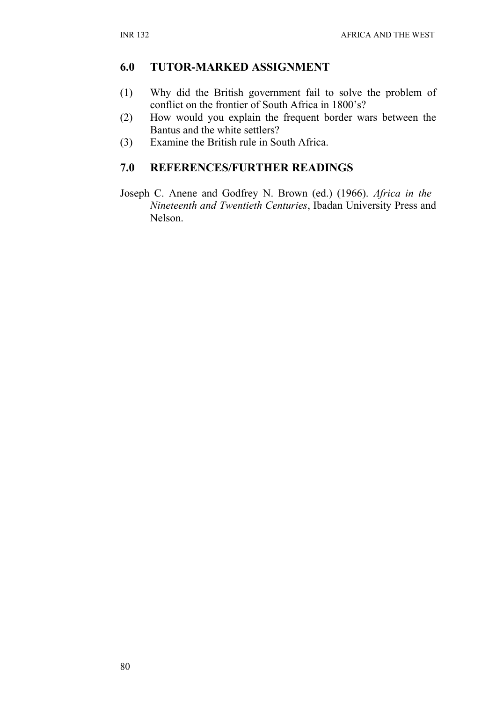#### **6.0 TUTOR-MARKED ASSIGNMENT**

- (1) Why did the British government fail to solve the problem of conflict on the frontier of South Africa in 1800's?
- (2) How would you explain the frequent border wars between the Bantus and the white settlers?
- (3) Examine the British rule in South Africa.

# **7.0 REFERENCES/FURTHER READINGS**

Joseph C. Anene and Godfrey N. Brown (ed.) (1966). *Africa in the Nineteenth and Twentieth Centuries*, Ibadan University Press and Nelson.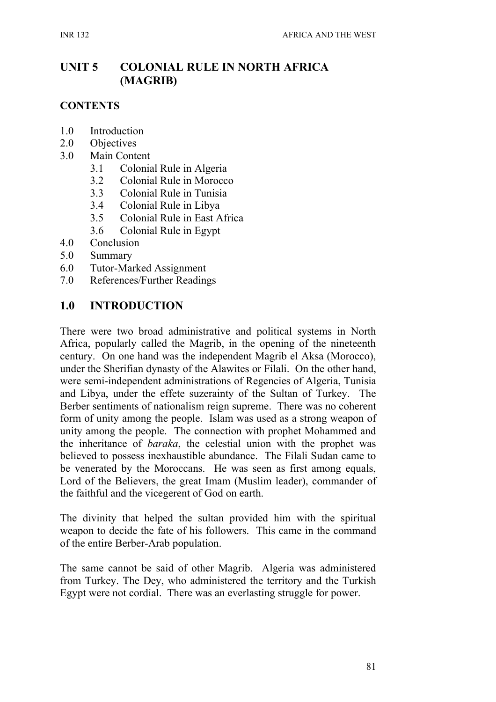# **UNIT 5 COLONIAL RULE IN NORTH AFRICA (MAGRIB)**

#### **CONTENTS**

- 1.0 Introduction
- 2.0 Objectives
- 3.0 Main Content
	- 3.1 Colonial Rule in Algeria
	- 3.2 Colonial Rule in Morocco
	- 3.3 Colonial Rule in Tunisia
	- 3.4 Colonial Rule in Libya
	- 3.5 Colonial Rule in East Africa
	- 3.6 Colonial Rule in Egypt
- 4.0 Conclusion
- 5.0 Summary
- 6.0 Tutor-Marked Assignment
- 7.0 References/Further Readings

#### **1.0 INTRODUCTION**

There were two broad administrative and political systems in North Africa, popularly called the Magrib, in the opening of the nineteenth century. On one hand was the independent Magrib el Aksa (Morocco), under the Sherifian dynasty of the Alawites or Filali. On the other hand, were semi-independent administrations of Regencies of Algeria, Tunisia and Libya, under the effete suzerainty of the Sultan of Turkey. The Berber sentiments of nationalism reign supreme. There was no coherent form of unity among the people. Islam was used as a strong weapon of unity among the people. The connection with prophet Mohammed and the inheritance of *baraka*, the celestial union with the prophet was believed to possess inexhaustible abundance. The Filali Sudan came to be venerated by the Moroccans. He was seen as first among equals, Lord of the Believers, the great Imam (Muslim leader), commander of the faithful and the vicegerent of God on earth.

The divinity that helped the sultan provided him with the spiritual weapon to decide the fate of his followers. This came in the command of the entire Berber-Arab population.

The same cannot be said of other Magrib. Algeria was administered from Turkey. The Dey, who administered the territory and the Turkish Egypt were not cordial. There was an everlasting struggle for power.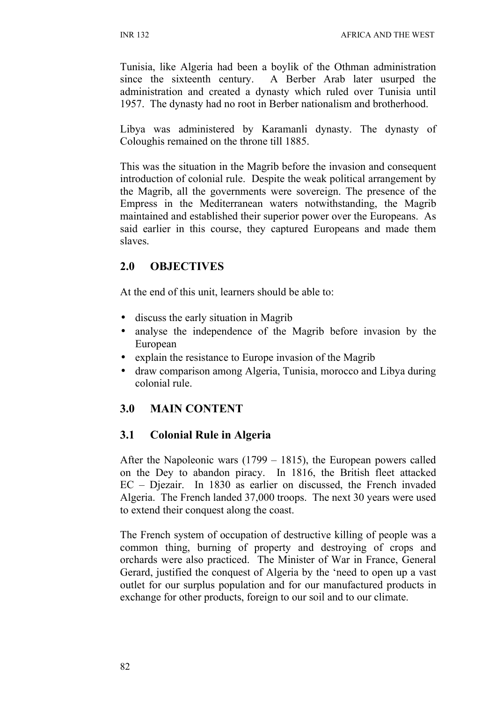Tunisia, like Algeria had been a boylik of the Othman administration since the sixteenth century. A Berber Arab later usurped the administration and created a dynasty which ruled over Tunisia until 1957. The dynasty had no root in Berber nationalism and brotherhood.

Libya was administered by Karamanli dynasty. The dynasty of Coloughis remained on the throne till 1885.

This was the situation in the Magrib before the invasion and consequent introduction of colonial rule. Despite the weak political arrangement by the Magrib, all the governments were sovereign. The presence of the Empress in the Mediterranean waters notwithstanding, the Magrib maintained and established their superior power over the Europeans. As said earlier in this course, they captured Europeans and made them slaves.

## **2.0 OBJECTIVES**

At the end of this unit, learners should be able to:

- discuss the early situation in Magrib
- analyse the independence of the Magrib before invasion by the European
- explain the resistance to Europe invasion of the Magrib
- draw comparison among Algeria, Tunisia, morocco and Libya during colonial rule.

# **3.0 MAIN CONTENT**

## **3.1 Colonial Rule in Algeria**

After the Napoleonic wars (1799 – 1815), the European powers called on the Dey to abandon piracy. In 1816, the British fleet attacked EC – Djezair. In 1830 as earlier on discussed, the French invaded Algeria. The French landed 37,000 troops. The next 30 years were used to extend their conquest along the coast.

The French system of occupation of destructive killing of people was a common thing, burning of property and destroying of crops and orchards were also practiced. The Minister of War in France, General Gerard, justified the conquest of Algeria by the 'need to open up a vast outlet for our surplus population and for our manufactured products in exchange for other products, foreign to our soil and to our climate.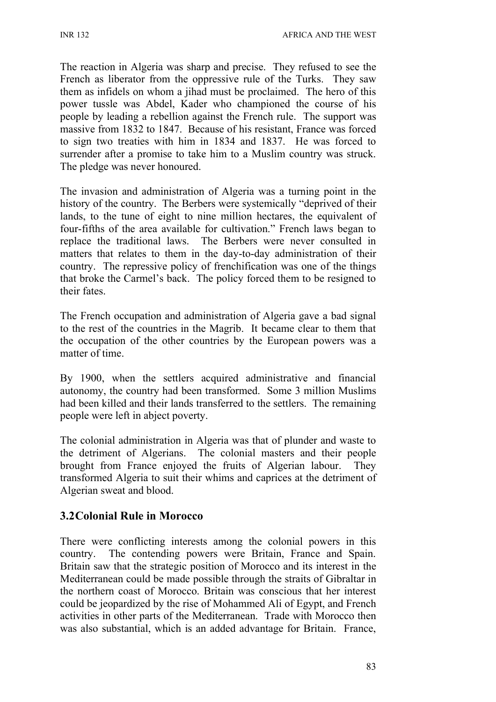The reaction in Algeria was sharp and precise. They refused to see the French as liberator from the oppressive rule of the Turks. They saw them as infidels on whom a jihad must be proclaimed. The hero of this power tussle was Abdel, Kader who championed the course of his people by leading a rebellion against the French rule. The support was massive from 1832 to 1847. Because of his resistant, France was forced to sign two treaties with him in 1834 and 1837. He was forced to surrender after a promise to take him to a Muslim country was struck. The pledge was never honoured.

The invasion and administration of Algeria was a turning point in the history of the country. The Berbers were systemically "deprived of their lands, to the tune of eight to nine million hectares, the equivalent of four-fifths of the area available for cultivation." French laws began to replace the traditional laws. The Berbers were never consulted in matters that relates to them in the day-to-day administration of their country. The repressive policy of frenchification was one of the things that broke the Carmel's back. The policy forced them to be resigned to their fates.

The French occupation and administration of Algeria gave a bad signal to the rest of the countries in the Magrib. It became clear to them that the occupation of the other countries by the European powers was a matter of time.

By 1900, when the settlers acquired administrative and financial autonomy, the country had been transformed. Some 3 million Muslims had been killed and their lands transferred to the settlers. The remaining people were left in abject poverty.

The colonial administration in Algeria was that of plunder and waste to the detriment of Algerians. The colonial masters and their people brought from France enjoyed the fruits of Algerian labour. They transformed Algeria to suit their whims and caprices at the detriment of Algerian sweat and blood.

# **3.2Colonial Rule in Morocco**

There were conflicting interests among the colonial powers in this country. The contending powers were Britain, France and Spain. Britain saw that the strategic position of Morocco and its interest in the Mediterranean could be made possible through the straits of Gibraltar in the northern coast of Morocco. Britain was conscious that her interest could be jeopardized by the rise of Mohammed Ali of Egypt, and French activities in other parts of the Mediterranean. Trade with Morocco then was also substantial, which is an added advantage for Britain. France,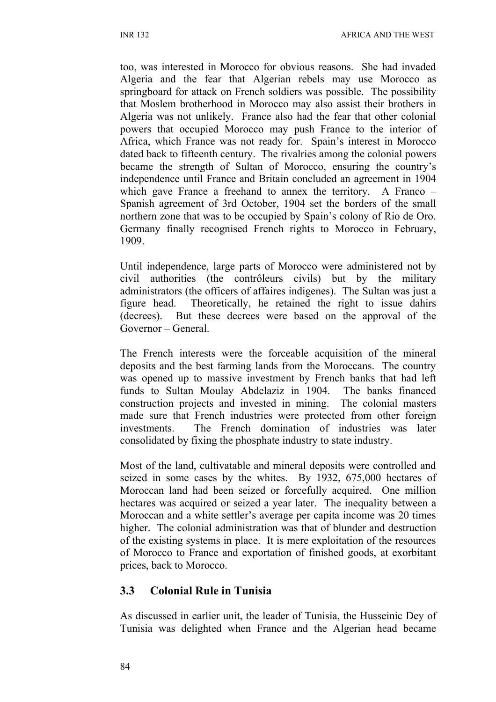too, was interested in Morocco for obvious reasons. She had invaded Algeria and the fear that Algerian rebels may use Morocco as springboard for attack on French soldiers was possible. The possibility that Moslem brotherhood in Morocco may also assist their brothers in Algeria was not unlikely. France also had the fear that other colonial powers that occupied Morocco may push France to the interior of Africa, which France was not ready for. Spain's interest in Morocco dated back to fifteenth century. The rivalries among the colonial powers became the strength of Sultan of Morocco, ensuring the country's independence until France and Britain concluded an agreement in 1904 which gave France a freehand to annex the territory. A Franco – Spanish agreement of 3rd October, 1904 set the borders of the small northern zone that was to be occupied by Spain's colony of Rio de Oro. Germany finally recognised French rights to Morocco in February, 1909.

Until independence, large parts of Morocco were administered not by civil authorities (the contrôleurs civils) but by the military administrators (the officers of affaires indigenes). The Sultan was just a figure head. Theoretically, he retained the right to issue dahirs (decrees). But these decrees were based on the approval of the Governor – General.

The French interests were the forceable acquisition of the mineral deposits and the best farming lands from the Moroccans. The country was opened up to massive investment by French banks that had left funds to Sultan Moulay Abdelaziz in 1904. The banks financed construction projects and invested in mining. The colonial masters made sure that French industries were protected from other foreign investments. The French domination of industries was later consolidated by fixing the phosphate industry to state industry.

Most of the land, cultivatable and mineral deposits were controlled and seized in some cases by the whites. By 1932, 675,000 hectares of Moroccan land had been seized or forcefully acquired. One million hectares was acquired or seized a year later. The inequality between a Moroccan and a white settler's average per capita income was 20 times higher. The colonial administration was that of blunder and destruction of the existing systems in place. It is mere exploitation of the resources of Morocco to France and exportation of finished goods, at exorbitant prices, back to Morocco.

#### **3.3 Colonial Rule in Tunisia**

As discussed in earlier unit, the leader of Tunisia, the Husseinic Dey of Tunisia was delighted when France and the Algerian head became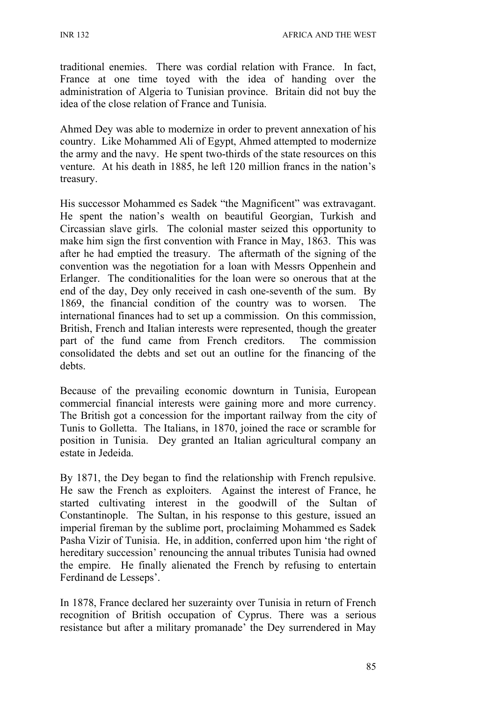INR 132 AFRICA AND THE WEST

traditional enemies. There was cordial relation with France. In fact, France at one time toyed with the idea of handing over the administration of Algeria to Tunisian province. Britain did not buy the idea of the close relation of France and Tunisia.

Ahmed Dey was able to modernize in order to prevent annexation of his country. Like Mohammed Ali of Egypt, Ahmed attempted to modernize the army and the navy. He spent two-thirds of the state resources on this venture. At his death in 1885, he left 120 million francs in the nation's treasury.

His successor Mohammed es Sadek "the Magnificent" was extravagant. He spent the nation's wealth on beautiful Georgian, Turkish and Circassian slave girls. The colonial master seized this opportunity to make him sign the first convention with France in May, 1863. This was after he had emptied the treasury. The aftermath of the signing of the convention was the negotiation for a loan with Messrs Oppenhein and Erlanger. The conditionalities for the loan were so onerous that at the end of the day, Dey only received in cash one-seventh of the sum. By 1869, the financial condition of the country was to worsen. The international finances had to set up a commission. On this commission, British, French and Italian interests were represented, though the greater part of the fund came from French creditors. The commission consolidated the debts and set out an outline for the financing of the debts.

Because of the prevailing economic downturn in Tunisia, European commercial financial interests were gaining more and more currency. The British got a concession for the important railway from the city of Tunis to Golletta. The Italians, in 1870, joined the race or scramble for position in Tunisia. Dey granted an Italian agricultural company an estate in Jedeida.

By 1871, the Dey began to find the relationship with French repulsive. He saw the French as exploiters. Against the interest of France, he started cultivating interest in the goodwill of the Sultan of Constantinople. The Sultan, in his response to this gesture, issued an imperial fireman by the sublime port, proclaiming Mohammed es Sadek Pasha Vizir of Tunisia. He, in addition, conferred upon him 'the right of hereditary succession' renouncing the annual tributes Tunisia had owned the empire. He finally alienated the French by refusing to entertain Ferdinand de Lesseps'.

In 1878, France declared her suzerainty over Tunisia in return of French recognition of British occupation of Cyprus. There was a serious resistance but after a military promanade' the Dey surrendered in May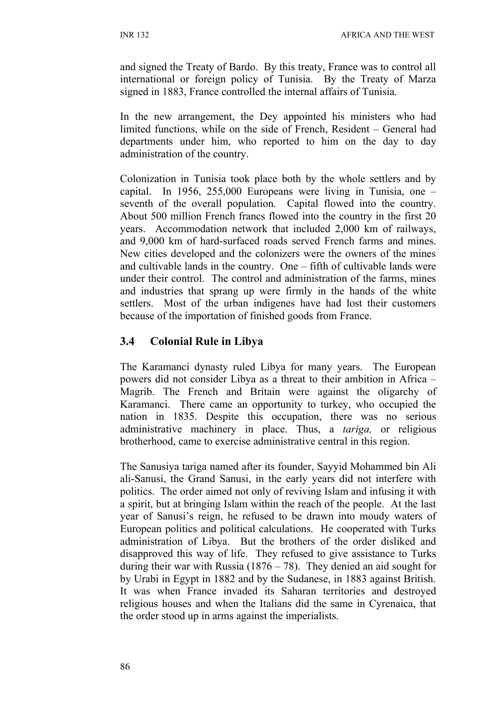and signed the Treaty of Bardo. By this treaty, France was to control all international or foreign policy of Tunisia. By the Treaty of Marza signed in 1883, France controlled the internal affairs of Tunisia.

In the new arrangement, the Dey appointed his ministers who had limited functions, while on the side of French, Resident – General had departments under him, who reported to him on the day to day administration of the country.

Colonization in Tunisia took place both by the whole settlers and by capital. In 1956, 255,000 Europeans were living in Tunisia, one – seventh of the overall population. Capital flowed into the country. About 500 million French francs flowed into the country in the first 20 years. Accommodation network that included 2,000 km of railways, and 9,000 km of hard-surfaced roads served French farms and mines. New cities developed and the colonizers were the owners of the mines and cultivable lands in the country. One – fifth of cultivable lands were under their control. The control and administration of the farms, mines and industries that sprang up were firmly in the hands of the white settlers. Most of the urban indigenes have had lost their customers because of the importation of finished goods from France.

## **3.4 Colonial Rule in Libya**

The Karamanci dynasty ruled Libya for many years. The European powers did not consider Libya as a threat to their ambition in Africa – Magrib. The French and Britain were against the oligarchy of Karamanci. There came an opportunity to turkey, who occupied the nation in 1835. Despite this occupation, there was no serious administrative machinery in place. Thus, a *tariga,* or religious brotherhood, came to exercise administrative central in this region.

The Sanusiya tariga named after its founder, Sayyid Mohammed bin Ali ali-Sanusi, the Grand Sanusi, in the early years did not interfere with politics. The order aimed not only of reviving Islam and infusing it with a spirit, but at bringing Islam within the reach of the people. At the last year of Sanusi's reign, he refused to be drawn into moudy waters of European politics and political calculations. He cooperated with Turks administration of Libya. But the brothers of the order disliked and disapproved this way of life. They refused to give assistance to Turks during their war with Russia  $(1876 - 78)$ . They denied an aid sought for by Urabi in Egypt in 1882 and by the Sudanese, in 1883 against British. It was when France invaded its Saharan territories and destroyed religious houses and when the Italians did the same in Cyrenaica, that the order stood up in arms against the imperialists.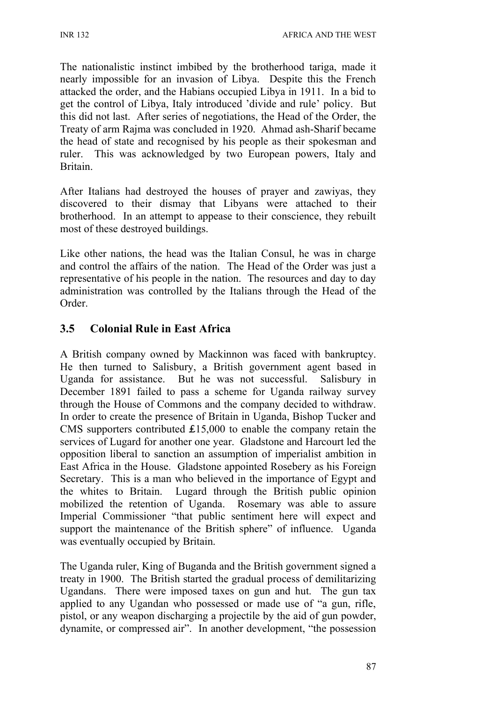The nationalistic instinct imbibed by the brotherhood tariga, made it nearly impossible for an invasion of Libya. Despite this the French attacked the order, and the Habians occupied Libya in 1911. In a bid to get the control of Libya, Italy introduced 'divide and rule' policy. But this did not last. After series of negotiations, the Head of the Order, the Treaty of arm Rajma was concluded in 1920. Ahmad ash-Sharif became the head of state and recognised by his people as their spokesman and ruler. This was acknowledged by two European powers, Italy and **Britain** 

After Italians had destroyed the houses of prayer and zawiyas, they discovered to their dismay that Libyans were attached to their brotherhood. In an attempt to appease to their conscience, they rebuilt most of these destroyed buildings.

Like other nations, the head was the Italian Consul, he was in charge and control the affairs of the nation. The Head of the Order was just a representative of his people in the nation. The resources and day to day administration was controlled by the Italians through the Head of the Order.

### **3.5 Colonial Rule in East Africa**

A British company owned by Mackinnon was faced with bankruptcy. He then turned to Salisbury, a British government agent based in Uganda for assistance. But he was not successful. Salisbury in December 1891 failed to pass a scheme for Uganda railway survey through the House of Commons and the company decided to withdraw. In order to create the presence of Britain in Uganda, Bishop Tucker and CMS supporters contributed  $£15,000$  to enable the company retain the services of Lugard for another one year. Gladstone and Harcourt led the opposition liberal to sanction an assumption of imperialist ambition in East Africa in the House. Gladstone appointed Rosebery as his Foreign Secretary. This is a man who believed in the importance of Egypt and the whites to Britain. Lugard through the British public opinion mobilized the retention of Uganda. Rosemary was able to assure Imperial Commissioner "that public sentiment here will expect and support the maintenance of the British sphere" of influence. Uganda was eventually occupied by Britain.

The Uganda ruler, King of Buganda and the British government signed a treaty in 1900. The British started the gradual process of demilitarizing Ugandans. There were imposed taxes on gun and hut. The gun tax applied to any Ugandan who possessed or made use of "a gun, rifle, pistol, or any weapon discharging a projectile by the aid of gun powder, dynamite, or compressed air". In another development, "the possession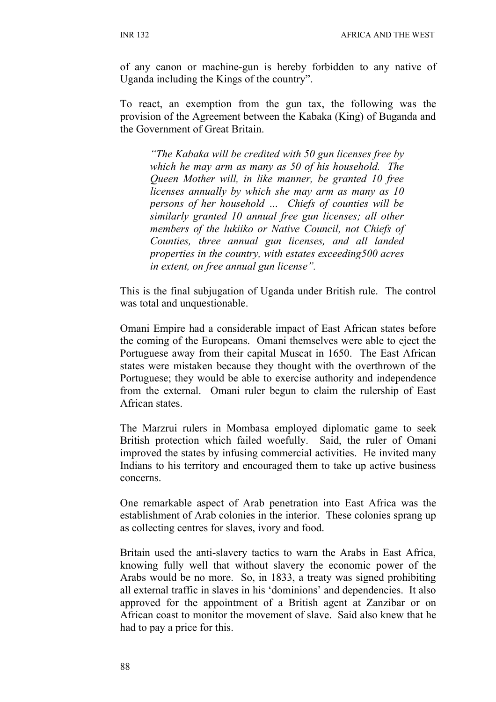of any canon or machine-gun is hereby forbidden to any native of Uganda including the Kings of the country".

To react, an exemption from the gun tax, the following was the provision of the Agreement between the Kabaka (King) of Buganda and the Government of Great Britain.

*"The Kabaka will be credited with 50 gun licenses free by which he may arm as many as 50 of his household. The Queen Mother will, in like manner, be granted 10 free licenses annually by which she may arm as many as 10 persons of her household … Chiefs of counties will be similarly granted 10 annual free gun licenses; all other members of the lukiiko or Native Council, not Chiefs of Counties, three annual gun licenses, and all landed properties in the country, with estates exceeding500 acres in extent, on free annual gun license".*

This is the final subjugation of Uganda under British rule. The control was total and unquestionable.

Omani Empire had a considerable impact of East African states before the coming of the Europeans. Omani themselves were able to eject the Portuguese away from their capital Muscat in 1650. The East African states were mistaken because they thought with the overthrown of the Portuguese; they would be able to exercise authority and independence from the external. Omani ruler begun to claim the rulership of East African states.

The Marzrui rulers in Mombasa employed diplomatic game to seek British protection which failed woefully. Said, the ruler of Omani improved the states by infusing commercial activities. He invited many Indians to his territory and encouraged them to take up active business concerns.

One remarkable aspect of Arab penetration into East Africa was the establishment of Arab colonies in the interior. These colonies sprang up as collecting centres for slaves, ivory and food.

Britain used the anti-slavery tactics to warn the Arabs in East Africa, knowing fully well that without slavery the economic power of the Arabs would be no more. So, in 1833, a treaty was signed prohibiting all external traffic in slaves in his 'dominions' and dependencies. It also approved for the appointment of a British agent at Zanzibar or on African coast to monitor the movement of slave. Said also knew that he had to pay a price for this.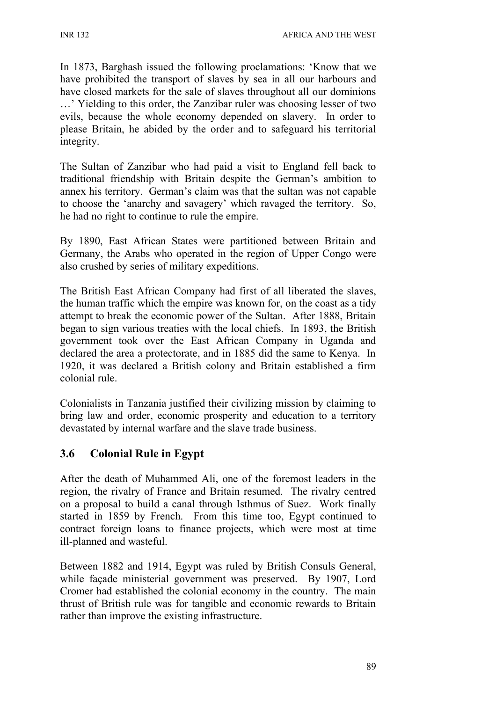In 1873, Barghash issued the following proclamations: 'Know that we have prohibited the transport of slaves by sea in all our harbours and have closed markets for the sale of slaves throughout all our dominions …' Yielding to this order, the Zanzibar ruler was choosing lesser of two evils, because the whole economy depended on slavery. In order to please Britain, he abided by the order and to safeguard his territorial integrity.

The Sultan of Zanzibar who had paid a visit to England fell back to traditional friendship with Britain despite the German's ambition to annex his territory. German's claim was that the sultan was not capable to choose the 'anarchy and savagery' which ravaged the territory. So, he had no right to continue to rule the empire.

By 1890, East African States were partitioned between Britain and Germany, the Arabs who operated in the region of Upper Congo were also crushed by series of military expeditions.

The British East African Company had first of all liberated the slaves, the human traffic which the empire was known for, on the coast as a tidy attempt to break the economic power of the Sultan. After 1888, Britain began to sign various treaties with the local chiefs. In 1893, the British government took over the East African Company in Uganda and declared the area a protectorate, and in 1885 did the same to Kenya. In 1920, it was declared a British colony and Britain established a firm colonial rule.

Colonialists in Tanzania justified their civilizing mission by claiming to bring law and order, economic prosperity and education to a territory devastated by internal warfare and the slave trade business.

## **3.6 Colonial Rule in Egypt**

After the death of Muhammed Ali, one of the foremost leaders in the region, the rivalry of France and Britain resumed. The rivalry centred on a proposal to build a canal through Isthmus of Suez. Work finally started in 1859 by French. From this time too, Egypt continued to contract foreign loans to finance projects, which were most at time ill-planned and wasteful.

Between 1882 and 1914, Egypt was ruled by British Consuls General, while façade ministerial government was preserved. By 1907, Lord Cromer had established the colonial economy in the country. The main thrust of British rule was for tangible and economic rewards to Britain rather than improve the existing infrastructure.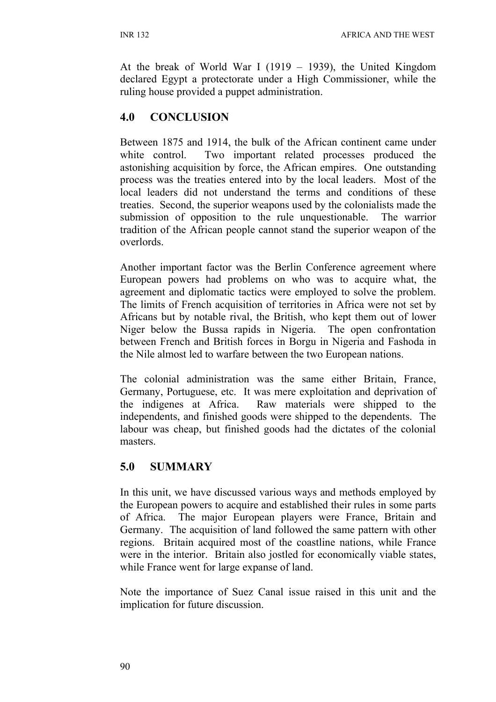At the break of World War I (1919 – 1939), the United Kingdom declared Egypt a protectorate under a High Commissioner, while the ruling house provided a puppet administration.

# **4.0 CONCLUSION**

Between 1875 and 1914, the bulk of the African continent came under white control. Two important related processes produced the astonishing acquisition by force, the African empires. One outstanding process was the treaties entered into by the local leaders. Most of the local leaders did not understand the terms and conditions of these treaties. Second, the superior weapons used by the colonialists made the submission of opposition to the rule unquestionable. The warrior tradition of the African people cannot stand the superior weapon of the overlords.

Another important factor was the Berlin Conference agreement where European powers had problems on who was to acquire what, the agreement and diplomatic tactics were employed to solve the problem. The limits of French acquisition of territories in Africa were not set by Africans but by notable rival, the British, who kept them out of lower Niger below the Bussa rapids in Nigeria. The open confrontation between French and British forces in Borgu in Nigeria and Fashoda in the Nile almost led to warfare between the two European nations.

The colonial administration was the same either Britain, France, Germany, Portuguese, etc. It was mere exploitation and deprivation of the indigenes at Africa. Raw materials were shipped to the independents, and finished goods were shipped to the dependents. The labour was cheap, but finished goods had the dictates of the colonial masters.

## **5.0 SUMMARY**

In this unit, we have discussed various ways and methods employed by the European powers to acquire and established their rules in some parts of Africa. The major European players were France, Britain and Germany. The acquisition of land followed the same pattern with other regions. Britain acquired most of the coastline nations, while France were in the interior. Britain also jostled for economically viable states, while France went for large expanse of land.

Note the importance of Suez Canal issue raised in this unit and the implication for future discussion.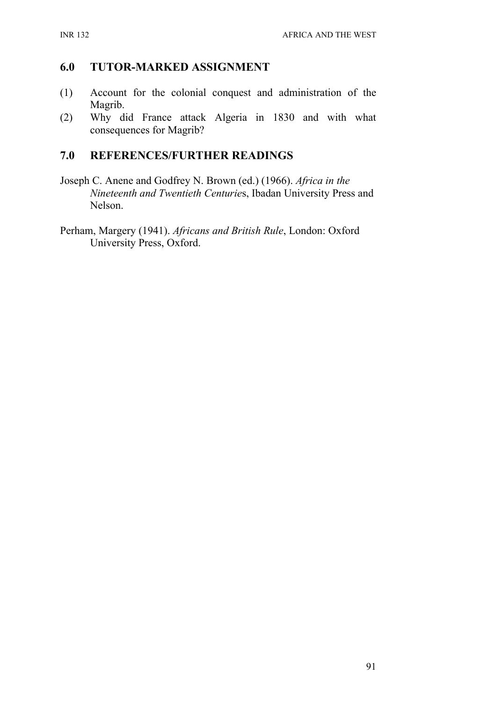### **6.0 TUTOR-MARKED ASSIGNMENT**

- (1) Account for the colonial conquest and administration of the Magrib.
- (2) Why did France attack Algeria in 1830 and with what consequences for Magrib?

#### **7.0 REFERENCES/FURTHER READINGS**

- Joseph C. Anene and Godfrey N. Brown (ed.) (1966). *Africa in the Nineteenth and Twentieth Centurie*s, Ibadan University Press and Nelson.
- Perham, Margery (1941). *Africans and British Rule*, London: Oxford University Press, Oxford.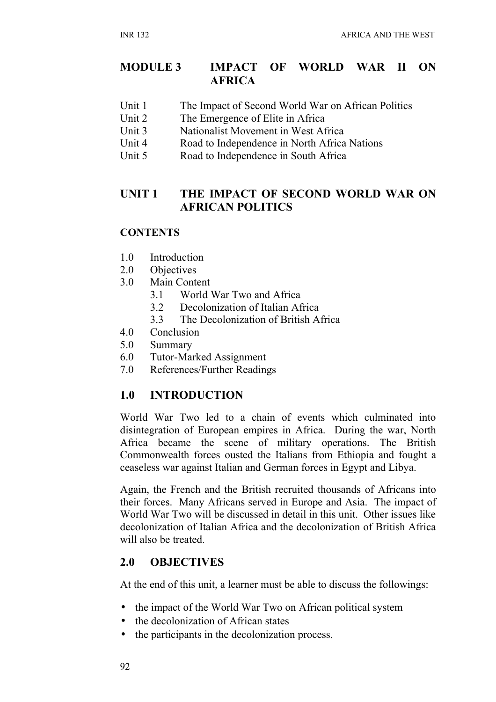### **MODULE 3 IMPACT OF WORLD WAR II ON AFRICA**

- Unit 1 The Impact of Second World War on African Politics
- Unit 2 The Emergence of Elite in Africa
- Unit 3 Nationalist Movement in West Africa
- Unit 4 Road to Independence in North Africa Nations
- Unit 5 Road to Independence in South Africa

### **UNIT 1 THE IMPACT OF SECOND WORLD WAR ON AFRICAN POLITICS**

#### **CONTENTS**

- 1.0 Introduction
- 2.0 Objectives
- 3.0 Main Content
	- 3.1 World War Two and Africa
	- 3.2 Decolonization of Italian Africa
	- 3.3 The Decolonization of British Africa
- 4.0 Conclusion
- 5.0 Summary
- 6.0 Tutor-Marked Assignment
- 7.0 References/Further Readings

## **1.0 INTRODUCTION**

World War Two led to a chain of events which culminated into disintegration of European empires in Africa. During the war, North Africa became the scene of military operations. The British Commonwealth forces ousted the Italians from Ethiopia and fought a ceaseless war against Italian and German forces in Egypt and Libya.

Again, the French and the British recruited thousands of Africans into their forces. Many Africans served in Europe and Asia. The impact of World War Two will be discussed in detail in this unit. Other issues like decolonization of Italian Africa and the decolonization of British Africa will also be treated.

#### **2.0 OBJECTIVES**

At the end of this unit, a learner must be able to discuss the followings:

- the impact of the World War Two on African political system
- the decolonization of African states
- the participants in the decolonization process.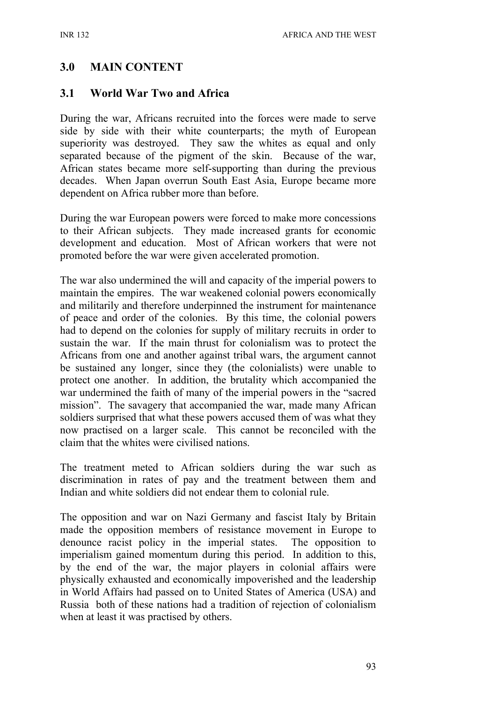## **3.0 MAIN CONTENT**

#### **3.1 World War Two and Africa**

During the war, Africans recruited into the forces were made to serve side by side with their white counterparts; the myth of European superiority was destroyed. They saw the whites as equal and only separated because of the pigment of the skin. Because of the war, African states became more self-supporting than during the previous decades. When Japan overrun South East Asia, Europe became more dependent on Africa rubber more than before.

During the war European powers were forced to make more concessions to their African subjects. They made increased grants for economic development and education. Most of African workers that were not promoted before the war were given accelerated promotion.

The war also undermined the will and capacity of the imperial powers to maintain the empires. The war weakened colonial powers economically and militarily and therefore underpinned the instrument for maintenance of peace and order of the colonies. By this time, the colonial powers had to depend on the colonies for supply of military recruits in order to sustain the war. If the main thrust for colonialism was to protect the Africans from one and another against tribal wars, the argument cannot be sustained any longer, since they (the colonialists) were unable to protect one another. In addition, the brutality which accompanied the war undermined the faith of many of the imperial powers in the "sacred mission". The savagery that accompanied the war, made many African soldiers surprised that what these powers accused them of was what they now practised on a larger scale. This cannot be reconciled with the claim that the whites were civilised nations.

The treatment meted to African soldiers during the war such as discrimination in rates of pay and the treatment between them and Indian and white soldiers did not endear them to colonial rule.

The opposition and war on Nazi Germany and fascist Italy by Britain made the opposition members of resistance movement in Europe to denounce racist policy in the imperial states. The opposition to imperialism gained momentum during this period. In addition to this, by the end of the war, the major players in colonial affairs were physically exhausted and economically impoverished and the leadership in World Affairs had passed on to United States of America (USA) and Russia both of these nations had a tradition of rejection of colonialism when at least it was practised by others.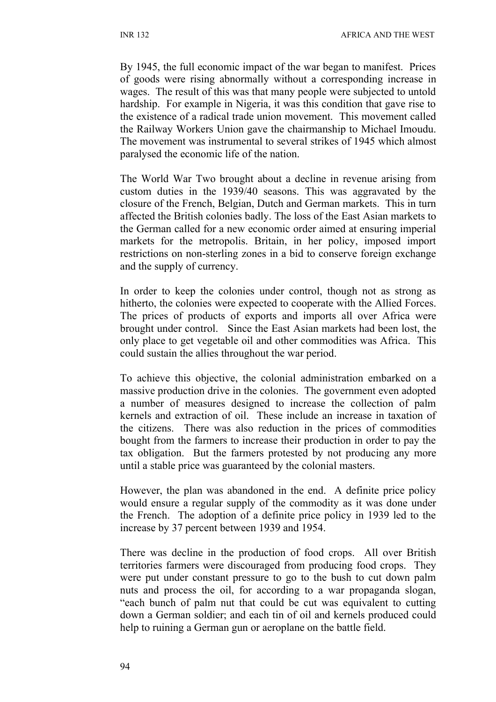By 1945, the full economic impact of the war began to manifest. Prices of goods were rising abnormally without a corresponding increase in wages. The result of this was that many people were subjected to untold hardship. For example in Nigeria, it was this condition that gave rise to the existence of a radical trade union movement. This movement called the Railway Workers Union gave the chairmanship to Michael Imoudu. The movement was instrumental to several strikes of 1945 which almost paralysed the economic life of the nation.

The World War Two brought about a decline in revenue arising from custom duties in the 1939/40 seasons. This was aggravated by the closure of the French, Belgian, Dutch and German markets. This in turn affected the British colonies badly. The loss of the East Asian markets to the German called for a new economic order aimed at ensuring imperial markets for the metropolis. Britain, in her policy, imposed import restrictions on non-sterling zones in a bid to conserve foreign exchange and the supply of currency.

In order to keep the colonies under control, though not as strong as hitherto, the colonies were expected to cooperate with the Allied Forces. The prices of products of exports and imports all over Africa were brought under control. Since the East Asian markets had been lost, the only place to get vegetable oil and other commodities was Africa. This could sustain the allies throughout the war period.

To achieve this objective, the colonial administration embarked on a massive production drive in the colonies. The government even adopted a number of measures designed to increase the collection of palm kernels and extraction of oil. These include an increase in taxation of the citizens. There was also reduction in the prices of commodities bought from the farmers to increase their production in order to pay the tax obligation. But the farmers protested by not producing any more until a stable price was guaranteed by the colonial masters.

However, the plan was abandoned in the end. A definite price policy would ensure a regular supply of the commodity as it was done under the French. The adoption of a definite price policy in 1939 led to the increase by 37 percent between 1939 and 1954.

There was decline in the production of food crops. All over British territories farmers were discouraged from producing food crops. They were put under constant pressure to go to the bush to cut down palm nuts and process the oil, for according to a war propaganda slogan, "each bunch of palm nut that could be cut was equivalent to cutting down a German soldier; and each tin of oil and kernels produced could help to ruining a German gun or aeroplane on the battle field.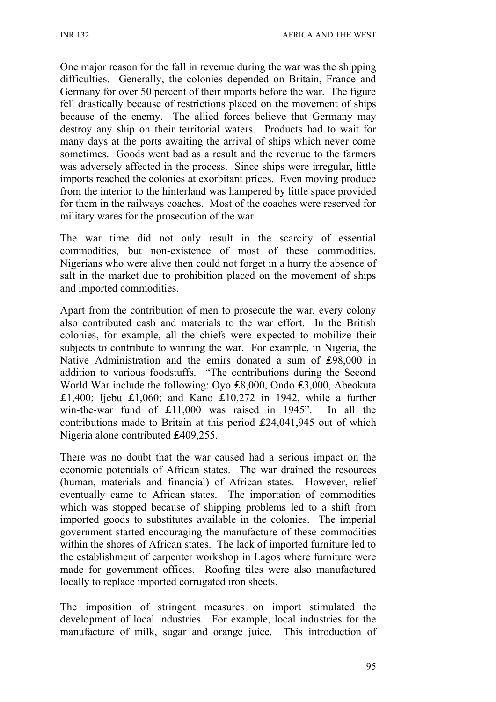One major reason for the fall in revenue during the war was the shipping difficulties. Generally, the colonies depended on Britain, France and Germany for over 50 percent of their imports before the war. The figure fell drastically because of restrictions placed on the movement of ships because of the enemy. The allied forces believe that Germany may destroy any ship on their territorial waters. Products had to wait for many days at the ports awaiting the arrival of ships which never come sometimes. Goods went bad as a result and the revenue to the farmers was adversely affected in the process. Since ships were irregular, little imports reached the colonies at exorbitant prices. Even moving produce from the interior to the hinterland was hampered by little space provided for them in the railways coaches. Most of the coaches were reserved for military wares for the prosecution of the war.

The war time did not only result in the scarcity of essential commodities, but non-existence of most of these commodities. Nigerians who were alive then could not forget in a hurry the absence of salt in the market due to prohibition placed on the movement of ships and imported commodities.

Apart from the contribution of men to prosecute the war, every colony also contributed cash and materials to the war effort. In the British colonies, for example, all the chiefs were expected to mobilize their subjects to contribute to winning the war. For example, in Nigeria, the Native Administration and the emirs donated a sum of ₤98,000 in addition to various foodstuffs. "The contributions during the Second World War include the following: Oyo ₤8,000, Ondo ₤3,000, Abeokuta ₤1,400; Ijebu ₤1,060; and Kano ₤10,272 in 1942, while a further win-the-war fund of ₤11,000 was raised in 1945". In all the contributions made to Britain at this period ₤24,041,945 out of which Nigeria alone contributed ₤409,255.

There was no doubt that the war caused had a serious impact on the economic potentials of African states. The war drained the resources (human, materials and financial) of African states. However, relief eventually came to African states. The importation of commodities which was stopped because of shipping problems led to a shift from imported goods to substitutes available in the colonies. The imperial government started encouraging the manufacture of these commodities within the shores of African states. The lack of imported furniture led to the establishment of carpenter workshop in Lagos where furniture were made for government offices. Roofing tiles were also manufactured locally to replace imported corrugated iron sheets.

The imposition of stringent measures on import stimulated the development of local industries. For example, local industries for the manufacture of milk, sugar and orange juice. This introduction of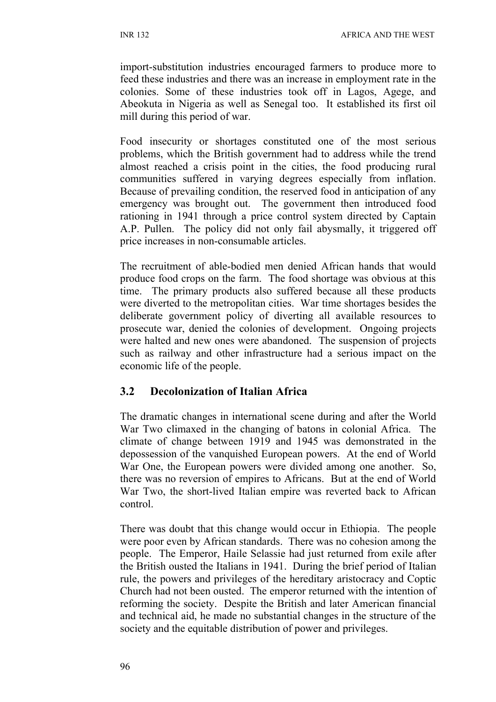import-substitution industries encouraged farmers to produce more to feed these industries and there was an increase in employment rate in the colonies. Some of these industries took off in Lagos, Agege, and Abeokuta in Nigeria as well as Senegal too. It established its first oil mill during this period of war.

Food insecurity or shortages constituted one of the most serious problems, which the British government had to address while the trend almost reached a crisis point in the cities, the food producing rural communities suffered in varying degrees especially from inflation. Because of prevailing condition, the reserved food in anticipation of any emergency was brought out. The government then introduced food rationing in 1941 through a price control system directed by Captain A.P. Pullen. The policy did not only fail abysmally, it triggered off price increases in non-consumable articles.

The recruitment of able-bodied men denied African hands that would produce food crops on the farm. The food shortage was obvious at this time. The primary products also suffered because all these products were diverted to the metropolitan cities. War time shortages besides the deliberate government policy of diverting all available resources to prosecute war, denied the colonies of development. Ongoing projects were halted and new ones were abandoned. The suspension of projects such as railway and other infrastructure had a serious impact on the economic life of the people.

### **3.2 Decolonization of Italian Africa**

The dramatic changes in international scene during and after the World War Two climaxed in the changing of batons in colonial Africa. The climate of change between 1919 and 1945 was demonstrated in the depossession of the vanquished European powers. At the end of World War One, the European powers were divided among one another. So, there was no reversion of empires to Africans. But at the end of World War Two, the short-lived Italian empire was reverted back to African control.

There was doubt that this change would occur in Ethiopia. The people were poor even by African standards. There was no cohesion among the people. The Emperor, Haile Selassie had just returned from exile after the British ousted the Italians in 1941. During the brief period of Italian rule, the powers and privileges of the hereditary aristocracy and Coptic Church had not been ousted. The emperor returned with the intention of reforming the society. Despite the British and later American financial and technical aid, he made no substantial changes in the structure of the society and the equitable distribution of power and privileges.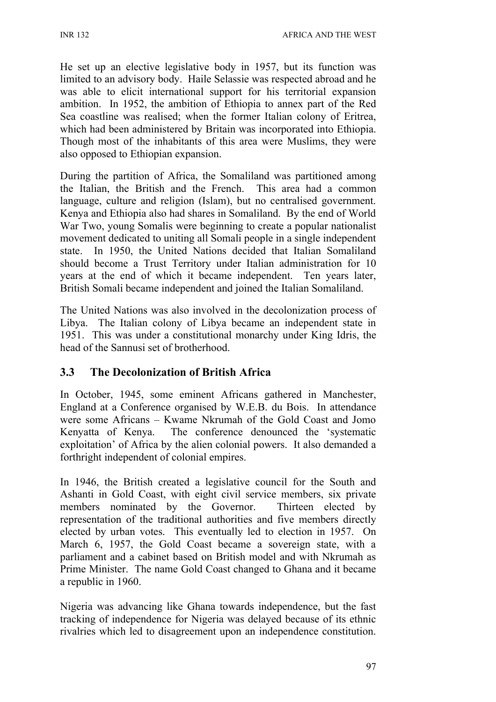He set up an elective legislative body in 1957, but its function was limited to an advisory body. Haile Selassie was respected abroad and he was able to elicit international support for his territorial expansion ambition. In 1952, the ambition of Ethiopia to annex part of the Red Sea coastline was realised; when the former Italian colony of Eritrea, which had been administered by Britain was incorporated into Ethiopia. Though most of the inhabitants of this area were Muslims, they were also opposed to Ethiopian expansion.

During the partition of Africa, the Somaliland was partitioned among the Italian, the British and the French. This area had a common language, culture and religion (Islam), but no centralised government. Kenya and Ethiopia also had shares in Somaliland. By the end of World War Two, young Somalis were beginning to create a popular nationalist movement dedicated to uniting all Somali people in a single independent state. In 1950, the United Nations decided that Italian Somaliland should become a Trust Territory under Italian administration for 10 years at the end of which it became independent. Ten years later, British Somali became independent and joined the Italian Somaliland.

The United Nations was also involved in the decolonization process of Libya. The Italian colony of Libya became an independent state in 1951. This was under a constitutional monarchy under King Idris, the head of the Sannusi set of brotherhood.

# **3.3 The Decolonization of British Africa**

In October, 1945, some eminent Africans gathered in Manchester, England at a Conference organised by W.E.B. du Bois. In attendance were some Africans – Kwame Nkrumah of the Gold Coast and Jomo Kenyatta of Kenya. The conference denounced the 'systematic exploitation' of Africa by the alien colonial powers. It also demanded a forthright independent of colonial empires.

In 1946, the British created a legislative council for the South and Ashanti in Gold Coast, with eight civil service members, six private members nominated by the Governor. Thirteen elected by representation of the traditional authorities and five members directly elected by urban votes. This eventually led to election in 1957. On March 6, 1957, the Gold Coast became a sovereign state, with a parliament and a cabinet based on British model and with Nkrumah as Prime Minister. The name Gold Coast changed to Ghana and it became a republic in 1960.

Nigeria was advancing like Ghana towards independence, but the fast tracking of independence for Nigeria was delayed because of its ethnic rivalries which led to disagreement upon an independence constitution.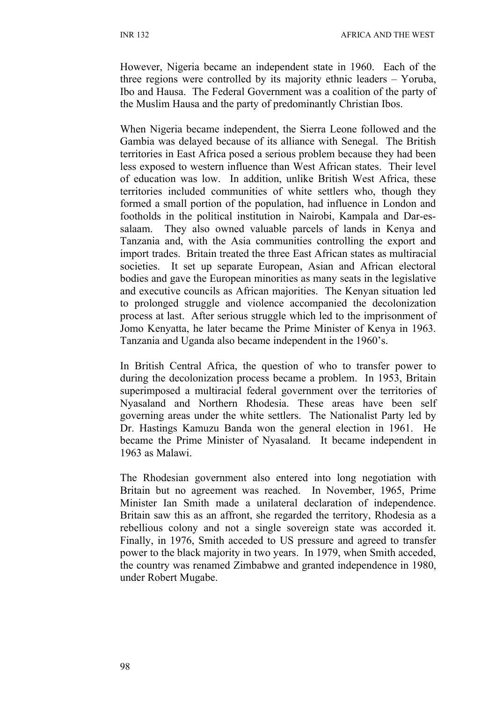However, Nigeria became an independent state in 1960. Each of the three regions were controlled by its majority ethnic leaders – Yoruba, Ibo and Hausa. The Federal Government was a coalition of the party of the Muslim Hausa and the party of predominantly Christian Ibos.

When Nigeria became independent, the Sierra Leone followed and the Gambia was delayed because of its alliance with Senegal. The British territories in East Africa posed a serious problem because they had been less exposed to western influence than West African states. Their level of education was low. In addition, unlike British West Africa, these territories included communities of white settlers who, though they formed a small portion of the population, had influence in London and footholds in the political institution in Nairobi, Kampala and Dar-essalaam. They also owned valuable parcels of lands in Kenya and Tanzania and, with the Asia communities controlling the export and import trades. Britain treated the three East African states as multiracial societies. It set up separate European, Asian and African electoral bodies and gave the European minorities as many seats in the legislative and executive councils as African majorities. The Kenyan situation led to prolonged struggle and violence accompanied the decolonization process at last. After serious struggle which led to the imprisonment of Jomo Kenyatta, he later became the Prime Minister of Kenya in 1963. Tanzania and Uganda also became independent in the 1960's.

In British Central Africa, the question of who to transfer power to during the decolonization process became a problem. In 1953, Britain superimposed a multiracial federal government over the territories of Nyasaland and Northern Rhodesia. These areas have been self governing areas under the white settlers. The Nationalist Party led by Dr. Hastings Kamuzu Banda won the general election in 1961. He became the Prime Minister of Nyasaland. It became independent in 1963 as Malawi.

The Rhodesian government also entered into long negotiation with Britain but no agreement was reached. In November, 1965, Prime Minister Ian Smith made a unilateral declaration of independence. Britain saw this as an affront, she regarded the territory, Rhodesia as a rebellious colony and not a single sovereign state was accorded it. Finally, in 1976, Smith acceded to US pressure and agreed to transfer power to the black majority in two years. In 1979, when Smith acceded, the country was renamed Zimbabwe and granted independence in 1980, under Robert Mugabe.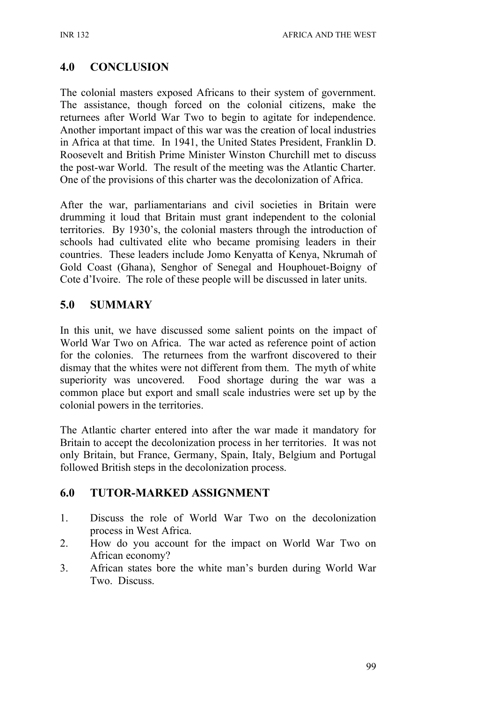# **4.0 CONCLUSION**

The colonial masters exposed Africans to their system of government. The assistance, though forced on the colonial citizens, make the returnees after World War Two to begin to agitate for independence. Another important impact of this war was the creation of local industries in Africa at that time. In 1941, the United States President, Franklin D. Roosevelt and British Prime Minister Winston Churchill met to discuss the post-war World. The result of the meeting was the Atlantic Charter. One of the provisions of this charter was the decolonization of Africa.

After the war, parliamentarians and civil societies in Britain were drumming it loud that Britain must grant independent to the colonial territories. By 1930's, the colonial masters through the introduction of schools had cultivated elite who became promising leaders in their countries. These leaders include Jomo Kenyatta of Kenya, Nkrumah of Gold Coast (Ghana), Senghor of Senegal and Houphouet-Boigny of Cote d'Ivoire. The role of these people will be discussed in later units.

### **5.0 SUMMARY**

In this unit, we have discussed some salient points on the impact of World War Two on Africa. The war acted as reference point of action for the colonies. The returnees from the warfront discovered to their dismay that the whites were not different from them. The myth of white superiority was uncovered. Food shortage during the war was a common place but export and small scale industries were set up by the colonial powers in the territories.

The Atlantic charter entered into after the war made it mandatory for Britain to accept the decolonization process in her territories. It was not only Britain, but France, Germany, Spain, Italy, Belgium and Portugal followed British steps in the decolonization process.

# **6.0 TUTOR-MARKED ASSIGNMENT**

- 1. Discuss the role of World War Two on the decolonization process in West Africa.
- 2. How do you account for the impact on World War Two on African economy?
- 3. African states bore the white man's burden during World War Two. Discuss.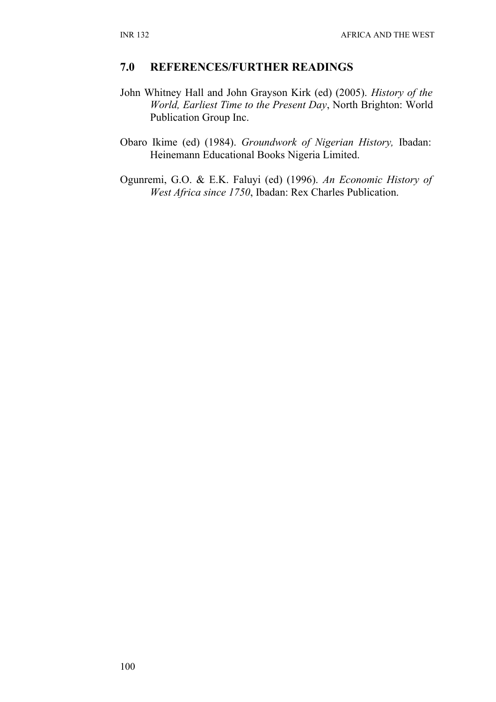#### **7.0 REFERENCES/FURTHER READINGS**

- John Whitney Hall and John Grayson Kirk (ed) (2005). *History of the World, Earliest Time to the Present Day*, North Brighton: World Publication Group Inc.
- Obaro Ikime (ed) (1984). *Groundwork of Nigerian History,* Ibadan: Heinemann Educational Books Nigeria Limited.
- Ogunremi, G.O. & E.K. Faluyi (ed) (1996). *An Economic History of West Africa since 1750*, Ibadan: Rex Charles Publication.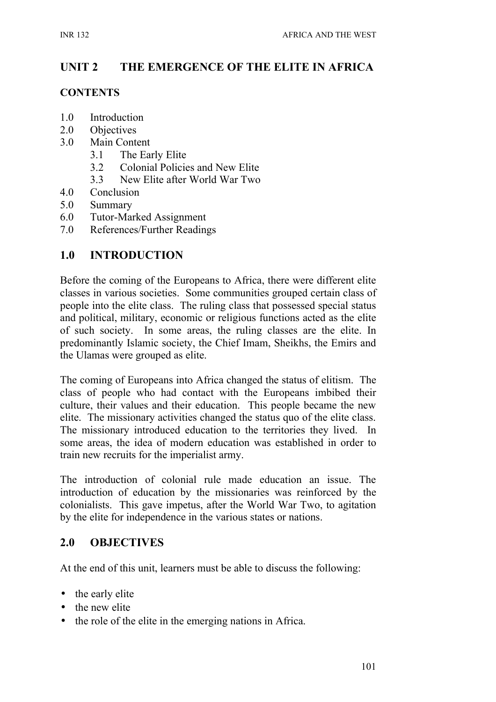# **UNIT 2 THE EMERGENCE OF THE ELITE IN AFRICA**

#### **CONTENTS**

- 1.0 Introduction
- 2.0 Objectives
- 3.0 Main Content
	- 3.1 The Early Elite
	- 3.2 Colonial Policies and New Elite
	- 3.3 New Elite after World War Two
- 4.0 Conclusion
- 5.0 Summary
- 6.0 Tutor-Marked Assignment
- 7.0 References/Further Readings

#### **1.0 INTRODUCTION**

Before the coming of the Europeans to Africa, there were different elite classes in various societies. Some communities grouped certain class of people into the elite class. The ruling class that possessed special status and political, military, economic or religious functions acted as the elite of such society. In some areas, the ruling classes are the elite. In predominantly Islamic society, the Chief Imam, Sheikhs, the Emirs and the Ulamas were grouped as elite.

The coming of Europeans into Africa changed the status of elitism. The class of people who had contact with the Europeans imbibed their culture, their values and their education. This people became the new elite. The missionary activities changed the status quo of the elite class. The missionary introduced education to the territories they lived. In some areas, the idea of modern education was established in order to train new recruits for the imperialist army.

The introduction of colonial rule made education an issue. The introduction of education by the missionaries was reinforced by the colonialists. This gave impetus, after the World War Two, to agitation by the elite for independence in the various states or nations.

#### **2.0 OBJECTIVES**

At the end of this unit, learners must be able to discuss the following:

- the early elite
- the new elite
- the role of the elite in the emerging nations in Africa.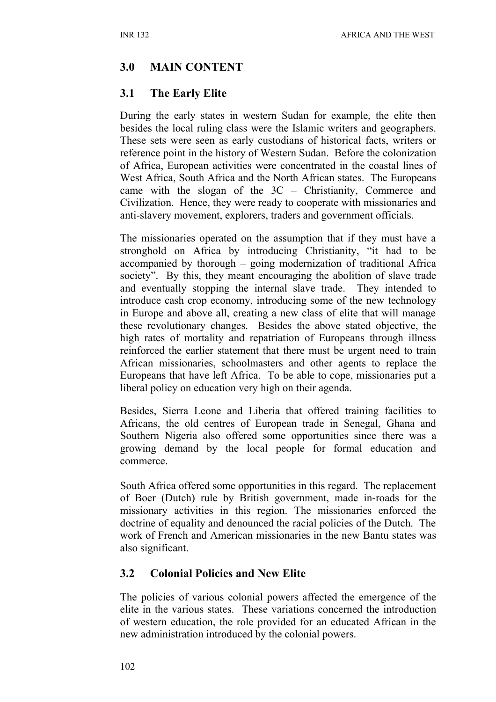# **3.0 MAIN CONTENT**

### **3.1 The Early Elite**

During the early states in western Sudan for example, the elite then besides the local ruling class were the Islamic writers and geographers. These sets were seen as early custodians of historical facts, writers or reference point in the history of Western Sudan. Before the colonization of Africa, European activities were concentrated in the coastal lines of West Africa, South Africa and the North African states. The Europeans came with the slogan of the 3C – Christianity, Commerce and Civilization. Hence, they were ready to cooperate with missionaries and anti-slavery movement, explorers, traders and government officials.

The missionaries operated on the assumption that if they must have a stronghold on Africa by introducing Christianity, "it had to be accompanied by thorough – going modernization of traditional Africa society". By this, they meant encouraging the abolition of slave trade and eventually stopping the internal slave trade. They intended to introduce cash crop economy, introducing some of the new technology in Europe and above all, creating a new class of elite that will manage these revolutionary changes. Besides the above stated objective, the high rates of mortality and repatriation of Europeans through illness reinforced the earlier statement that there must be urgent need to train African missionaries, schoolmasters and other agents to replace the Europeans that have left Africa. To be able to cope, missionaries put a liberal policy on education very high on their agenda.

Besides, Sierra Leone and Liberia that offered training facilities to Africans, the old centres of European trade in Senegal, Ghana and Southern Nigeria also offered some opportunities since there was a growing demand by the local people for formal education and commerce.

South Africa offered some opportunities in this regard. The replacement of Boer (Dutch) rule by British government, made in-roads for the missionary activities in this region. The missionaries enforced the doctrine of equality and denounced the racial policies of the Dutch. The work of French and American missionaries in the new Bantu states was also significant.

### **3.2 Colonial Policies and New Elite**

The policies of various colonial powers affected the emergence of the elite in the various states. These variations concerned the introduction of western education, the role provided for an educated African in the new administration introduced by the colonial powers.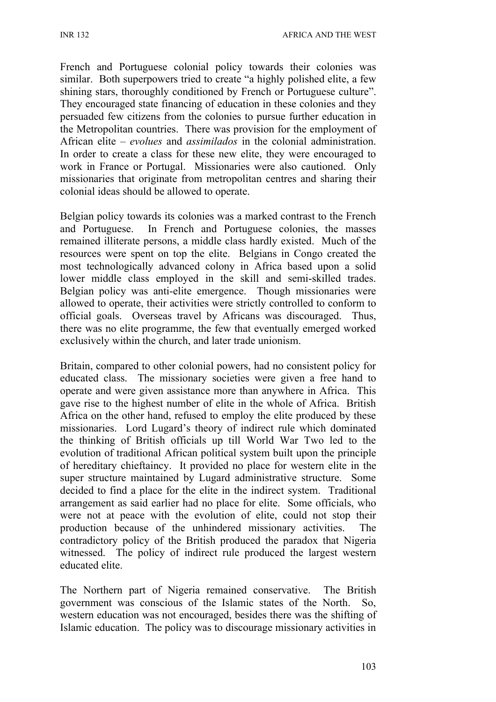French and Portuguese colonial policy towards their colonies was similar. Both superpowers tried to create "a highly polished elite, a few shining stars, thoroughly conditioned by French or Portuguese culture". They encouraged state financing of education in these colonies and they persuaded few citizens from the colonies to pursue further education in the Metropolitan countries. There was provision for the employment of African elite – *evolues* and *assimilados* in the colonial administration. In order to create a class for these new elite, they were encouraged to work in France or Portugal. Missionaries were also cautioned. Only missionaries that originate from metropolitan centres and sharing their colonial ideas should be allowed to operate.

Belgian policy towards its colonies was a marked contrast to the French and Portuguese. In French and Portuguese colonies, the masses remained illiterate persons, a middle class hardly existed. Much of the resources were spent on top the elite. Belgians in Congo created the most technologically advanced colony in Africa based upon a solid lower middle class employed in the skill and semi-skilled trades. Belgian policy was anti-elite emergence. Though missionaries were allowed to operate, their activities were strictly controlled to conform to official goals. Overseas travel by Africans was discouraged. Thus, there was no elite programme, the few that eventually emerged worked exclusively within the church, and later trade unionism.

Britain, compared to other colonial powers, had no consistent policy for educated class. The missionary societies were given a free hand to operate and were given assistance more than anywhere in Africa. This gave rise to the highest number of elite in the whole of Africa. British Africa on the other hand, refused to employ the elite produced by these missionaries. Lord Lugard's theory of indirect rule which dominated the thinking of British officials up till World War Two led to the evolution of traditional African political system built upon the principle of hereditary chieftaincy. It provided no place for western elite in the super structure maintained by Lugard administrative structure. Some decided to find a place for the elite in the indirect system. Traditional arrangement as said earlier had no place for elite. Some officials, who were not at peace with the evolution of elite, could not stop their production because of the unhindered missionary activities. The contradictory policy of the British produced the paradox that Nigeria witnessed. The policy of indirect rule produced the largest western educated elite.

The Northern part of Nigeria remained conservative. The British government was conscious of the Islamic states of the North. So, western education was not encouraged, besides there was the shifting of Islamic education. The policy was to discourage missionary activities in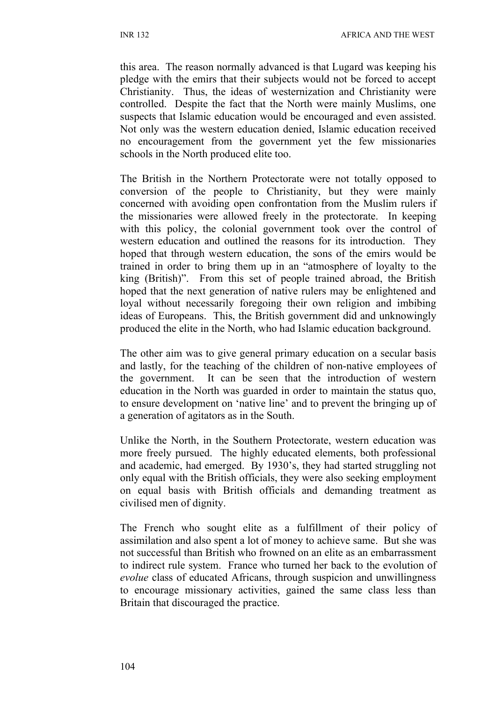this area. The reason normally advanced is that Lugard was keeping his pledge with the emirs that their subjects would not be forced to accept Christianity. Thus, the ideas of westernization and Christianity were controlled. Despite the fact that the North were mainly Muslims, one suspects that Islamic education would be encouraged and even assisted. Not only was the western education denied, Islamic education received no encouragement from the government yet the few missionaries schools in the North produced elite too.

The British in the Northern Protectorate were not totally opposed to conversion of the people to Christianity, but they were mainly concerned with avoiding open confrontation from the Muslim rulers if the missionaries were allowed freely in the protectorate. In keeping with this policy, the colonial government took over the control of western education and outlined the reasons for its introduction. They hoped that through western education, the sons of the emirs would be trained in order to bring them up in an "atmosphere of loyalty to the king (British)". From this set of people trained abroad, the British hoped that the next generation of native rulers may be enlightened and loyal without necessarily foregoing their own religion and imbibing ideas of Europeans. This, the British government did and unknowingly produced the elite in the North, who had Islamic education background.

The other aim was to give general primary education on a secular basis and lastly, for the teaching of the children of non-native employees of the government. It can be seen that the introduction of western education in the North was guarded in order to maintain the status quo, to ensure development on 'native line' and to prevent the bringing up of a generation of agitators as in the South.

Unlike the North, in the Southern Protectorate, western education was more freely pursued. The highly educated elements, both professional and academic, had emerged. By 1930's, they had started struggling not only equal with the British officials, they were also seeking employment on equal basis with British officials and demanding treatment as civilised men of dignity.

The French who sought elite as a fulfillment of their policy of assimilation and also spent a lot of money to achieve same. But she was not successful than British who frowned on an elite as an embarrassment to indirect rule system. France who turned her back to the evolution of *evolue* class of educated Africans, through suspicion and unwillingness to encourage missionary activities, gained the same class less than Britain that discouraged the practice.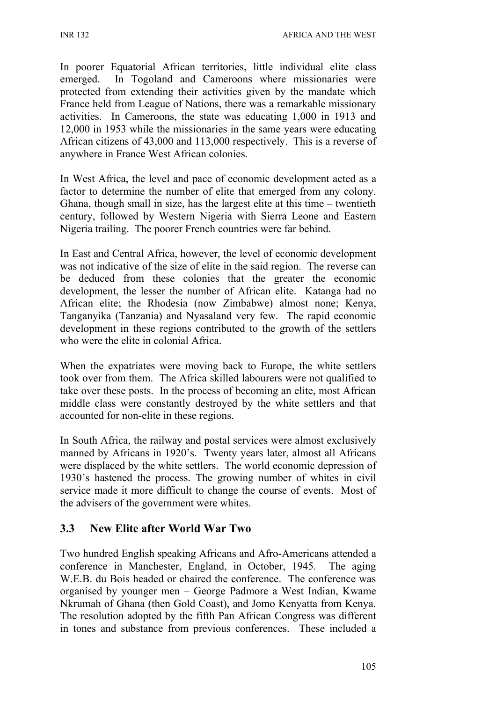In poorer Equatorial African territories, little individual elite class emerged. In Togoland and Cameroons where missionaries were protected from extending their activities given by the mandate which France held from League of Nations, there was a remarkable missionary activities. In Cameroons, the state was educating 1,000 in 1913 and 12,000 in 1953 while the missionaries in the same years were educating African citizens of 43,000 and 113,000 respectively. This is a reverse of anywhere in France West African colonies.

In West Africa, the level and pace of economic development acted as a factor to determine the number of elite that emerged from any colony. Ghana, though small in size, has the largest elite at this time – twentieth century, followed by Western Nigeria with Sierra Leone and Eastern Nigeria trailing. The poorer French countries were far behind.

In East and Central Africa, however, the level of economic development was not indicative of the size of elite in the said region. The reverse can be deduced from these colonies that the greater the economic development, the lesser the number of African elite. Katanga had no African elite; the Rhodesia (now Zimbabwe) almost none; Kenya, Tanganyika (Tanzania) and Nyasaland very few. The rapid economic development in these regions contributed to the growth of the settlers who were the elite in colonial Africa.

When the expatriates were moving back to Europe, the white settlers took over from them. The Africa skilled labourers were not qualified to take over these posts. In the process of becoming an elite, most African middle class were constantly destroyed by the white settlers and that accounted for non-elite in these regions.

In South Africa, the railway and postal services were almost exclusively manned by Africans in 1920's. Twenty years later, almost all Africans were displaced by the white settlers. The world economic depression of 1930's hastened the process. The growing number of whites in civil service made it more difficult to change the course of events. Most of the advisers of the government were whites.

# **3.3 New Elite after World War Two**

Two hundred English speaking Africans and Afro-Americans attended a conference in Manchester, England, in October, 1945. The aging W.E.B. du Bois headed or chaired the conference. The conference was organised by younger men – George Padmore a West Indian, Kwame Nkrumah of Ghana (then Gold Coast), and Jomo Kenyatta from Kenya. The resolution adopted by the fifth Pan African Congress was different in tones and substance from previous conferences. These included a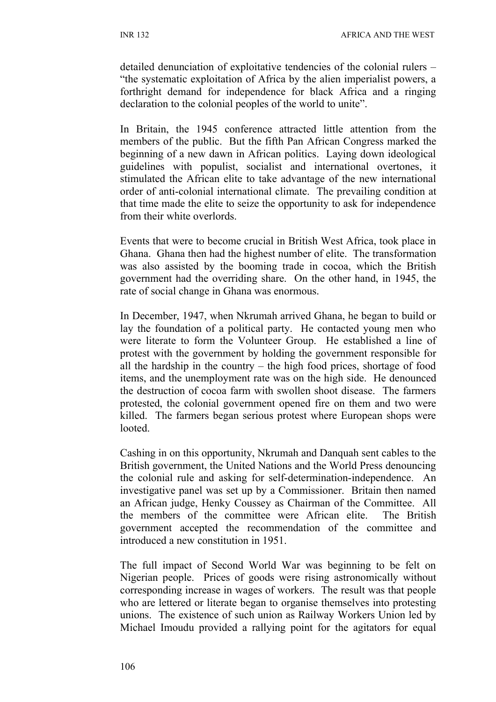detailed denunciation of exploitative tendencies of the colonial rulers – "the systematic exploitation of Africa by the alien imperialist powers, a forthright demand for independence for black Africa and a ringing declaration to the colonial peoples of the world to unite".

In Britain, the 1945 conference attracted little attention from the members of the public. But the fifth Pan African Congress marked the beginning of a new dawn in African politics. Laying down ideological guidelines with populist, socialist and international overtones, it stimulated the African elite to take advantage of the new international order of anti-colonial international climate. The prevailing condition at that time made the elite to seize the opportunity to ask for independence from their white overlords.

Events that were to become crucial in British West Africa, took place in Ghana. Ghana then had the highest number of elite. The transformation was also assisted by the booming trade in cocoa, which the British government had the overriding share. On the other hand, in 1945, the rate of social change in Ghana was enormous.

In December, 1947, when Nkrumah arrived Ghana, he began to build or lay the foundation of a political party. He contacted young men who were literate to form the Volunteer Group. He established a line of protest with the government by holding the government responsible for all the hardship in the country – the high food prices, shortage of food items, and the unemployment rate was on the high side. He denounced the destruction of cocoa farm with swollen shoot disease. The farmers protested, the colonial government opened fire on them and two were killed. The farmers began serious protest where European shops were looted.

Cashing in on this opportunity, Nkrumah and Danquah sent cables to the British government, the United Nations and the World Press denouncing the colonial rule and asking for self-determination-independence. An investigative panel was set up by a Commissioner. Britain then named an African judge, Henky Coussey as Chairman of the Committee. All the members of the committee were African elite. The British government accepted the recommendation of the committee and introduced a new constitution in 1951.

The full impact of Second World War was beginning to be felt on Nigerian people. Prices of goods were rising astronomically without corresponding increase in wages of workers. The result was that people who are lettered or literate began to organise themselves into protesting unions. The existence of such union as Railway Workers Union led by Michael Imoudu provided a rallying point for the agitators for equal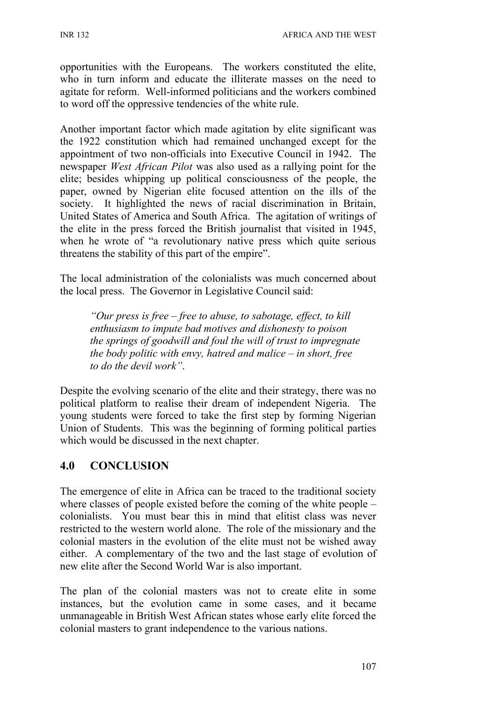opportunities with the Europeans. The workers constituted the elite, who in turn inform and educate the illiterate masses on the need to agitate for reform. Well-informed politicians and the workers combined to word off the oppressive tendencies of the white rule.

Another important factor which made agitation by elite significant was the 1922 constitution which had remained unchanged except for the appointment of two non-officials into Executive Council in 1942. The newspaper *West African Pilot* was also used as a rallying point for the elite; besides whipping up political consciousness of the people, the paper, owned by Nigerian elite focused attention on the ills of the society. It highlighted the news of racial discrimination in Britain, United States of America and South Africa. The agitation of writings of the elite in the press forced the British journalist that visited in 1945, when he wrote of "a revolutionary native press which quite serious threatens the stability of this part of the empire".

The local administration of the colonialists was much concerned about the local press. The Governor in Legislative Council said:

*"Our press is free – free to abuse, to sabotage, effect, to kill enthusiasm to impute bad motives and dishonesty to poison the springs of goodwill and foul the will of trust to impregnate the body politic with envy, hatred and malice – in short, free to do the devil work"*.

Despite the evolving scenario of the elite and their strategy, there was no political platform to realise their dream of independent Nigeria. The young students were forced to take the first step by forming Nigerian Union of Students. This was the beginning of forming political parties which would be discussed in the next chapter.

# **4.0 CONCLUSION**

The emergence of elite in Africa can be traced to the traditional society where classes of people existed before the coming of the white people – colonialists. You must bear this in mind that elitist class was never restricted to the western world alone. The role of the missionary and the colonial masters in the evolution of the elite must not be wished away either. A complementary of the two and the last stage of evolution of new elite after the Second World War is also important.

The plan of the colonial masters was not to create elite in some instances, but the evolution came in some cases, and it became unmanageable in British West African states whose early elite forced the colonial masters to grant independence to the various nations.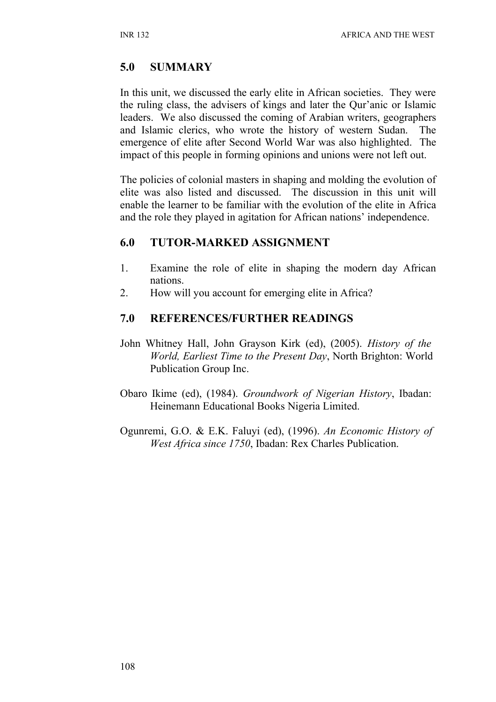## **5.0 SUMMARY**

In this unit, we discussed the early elite in African societies. They were the ruling class, the advisers of kings and later the Qur'anic or Islamic leaders. We also discussed the coming of Arabian writers, geographers and Islamic clerics, who wrote the history of western Sudan. The emergence of elite after Second World War was also highlighted. The impact of this people in forming opinions and unions were not left out.

The policies of colonial masters in shaping and molding the evolution of elite was also listed and discussed. The discussion in this unit will enable the learner to be familiar with the evolution of the elite in Africa and the role they played in agitation for African nations' independence.

### **6.0 TUTOR-MARKED ASSIGNMENT**

- 1. Examine the role of elite in shaping the modern day African nations.
- 2. How will you account for emerging elite in Africa?

#### **7.0 REFERENCES/FURTHER READINGS**

- John Whitney Hall, John Grayson Kirk (ed), (2005). *History of the World, Earliest Time to the Present Day*, North Brighton: World Publication Group Inc.
- Obaro Ikime (ed), (1984). *Groundwork of Nigerian History*, Ibadan: Heinemann Educational Books Nigeria Limited.
- Ogunremi, G.O. & E.K. Faluyi (ed), (1996). *An Economic History of West Africa since 1750*, Ibadan: Rex Charles Publication.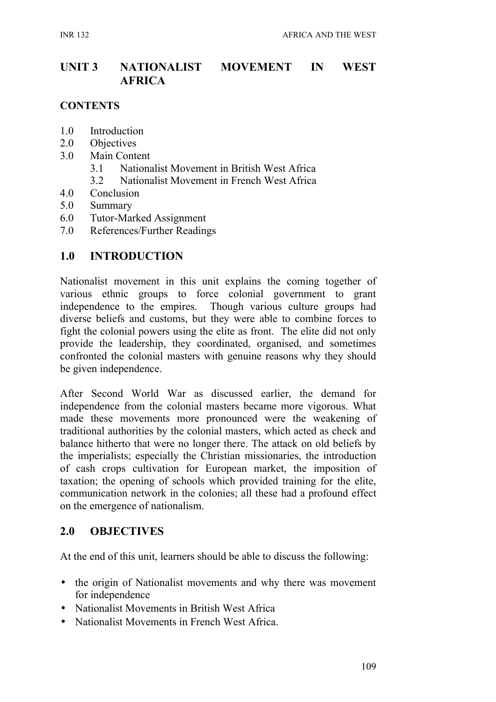## **UNIT 3 NATIONALIST MOVEMENT IN WEST AFRICA**

#### **CONTENTS**

- 1.0 Introduction
- 2.0 Objectives
- 3.0 Main Content
	- 3.1 Nationalist Movement in British West Africa
	- 3.2 Nationalist Movement in French West Africa
- 4.0 Conclusion
- 5.0 Summary
- 6.0 Tutor-Marked Assignment
- 7.0 References/Further Readings

### **1.0 INTRODUCTION**

Nationalist movement in this unit explains the coming together of various ethnic groups to force colonial government to grant independence to the empires. Though various culture groups had diverse beliefs and customs, but they were able to combine forces to fight the colonial powers using the elite as front. The elite did not only provide the leadership, they coordinated, organised, and sometimes confronted the colonial masters with genuine reasons why they should be given independence.

After Second World War as discussed earlier, the demand for independence from the colonial masters became more vigorous. What made these movements more pronounced were the weakening of traditional authorities by the colonial masters, which acted as check and balance hitherto that were no longer there. The attack on old beliefs by the imperialists; especially the Christian missionaries, the introduction of cash crops cultivation for European market, the imposition of taxation; the opening of schools which provided training for the elite, communication network in the colonies; all these had a profound effect on the emergence of nationalism.

### **2.0 OBJECTIVES**

At the end of this unit, learners should be able to discuss the following:

- the origin of Nationalist movements and why there was movement for independence
- Nationalist Movements in British West Africa
- Nationalist Movements in French West Africa.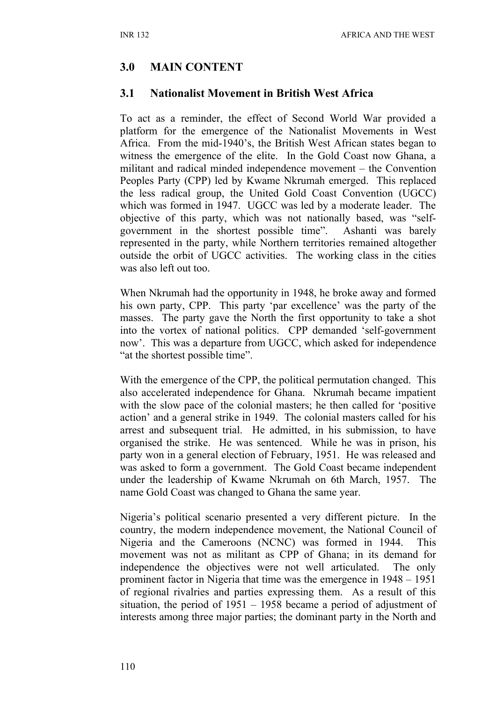## **3.0 MAIN CONTENT**

#### **3.1 Nationalist Movement in British West Africa**

To act as a reminder, the effect of Second World War provided a platform for the emergence of the Nationalist Movements in West Africa. From the mid-1940's, the British West African states began to witness the emergence of the elite. In the Gold Coast now Ghana, a militant and radical minded independence movement – the Convention Peoples Party (CPP) led by Kwame Nkrumah emerged. This replaced the less radical group, the United Gold Coast Convention (UGCC) which was formed in 1947. UGCC was led by a moderate leader. The objective of this party, which was not nationally based, was "selfgovernment in the shortest possible time". Ashanti was barely represented in the party, while Northern territories remained altogether outside the orbit of UGCC activities. The working class in the cities was also left out too.

When Nkrumah had the opportunity in 1948, he broke away and formed his own party, CPP. This party 'par excellence' was the party of the masses. The party gave the North the first opportunity to take a shot into the vortex of national politics. CPP demanded 'self-government now'. This was a departure from UGCC, which asked for independence "at the shortest possible time".

With the emergence of the CPP, the political permutation changed. This also accelerated independence for Ghana. Nkrumah became impatient with the slow pace of the colonial masters; he then called for 'positive action' and a general strike in 1949. The colonial masters called for his arrest and subsequent trial. He admitted, in his submission, to have organised the strike. He was sentenced. While he was in prison, his party won in a general election of February, 1951. He was released and was asked to form a government. The Gold Coast became independent under the leadership of Kwame Nkrumah on 6th March, 1957. The name Gold Coast was changed to Ghana the same year.

Nigeria's political scenario presented a very different picture. In the country, the modern independence movement, the National Council of Nigeria and the Cameroons (NCNC) was formed in 1944. This movement was not as militant as CPP of Ghana; in its demand for independence the objectives were not well articulated. The only prominent factor in Nigeria that time was the emergence in 1948 – 1951 of regional rivalries and parties expressing them. As a result of this situation, the period of 1951 – 1958 became a period of adjustment of interests among three major parties; the dominant party in the North and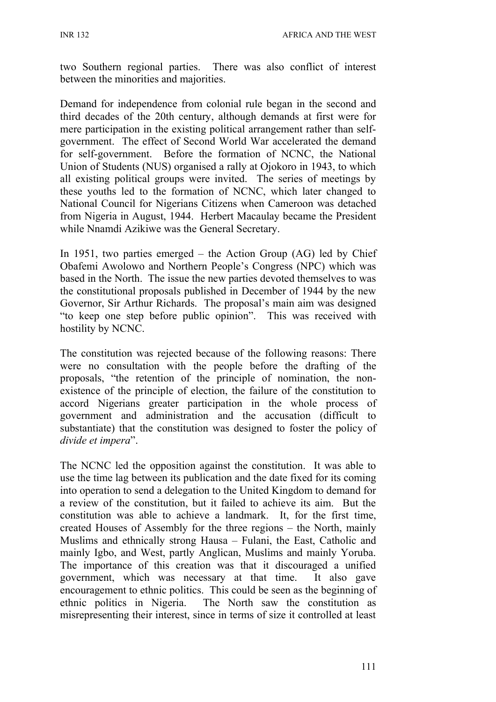two Southern regional parties. There was also conflict of interest between the minorities and majorities.

Demand for independence from colonial rule began in the second and third decades of the 20th century, although demands at first were for mere participation in the existing political arrangement rather than selfgovernment. The effect of Second World War accelerated the demand for self-government. Before the formation of NCNC, the National Union of Students (NUS) organised a rally at Ojokoro in 1943, to which all existing political groups were invited. The series of meetings by these youths led to the formation of NCNC, which later changed to National Council for Nigerians Citizens when Cameroon was detached from Nigeria in August, 1944. Herbert Macaulay became the President while Nnamdi Azikiwe was the General Secretary.

In 1951, two parties emerged – the Action Group (AG) led by Chief Obafemi Awolowo and Northern People's Congress (NPC) which was based in the North. The issue the new parties devoted themselves to was the constitutional proposals published in December of 1944 by the new Governor, Sir Arthur Richards. The proposal's main aim was designed "to keep one step before public opinion". This was received with hostility by NCNC.

The constitution was rejected because of the following reasons: There were no consultation with the people before the drafting of the proposals, "the retention of the principle of nomination, the nonexistence of the principle of election, the failure of the constitution to accord Nigerians greater participation in the whole process of government and administration and the accusation (difficult to substantiate) that the constitution was designed to foster the policy of *divide et impera*".

The NCNC led the opposition against the constitution. It was able to use the time lag between its publication and the date fixed for its coming into operation to send a delegation to the United Kingdom to demand for a review of the constitution, but it failed to achieve its aim. But the constitution was able to achieve a landmark. It, for the first time, created Houses of Assembly for the three regions – the North, mainly Muslims and ethnically strong Hausa – Fulani, the East, Catholic and mainly Igbo, and West, partly Anglican, Muslims and mainly Yoruba. The importance of this creation was that it discouraged a unified government, which was necessary at that time. It also gave encouragement to ethnic politics. This could be seen as the beginning of ethnic politics in Nigeria. The North saw the constitution as misrepresenting their interest, since in terms of size it controlled at least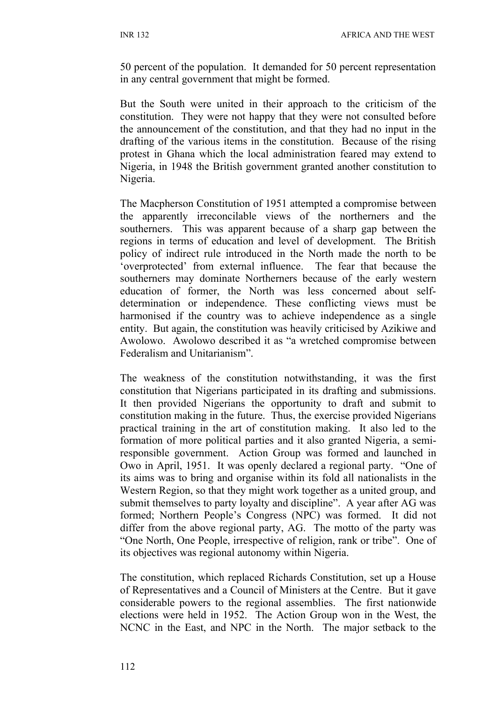50 percent of the population. It demanded for 50 percent representation in any central government that might be formed.

But the South were united in their approach to the criticism of the constitution. They were not happy that they were not consulted before the announcement of the constitution, and that they had no input in the drafting of the various items in the constitution. Because of the rising protest in Ghana which the local administration feared may extend to Nigeria, in 1948 the British government granted another constitution to Nigeria.

The Macpherson Constitution of 1951 attempted a compromise between the apparently irreconcilable views of the northerners and the southerners. This was apparent because of a sharp gap between the regions in terms of education and level of development. The British policy of indirect rule introduced in the North made the north to be 'overprotected' from external influence. The fear that because the southerners may dominate Northerners because of the early western education of former, the North was less concerned about selfdetermination or independence. These conflicting views must be harmonised if the country was to achieve independence as a single entity. But again, the constitution was heavily criticised by Azikiwe and Awolowo. Awolowo described it as "a wretched compromise between Federalism and Unitarianism".

The weakness of the constitution notwithstanding, it was the first constitution that Nigerians participated in its drafting and submissions. It then provided Nigerians the opportunity to draft and submit to constitution making in the future. Thus, the exercise provided Nigerians practical training in the art of constitution making. It also led to the formation of more political parties and it also granted Nigeria, a semiresponsible government. Action Group was formed and launched in Owo in April, 1951. It was openly declared a regional party. "One of its aims was to bring and organise within its fold all nationalists in the Western Region, so that they might work together as a united group, and submit themselves to party loyalty and discipline". A year after AG was formed; Northern People's Congress (NPC) was formed. It did not differ from the above regional party, AG. The motto of the party was "One North, One People, irrespective of religion, rank or tribe". One of its objectives was regional autonomy within Nigeria.

The constitution, which replaced Richards Constitution, set up a House of Representatives and a Council of Ministers at the Centre. But it gave considerable powers to the regional assemblies. The first nationwide elections were held in 1952. The Action Group won in the West, the NCNC in the East, and NPC in the North. The major setback to the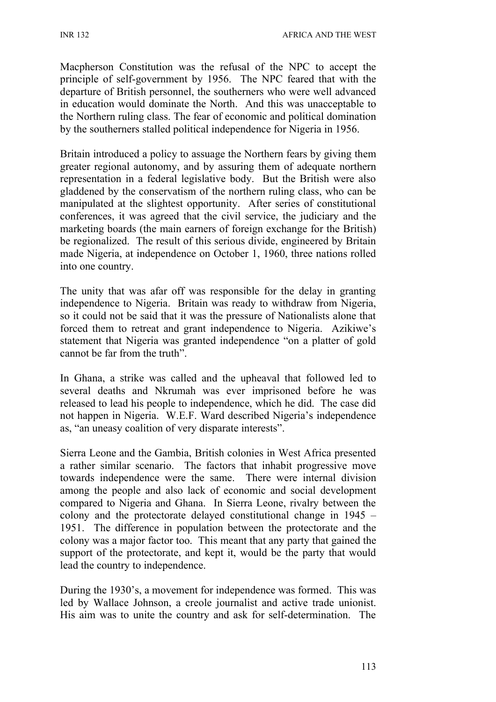Macpherson Constitution was the refusal of the NPC to accept the principle of self-government by 1956. The NPC feared that with the departure of British personnel, the southerners who were well advanced in education would dominate the North. And this was unacceptable to the Northern ruling class. The fear of economic and political domination by the southerners stalled political independence for Nigeria in 1956.

Britain introduced a policy to assuage the Northern fears by giving them greater regional autonomy, and by assuring them of adequate northern representation in a federal legislative body. But the British were also gladdened by the conservatism of the northern ruling class, who can be manipulated at the slightest opportunity. After series of constitutional conferences, it was agreed that the civil service, the judiciary and the marketing boards (the main earners of foreign exchange for the British) be regionalized. The result of this serious divide, engineered by Britain made Nigeria, at independence on October 1, 1960, three nations rolled into one country.

The unity that was afar off was responsible for the delay in granting independence to Nigeria. Britain was ready to withdraw from Nigeria, so it could not be said that it was the pressure of Nationalists alone that forced them to retreat and grant independence to Nigeria. Azikiwe's statement that Nigeria was granted independence "on a platter of gold cannot be far from the truth".

In Ghana, a strike was called and the upheaval that followed led to several deaths and Nkrumah was ever imprisoned before he was released to lead his people to independence, which he did. The case did not happen in Nigeria. W.E.F. Ward described Nigeria's independence as, "an uneasy coalition of very disparate interests".

Sierra Leone and the Gambia, British colonies in West Africa presented a rather similar scenario. The factors that inhabit progressive move towards independence were the same. There were internal division among the people and also lack of economic and social development compared to Nigeria and Ghana. In Sierra Leone, rivalry between the colony and the protectorate delayed constitutional change in 1945 – 1951. The difference in population between the protectorate and the colony was a major factor too. This meant that any party that gained the support of the protectorate, and kept it, would be the party that would lead the country to independence.

During the 1930's, a movement for independence was formed. This was led by Wallace Johnson, a creole journalist and active trade unionist. His aim was to unite the country and ask for self-determination. The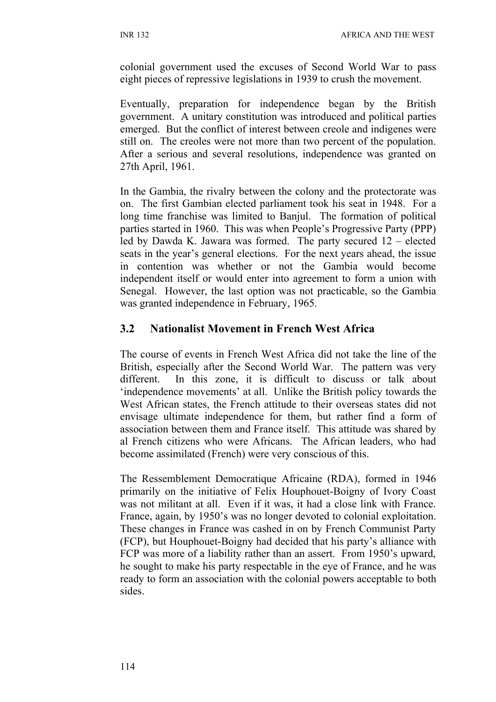colonial government used the excuses of Second World War to pass eight pieces of repressive legislations in 1939 to crush the movement.

Eventually, preparation for independence began by the British government. A unitary constitution was introduced and political parties emerged. But the conflict of interest between creole and indigenes were still on. The creoles were not more than two percent of the population. After a serious and several resolutions, independence was granted on 27th April, 1961.

In the Gambia, the rivalry between the colony and the protectorate was on. The first Gambian elected parliament took his seat in 1948. For a long time franchise was limited to Banjul. The formation of political parties started in 1960. This was when People's Progressive Party (PPP) led by Dawda K. Jawara was formed. The party secured 12 – elected seats in the year's general elections. For the next years ahead, the issue in contention was whether or not the Gambia would become independent itself or would enter into agreement to form a union with Senegal. However, the last option was not practicable, so the Gambia was granted independence in February, 1965.

# **3.2 Nationalist Movement in French West Africa**

The course of events in French West Africa did not take the line of the British, especially after the Second World War. The pattern was very different. In this zone, it is difficult to discuss or talk about 'independence movements' at all. Unlike the British policy towards the West African states, the French attitude to their overseas states did not envisage ultimate independence for them, but rather find a form of association between them and France itself. This attitude was shared by al French citizens who were Africans. The African leaders, who had become assimilated (French) were very conscious of this.

The Ressemblement Democratique Africaine (RDA), formed in 1946 primarily on the initiative of Felix Houphouet-Boigny of Ivory Coast was not militant at all. Even if it was, it had a close link with France. France, again, by 1950's was no longer devoted to colonial exploitation. These changes in France was cashed in on by French Communist Party (FCP), but Houphouet-Boigny had decided that his party's alliance with FCP was more of a liability rather than an assert. From 1950's upward, he sought to make his party respectable in the eye of France, and he was ready to form an association with the colonial powers acceptable to both sides.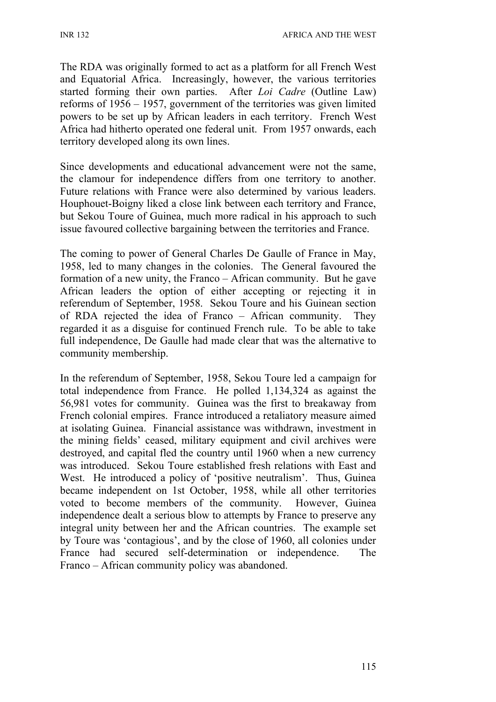The RDA was originally formed to act as a platform for all French West and Equatorial Africa. Increasingly, however, the various territories started forming their own parties. After *Loi Cadre* (Outline Law) reforms of 1956 – 1957, government of the territories was given limited powers to be set up by African leaders in each territory. French West Africa had hitherto operated one federal unit. From 1957 onwards, each territory developed along its own lines.

Since developments and educational advancement were not the same, the clamour for independence differs from one territory to another. Future relations with France were also determined by various leaders. Houphouet-Boigny liked a close link between each territory and France, but Sekou Toure of Guinea, much more radical in his approach to such issue favoured collective bargaining between the territories and France.

The coming to power of General Charles De Gaulle of France in May, 1958, led to many changes in the colonies. The General favoured the formation of a new unity, the Franco – African community. But he gave African leaders the option of either accepting or rejecting it in referendum of September, 1958. Sekou Toure and his Guinean section of RDA rejected the idea of Franco – African community. They regarded it as a disguise for continued French rule. To be able to take full independence, De Gaulle had made clear that was the alternative to community membership.

In the referendum of September, 1958, Sekou Toure led a campaign for total independence from France. He polled 1,134,324 as against the 56,981 votes for community. Guinea was the first to breakaway from French colonial empires. France introduced a retaliatory measure aimed at isolating Guinea. Financial assistance was withdrawn, investment in the mining fields' ceased, military equipment and civil archives were destroyed, and capital fled the country until 1960 when a new currency was introduced. Sekou Toure established fresh relations with East and West. He introduced a policy of 'positive neutralism'. Thus, Guinea became independent on 1st October, 1958, while all other territories voted to become members of the community. However, Guinea independence dealt a serious blow to attempts by France to preserve any integral unity between her and the African countries. The example set by Toure was 'contagious', and by the close of 1960, all colonies under France had secured self-determination or independence. The Franco – African community policy was abandoned.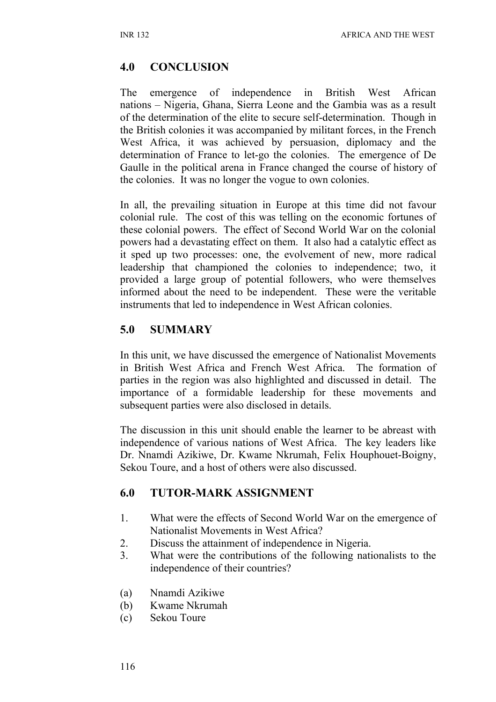## **4.0 CONCLUSION**

The emergence of independence in British West African nations – Nigeria, Ghana, Sierra Leone and the Gambia was as a result of the determination of the elite to secure self-determination. Though in the British colonies it was accompanied by militant forces, in the French West Africa, it was achieved by persuasion, diplomacy and the determination of France to let-go the colonies. The emergence of De Gaulle in the political arena in France changed the course of history of the colonies. It was no longer the vogue to own colonies.

In all, the prevailing situation in Europe at this time did not favour colonial rule. The cost of this was telling on the economic fortunes of these colonial powers. The effect of Second World War on the colonial powers had a devastating effect on them. It also had a catalytic effect as it sped up two processes: one, the evolvement of new, more radical leadership that championed the colonies to independence; two, it provided a large group of potential followers, who were themselves informed about the need to be independent. These were the veritable instruments that led to independence in West African colonies.

## **5.0 SUMMARY**

In this unit, we have discussed the emergence of Nationalist Movements in British West Africa and French West Africa. The formation of parties in the region was also highlighted and discussed in detail. The importance of a formidable leadership for these movements and subsequent parties were also disclosed in details.

The discussion in this unit should enable the learner to be abreast with independence of various nations of West Africa. The key leaders like Dr. Nnamdi Azikiwe, Dr. Kwame Nkrumah, Felix Houphouet-Boigny, Sekou Toure, and a host of others were also discussed.

# **6.0 TUTOR-MARK ASSIGNMENT**

- 1. What were the effects of Second World War on the emergence of Nationalist Movements in West Africa?
- 2. Discuss the attainment of independence in Nigeria.
- 3. What were the contributions of the following nationalists to the independence of their countries?
- (a) Nnamdi Azikiwe
- (b) Kwame Nkrumah
- (c) Sekou Toure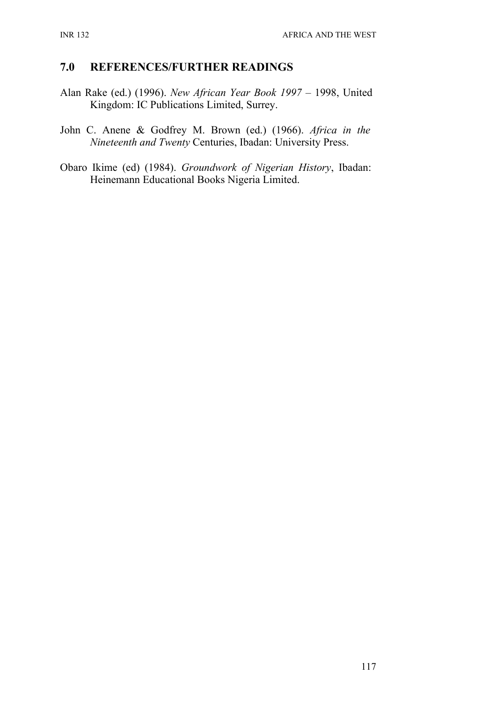## **7.0 REFERENCES/FURTHER READINGS**

- Alan Rake (ed.) (1996). *New African Year Book 1997* 1998, United Kingdom: IC Publications Limited, Surrey.
- John C. Anene & Godfrey M. Brown (ed.) (1966). *Africa in the Nineteenth and Twenty* Centuries, Ibadan: University Press.
- Obaro Ikime (ed) (1984). *Groundwork of Nigerian History*, Ibadan: Heinemann Educational Books Nigeria Limited.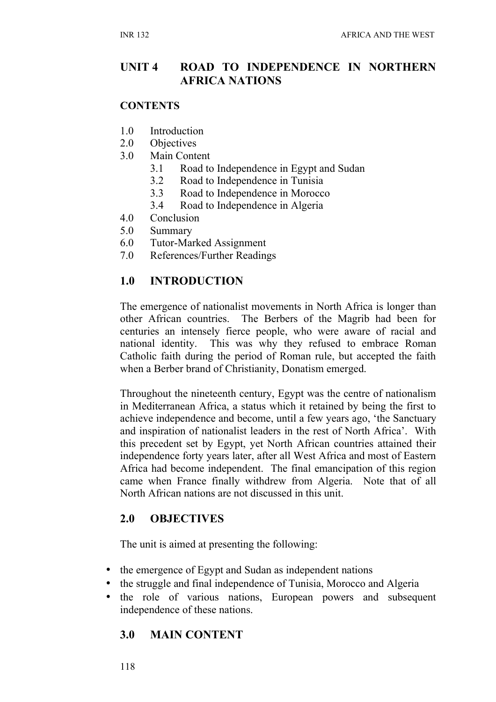# **UNIT 4 ROAD TO INDEPENDENCE IN NORTHERN AFRICA NATIONS**

#### **CONTENTS**

- 1.0 Introduction
- 2.0 Objectives
- 3.0 Main Content
	- 3.1 Road to Independence in Egypt and Sudan
	- 3.2 Road to Independence in Tunisia
	- 3.3 Road to Independence in Morocco
	- 3.4 Road to Independence in Algeria
- 4.0 Conclusion
- 5.0 Summary
- 6.0 Tutor-Marked Assignment
- 7.0 References/Further Readings

## **1.0 INTRODUCTION**

The emergence of nationalist movements in North Africa is longer than other African countries. The Berbers of the Magrib had been for centuries an intensely fierce people, who were aware of racial and national identity. This was why they refused to embrace Roman Catholic faith during the period of Roman rule, but accepted the faith when a Berber brand of Christianity, Donatism emerged.

Throughout the nineteenth century, Egypt was the centre of nationalism in Mediterranean Africa, a status which it retained by being the first to achieve independence and become, until a few years ago, 'the Sanctuary and inspiration of nationalist leaders in the rest of North Africa'. With this precedent set by Egypt, yet North African countries attained their independence forty years later, after all West Africa and most of Eastern Africa had become independent. The final emancipation of this region came when France finally withdrew from Algeria. Note that of all North African nations are not discussed in this unit.

### **2.0 OBJECTIVES**

The unit is aimed at presenting the following:

- the emergence of Egypt and Sudan as independent nations
- the struggle and final independence of Tunisia, Morocco and Algeria
- the role of various nations, European powers and subsequent independence of these nations.

# **3.0 MAIN CONTENT**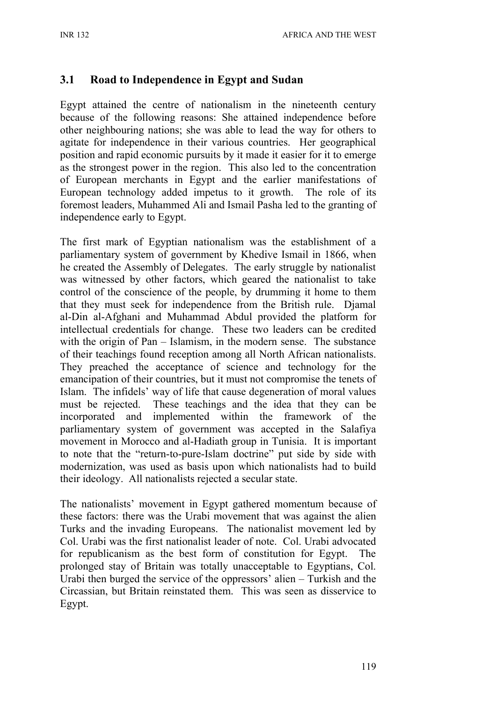## **3.1 Road to Independence in Egypt and Sudan**

Egypt attained the centre of nationalism in the nineteenth century because of the following reasons: She attained independence before other neighbouring nations; she was able to lead the way for others to agitate for independence in their various countries. Her geographical position and rapid economic pursuits by it made it easier for it to emerge as the strongest power in the region. This also led to the concentration of European merchants in Egypt and the earlier manifestations of European technology added impetus to it growth. The role of its foremost leaders, Muhammed Ali and Ismail Pasha led to the granting of independence early to Egypt.

The first mark of Egyptian nationalism was the establishment of a parliamentary system of government by Khedive Ismail in 1866, when he created the Assembly of Delegates. The early struggle by nationalist was witnessed by other factors, which geared the nationalist to take control of the conscience of the people, by drumming it home to them that they must seek for independence from the British rule. Djamal al-Din al-Afghani and Muhammad Abdul provided the platform for intellectual credentials for change. These two leaders can be credited with the origin of Pan – Islamism, in the modern sense. The substance of their teachings found reception among all North African nationalists. They preached the acceptance of science and technology for the emancipation of their countries, but it must not compromise the tenets of Islam. The infidels' way of life that cause degeneration of moral values must be rejected. These teachings and the idea that they can be incorporated and implemented within the framework of the parliamentary system of government was accepted in the Salafiya movement in Morocco and al-Hadiath group in Tunisia. It is important to note that the "return-to-pure-Islam doctrine" put side by side with modernization, was used as basis upon which nationalists had to build their ideology. All nationalists rejected a secular state.

The nationalists' movement in Egypt gathered momentum because of these factors: there was the Urabi movement that was against the alien Turks and the invading Europeans. The nationalist movement led by Col. Urabi was the first nationalist leader of note. Col. Urabi advocated for republicanism as the best form of constitution for Egypt. The prolonged stay of Britain was totally unacceptable to Egyptians, Col. Urabi then burged the service of the oppressors' alien – Turkish and the Circassian, but Britain reinstated them. This was seen as disservice to Egypt.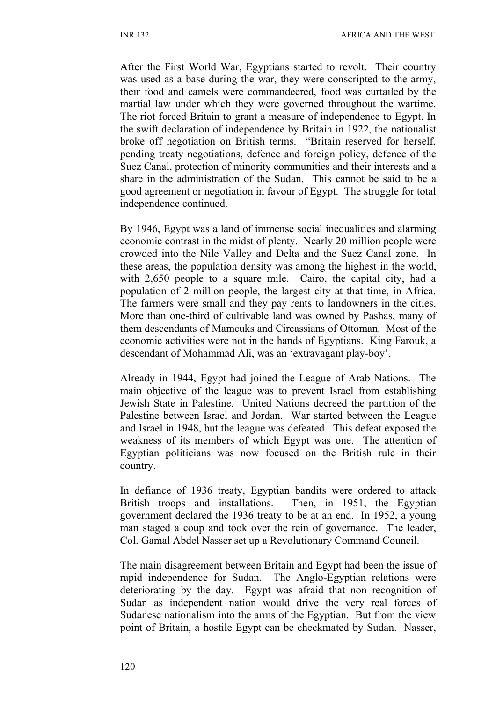After the First World War, Egyptians started to revolt. Their country was used as a base during the war, they were conscripted to the army, their food and camels were commandeered, food was curtailed by the martial law under which they were governed throughout the wartime. The riot forced Britain to grant a measure of independence to Egypt. In the swift declaration of independence by Britain in 1922, the nationalist broke off negotiation on British terms. "Britain reserved for herself, pending treaty negotiations, defence and foreign policy, defence of the Suez Canal, protection of minority communities and their interests and a share in the administration of the Sudan. This cannot be said to be a good agreement or negotiation in favour of Egypt. The struggle for total independence continued.

By 1946, Egypt was a land of immense social inequalities and alarming economic contrast in the midst of plenty. Nearly 20 million people were crowded into the Nile Valley and Delta and the Suez Canal zone. In these areas, the population density was among the highest in the world, with 2,650 people to a square mile. Cairo, the capital city, had a population of 2 million people, the largest city at that time, in Africa. The farmers were small and they pay rents to landowners in the cities. More than one-third of cultivable land was owned by Pashas, many of them descendants of Mamcuks and Circassians of Ottoman. Most of the economic activities were not in the hands of Egyptians. King Farouk, a descendant of Mohammad Ali, was an 'extravagant play-boy'.

Already in 1944, Egypt had joined the League of Arab Nations. The main objective of the league was to prevent Israel from establishing Jewish State in Palestine. United Nations decreed the partition of the Palestine between Israel and Jordan. War started between the League and Israel in 1948, but the league was defeated. This defeat exposed the weakness of its members of which Egypt was one. The attention of Egyptian politicians was now focused on the British rule in their country.

In defiance of 1936 treaty, Egyptian bandits were ordered to attack British troops and installations. Then, in 1951, the Egyptian government declared the 1936 treaty to be at an end. In 1952, a young man staged a coup and took over the rein of governance. The leader, Col. Gamal Abdel Nasser set up a Revolutionary Command Council.

The main disagreement between Britain and Egypt had been the issue of rapid independence for Sudan. The Anglo-Egyptian relations were deteriorating by the day. Egypt was afraid that non recognition of Sudan as independent nation would drive the very real forces of Sudanese nationalism into the arms of the Egyptian. But from the view point of Britain, a hostile Egypt can be checkmated by Sudan. Nasser,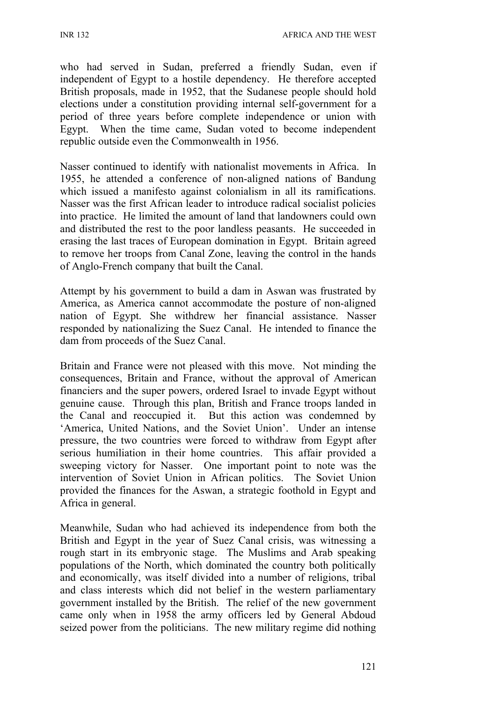INR 132 AFRICA AND THE WEST

who had served in Sudan, preferred a friendly Sudan, even if independent of Egypt to a hostile dependency. He therefore accepted British proposals, made in 1952, that the Sudanese people should hold elections under a constitution providing internal self-government for a period of three years before complete independence or union with Egypt. When the time came, Sudan voted to become independent republic outside even the Commonwealth in 1956.

Nasser continued to identify with nationalist movements in Africa. In 1955, he attended a conference of non-aligned nations of Bandung which issued a manifesto against colonialism in all its ramifications. Nasser was the first African leader to introduce radical socialist policies into practice. He limited the amount of land that landowners could own and distributed the rest to the poor landless peasants. He succeeded in erasing the last traces of European domination in Egypt. Britain agreed to remove her troops from Canal Zone, leaving the control in the hands of Anglo-French company that built the Canal.

Attempt by his government to build a dam in Aswan was frustrated by America, as America cannot accommodate the posture of non-aligned nation of Egypt. She withdrew her financial assistance. Nasser responded by nationalizing the Suez Canal. He intended to finance the dam from proceeds of the Suez Canal.

Britain and France were not pleased with this move. Not minding the consequences, Britain and France, without the approval of American financiers and the super powers, ordered Israel to invade Egypt without genuine cause. Through this plan, British and France troops landed in the Canal and reoccupied it. But this action was condemned by 'America, United Nations, and the Soviet Union'. Under an intense pressure, the two countries were forced to withdraw from Egypt after serious humiliation in their home countries. This affair provided a sweeping victory for Nasser. One important point to note was the intervention of Soviet Union in African politics. The Soviet Union provided the finances for the Aswan, a strategic foothold in Egypt and Africa in general.

Meanwhile, Sudan who had achieved its independence from both the British and Egypt in the year of Suez Canal crisis, was witnessing a rough start in its embryonic stage. The Muslims and Arab speaking populations of the North, which dominated the country both politically and economically, was itself divided into a number of religions, tribal and class interests which did not belief in the western parliamentary government installed by the British. The relief of the new government came only when in 1958 the army officers led by General Abdoud seized power from the politicians. The new military regime did nothing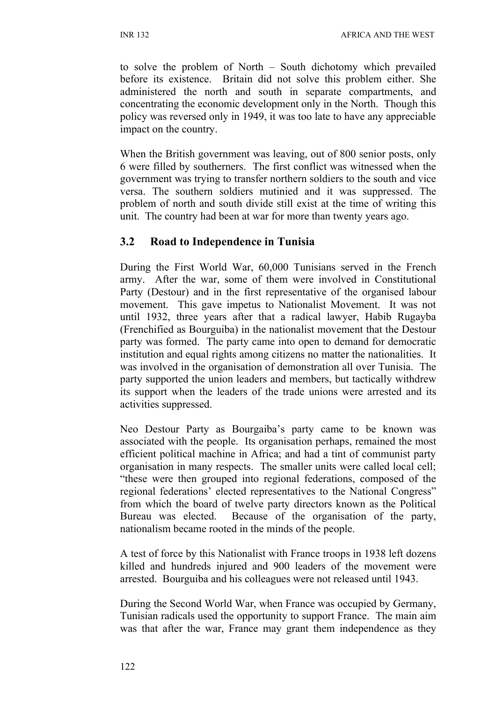to solve the problem of North – South dichotomy which prevailed before its existence. Britain did not solve this problem either. She administered the north and south in separate compartments, and concentrating the economic development only in the North. Though this policy was reversed only in 1949, it was too late to have any appreciable impact on the country.

When the British government was leaving, out of 800 senior posts, only 6 were filled by southerners. The first conflict was witnessed when the government was trying to transfer northern soldiers to the south and vice versa. The southern soldiers mutinied and it was suppressed. The problem of north and south divide still exist at the time of writing this unit. The country had been at war for more than twenty years ago.

## **3.2 Road to Independence in Tunisia**

During the First World War, 60,000 Tunisians served in the French army. After the war, some of them were involved in Constitutional Party (Destour) and in the first representative of the organised labour movement. This gave impetus to Nationalist Movement. It was not until 1932, three years after that a radical lawyer, Habib Rugayba (Frenchified as Bourguiba) in the nationalist movement that the Destour party was formed. The party came into open to demand for democratic institution and equal rights among citizens no matter the nationalities. It was involved in the organisation of demonstration all over Tunisia. The party supported the union leaders and members, but tactically withdrew its support when the leaders of the trade unions were arrested and its activities suppressed.

Neo Destour Party as Bourgaiba's party came to be known was associated with the people. Its organisation perhaps, remained the most efficient political machine in Africa; and had a tint of communist party organisation in many respects. The smaller units were called local cell; "these were then grouped into regional federations, composed of the regional federations' elected representatives to the National Congress" from which the board of twelve party directors known as the Political Bureau was elected. Because of the organisation of the party, nationalism became rooted in the minds of the people.

A test of force by this Nationalist with France troops in 1938 left dozens killed and hundreds injured and 900 leaders of the movement were arrested. Bourguiba and his colleagues were not released until 1943.

During the Second World War, when France was occupied by Germany, Tunisian radicals used the opportunity to support France. The main aim was that after the war, France may grant them independence as they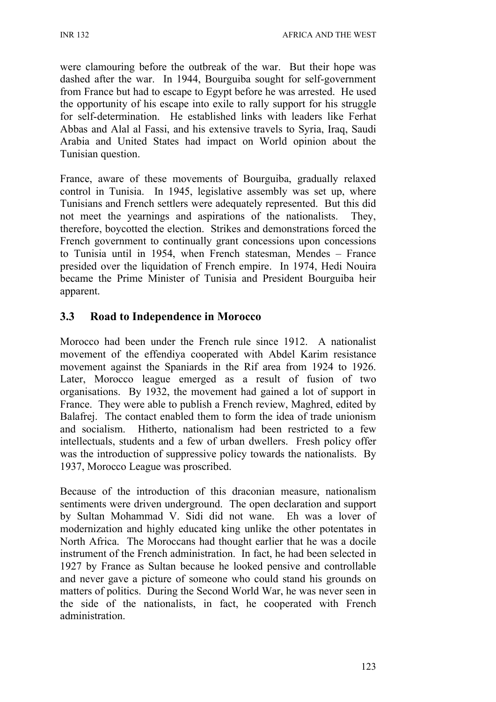were clamouring before the outbreak of the war. But their hope was dashed after the war. In 1944, Bourguiba sought for self-government from France but had to escape to Egypt before he was arrested. He used the opportunity of his escape into exile to rally support for his struggle for self-determination. He established links with leaders like Ferhat Abbas and Alal al Fassi, and his extensive travels to Syria, Iraq, Saudi Arabia and United States had impact on World opinion about the Tunisian question.

France, aware of these movements of Bourguiba, gradually relaxed control in Tunisia. In 1945, legislative assembly was set up, where Tunisians and French settlers were adequately represented. But this did not meet the yearnings and aspirations of the nationalists. They, therefore, boycotted the election. Strikes and demonstrations forced the French government to continually grant concessions upon concessions to Tunisia until in 1954, when French statesman, Mendes – France presided over the liquidation of French empire. In 1974, Hedi Nouira became the Prime Minister of Tunisia and President Bourguiba heir apparent.

# **3.3 Road to Independence in Morocco**

Morocco had been under the French rule since 1912. A nationalist movement of the effendiya cooperated with Abdel Karim resistance movement against the Spaniards in the Rif area from 1924 to 1926. Later, Morocco league emerged as a result of fusion of two organisations. By 1932, the movement had gained a lot of support in France. They were able to publish a French review, Maghred, edited by Balafrej. The contact enabled them to form the idea of trade unionism and socialism. Hitherto, nationalism had been restricted to a few intellectuals, students and a few of urban dwellers. Fresh policy offer was the introduction of suppressive policy towards the nationalists. By 1937, Morocco League was proscribed.

Because of the introduction of this draconian measure, nationalism sentiments were driven underground. The open declaration and support by Sultan Mohammad V. Sidi did not wane. Eh was a lover of modernization and highly educated king unlike the other potentates in North Africa. The Moroccans had thought earlier that he was a docile instrument of the French administration. In fact, he had been selected in 1927 by France as Sultan because he looked pensive and controllable and never gave a picture of someone who could stand his grounds on matters of politics. During the Second World War, he was never seen in the side of the nationalists, in fact, he cooperated with French administration.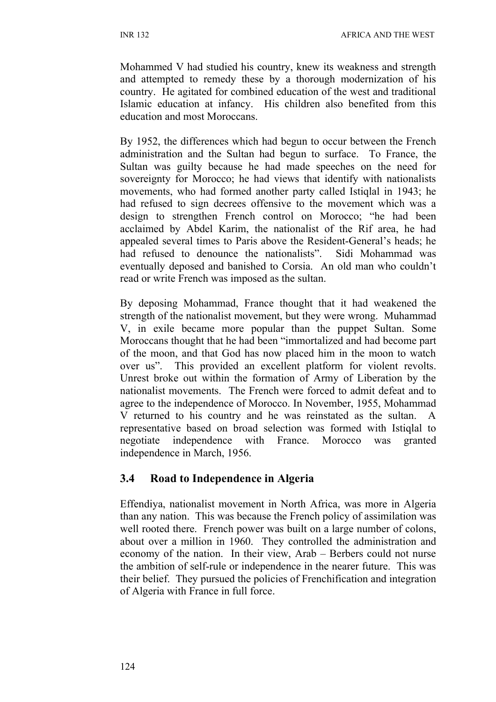Mohammed V had studied his country, knew its weakness and strength and attempted to remedy these by a thorough modernization of his country. He agitated for combined education of the west and traditional Islamic education at infancy. His children also benefited from this education and most Moroccans.

By 1952, the differences which had begun to occur between the French administration and the Sultan had begun to surface. To France, the Sultan was guilty because he had made speeches on the need for sovereignty for Morocco; he had views that identify with nationalists movements, who had formed another party called Istiqlal in 1943; he had refused to sign decrees offensive to the movement which was a design to strengthen French control on Morocco; "he had been acclaimed by Abdel Karim, the nationalist of the Rif area, he had appealed several times to Paris above the Resident-General's heads; he had refused to denounce the nationalists". Sidi Mohammad was eventually deposed and banished to Corsia. An old man who couldn't read or write French was imposed as the sultan.

By deposing Mohammad, France thought that it had weakened the strength of the nationalist movement, but they were wrong. Muhammad V, in exile became more popular than the puppet Sultan. Some Moroccans thought that he had been "immortalized and had become part of the moon, and that God has now placed him in the moon to watch over us". This provided an excellent platform for violent revolts. Unrest broke out within the formation of Army of Liberation by the nationalist movements. The French were forced to admit defeat and to agree to the independence of Morocco. In November, 1955, Mohammad V returned to his country and he was reinstated as the sultan. A representative based on broad selection was formed with Istiqlal to negotiate independence with France. Morocco was granted independence in March, 1956.

# **3.4 Road to Independence in Algeria**

Effendiya, nationalist movement in North Africa, was more in Algeria than any nation. This was because the French policy of assimilation was well rooted there. French power was built on a large number of colons, about over a million in 1960. They controlled the administration and economy of the nation. In their view, Arab – Berbers could not nurse the ambition of self-rule or independence in the nearer future. This was their belief. They pursued the policies of Frenchification and integration of Algeria with France in full force.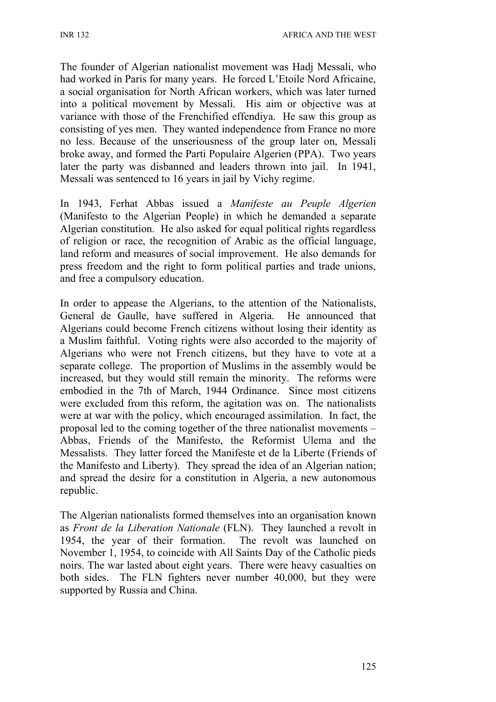The founder of Algerian nationalist movement was Hadj Messali, who had worked in Paris for many years. He forced L'Etoile Nord Africaine, a social organisation for North African workers, which was later turned into a political movement by Messali. His aim or objective was at variance with those of the Frenchified effendiya. He saw this group as consisting of yes men. They wanted independence from France no more no less. Because of the unseriousness of the group later on, Messali broke away, and formed the Parti Populaire Algerien (PPA). Two years later the party was disbanned and leaders thrown into jail. In 1941, Messali was sentenced to 16 years in jail by Vichy regime.

In 1943, Ferhat Abbas issued a *Manifeste au Peuple Algerien* (Manifesto to the Algerian People) in which he demanded a separate Algerian constitution. He also asked for equal political rights regardless of religion or race, the recognition of Arabic as the official language, land reform and measures of social improvement. He also demands for press freedom and the right to form political parties and trade unions, and free a compulsory education.

In order to appease the Algerians, to the attention of the Nationalists, General de Gaulle, have suffered in Algeria. He announced that Algerians could become French citizens without losing their identity as a Muslim faithful. Voting rights were also accorded to the majority of Algerians who were not French citizens, but they have to vote at a separate college. The proportion of Muslims in the assembly would be increased, but they would still remain the minority. The reforms were embodied in the 7th of March, 1944 Ordinance. Since most citizens were excluded from this reform, the agitation was on. The nationalists were at war with the policy, which encouraged assimilation. In fact, the proposal led to the coming together of the three nationalist movements – Abbas, Friends of the Manifesto, the Reformist Ulema and the Messalists. They latter forced the Manifeste et de la Liberte (Friends of the Manifesto and Liberty). They spread the idea of an Algerian nation; and spread the desire for a constitution in Algeria, a new autonomous republic.

The Algerian nationalists formed themselves into an organisation known as *Front de la Liberation Nationale* (FLN). They launched a revolt in 1954, the year of their formation. The revolt was launched on November 1, 1954, to coincide with All Saints Day of the Catholic pieds noirs. The war lasted about eight years. There were heavy casualties on both sides. The FLN fighters never number 40,000, but they were supported by Russia and China.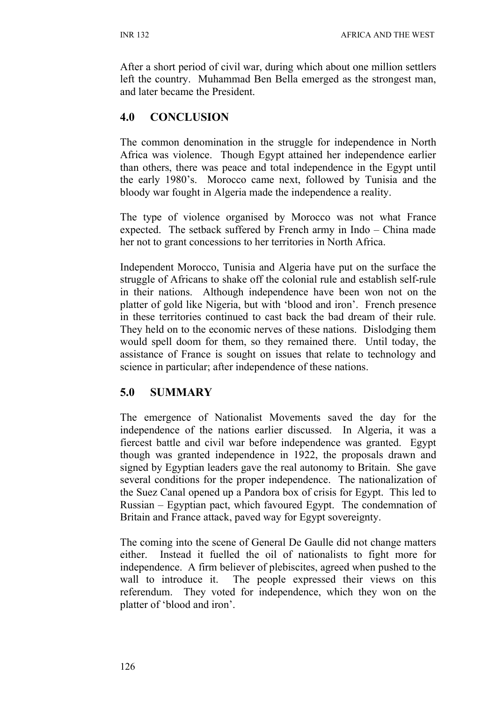After a short period of civil war, during which about one million settlers left the country. Muhammad Ben Bella emerged as the strongest man, and later became the President.

# **4.0 CONCLUSION**

The common denomination in the struggle for independence in North Africa was violence. Though Egypt attained her independence earlier than others, there was peace and total independence in the Egypt until the early 1980's. Morocco came next, followed by Tunisia and the bloody war fought in Algeria made the independence a reality.

The type of violence organised by Morocco was not what France expected. The setback suffered by French army in Indo – China made her not to grant concessions to her territories in North Africa.

Independent Morocco, Tunisia and Algeria have put on the surface the struggle of Africans to shake off the colonial rule and establish self-rule in their nations. Although independence have been won not on the platter of gold like Nigeria, but with 'blood and iron'. French presence in these territories continued to cast back the bad dream of their rule. They held on to the economic nerves of these nations. Dislodging them would spell doom for them, so they remained there. Until today, the assistance of France is sought on issues that relate to technology and science in particular; after independence of these nations.

# **5.0 SUMMARY**

The emergence of Nationalist Movements saved the day for the independence of the nations earlier discussed. In Algeria, it was a fiercest battle and civil war before independence was granted. Egypt though was granted independence in 1922, the proposals drawn and signed by Egyptian leaders gave the real autonomy to Britain. She gave several conditions for the proper independence. The nationalization of the Suez Canal opened up a Pandora box of crisis for Egypt. This led to Russian – Egyptian pact, which favoured Egypt. The condemnation of Britain and France attack, paved way for Egypt sovereignty.

The coming into the scene of General De Gaulle did not change matters either. Instead it fuelled the oil of nationalists to fight more for independence. A firm believer of plebiscites, agreed when pushed to the wall to introduce it. The people expressed their views on this referendum. They voted for independence, which they won on the platter of 'blood and iron'.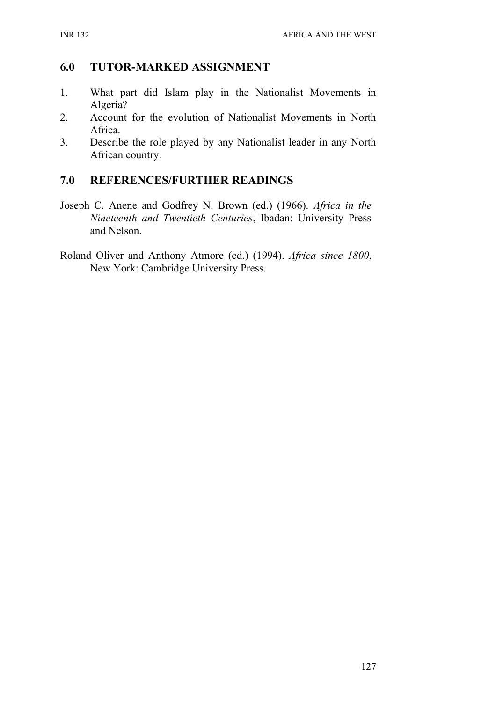## **6.0 TUTOR-MARKED ASSIGNMENT**

- 1. What part did Islam play in the Nationalist Movements in Algeria?
- 2. Account for the evolution of Nationalist Movements in North Africa.
- 3. Describe the role played by any Nationalist leader in any North African country.

## **7.0 REFERENCES/FURTHER READINGS**

- Joseph C. Anene and Godfrey N. Brown (ed.) (1966). *Africa in the Nineteenth and Twentieth Centuries*, Ibadan: University Press and Nelson.
- Roland Oliver and Anthony Atmore (ed.) (1994). *Africa since 1800*, New York: Cambridge University Press.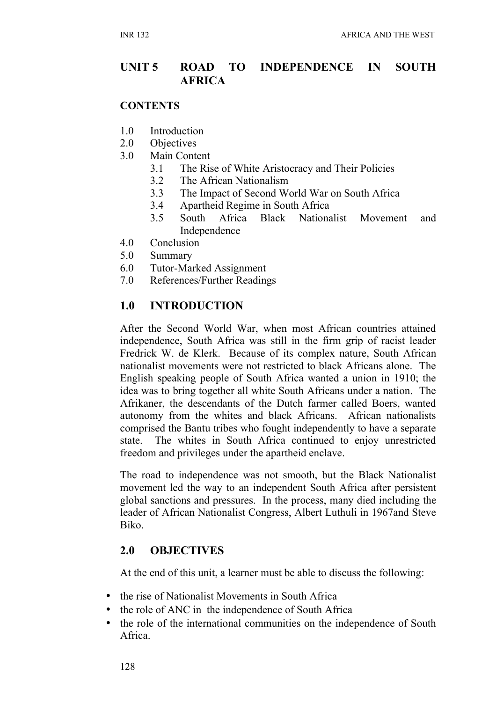## **UNIT 5 ROAD TO INDEPENDENCE IN SOUTH AFRICA**

#### **CONTENTS**

- 1.0 Introduction
- 2.0 Objectives
- 3.0 Main Content
	- 3.1 The Rise of White Aristocracy and Their Policies
	- 3.2 The African Nationalism
	- 3.3 The Impact of Second World War on South Africa
	- 3.4 Apartheid Regime in South Africa
	- 3.5 South Africa Black Nationalist Movement and Independence
- 4.0 Conclusion
- 5.0 Summary
- 6.0 Tutor-Marked Assignment
- 7.0 References/Further Readings

# **1.0 INTRODUCTION**

After the Second World War, when most African countries attained independence, South Africa was still in the firm grip of racist leader Fredrick W. de Klerk. Because of its complex nature, South African nationalist movements were not restricted to black Africans alone. The English speaking people of South Africa wanted a union in 1910; the idea was to bring together all white South Africans under a nation. The Afrikaner, the descendants of the Dutch farmer called Boers, wanted autonomy from the whites and black Africans. African nationalists comprised the Bantu tribes who fought independently to have a separate state. The whites in South Africa continued to enjoy unrestricted freedom and privileges under the apartheid enclave.

The road to independence was not smooth, but the Black Nationalist movement led the way to an independent South Africa after persistent global sanctions and pressures. In the process, many died including the leader of African Nationalist Congress, Albert Luthuli in 1967and Steve Biko.

### **2.0 OBJECTIVES**

At the end of this unit, a learner must be able to discuss the following:

- the rise of Nationalist Movements in South Africa
- the role of ANC in the independence of South Africa
- the role of the international communities on the independence of South Africa.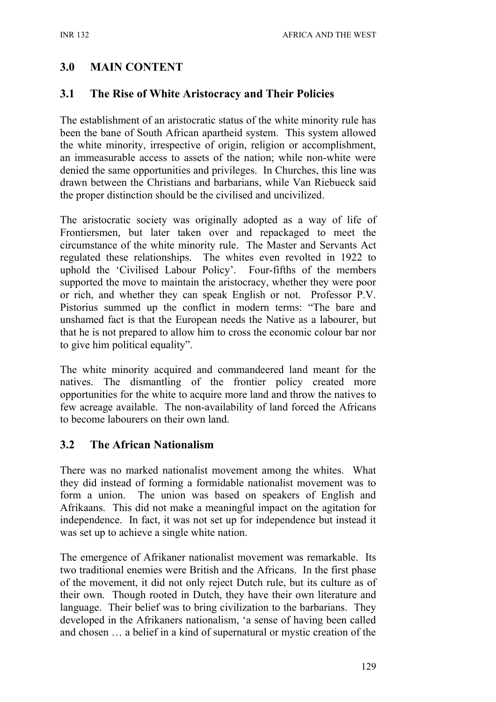## **3.0 MAIN CONTENT**

### **3.1 The Rise of White Aristocracy and Their Policies**

The establishment of an aristocratic status of the white minority rule has been the bane of South African apartheid system. This system allowed the white minority, irrespective of origin, religion or accomplishment, an immeasurable access to assets of the nation; while non-white were denied the same opportunities and privileges. In Churches, this line was drawn between the Christians and barbarians, while Van Riebueck said the proper distinction should be the civilised and uncivilized.

The aristocratic society was originally adopted as a way of life of Frontiersmen, but later taken over and repackaged to meet the circumstance of the white minority rule. The Master and Servants Act regulated these relationships. The whites even revolted in 1922 to uphold the 'Civilised Labour Policy'. Four-fifths of the members supported the move to maintain the aristocracy, whether they were poor or rich, and whether they can speak English or not. Professor P.V. Pistorius summed up the conflict in modern terms: "The bare and unshamed fact is that the European needs the Native as a labourer, but that he is not prepared to allow him to cross the economic colour bar nor to give him political equality".

The white minority acquired and commandeered land meant for the natives. The dismantling of the frontier policy created more opportunities for the white to acquire more land and throw the natives to few acreage available. The non-availability of land forced the Africans to become labourers on their own land.

### **3.2 The African Nationalism**

There was no marked nationalist movement among the whites. What they did instead of forming a formidable nationalist movement was to form a union. The union was based on speakers of English and Afrikaans. This did not make a meaningful impact on the agitation for independence. In fact, it was not set up for independence but instead it was set up to achieve a single white nation.

The emergence of Afrikaner nationalist movement was remarkable. Its two traditional enemies were British and the Africans. In the first phase of the movement, it did not only reject Dutch rule, but its culture as of their own. Though rooted in Dutch, they have their own literature and language. Their belief was to bring civilization to the barbarians. They developed in the Afrikaners nationalism, 'a sense of having been called and chosen … a belief in a kind of supernatural or mystic creation of the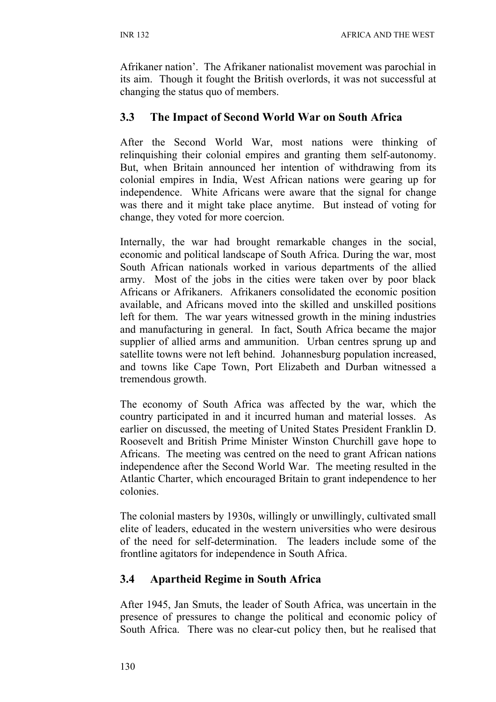Afrikaner nation'. The Afrikaner nationalist movement was parochial in its aim. Though it fought the British overlords, it was not successful at changing the status quo of members.

### **3.3 The Impact of Second World War on South Africa**

After the Second World War, most nations were thinking of relinquishing their colonial empires and granting them self-autonomy. But, when Britain announced her intention of withdrawing from its colonial empires in India, West African nations were gearing up for independence. White Africans were aware that the signal for change was there and it might take place anytime. But instead of voting for change, they voted for more coercion.

Internally, the war had brought remarkable changes in the social, economic and political landscape of South Africa. During the war, most South African nationals worked in various departments of the allied army. Most of the jobs in the cities were taken over by poor black Africans or Afrikaners. Afrikaners consolidated the economic position available, and Africans moved into the skilled and unskilled positions left for them. The war years witnessed growth in the mining industries and manufacturing in general. In fact, South Africa became the major supplier of allied arms and ammunition. Urban centres sprung up and satellite towns were not left behind. Johannesburg population increased, and towns like Cape Town, Port Elizabeth and Durban witnessed a tremendous growth.

The economy of South Africa was affected by the war, which the country participated in and it incurred human and material losses. As earlier on discussed, the meeting of United States President Franklin D. Roosevelt and British Prime Minister Winston Churchill gave hope to Africans. The meeting was centred on the need to grant African nations independence after the Second World War. The meeting resulted in the Atlantic Charter, which encouraged Britain to grant independence to her colonies.

The colonial masters by 1930s, willingly or unwillingly, cultivated small elite of leaders, educated in the western universities who were desirous of the need for self-determination. The leaders include some of the frontline agitators for independence in South Africa.

## **3.4 Apartheid Regime in South Africa**

After 1945, Jan Smuts, the leader of South Africa, was uncertain in the presence of pressures to change the political and economic policy of South Africa. There was no clear-cut policy then, but he realised that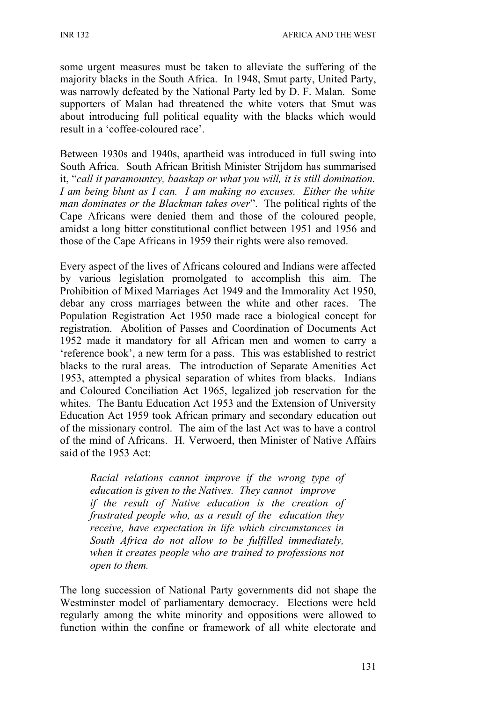some urgent measures must be taken to alleviate the suffering of the majority blacks in the South Africa. In 1948, Smut party, United Party, was narrowly defeated by the National Party led by D. F. Malan. Some supporters of Malan had threatened the white voters that Smut was about introducing full political equality with the blacks which would result in a 'coffee-coloured race'.

Between 1930s and 1940s, apartheid was introduced in full swing into South Africa. South African British Minister Strijdom has summarised it, "*call it paramountcy, baaskap or what you will, it is still domination. I am being blunt as I can. I am making no excuses. Either the white man dominates or the Blackman takes over*". The political rights of the Cape Africans were denied them and those of the coloured people, amidst a long bitter constitutional conflict between 1951 and 1956 and those of the Cape Africans in 1959 their rights were also removed.

Every aspect of the lives of Africans coloured and Indians were affected by various legislation promolgated to accomplish this aim. The Prohibition of Mixed Marriages Act 1949 and the Immorality Act 1950, debar any cross marriages between the white and other races. The Population Registration Act 1950 made race a biological concept for registration. Abolition of Passes and Coordination of Documents Act 1952 made it mandatory for all African men and women to carry a 'reference book', a new term for a pass. This was established to restrict blacks to the rural areas. The introduction of Separate Amenities Act 1953, attempted a physical separation of whites from blacks. Indians and Coloured Conciliation Act 1965, legalized job reservation for the whites. The Bantu Education Act 1953 and the Extension of University Education Act 1959 took African primary and secondary education out of the missionary control. The aim of the last Act was to have a control of the mind of Africans. H. Verwoerd, then Minister of Native Affairs said of the 1953 Act:

*Racial relations cannot improve if the wrong type of education is given to the Natives. They cannot improve if the result of Native education is the creation of frustrated people who, as a result of the education they receive, have expectation in life which circumstances in South Africa do not allow to be fulfilled immediately, when it creates people who are trained to professions not open to them.*

The long succession of National Party governments did not shape the Westminster model of parliamentary democracy. Elections were held regularly among the white minority and oppositions were allowed to function within the confine or framework of all white electorate and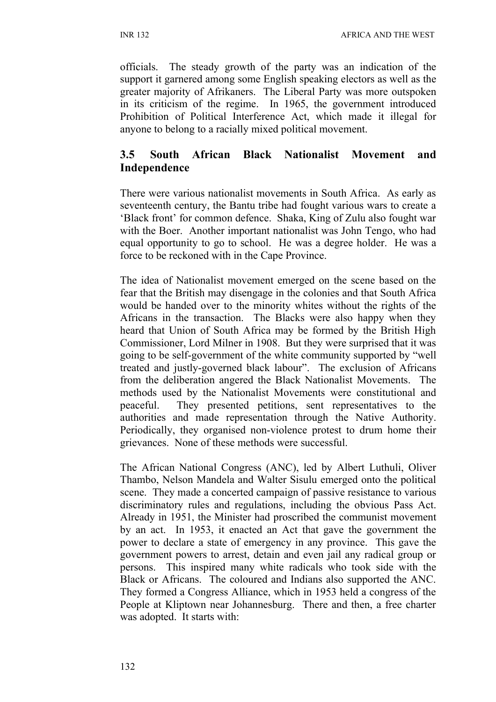officials. The steady growth of the party was an indication of the support it garnered among some English speaking electors as well as the greater majority of Afrikaners. The Liberal Party was more outspoken in its criticism of the regime. In 1965, the government introduced Prohibition of Political Interference Act, which made it illegal for anyone to belong to a racially mixed political movement.

## **3.5 South African Black Nationalist Movement and Independence**

There were various nationalist movements in South Africa. As early as seventeenth century, the Bantu tribe had fought various wars to create a 'Black front' for common defence. Shaka, King of Zulu also fought war with the Boer. Another important nationalist was John Tengo, who had equal opportunity to go to school. He was a degree holder. He was a force to be reckoned with in the Cape Province.

The idea of Nationalist movement emerged on the scene based on the fear that the British may disengage in the colonies and that South Africa would be handed over to the minority whites without the rights of the Africans in the transaction. The Blacks were also happy when they heard that Union of South Africa may be formed by the British High Commissioner, Lord Milner in 1908. But they were surprised that it was going to be self-government of the white community supported by "well treated and justly-governed black labour". The exclusion of Africans from the deliberation angered the Black Nationalist Movements. The methods used by the Nationalist Movements were constitutional and peaceful. They presented petitions, sent representatives to the authorities and made representation through the Native Authority. Periodically, they organised non-violence protest to drum home their grievances. None of these methods were successful.

The African National Congress (ANC), led by Albert Luthuli, Oliver Thambo, Nelson Mandela and Walter Sisulu emerged onto the political scene. They made a concerted campaign of passive resistance to various discriminatory rules and regulations, including the obvious Pass Act. Already in 1951, the Minister had proscribed the communist movement by an act. In 1953, it enacted an Act that gave the government the power to declare a state of emergency in any province. This gave the government powers to arrest, detain and even jail any radical group or persons. This inspired many white radicals who took side with the Black or Africans. The coloured and Indians also supported the ANC. They formed a Congress Alliance, which in 1953 held a congress of the People at Kliptown near Johannesburg. There and then, a free charter was adopted. It starts with: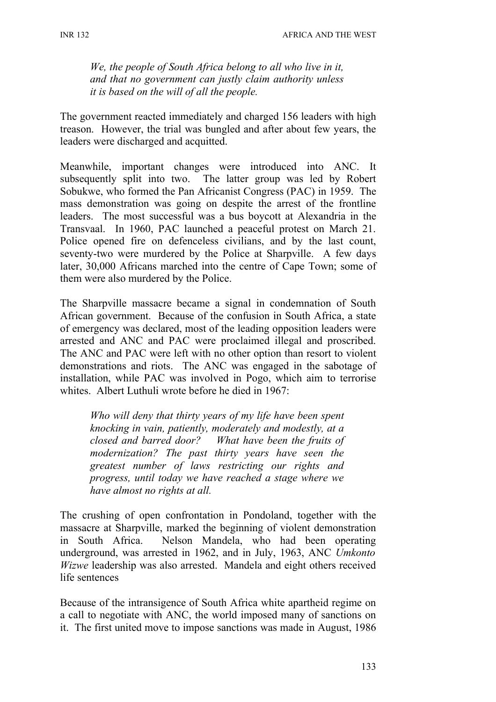*We, the people of South Africa belong to all who live in it, and that no government can justly claim authority unless it is based on the will of all the people.*

The government reacted immediately and charged 156 leaders with high treason. However, the trial was bungled and after about few years, the leaders were discharged and acquitted.

Meanwhile, important changes were introduced into ANC. It subsequently split into two. The latter group was led by Robert Sobukwe, who formed the Pan Africanist Congress (PAC) in 1959. The mass demonstration was going on despite the arrest of the frontline leaders. The most successful was a bus boycott at Alexandria in the Transvaal. In 1960, PAC launched a peaceful protest on March 21. Police opened fire on defenceless civilians, and by the last count, seventy-two were murdered by the Police at Sharpville. A few days later, 30,000 Africans marched into the centre of Cape Town; some of them were also murdered by the Police.

The Sharpville massacre became a signal in condemnation of South African government. Because of the confusion in South Africa, a state of emergency was declared, most of the leading opposition leaders were arrested and ANC and PAC were proclaimed illegal and proscribed. The ANC and PAC were left with no other option than resort to violent demonstrations and riots. The ANC was engaged in the sabotage of installation, while PAC was involved in Pogo, which aim to terrorise whites. Albert Luthuli wrote before he died in 1967:

*Who will deny that thirty years of my life have been spent knocking in vain, patiently, moderately and modestly, at a closed and barred door? What have been the fruits of modernization? The past thirty years have seen the greatest number of laws restricting our rights and progress, until today we have reached a stage where we have almost no rights at all.*

The crushing of open confrontation in Pondoland, together with the massacre at Sharpville, marked the beginning of violent demonstration in South Africa. Nelson Mandela, who had been operating underground, was arrested in 1962, and in July, 1963, ANC *Umkonto Wizwe* leadership was also arrested. Mandela and eight others received life sentences

Because of the intransigence of South Africa white apartheid regime on a call to negotiate with ANC, the world imposed many of sanctions on it. The first united move to impose sanctions was made in August, 1986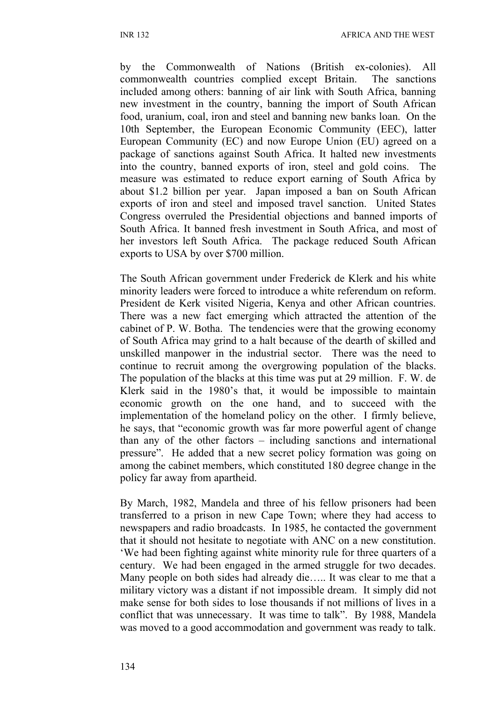by the Commonwealth of Nations (British ex-colonies). All commonwealth countries complied except Britain. The sanctions included among others: banning of air link with South Africa, banning new investment in the country, banning the import of South African food, uranium, coal, iron and steel and banning new banks loan. On the 10th September, the European Economic Community (EEC), latter European Community (EC) and now Europe Union (EU) agreed on a package of sanctions against South Africa. It halted new investments into the country, banned exports of iron, steel and gold coins. The measure was estimated to reduce export earning of South Africa by about \$1.2 billion per year. Japan imposed a ban on South African exports of iron and steel and imposed travel sanction. United States Congress overruled the Presidential objections and banned imports of South Africa. It banned fresh investment in South Africa, and most of her investors left South Africa. The package reduced South African exports to USA by over \$700 million.

The South African government under Frederick de Klerk and his white minority leaders were forced to introduce a white referendum on reform. President de Kerk visited Nigeria, Kenya and other African countries. There was a new fact emerging which attracted the attention of the cabinet of P. W. Botha. The tendencies were that the growing economy of South Africa may grind to a halt because of the dearth of skilled and unskilled manpower in the industrial sector. There was the need to continue to recruit among the overgrowing population of the blacks. The population of the blacks at this time was put at 29 million. F. W. de Klerk said in the 1980's that, it would be impossible to maintain economic growth on the one hand, and to succeed with the implementation of the homeland policy on the other. I firmly believe, he says, that "economic growth was far more powerful agent of change than any of the other factors – including sanctions and international pressure". He added that a new secret policy formation was going on among the cabinet members, which constituted 180 degree change in the policy far away from apartheid.

By March, 1982, Mandela and three of his fellow prisoners had been transferred to a prison in new Cape Town; where they had access to newspapers and radio broadcasts. In 1985, he contacted the government that it should not hesitate to negotiate with ANC on a new constitution. 'We had been fighting against white minority rule for three quarters of a century. We had been engaged in the armed struggle for two decades. Many people on both sides had already die….. It was clear to me that a military victory was a distant if not impossible dream. It simply did not make sense for both sides to lose thousands if not millions of lives in a conflict that was unnecessary. It was time to talk". By 1988, Mandela was moved to a good accommodation and government was ready to talk.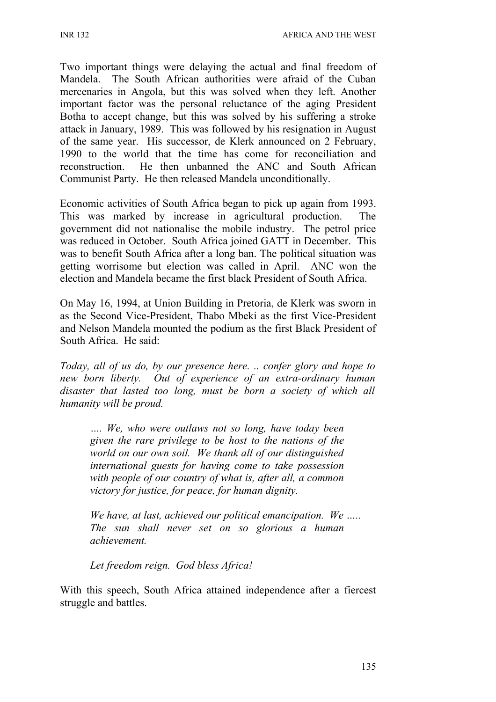Two important things were delaying the actual and final freedom of Mandela. The South African authorities were afraid of the Cuban mercenaries in Angola, but this was solved when they left. Another important factor was the personal reluctance of the aging President Botha to accept change, but this was solved by his suffering a stroke attack in January, 1989. This was followed by his resignation in August of the same year. His successor, de Klerk announced on 2 February, 1990 to the world that the time has come for reconciliation and reconstruction. He then unbanned the ANC and South African Communist Party. He then released Mandela unconditionally.

Economic activities of South Africa began to pick up again from 1993. This was marked by increase in agricultural production. The government did not nationalise the mobile industry. The petrol price was reduced in October. South Africa joined GATT in December. This was to benefit South Africa after a long ban. The political situation was getting worrisome but election was called in April. ANC won the election and Mandela became the first black President of South Africa.

On May 16, 1994, at Union Building in Pretoria, de Klerk was sworn in as the Second Vice-President, Thabo Mbeki as the first Vice-President and Nelson Mandela mounted the podium as the first Black President of South Africa. He said:

*Today, all of us do, by our presence here. .. confer glory and hope to new born liberty. Out of experience of an extra-ordinary human disaster that lasted too long, must be born a society of which all humanity will be proud.*

*…. We, who were outlaws not so long, have today been given the rare privilege to be host to the nations of the world on our own soil. We thank all of our distinguished international guests for having come to take possession with people of our country of what is, after all, a common victory for justice, for peace, for human dignity.*

*We have, at last, achieved our political emancipation. We ….. The sun shall never set on so glorious a human achievement.*

*Let freedom reign. God bless Africa!*

With this speech, South Africa attained independence after a fiercest struggle and battles.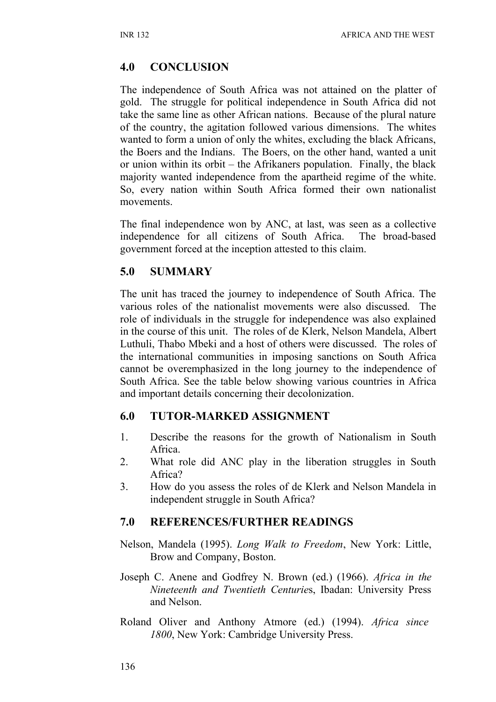### **4.0 CONCLUSION**

The independence of South Africa was not attained on the platter of gold. The struggle for political independence in South Africa did not take the same line as other African nations. Because of the plural nature of the country, the agitation followed various dimensions. The whites wanted to form a union of only the whites, excluding the black Africans, the Boers and the Indians. The Boers, on the other hand, wanted a unit or union within its orbit – the Afrikaners population. Finally, the black majority wanted independence from the apartheid regime of the white. So, every nation within South Africa formed their own nationalist movements.

The final independence won by ANC, at last, was seen as a collective independence for all citizens of South Africa. The broad-based government forced at the inception attested to this claim.

#### **5.0 SUMMARY**

The unit has traced the journey to independence of South Africa. The various roles of the nationalist movements were also discussed. The role of individuals in the struggle for independence was also explained in the course of this unit. The roles of de Klerk, Nelson Mandela, Albert Luthuli, Thabo Mbeki and a host of others were discussed. The roles of the international communities in imposing sanctions on South Africa cannot be overemphasized in the long journey to the independence of South Africa. See the table below showing various countries in Africa and important details concerning their decolonization.

#### **6.0 TUTOR-MARKED ASSIGNMENT**

- 1. Describe the reasons for the growth of Nationalism in South Africa.
- 2. What role did ANC play in the liberation struggles in South Africa?
- 3. How do you assess the roles of de Klerk and Nelson Mandela in independent struggle in South Africa?

### **7.0 REFERENCES/FURTHER READINGS**

Nelson, Mandela (1995). *Long Walk to Freedom*, New York: Little, Brow and Company, Boston.

- Joseph C. Anene and Godfrey N. Brown (ed.) (1966). *Africa in the Nineteenth and Twentieth Centurie*s, Ibadan: University Press and Nelson.
- Roland Oliver and Anthony Atmore (ed.) (1994). *Africa since 1800*, New York: Cambridge University Press.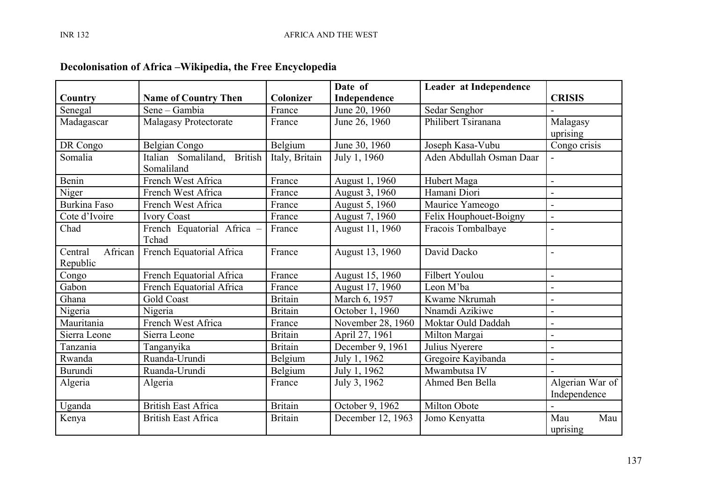|                    |                                       |                | Date of           | Leader at Independence   |                 |
|--------------------|---------------------------------------|----------------|-------------------|--------------------------|-----------------|
| Country            | <b>Name of Country Then</b>           | Colonizer      | Independence      |                          | <b>CRISIS</b>   |
| Senegal            | Sene – Gambia                         | France         | June 20, 1960     | Sedar Senghor            |                 |
| Madagascar         | <b>Malagasy Protectorate</b>          | France         | June 26, 1960     | Philibert Tsiranana      | Malagasy        |
|                    |                                       |                |                   |                          | uprising        |
| DR Congo           | Belgian Congo                         | Belgium        | June 30, 1960     | Joseph Kasa-Vubu         | Congo crisis    |
| Somalia            | <b>British</b><br>Italian Somaliland, | Italy, Britain | July 1, 1960      | Aden Abdullah Osman Daar |                 |
|                    | Somaliland                            |                |                   |                          |                 |
| Benin              | French West Africa                    | France         | August 1, 1960    | Hubert Maga              |                 |
| Niger              | French West Africa                    | France         | August 3, 1960    | Hamani Diori             |                 |
| Burkina Faso       | French West Africa                    | France         | August 5, 1960    | Maurice Yameogo          | $\overline{a}$  |
| Cote d'Ivoire      | <b>Ivory Coast</b>                    | France         | August 7, 1960    | Felix Houphouet-Boigny   | $\overline{a}$  |
| Chad               | French Equatorial Africa -            | France         | August 11, 1960   | Fracois Tombalbaye       | $\blacksquare$  |
|                    | Tchad                                 |                |                   |                          |                 |
| African<br>Central | French Equatorial Africa              | France         | August 13, 1960   | David Dacko              | $\blacksquare$  |
| Republic           |                                       |                |                   |                          |                 |
| Congo              | French Equatorial Africa              | France         | August 15, 1960   | Filbert Youlou           | $\overline{a}$  |
| Gabon              | French Equatorial Africa              | France         | August 17, 1960   | Leon M'ba                |                 |
| Ghana              | Gold Coast                            | <b>Britain</b> | March 6, 1957     | Kwame Nkrumah            | $\blacksquare$  |
| Nigeria            | Nigeria                               | <b>Britain</b> | October 1, 1960   | Nnamdi Azikiwe           |                 |
| Mauritania         | French West Africa                    | France         | November 28, 1960 | Moktar Ould Daddah       | $\overline{a}$  |
| Sierra Leone       | Sierra Leone                          | <b>Britain</b> | April 27, 1961    | Milton Margai            |                 |
| Tanzania           | Tanganyika                            | <b>Britain</b> | December 9, 1961  | Julius Nyerere           | $\blacksquare$  |
| Rwanda             | Ruanda-Urundi                         | Belgium        | July 1, 1962      | Gregoire Kayibanda       | L,              |
| Burundi            | Ruanda-Urundi                         | Belgium        | July 1, 1962      | Mwambutsa IV             |                 |
| Algeria            | Algeria                               | France         | July 3, 1962      | Ahmed Ben Bella          | Algerian War of |
|                    |                                       |                |                   |                          | Independence    |
| Uganda             | <b>British East Africa</b>            | <b>Britain</b> | October 9, 1962   | Milton Obote             |                 |
| Kenya              | <b>British East Africa</b>            | <b>Britain</b> | December 12, 1963 | Jomo Kenyatta            | Mau<br>Mau      |
|                    |                                       |                |                   |                          | uprising        |

# **Decolonisation of Africa –Wikipedia, the Free Encyclopedia**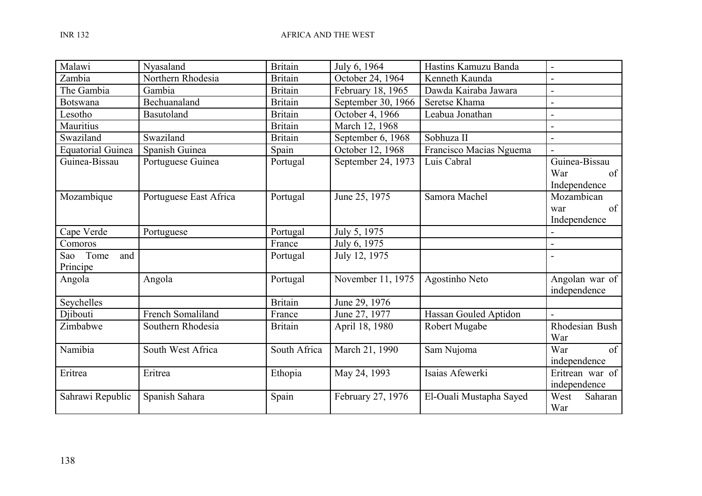| Malawi                   | Nyasaland              | <b>Britain</b> | July 6, 1964       | Hastins Kamuzu Banda    | $\blacksquare$  |
|--------------------------|------------------------|----------------|--------------------|-------------------------|-----------------|
| Zambia                   | Northern Rhodesia      | <b>Britain</b> | October 24, 1964   | Kenneth Kaunda          |                 |
| The Gambia               | Gambia                 | <b>Britain</b> | February 18, 1965  | Dawda Kairaba Jawara    |                 |
| <b>Botswana</b>          | Bechuanaland           | <b>Britain</b> | September 30, 1966 | Seretse Khama           |                 |
| Lesotho                  | Basutoland             | <b>Britain</b> | October 4, 1966    | Leabua Jonathan         |                 |
| Mauritius                |                        | <b>Britain</b> | March 12, 1968     |                         |                 |
| Swaziland                | Swaziland              | <b>Britain</b> | September 6, 1968  | Sobhuza II              |                 |
| <b>Equatorial Guinea</b> | Spanish Guinea         | Spain          | October 12, 1968   | Francisco Macias Nguema |                 |
| Guinea-Bissau            | Portuguese Guinea      | Portugal       | September 24, 1973 | Luis Cabral             | Guinea-Bissau   |
|                          |                        |                |                    |                         | War<br>of       |
|                          |                        |                |                    |                         | Independence    |
| Mozambique               | Portuguese East Africa | Portugal       | June 25, 1975      | Samora Machel           | Mozambican      |
|                          |                        |                |                    |                         | of<br>war       |
|                          |                        |                |                    |                         | Independence    |
| Cape Verde               | Portuguese             | Portugal       | July 5, 1975       |                         | $\overline{a}$  |
| Comoros                  |                        | France         | July 6, 1975       |                         |                 |
| Sao Tome<br>and          |                        | Portugal       | July 12, 1975      |                         |                 |
| Principe                 |                        |                |                    |                         |                 |
| Angola                   | Angola                 | Portugal       | November 11, 1975  | Agostinho Neto          | Angolan war of  |
|                          |                        |                |                    |                         | independence    |
| Seychelles               |                        | <b>Britain</b> | June 29, 1976      |                         |                 |
| Djibouti                 | French Somaliland      | France         | June 27, 1977      | Hassan Gouled Aptidon   |                 |
| Zimbabwe                 | Southern Rhodesia      | <b>Britain</b> | April 18, 1980     | Robert Mugabe           | Rhodesian Bush  |
|                          |                        |                |                    |                         | War             |
| Namibia                  | South West Africa      | South Africa   | March 21, 1990     | Sam Nujoma              | War<br>of       |
|                          |                        |                |                    |                         | independence    |
| Eritrea                  | Eritrea                | Ethopia        | May 24, 1993       | Isaias Afewerki         | Eritrean war of |
|                          |                        |                |                    |                         | independence    |
| Sahrawi Republic         | Spanish Sahara         | Spain          | February 27, 1976  | El-Ouali Mustapha Sayed | West<br>Saharan |
|                          |                        |                |                    |                         | War             |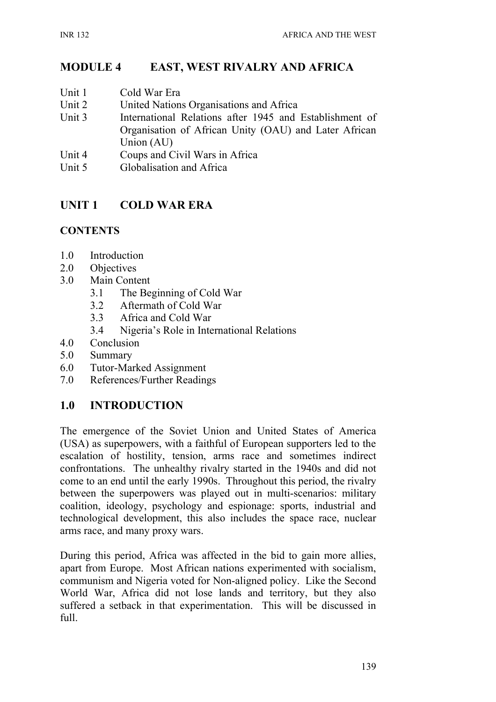## **MODULE 4 EAST, WEST RIVALRY AND AFRICA**

- Unit 1 Cold War Era
- Unit 2 United Nations Organisations and Africa
- Unit 3 International Relations after 1945 and Establishment of Organisation of African Unity (OAU) and Later African Union (AU)
- Unit 4 Coups and Civil Wars in Africa
- Unit 5 Globalisation and Africa

## **UNIT 1 COLD WAR ERA**

#### **CONTENTS**

- 1.0 Introduction
- 2.0 Objectives
- 3.0 Main Content
	- 3.1 The Beginning of Cold War
	- 3.2 Aftermath of Cold War
	- 3.3 Africa and Cold War
	- 3.4 Nigeria's Role in International Relations
- 4.0 Conclusion
- 5.0 Summary
- 6.0 Tutor-Marked Assignment
- 7.0 References/Further Readings

### **1.0 INTRODUCTION**

The emergence of the Soviet Union and United States of America (USA) as superpowers, with a faithful of European supporters led to the escalation of hostility, tension, arms race and sometimes indirect confrontations. The unhealthy rivalry started in the 1940s and did not come to an end until the early 1990s. Throughout this period, the rivalry between the superpowers was played out in multi-scenarios: military coalition, ideology, psychology and espionage: sports, industrial and technological development, this also includes the space race, nuclear arms race, and many proxy wars.

During this period, Africa was affected in the bid to gain more allies, apart from Europe. Most African nations experimented with socialism, communism and Nigeria voted for Non-aligned policy. Like the Second World War, Africa did not lose lands and territory, but they also suffered a setback in that experimentation. This will be discussed in full.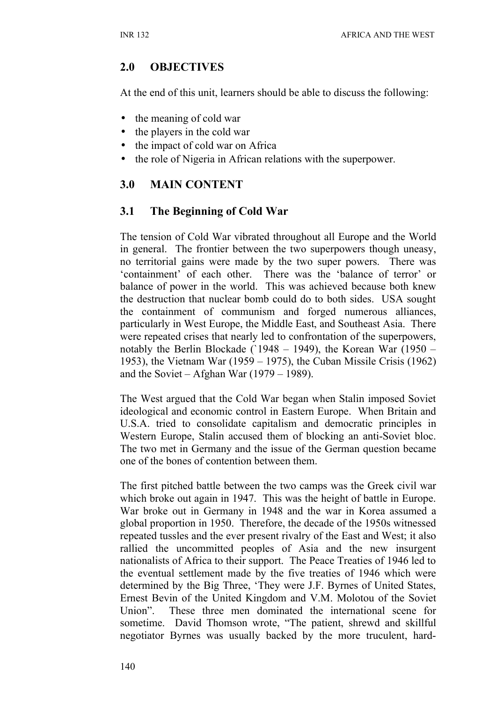### **2.0 OBJECTIVES**

At the end of this unit, learners should be able to discuss the following:

- the meaning of cold war
- the players in the cold war
- the impact of cold war on Africa
- the role of Nigeria in African relations with the superpower.

## **3.0 MAIN CONTENT**

### **3.1 The Beginning of Cold War**

The tension of Cold War vibrated throughout all Europe and the World in general. The frontier between the two superpowers though uneasy, no territorial gains were made by the two super powers. There was 'containment' of each other. There was the 'balance of terror' or balance of power in the world. This was achieved because both knew the destruction that nuclear bomb could do to both sides. USA sought the containment of communism and forged numerous alliances, particularly in West Europe, the Middle East, and Southeast Asia. There were repeated crises that nearly led to confrontation of the superpowers, notably the Berlin Blockade (`1948 – 1949), the Korean War (1950 – 1953), the Vietnam War (1959 – 1975), the Cuban Missile Crisis (1962) and the Soviet – Afghan War (1979 – 1989).

The West argued that the Cold War began when Stalin imposed Soviet ideological and economic control in Eastern Europe. When Britain and U.S.A. tried to consolidate capitalism and democratic principles in Western Europe, Stalin accused them of blocking an anti-Soviet bloc. The two met in Germany and the issue of the German question became one of the bones of contention between them.

The first pitched battle between the two camps was the Greek civil war which broke out again in 1947. This was the height of battle in Europe. War broke out in Germany in 1948 and the war in Korea assumed a global proportion in 1950. Therefore, the decade of the 1950s witnessed repeated tussles and the ever present rivalry of the East and West; it also rallied the uncommitted peoples of Asia and the new insurgent nationalists of Africa to their support. The Peace Treaties of 1946 led to the eventual settlement made by the five treaties of 1946 which were determined by the Big Three, 'They were J.F. Byrnes of United States, Ernest Bevin of the United Kingdom and V.M. Molotou of the Soviet Union". These three men dominated the international scene for sometime. David Thomson wrote, "The patient, shrewd and skillful negotiator Byrnes was usually backed by the more truculent, hard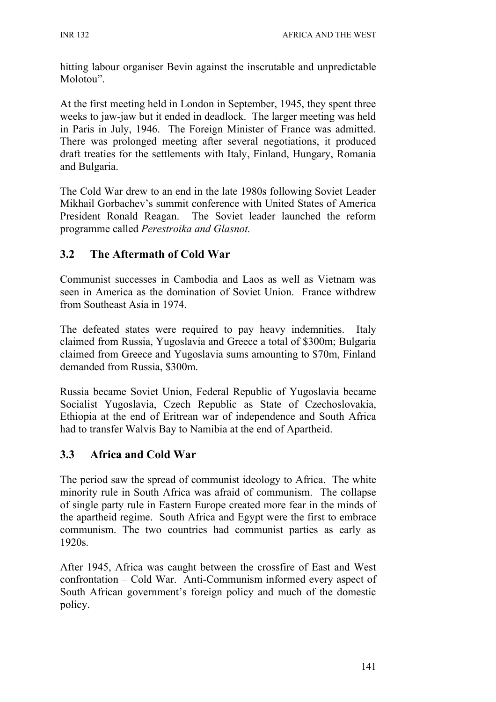hitting labour organiser Bevin against the inscrutable and unpredictable Molotou".

At the first meeting held in London in September, 1945, they spent three weeks to jaw-jaw but it ended in deadlock. The larger meeting was held in Paris in July, 1946. The Foreign Minister of France was admitted. There was prolonged meeting after several negotiations, it produced draft treaties for the settlements with Italy, Finland, Hungary, Romania and Bulgaria.

The Cold War drew to an end in the late 1980s following Soviet Leader Mikhail Gorbachev's summit conference with United States of America President Ronald Reagan. The Soviet leader launched the reform programme called *Perestroika and Glasnot.*

## **3.2 The Aftermath of Cold War**

Communist successes in Cambodia and Laos as well as Vietnam was seen in America as the domination of Soviet Union. France withdrew from Southeast Asia in 1974.

The defeated states were required to pay heavy indemnities. Italy claimed from Russia, Yugoslavia and Greece a total of \$300m; Bulgaria claimed from Greece and Yugoslavia sums amounting to \$70m, Finland demanded from Russia, \$300m.

Russia became Soviet Union, Federal Republic of Yugoslavia became Socialist Yugoslavia, Czech Republic as State of Czechoslovakia, Ethiopia at the end of Eritrean war of independence and South Africa had to transfer Walvis Bay to Namibia at the end of Apartheid.

## **3.3 Africa and Cold War**

The period saw the spread of communist ideology to Africa. The white minority rule in South Africa was afraid of communism. The collapse of single party rule in Eastern Europe created more fear in the minds of the apartheid regime. South Africa and Egypt were the first to embrace communism. The two countries had communist parties as early as 1920s.

After 1945, Africa was caught between the crossfire of East and West confrontation – Cold War. Anti-Communism informed every aspect of South African government's foreign policy and much of the domestic policy.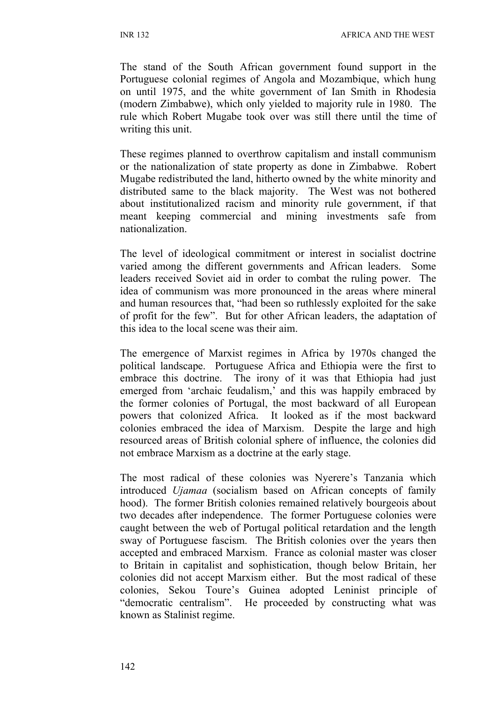The stand of the South African government found support in the Portuguese colonial regimes of Angola and Mozambique, which hung on until 1975, and the white government of Ian Smith in Rhodesia (modern Zimbabwe), which only yielded to majority rule in 1980. The rule which Robert Mugabe took over was still there until the time of writing this unit.

These regimes planned to overthrow capitalism and install communism or the nationalization of state property as done in Zimbabwe. Robert Mugabe redistributed the land, hitherto owned by the white minority and distributed same to the black majority. The West was not bothered about institutionalized racism and minority rule government, if that meant keeping commercial and mining investments safe from nationalization.

The level of ideological commitment or interest in socialist doctrine varied among the different governments and African leaders. Some leaders received Soviet aid in order to combat the ruling power. The idea of communism was more pronounced in the areas where mineral and human resources that, "had been so ruthlessly exploited for the sake of profit for the few". But for other African leaders, the adaptation of this idea to the local scene was their aim.

The emergence of Marxist regimes in Africa by 1970s changed the political landscape. Portuguese Africa and Ethiopia were the first to embrace this doctrine. The irony of it was that Ethiopia had just emerged from 'archaic feudalism,' and this was happily embraced by the former colonies of Portugal, the most backward of all European powers that colonized Africa. It looked as if the most backward colonies embraced the idea of Marxism. Despite the large and high resourced areas of British colonial sphere of influence, the colonies did not embrace Marxism as a doctrine at the early stage.

The most radical of these colonies was Nyerere's Tanzania which introduced *Ujamaa* (socialism based on African concepts of family hood). The former British colonies remained relatively bourgeois about two decades after independence. The former Portuguese colonies were caught between the web of Portugal political retardation and the length sway of Portuguese fascism. The British colonies over the years then accepted and embraced Marxism. France as colonial master was closer to Britain in capitalist and sophistication, though below Britain, her colonies did not accept Marxism either. But the most radical of these colonies, Sekou Toure's Guinea adopted Leninist principle of "democratic centralism". He proceeded by constructing what was known as Stalinist regime.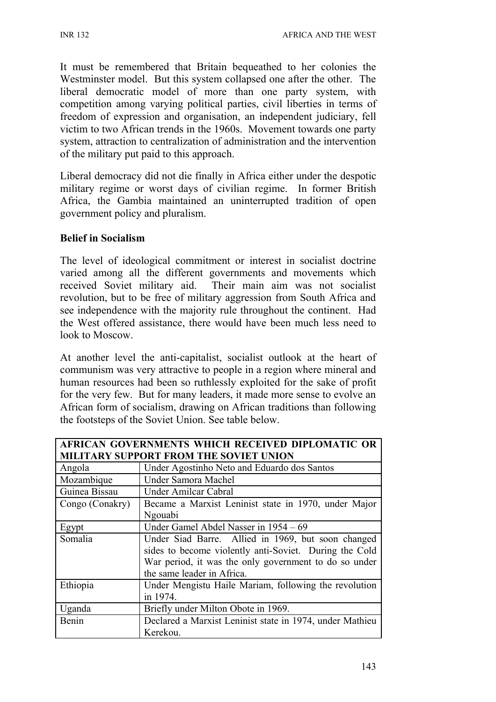It must be remembered that Britain bequeathed to her colonies the Westminster model. But this system collapsed one after the other. The liberal democratic model of more than one party system, with competition among varying political parties, civil liberties in terms of freedom of expression and organisation, an independent judiciary, fell victim to two African trends in the 1960s. Movement towards one party system, attraction to centralization of administration and the intervention of the military put paid to this approach.

Liberal democracy did not die finally in Africa either under the despotic military regime or worst days of civilian regime. In former British Africa, the Gambia maintained an uninterrupted tradition of open government policy and pluralism.

#### **Belief in Socialism**

The level of ideological commitment or interest in socialist doctrine varied among all the different governments and movements which received Soviet military aid. Their main aim was not socialist revolution, but to be free of military aggression from South Africa and see independence with the majority rule throughout the continent. Had the West offered assistance, there would have been much less need to look to Moscow.

At another level the anti-capitalist, socialist outlook at the heart of communism was very attractive to people in a region where mineral and human resources had been so ruthlessly exploited for the sake of profit for the very few. But for many leaders, it made more sense to evolve an African form of socialism, drawing on African traditions than following the footsteps of the Soviet Union. See table below.

| <b>AFRICAN GOVERNMENTS WHICH RECEIVED DIPLOMATIC OR</b>           |                                                        |  |  |  |  |  |
|-------------------------------------------------------------------|--------------------------------------------------------|--|--|--|--|--|
| <b>MILITARY SUPPORT FROM THE SOVIET UNION</b>                     |                                                        |  |  |  |  |  |
| Angola                                                            | Under Agostinho Neto and Eduardo dos Santos            |  |  |  |  |  |
| Mozambique                                                        | Under Samora Machel                                    |  |  |  |  |  |
| Guinea Bissau                                                     | Under Amilcar Cabral                                   |  |  |  |  |  |
| Congo (Conakry)                                                   | Became a Marxist Leninist state in 1970, under Major   |  |  |  |  |  |
|                                                                   | Ngouabi                                                |  |  |  |  |  |
| Egypt                                                             | Under Gamel Abdel Nasser in 1954 – 69                  |  |  |  |  |  |
| Somalia                                                           | Under Siad Barre. Allied in 1969, but soon changed     |  |  |  |  |  |
|                                                                   | sides to become violently anti-Soviet. During the Cold |  |  |  |  |  |
|                                                                   | War period, it was the only government to do so under  |  |  |  |  |  |
|                                                                   | the same leader in Africa.                             |  |  |  |  |  |
| Ethiopia                                                          | Under Mengistu Haile Mariam, following the revolution  |  |  |  |  |  |
|                                                                   | in 1974.                                               |  |  |  |  |  |
| Uganda                                                            | Briefly under Milton Obote in 1969.                    |  |  |  |  |  |
| Declared a Marxist Leninist state in 1974, under Mathieu<br>Benin |                                                        |  |  |  |  |  |
|                                                                   | Kerekou.                                               |  |  |  |  |  |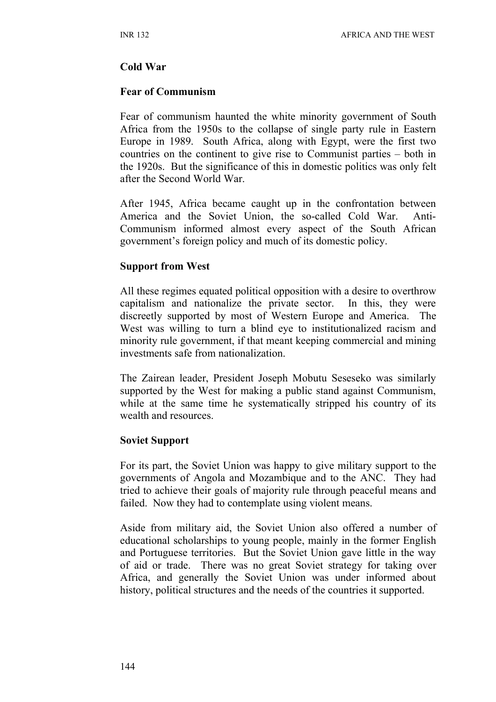#### **Cold War**

#### **Fear of Communism**

Fear of communism haunted the white minority government of South Africa from the 1950s to the collapse of single party rule in Eastern Europe in 1989. South Africa, along with Egypt, were the first two countries on the continent to give rise to Communist parties – both in the 1920s. But the significance of this in domestic politics was only felt after the Second World War.

After 1945, Africa became caught up in the confrontation between America and the Soviet Union, the so-called Cold War. Anti-Communism informed almost every aspect of the South African government's foreign policy and much of its domestic policy.

#### **Support from West**

All these regimes equated political opposition with a desire to overthrow capitalism and nationalize the private sector. In this, they were discreetly supported by most of Western Europe and America. The West was willing to turn a blind eye to institutionalized racism and minority rule government, if that meant keeping commercial and mining investments safe from nationalization.

The Zairean leader, President Joseph Mobutu Seseseko was similarly supported by the West for making a public stand against Communism, while at the same time he systematically stripped his country of its wealth and resources.

#### **Soviet Support**

For its part, the Soviet Union was happy to give military support to the governments of Angola and Mozambique and to the ANC. They had tried to achieve their goals of majority rule through peaceful means and failed. Now they had to contemplate using violent means.

Aside from military aid, the Soviet Union also offered a number of educational scholarships to young people, mainly in the former English and Portuguese territories. But the Soviet Union gave little in the way of aid or trade. There was no great Soviet strategy for taking over Africa, and generally the Soviet Union was under informed about history, political structures and the needs of the countries it supported.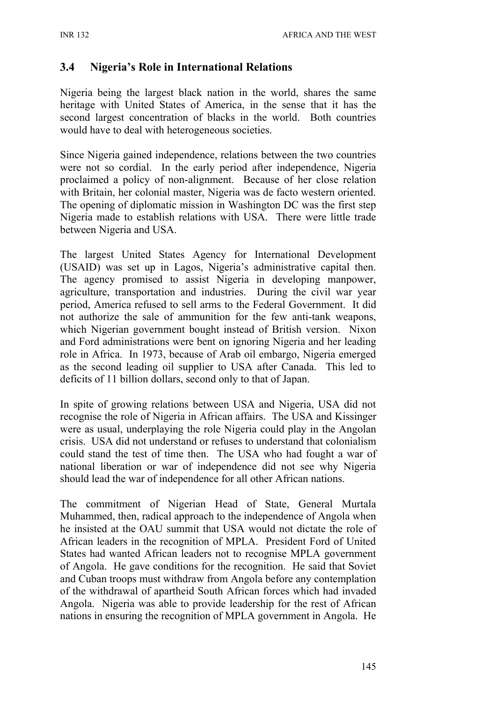### **3.4 Nigeria's Role in International Relations**

Nigeria being the largest black nation in the world, shares the same heritage with United States of America, in the sense that it has the second largest concentration of blacks in the world. Both countries would have to deal with heterogeneous societies.

Since Nigeria gained independence, relations between the two countries were not so cordial. In the early period after independence, Nigeria proclaimed a policy of non-alignment. Because of her close relation with Britain, her colonial master, Nigeria was de facto western oriented. The opening of diplomatic mission in Washington DC was the first step Nigeria made to establish relations with USA. There were little trade between Nigeria and USA.

The largest United States Agency for International Development (USAID) was set up in Lagos, Nigeria's administrative capital then. The agency promised to assist Nigeria in developing manpower, agriculture, transportation and industries. During the civil war year period, America refused to sell arms to the Federal Government. It did not authorize the sale of ammunition for the few anti-tank weapons, which Nigerian government bought instead of British version. Nixon and Ford administrations were bent on ignoring Nigeria and her leading role in Africa. In 1973, because of Arab oil embargo, Nigeria emerged as the second leading oil supplier to USA after Canada. This led to deficits of 11 billion dollars, second only to that of Japan.

In spite of growing relations between USA and Nigeria, USA did not recognise the role of Nigeria in African affairs. The USA and Kissinger were as usual, underplaying the role Nigeria could play in the Angolan crisis. USA did not understand or refuses to understand that colonialism could stand the test of time then. The USA who had fought a war of national liberation or war of independence did not see why Nigeria should lead the war of independence for all other African nations.

The commitment of Nigerian Head of State, General Murtala Muhammed, then, radical approach to the independence of Angola when he insisted at the OAU summit that USA would not dictate the role of African leaders in the recognition of MPLA. President Ford of United States had wanted African leaders not to recognise MPLA government of Angola. He gave conditions for the recognition. He said that Soviet and Cuban troops must withdraw from Angola before any contemplation of the withdrawal of apartheid South African forces which had invaded Angola. Nigeria was able to provide leadership for the rest of African nations in ensuring the recognition of MPLA government in Angola. He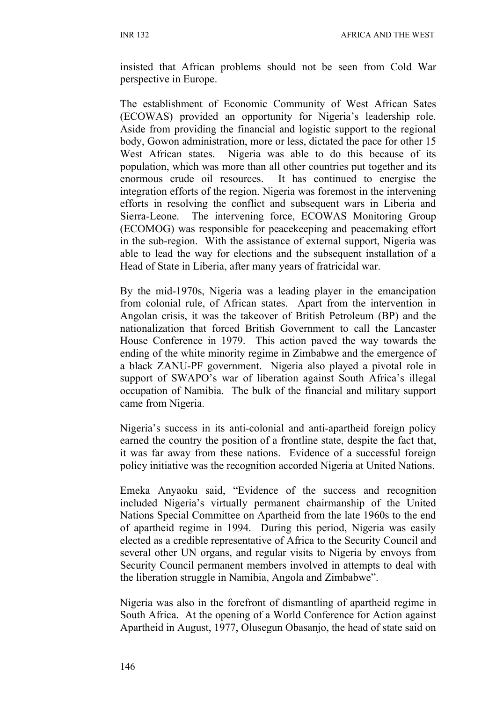insisted that African problems should not be seen from Cold War perspective in Europe.

The establishment of Economic Community of West African Sates (ECOWAS) provided an opportunity for Nigeria's leadership role. Aside from providing the financial and logistic support to the regional body, Gowon administration, more or less, dictated the pace for other 15 West African states. Nigeria was able to do this because of its population, which was more than all other countries put together and its enormous crude oil resources. It has continued to energise the integration efforts of the region. Nigeria was foremost in the intervening efforts in resolving the conflict and subsequent wars in Liberia and Sierra-Leone. The intervening force, ECOWAS Monitoring Group (ECOMOG) was responsible for peacekeeping and peacemaking effort in the sub-region. With the assistance of external support, Nigeria was able to lead the way for elections and the subsequent installation of a Head of State in Liberia, after many years of fratricidal war.

By the mid-1970s, Nigeria was a leading player in the emancipation from colonial rule, of African states. Apart from the intervention in Angolan crisis, it was the takeover of British Petroleum (BP) and the nationalization that forced British Government to call the Lancaster House Conference in 1979. This action paved the way towards the ending of the white minority regime in Zimbabwe and the emergence of a black ZANU-PF government. Nigeria also played a pivotal role in support of SWAPO's war of liberation against South Africa's illegal occupation of Namibia. The bulk of the financial and military support came from Nigeria.

Nigeria's success in its anti-colonial and anti-apartheid foreign policy earned the country the position of a frontline state, despite the fact that, it was far away from these nations. Evidence of a successful foreign policy initiative was the recognition accorded Nigeria at United Nations.

Emeka Anyaoku said, "Evidence of the success and recognition included Nigeria's virtually permanent chairmanship of the United Nations Special Committee on Apartheid from the late 1960s to the end of apartheid regime in 1994. During this period, Nigeria was easily elected as a credible representative of Africa to the Security Council and several other UN organs, and regular visits to Nigeria by envoys from Security Council permanent members involved in attempts to deal with the liberation struggle in Namibia, Angola and Zimbabwe".

Nigeria was also in the forefront of dismantling of apartheid regime in South Africa. At the opening of a World Conference for Action against Apartheid in August, 1977, Olusegun Obasanjo, the head of state said on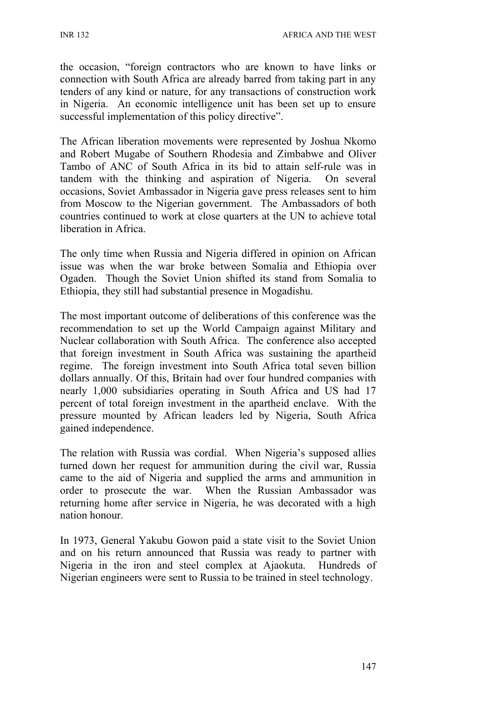the occasion, "foreign contractors who are known to have links or connection with South Africa are already barred from taking part in any tenders of any kind or nature, for any transactions of construction work in Nigeria. An economic intelligence unit has been set up to ensure successful implementation of this policy directive".

The African liberation movements were represented by Joshua Nkomo and Robert Mugabe of Southern Rhodesia and Zimbabwe and Oliver Tambo of ANC of South Africa in its bid to attain self-rule was in tandem with the thinking and aspiration of Nigeria. On several occasions, Soviet Ambassador in Nigeria gave press releases sent to him from Moscow to the Nigerian government. The Ambassadors of both countries continued to work at close quarters at the UN to achieve total liberation in Africa.

The only time when Russia and Nigeria differed in opinion on African issue was when the war broke between Somalia and Ethiopia over Ogaden. Though the Soviet Union shifted its stand from Somalia to Ethiopia, they still had substantial presence in Mogadishu.

The most important outcome of deliberations of this conference was the recommendation to set up the World Campaign against Military and Nuclear collaboration with South Africa. The conference also accepted that foreign investment in South Africa was sustaining the apartheid regime. The foreign investment into South Africa total seven billion dollars annually. Of this, Britain had over four hundred companies with nearly 1,000 subsidiaries operating in South Africa and US had 17 percent of total foreign investment in the apartheid enclave. With the pressure mounted by African leaders led by Nigeria, South Africa gained independence.

The relation with Russia was cordial. When Nigeria's supposed allies turned down her request for ammunition during the civil war, Russia came to the aid of Nigeria and supplied the arms and ammunition in order to prosecute the war. When the Russian Ambassador was returning home after service in Nigeria, he was decorated with a high nation honour.

In 1973, General Yakubu Gowon paid a state visit to the Soviet Union and on his return announced that Russia was ready to partner with Nigeria in the iron and steel complex at Ajaokuta. Hundreds of Nigerian engineers were sent to Russia to be trained in steel technology.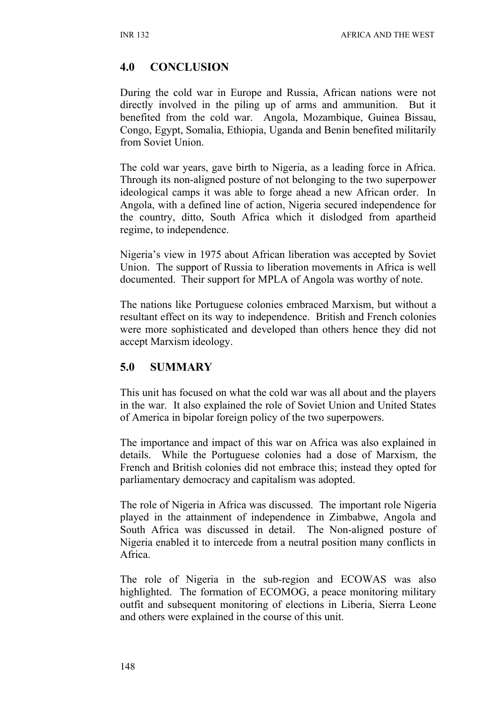### **4.0 CONCLUSION**

During the cold war in Europe and Russia, African nations were not directly involved in the piling up of arms and ammunition. But it benefited from the cold war. Angola, Mozambique, Guinea Bissau, Congo, Egypt, Somalia, Ethiopia, Uganda and Benin benefited militarily from Soviet Union.

The cold war years, gave birth to Nigeria, as a leading force in Africa. Through its non-aligned posture of not belonging to the two superpower ideological camps it was able to forge ahead a new African order. In Angola, with a defined line of action, Nigeria secured independence for the country, ditto, South Africa which it dislodged from apartheid regime, to independence.

Nigeria's view in 1975 about African liberation was accepted by Soviet Union. The support of Russia to liberation movements in Africa is well documented. Their support for MPLA of Angola was worthy of note.

The nations like Portuguese colonies embraced Marxism, but without a resultant effect on its way to independence. British and French colonies were more sophisticated and developed than others hence they did not accept Marxism ideology.

## **5.0 SUMMARY**

This unit has focused on what the cold war was all about and the players in the war. It also explained the role of Soviet Union and United States of America in bipolar foreign policy of the two superpowers.

The importance and impact of this war on Africa was also explained in details. While the Portuguese colonies had a dose of Marxism, the French and British colonies did not embrace this; instead they opted for parliamentary democracy and capitalism was adopted.

The role of Nigeria in Africa was discussed. The important role Nigeria played in the attainment of independence in Zimbabwe, Angola and South Africa was discussed in detail. The Non-aligned posture of Nigeria enabled it to intercede from a neutral position many conflicts in Africa.

The role of Nigeria in the sub-region and ECOWAS was also highlighted. The formation of ECOMOG, a peace monitoring military outfit and subsequent monitoring of elections in Liberia, Sierra Leone and others were explained in the course of this unit.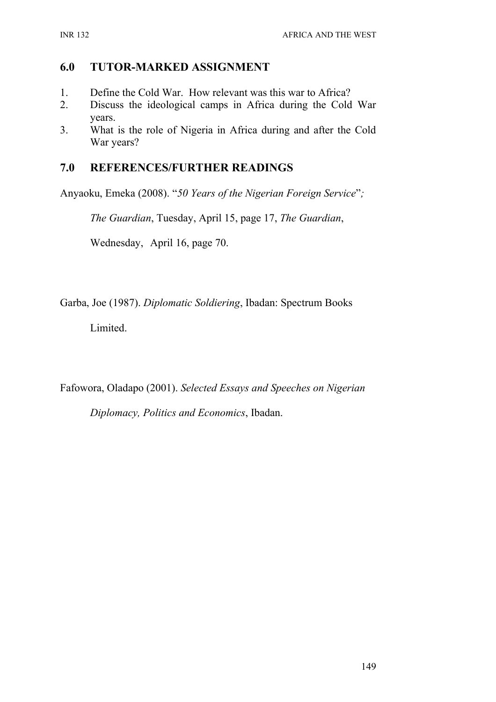### **6.0 TUTOR-MARKED ASSIGNMENT**

- 1. Define the Cold War. How relevant was this war to Africa?
- 2. Discuss the ideological camps in Africa during the Cold War years.
- 3. What is the role of Nigeria in Africa during and after the Cold War years?

## **7.0 REFERENCES/FURTHER READINGS**

Anyaoku, Emeka (2008). "*50 Years of the Nigerian Foreign Service*"*;* 

*The Guardian*, Tuesday, April 15, page 17, *The Guardian*,

Wednesday, April 16, page 70.

Garba, Joe (1987). *Diplomatic Soldiering*, Ibadan: Spectrum Books

Limited.

Fafowora, Oladapo (2001). *Selected Essays and Speeches on Nigerian* 

*Diplomacy, Politics and Economics*, Ibadan.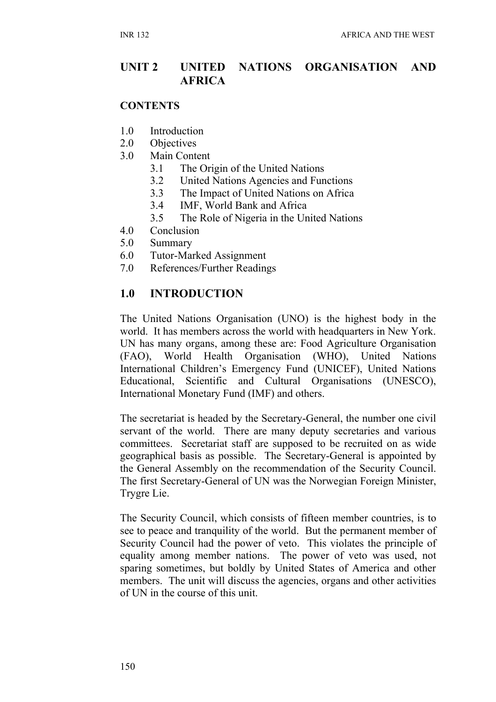### **UNIT 2 UNITED NATIONS ORGANISATION AND AFRICA**

#### **CONTENTS**

- 1.0 Introduction
- 2.0 Objectives
- 3.0 Main Content
	- 3.1 The Origin of the United Nations
	- 3.2 United Nations Agencies and Functions
	- 3.3 The Impact of United Nations on Africa
	- 3.4 IMF, World Bank and Africa
	- 3.5 The Role of Nigeria in the United Nations
- 4.0 Conclusion
- 5.0 Summary
- 6.0 Tutor-Marked Assignment
- 7.0 References/Further Readings

### **1.0 INTRODUCTION**

The United Nations Organisation (UNO) is the highest body in the world. It has members across the world with headquarters in New York. UN has many organs, among these are: Food Agriculture Organisation (FAO), World Health Organisation (WHO), United Nations International Children's Emergency Fund (UNICEF), United Nations Educational, Scientific and Cultural Organisations (UNESCO), International Monetary Fund (IMF) and others.

The secretariat is headed by the Secretary-General, the number one civil servant of the world. There are many deputy secretaries and various committees. Secretariat staff are supposed to be recruited on as wide geographical basis as possible. The Secretary-General is appointed by the General Assembly on the recommendation of the Security Council. The first Secretary-General of UN was the Norwegian Foreign Minister, Trygre Lie.

The Security Council, which consists of fifteen member countries, is to see to peace and tranquility of the world. But the permanent member of Security Council had the power of veto. This violates the principle of equality among member nations. The power of veto was used, not sparing sometimes, but boldly by United States of America and other members. The unit will discuss the agencies, organs and other activities of UN in the course of this unit.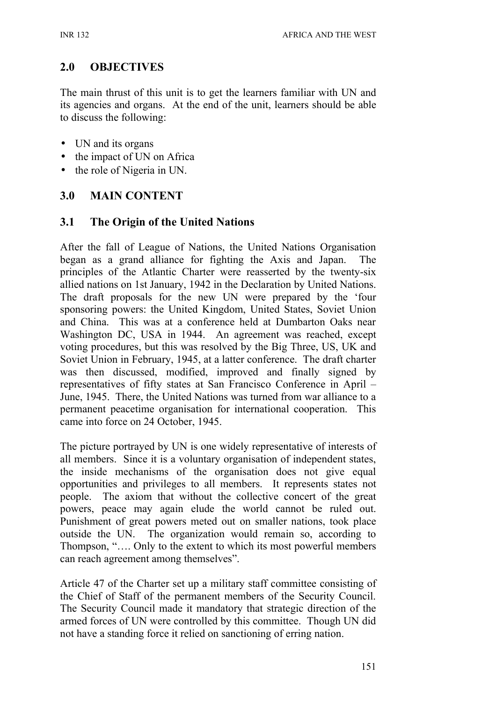## **2.0 OBJECTIVES**

The main thrust of this unit is to get the learners familiar with UN and its agencies and organs. At the end of the unit, learners should be able to discuss the following:

- UN and its organs
- the impact of UN on Africa
- the role of Nigeria in UN.

## **3.0 MAIN CONTENT**

### **3.1 The Origin of the United Nations**

After the fall of League of Nations, the United Nations Organisation began as a grand alliance for fighting the Axis and Japan. principles of the Atlantic Charter were reasserted by the twenty-six allied nations on 1st January, 1942 in the Declaration by United Nations. The draft proposals for the new UN were prepared by the 'four sponsoring powers: the United Kingdom, United States, Soviet Union and China. This was at a conference held at Dumbarton Oaks near Washington DC, USA in 1944. An agreement was reached, except voting procedures, but this was resolved by the Big Three, US, UK and Soviet Union in February, 1945, at a latter conference. The draft charter was then discussed, modified, improved and finally signed by representatives of fifty states at San Francisco Conference in April – June, 1945. There, the United Nations was turned from war alliance to a permanent peacetime organisation for international cooperation. This came into force on 24 October, 1945.

The picture portrayed by UN is one widely representative of interests of all members. Since it is a voluntary organisation of independent states, the inside mechanisms of the organisation does not give equal opportunities and privileges to all members. It represents states not people. The axiom that without the collective concert of the great powers, peace may again elude the world cannot be ruled out. Punishment of great powers meted out on smaller nations, took place outside the UN. The organization would remain so, according to Thompson, "…. Only to the extent to which its most powerful members can reach agreement among themselves".

Article 47 of the Charter set up a military staff committee consisting of the Chief of Staff of the permanent members of the Security Council. The Security Council made it mandatory that strategic direction of the armed forces of UN were controlled by this committee. Though UN did not have a standing force it relied on sanctioning of erring nation.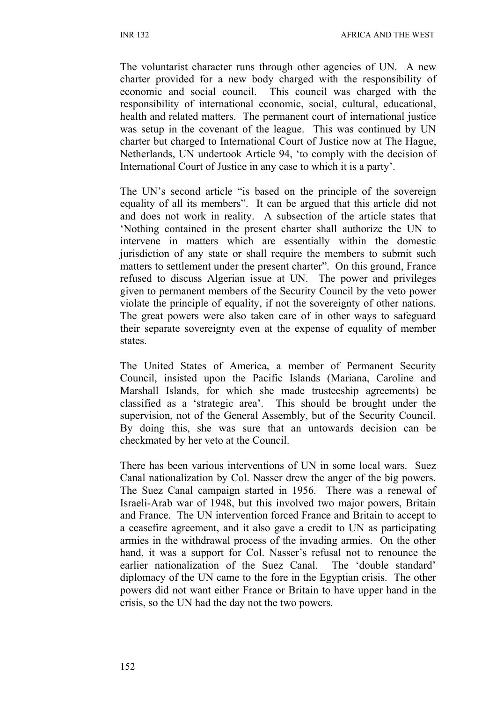The voluntarist character runs through other agencies of UN. A new charter provided for a new body charged with the responsibility of economic and social council. This council was charged with the responsibility of international economic, social, cultural, educational, health and related matters. The permanent court of international justice was setup in the covenant of the league. This was continued by UN charter but charged to International Court of Justice now at The Hague, Netherlands, UN undertook Article 94, 'to comply with the decision of International Court of Justice in any case to which it is a party'.

The UN's second article "is based on the principle of the sovereign equality of all its members". It can be argued that this article did not and does not work in reality. A subsection of the article states that 'Nothing contained in the present charter shall authorize the UN to intervene in matters which are essentially within the domestic jurisdiction of any state or shall require the members to submit such matters to settlement under the present charter". On this ground, France refused to discuss Algerian issue at UN. The power and privileges given to permanent members of the Security Council by the veto power violate the principle of equality, if not the sovereignty of other nations. The great powers were also taken care of in other ways to safeguard their separate sovereignty even at the expense of equality of member states.

The United States of America, a member of Permanent Security Council, insisted upon the Pacific Islands (Mariana, Caroline and Marshall Islands, for which she made trusteeship agreements) be classified as a 'strategic area'. This should be brought under the supervision, not of the General Assembly, but of the Security Council. By doing this, she was sure that an untowards decision can be checkmated by her veto at the Council.

There has been various interventions of UN in some local wars. Suez Canal nationalization by Col. Nasser drew the anger of the big powers. The Suez Canal campaign started in 1956. There was a renewal of Israeli-Arab war of 1948, but this involved two major powers, Britain and France. The UN intervention forced France and Britain to accept to a ceasefire agreement, and it also gave a credit to UN as participating armies in the withdrawal process of the invading armies. On the other hand, it was a support for Col. Nasser's refusal not to renounce the earlier nationalization of the Suez Canal. The 'double standard' diplomacy of the UN came to the fore in the Egyptian crisis. The other powers did not want either France or Britain to have upper hand in the crisis, so the UN had the day not the two powers.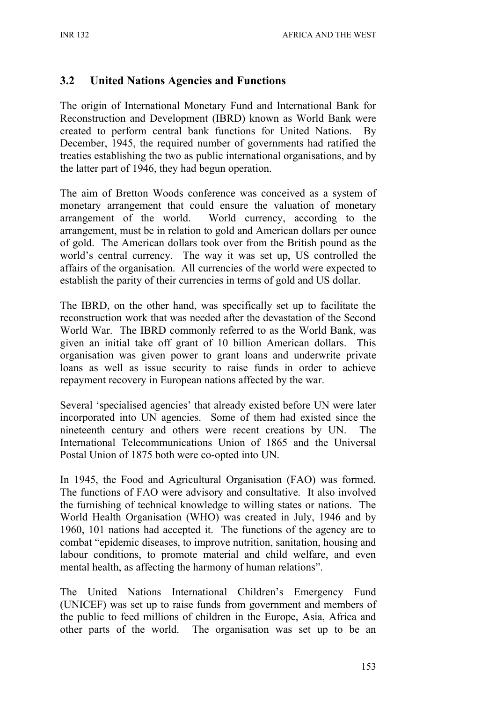### **3.2 United Nations Agencies and Functions**

The origin of International Monetary Fund and International Bank for Reconstruction and Development (IBRD) known as World Bank were created to perform central bank functions for United Nations. By December, 1945, the required number of governments had ratified the treaties establishing the two as public international organisations, and by the latter part of 1946, they had begun operation.

The aim of Bretton Woods conference was conceived as a system of monetary arrangement that could ensure the valuation of monetary arrangement of the world. World currency, according to the arrangement, must be in relation to gold and American dollars per ounce of gold. The American dollars took over from the British pound as the world's central currency. The way it was set up, US controlled the affairs of the organisation. All currencies of the world were expected to establish the parity of their currencies in terms of gold and US dollar.

The IBRD, on the other hand, was specifically set up to facilitate the reconstruction work that was needed after the devastation of the Second World War. The IBRD commonly referred to as the World Bank, was given an initial take off grant of 10 billion American dollars. This organisation was given power to grant loans and underwrite private loans as well as issue security to raise funds in order to achieve repayment recovery in European nations affected by the war.

Several 'specialised agencies' that already existed before UN were later incorporated into UN agencies. Some of them had existed since the nineteenth century and others were recent creations by UN. The International Telecommunications Union of 1865 and the Universal Postal Union of 1875 both were co-opted into UN.

In 1945, the Food and Agricultural Organisation (FAO) was formed. The functions of FAO were advisory and consultative. It also involved the furnishing of technical knowledge to willing states or nations. The World Health Organisation (WHO) was created in July, 1946 and by 1960, 101 nations had accepted it. The functions of the agency are to combat "epidemic diseases, to improve nutrition, sanitation, housing and labour conditions, to promote material and child welfare, and even mental health, as affecting the harmony of human relations".

The United Nations International Children's Emergency Fund (UNICEF) was set up to raise funds from government and members of the public to feed millions of children in the Europe, Asia, Africa and other parts of the world. The organisation was set up to be an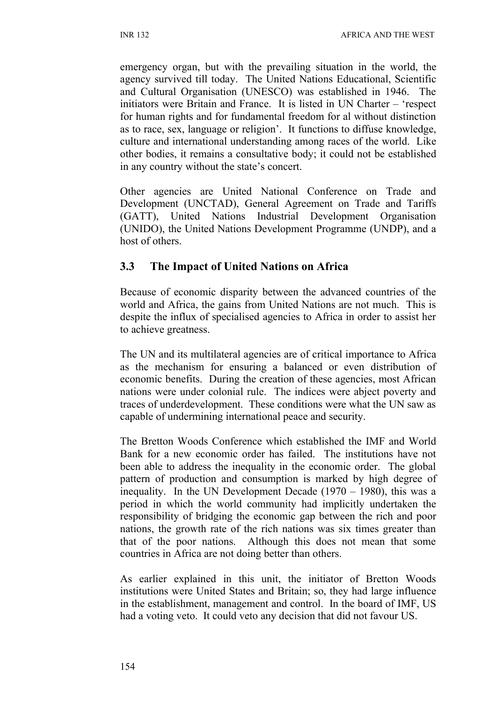emergency organ, but with the prevailing situation in the world, the agency survived till today. The United Nations Educational, Scientific and Cultural Organisation (UNESCO) was established in 1946. The initiators were Britain and France. It is listed in UN Charter – 'respect for human rights and for fundamental freedom for al without distinction as to race, sex, language or religion'. It functions to diffuse knowledge, culture and international understanding among races of the world. Like other bodies, it remains a consultative body; it could not be established in any country without the state's concert.

Other agencies are United National Conference on Trade and Development (UNCTAD), General Agreement on Trade and Tariffs (GATT), United Nations Industrial Development Organisation (UNIDO), the United Nations Development Programme (UNDP), and a host of others.

### **3.3 The Impact of United Nations on Africa**

Because of economic disparity between the advanced countries of the world and Africa, the gains from United Nations are not much. This is despite the influx of specialised agencies to Africa in order to assist her to achieve greatness.

The UN and its multilateral agencies are of critical importance to Africa as the mechanism for ensuring a balanced or even distribution of economic benefits. During the creation of these agencies, most African nations were under colonial rule. The indices were abject poverty and traces of underdevelopment. These conditions were what the UN saw as capable of undermining international peace and security.

The Bretton Woods Conference which established the IMF and World Bank for a new economic order has failed. The institutions have not been able to address the inequality in the economic order. The global pattern of production and consumption is marked by high degree of inequality. In the UN Development Decade (1970 – 1980), this was a period in which the world community had implicitly undertaken the responsibility of bridging the economic gap between the rich and poor nations, the growth rate of the rich nations was six times greater than that of the poor nations. Although this does not mean that some countries in Africa are not doing better than others.

As earlier explained in this unit, the initiator of Bretton Woods institutions were United States and Britain; so, they had large influence in the establishment, management and control. In the board of IMF, US had a voting veto. It could veto any decision that did not favour US.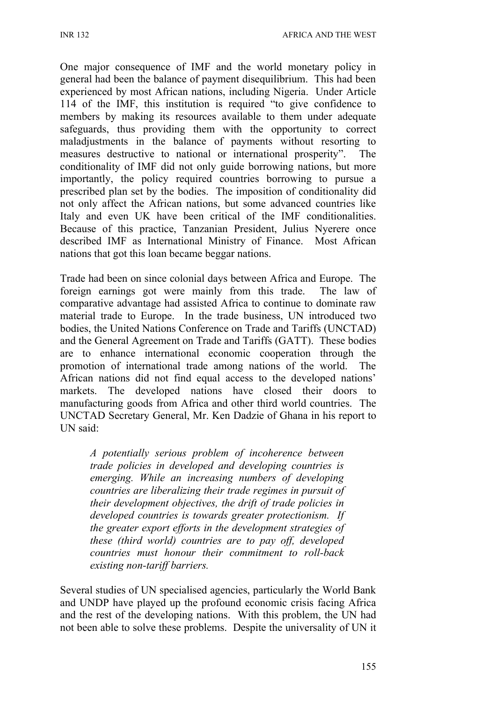One major consequence of IMF and the world monetary policy in general had been the balance of payment disequilibrium. This had been experienced by most African nations, including Nigeria. Under Article 114 of the IMF, this institution is required "to give confidence to members by making its resources available to them under adequate safeguards, thus providing them with the opportunity to correct maladjustments in the balance of payments without resorting to measures destructive to national or international prosperity". The conditionality of IMF did not only guide borrowing nations, but more importantly, the policy required countries borrowing to pursue a prescribed plan set by the bodies. The imposition of conditionality did not only affect the African nations, but some advanced countries like Italy and even UK have been critical of the IMF conditionalities. Because of this practice, Tanzanian President, Julius Nyerere once described IMF as International Ministry of Finance. Most African nations that got this loan became beggar nations.

Trade had been on since colonial days between Africa and Europe. The foreign earnings got were mainly from this trade. The law of comparative advantage had assisted Africa to continue to dominate raw material trade to Europe. In the trade business, UN introduced two bodies, the United Nations Conference on Trade and Tariffs (UNCTAD) and the General Agreement on Trade and Tariffs (GATT). These bodies are to enhance international economic cooperation through the promotion of international trade among nations of the world. The African nations did not find equal access to the developed nations' markets. The developed nations have closed their doors to manufacturing goods from Africa and other third world countries. The UNCTAD Secretary General, Mr. Ken Dadzie of Ghana in his report to UN said:

*A potentially serious problem of incoherence between trade policies in developed and developing countries is emerging. While an increasing numbers of developing countries are liberalizing their trade regimes in pursuit of their development objectives, the drift of trade policies in developed countries is towards greater protectionism. If the greater export efforts in the development strategies of these (third world) countries are to pay off, developed countries must honour their commitment to roll-back existing non-tariff barriers.*

Several studies of UN specialised agencies, particularly the World Bank and UNDP have played up the profound economic crisis facing Africa and the rest of the developing nations. With this problem, the UN had not been able to solve these problems. Despite the universality of UN it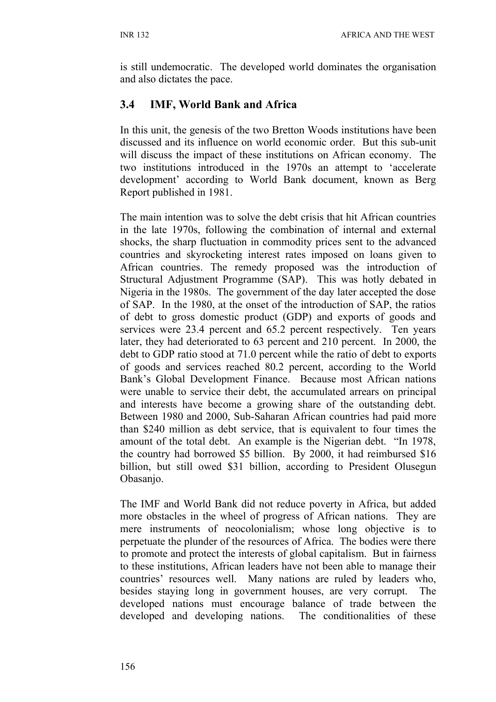is still undemocratic. The developed world dominates the organisation and also dictates the pace.

## **3.4 IMF, World Bank and Africa**

In this unit, the genesis of the two Bretton Woods institutions have been discussed and its influence on world economic order. But this sub-unit will discuss the impact of these institutions on African economy. The two institutions introduced in the 1970s an attempt to 'accelerate development' according to World Bank document, known as Berg Report published in 1981.

The main intention was to solve the debt crisis that hit African countries in the late 1970s, following the combination of internal and external shocks, the sharp fluctuation in commodity prices sent to the advanced countries and skyrocketing interest rates imposed on loans given to African countries. The remedy proposed was the introduction of Structural Adjustment Programme (SAP). This was hotly debated in Nigeria in the 1980s. The government of the day later accepted the dose of SAP. In the 1980, at the onset of the introduction of SAP, the ratios of debt to gross domestic product (GDP) and exports of goods and services were 23.4 percent and 65.2 percent respectively. Ten years later, they had deteriorated to 63 percent and 210 percent. In 2000, the debt to GDP ratio stood at 71.0 percent while the ratio of debt to exports of goods and services reached 80.2 percent, according to the World Bank's Global Development Finance. Because most African nations were unable to service their debt, the accumulated arrears on principal and interests have become a growing share of the outstanding debt. Between 1980 and 2000, Sub-Saharan African countries had paid more than \$240 million as debt service, that is equivalent to four times the amount of the total debt. An example is the Nigerian debt. "In 1978, the country had borrowed \$5 billion. By 2000, it had reimbursed \$16 billion, but still owed \$31 billion, according to President Olusegun Obasanjo.

The IMF and World Bank did not reduce poverty in Africa, but added more obstacles in the wheel of progress of African nations. They are mere instruments of neocolonialism; whose long objective is to perpetuate the plunder of the resources of Africa. The bodies were there to promote and protect the interests of global capitalism. But in fairness to these institutions, African leaders have not been able to manage their countries' resources well. Many nations are ruled by leaders who, besides staying long in government houses, are very corrupt. The developed nations must encourage balance of trade between the developed and developing nations. The conditionalities of these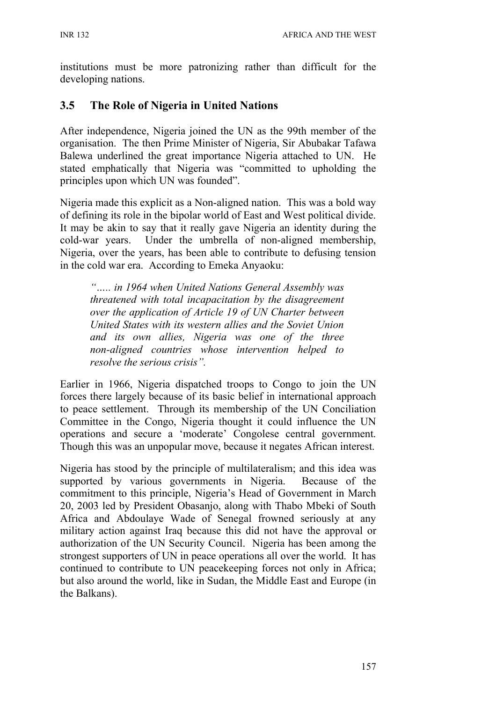institutions must be more patronizing rather than difficult for the developing nations.

### **3.5 The Role of Nigeria in United Nations**

After independence, Nigeria joined the UN as the 99th member of the organisation. The then Prime Minister of Nigeria, Sir Abubakar Tafawa Balewa underlined the great importance Nigeria attached to UN. He stated emphatically that Nigeria was "committed to upholding the principles upon which UN was founded".

Nigeria made this explicit as a Non-aligned nation. This was a bold way of defining its role in the bipolar world of East and West political divide. It may be akin to say that it really gave Nigeria an identity during the cold-war years. Under the umbrella of non-aligned membership, Nigeria, over the years, has been able to contribute to defusing tension in the cold war era. According to Emeka Anyaoku:

*"….. in 1964 when United Nations General Assembly was threatened with total incapacitation by the disagreement over the application of Article 19 of UN Charter between United States with its western allies and the Soviet Union and its own allies, Nigeria was one of the three non-aligned countries whose intervention helped to resolve the serious crisis".*

Earlier in 1966, Nigeria dispatched troops to Congo to join the UN forces there largely because of its basic belief in international approach to peace settlement. Through its membership of the UN Conciliation Committee in the Congo, Nigeria thought it could influence the UN operations and secure a 'moderate' Congolese central government. Though this was an unpopular move, because it negates African interest.

Nigeria has stood by the principle of multilateralism; and this idea was supported by various governments in Nigeria. Because of the commitment to this principle, Nigeria's Head of Government in March 20, 2003 led by President Obasanjo, along with Thabo Mbeki of South Africa and Abdoulaye Wade of Senegal frowned seriously at any military action against Iraq because this did not have the approval or authorization of the UN Security Council. Nigeria has been among the strongest supporters of UN in peace operations all over the world. It has continued to contribute to UN peacekeeping forces not only in Africa; but also around the world, like in Sudan, the Middle East and Europe (in the Balkans).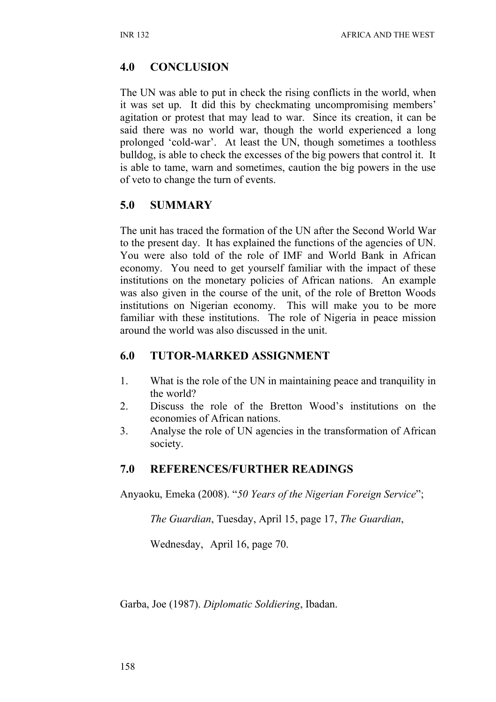### **4.0 CONCLUSION**

The UN was able to put in check the rising conflicts in the world, when it was set up. It did this by checkmating uncompromising members' agitation or protest that may lead to war. Since its creation, it can be said there was no world war, though the world experienced a long prolonged 'cold-war'. At least the UN, though sometimes a toothless bulldog, is able to check the excesses of the big powers that control it. It is able to tame, warn and sometimes, caution the big powers in the use of veto to change the turn of events.

## **5.0 SUMMARY**

The unit has traced the formation of the UN after the Second World War to the present day. It has explained the functions of the agencies of UN. You were also told of the role of IMF and World Bank in African economy. You need to get yourself familiar with the impact of these institutions on the monetary policies of African nations. An example was also given in the course of the unit, of the role of Bretton Woods institutions on Nigerian economy. This will make you to be more familiar with these institutions. The role of Nigeria in peace mission around the world was also discussed in the unit.

### **6.0 TUTOR-MARKED ASSIGNMENT**

- 1. What is the role of the UN in maintaining peace and tranquility in the world?
- 2. Discuss the role of the Bretton Wood's institutions on the economies of African nations.
- 3. Analyse the role of UN agencies in the transformation of African society.

### **7.0 REFERENCES/FURTHER READINGS**

Anyaoku, Emeka (2008). "*50 Years of the Nigerian Foreign Service*";

*The Guardian*, Tuesday, April 15, page 17, *The Guardian*,

Wednesday, April 16, page 70.

Garba, Joe (1987). *Diplomatic Soldiering*, Ibadan.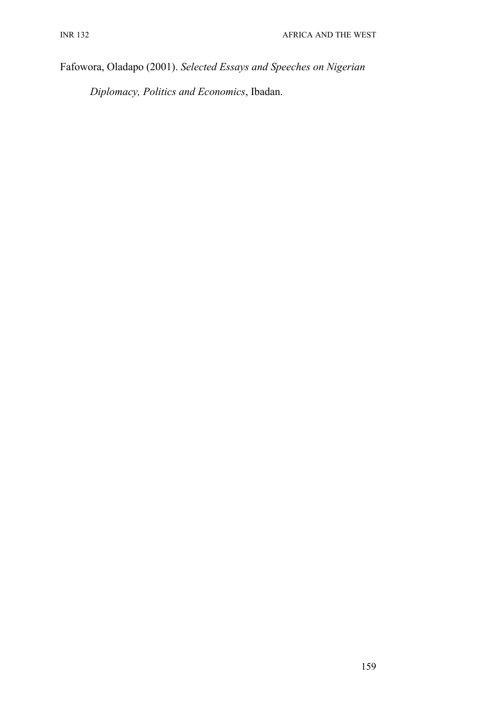Fafowora, Oladapo (2001). *Selected Essays and Speeches on Nigerian* 

*Diplomacy, Politics and Economics*, Ibadan.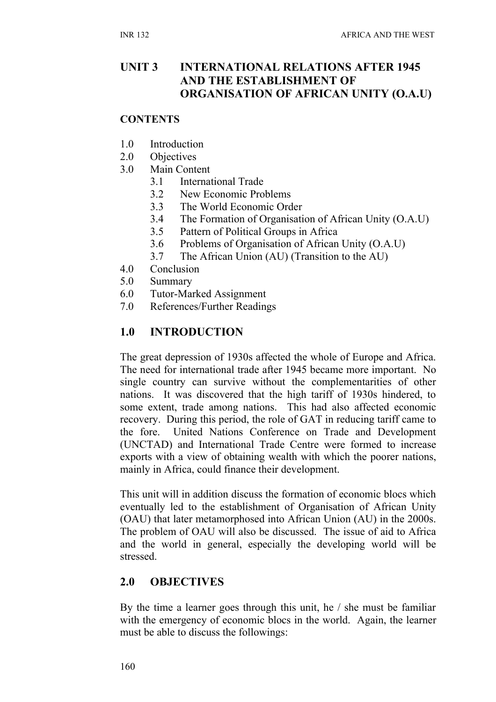### **UNIT 3 INTERNATIONAL RELATIONS AFTER 1945 AND THE ESTABLISHMENT OF ORGANISATION OF AFRICAN UNITY (O.A.U)**

#### **CONTENTS**

- 1.0 Introduction
- 2.0 Objectives
- 3.0 Main Content
	- 3.1 International Trade
	- 3.2 New Economic Problems
	- 3.3 The World Economic Order
	- 3.4 The Formation of Organisation of African Unity (O.A.U)
	- 3.5 Pattern of Political Groups in Africa
	- 3.6 Problems of Organisation of African Unity (O.A.U)
	- 3.7 The African Union (AU) (Transition to the AU)
- 4.0 Conclusion
- 5.0 Summary
- 6.0 Tutor-Marked Assignment
- 7.0 References/Further Readings

## **1.0 INTRODUCTION**

The great depression of 1930s affected the whole of Europe and Africa. The need for international trade after 1945 became more important. No single country can survive without the complementarities of other nations. It was discovered that the high tariff of 1930s hindered, to some extent, trade among nations. This had also affected economic recovery. During this period, the role of GAT in reducing tariff came to the fore. United Nations Conference on Trade and Development (UNCTAD) and International Trade Centre were formed to increase exports with a view of obtaining wealth with which the poorer nations, mainly in Africa, could finance their development.

This unit will in addition discuss the formation of economic blocs which eventually led to the establishment of Organisation of African Unity (OAU) that later metamorphosed into African Union (AU) in the 2000s. The problem of OAU will also be discussed. The issue of aid to Africa and the world in general, especially the developing world will be stressed.

## **2.0 OBJECTIVES**

By the time a learner goes through this unit, he / she must be familiar with the emergency of economic blocs in the world. Again, the learner must be able to discuss the followings: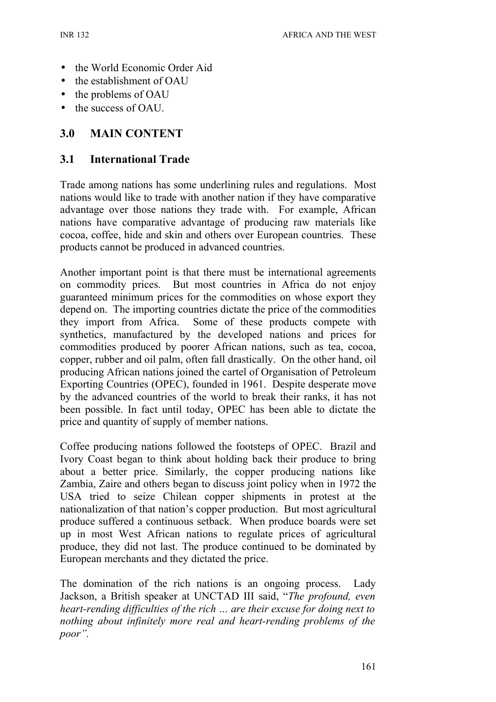- the World Economic Order Aid
- the establishment of OAU
- the problems of OAU
- the success of OAU.

### **3.0 MAIN CONTENT**

#### **3.1 International Trade**

Trade among nations has some underlining rules and regulations. Most nations would like to trade with another nation if they have comparative advantage over those nations they trade with. For example, African nations have comparative advantage of producing raw materials like cocoa, coffee, hide and skin and others over European countries. These products cannot be produced in advanced countries.

Another important point is that there must be international agreements on commodity prices. But most countries in Africa do not enjoy guaranteed minimum prices for the commodities on whose export they depend on. The importing countries dictate the price of the commodities they import from Africa. Some of these products compete with synthetics, manufactured by the developed nations and prices for commodities produced by poorer African nations, such as tea, cocoa, copper, rubber and oil palm, often fall drastically. On the other hand, oil producing African nations joined the cartel of Organisation of Petroleum Exporting Countries (OPEC), founded in 1961. Despite desperate move by the advanced countries of the world to break their ranks, it has not been possible. In fact until today, OPEC has been able to dictate the price and quantity of supply of member nations.

Coffee producing nations followed the footsteps of OPEC. Brazil and Ivory Coast began to think about holding back their produce to bring about a better price. Similarly, the copper producing nations like Zambia, Zaire and others began to discuss joint policy when in 1972 the USA tried to seize Chilean copper shipments in protest at the nationalization of that nation's copper production. But most agricultural produce suffered a continuous setback. When produce boards were set up in most West African nations to regulate prices of agricultural produce, they did not last. The produce continued to be dominated by European merchants and they dictated the price.

The domination of the rich nations is an ongoing process. Lady Jackson, a British speaker at UNCTAD III said, "*The profound, even heart-rending difficulties of the rich … are their excuse for doing next to nothing about infinitely more real and heart-rending problems of the poor".*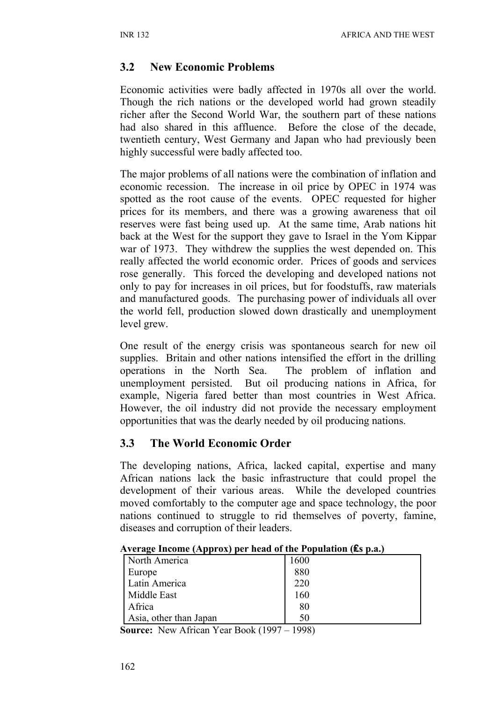### **3.2 New Economic Problems**

Economic activities were badly affected in 1970s all over the world. Though the rich nations or the developed world had grown steadily richer after the Second World War, the southern part of these nations had also shared in this affluence. Before the close of the decade, twentieth century, West Germany and Japan who had previously been highly successful were badly affected too.

The major problems of all nations were the combination of inflation and economic recession. The increase in oil price by OPEC in 1974 was spotted as the root cause of the events. OPEC requested for higher prices for its members, and there was a growing awareness that oil reserves were fast being used up. At the same time, Arab nations hit back at the West for the support they gave to Israel in the Yom Kippar war of 1973. They withdrew the supplies the west depended on. This really affected the world economic order. Prices of goods and services rose generally. This forced the developing and developed nations not only to pay for increases in oil prices, but for foodstuffs, raw materials and manufactured goods. The purchasing power of individuals all over the world fell, production slowed down drastically and unemployment level grew.

One result of the energy crisis was spontaneous search for new oil supplies. Britain and other nations intensified the effort in the drilling operations in the North Sea. The problem of inflation and unemployment persisted. But oil producing nations in Africa, for example, Nigeria fared better than most countries in West Africa. However, the oil industry did not provide the necessary employment opportunities that was the dearly needed by oil producing nations.

### **3.3 The World Economic Order**

The developing nations, Africa, lacked capital, expertise and many African nations lack the basic infrastructure that could propel the development of their various areas. While the developed countries moved comfortably to the computer age and space technology, the poor nations continued to struggle to rid themselves of poverty, famine, diseases and corruption of their leaders.

| $\mathbf{r}$ , and $\mathbf{r}$ is the same $\mathbf{r}$ and $\mathbf{r}$ and $\mathbf{r}$ and $\mathbf{r}$ and $\mathbf{r}$ and $\mathbf{r}$ and $\mathbf{r}$ |      |  |  |  |
|----------------------------------------------------------------------------------------------------------------------------------------------------------------|------|--|--|--|
| North America                                                                                                                                                  | 1600 |  |  |  |
| Europe                                                                                                                                                         | 880  |  |  |  |
| Latin America                                                                                                                                                  | 220  |  |  |  |
| Middle East                                                                                                                                                    | 160  |  |  |  |
| Africa                                                                                                                                                         | 80   |  |  |  |
| Asia, other than Japan                                                                                                                                         | 50   |  |  |  |

#### **Average Income (Approx) per head of the Population (₤s p.a.)**

**Source:** New African Year Book (1997 – 1998)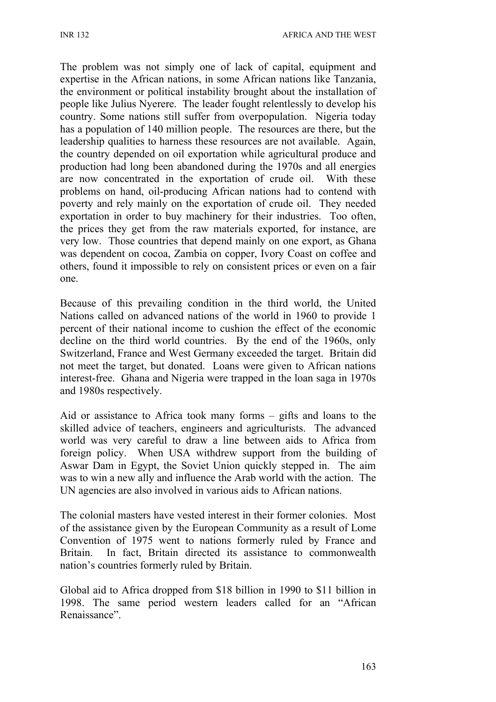The problem was not simply one of lack of capital, equipment and expertise in the African nations, in some African nations like Tanzania, the environment or political instability brought about the installation of people like Julius Nyerere. The leader fought relentlessly to develop his country. Some nations still suffer from overpopulation. Nigeria today has a population of 140 million people. The resources are there, but the leadership qualities to harness these resources are not available. Again, the country depended on oil exportation while agricultural produce and production had long been abandoned during the 1970s and all energies are now concentrated in the exportation of crude oil. With these problems on hand, oil-producing African nations had to contend with poverty and rely mainly on the exportation of crude oil. They needed exportation in order to buy machinery for their industries. Too often, the prices they get from the raw materials exported, for instance, are very low. Those countries that depend mainly on one export, as Ghana was dependent on cocoa, Zambia on copper, Ivory Coast on coffee and others, found it impossible to rely on consistent prices or even on a fair one.

Because of this prevailing condition in the third world, the United Nations called on advanced nations of the world in 1960 to provide 1 percent of their national income to cushion the effect of the economic decline on the third world countries. By the end of the 1960s, only Switzerland, France and West Germany exceeded the target. Britain did not meet the target, but donated. Loans were given to African nations interest-free. Ghana and Nigeria were trapped in the loan saga in 1970s and 1980s respectively.

Aid or assistance to Africa took many forms – gifts and loans to the skilled advice of teachers, engineers and agriculturists. The advanced world was very careful to draw a line between aids to Africa from foreign policy. When USA withdrew support from the building of Aswar Dam in Egypt, the Soviet Union quickly stepped in. The aim was to win a new ally and influence the Arab world with the action. The UN agencies are also involved in various aids to African nations.

The colonial masters have vested interest in their former colonies. Most of the assistance given by the European Community as a result of Lome Convention of 1975 went to nations formerly ruled by France and Britain. In fact, Britain directed its assistance to commonwealth nation's countries formerly ruled by Britain.

Global aid to Africa dropped from \$18 billion in 1990 to \$11 billion in 1998. The same period western leaders called for an "African Renaissance".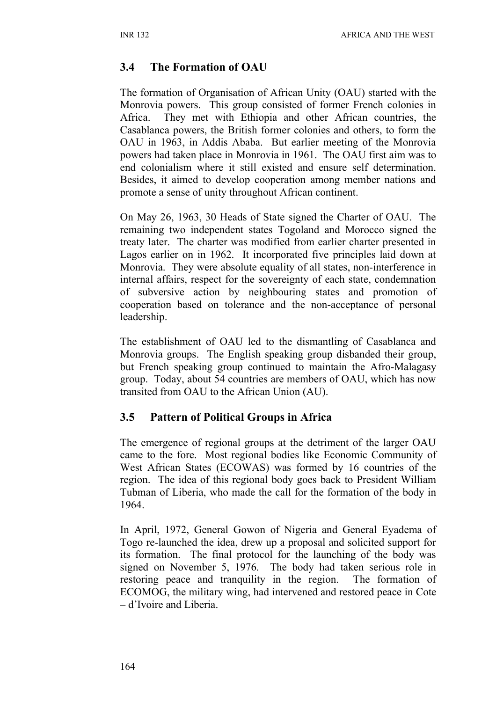## **3.4 The Formation of OAU**

The formation of Organisation of African Unity (OAU) started with the Monrovia powers. This group consisted of former French colonies in Africa. They met with Ethiopia and other African countries, the Casablanca powers, the British former colonies and others, to form the OAU in 1963, in Addis Ababa. But earlier meeting of the Monrovia powers had taken place in Monrovia in 1961. The OAU first aim was to end colonialism where it still existed and ensure self determination. Besides, it aimed to develop cooperation among member nations and promote a sense of unity throughout African continent.

On May 26, 1963, 30 Heads of State signed the Charter of OAU. The remaining two independent states Togoland and Morocco signed the treaty later. The charter was modified from earlier charter presented in Lagos earlier on in 1962. It incorporated five principles laid down at Monrovia. They were absolute equality of all states, non-interference in internal affairs, respect for the sovereignty of each state, condemnation of subversive action by neighbouring states and promotion of cooperation based on tolerance and the non-acceptance of personal leadership.

The establishment of OAU led to the dismantling of Casablanca and Monrovia groups. The English speaking group disbanded their group, but French speaking group continued to maintain the Afro-Malagasy group. Today, about 54 countries are members of OAU, which has now transited from OAU to the African Union (AU).

### **3.5 Pattern of Political Groups in Africa**

The emergence of regional groups at the detriment of the larger OAU came to the fore. Most regional bodies like Economic Community of West African States (ECOWAS) was formed by 16 countries of the region. The idea of this regional body goes back to President William Tubman of Liberia, who made the call for the formation of the body in 1964.

In April, 1972, General Gowon of Nigeria and General Eyadema of Togo re-launched the idea, drew up a proposal and solicited support for its formation. The final protocol for the launching of the body was signed on November 5, 1976. The body had taken serious role in restoring peace and tranquility in the region. The formation of ECOMOG, the military wing, had intervened and restored peace in Cote – d'Ivoire and Liberia.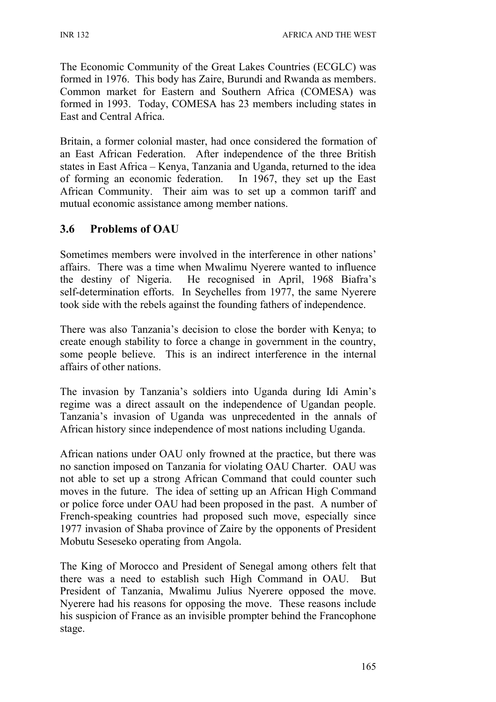The Economic Community of the Great Lakes Countries (ECGLC) was formed in 1976. This body has Zaire, Burundi and Rwanda as members. Common market for Eastern and Southern Africa (COMESA) was formed in 1993. Today, COMESA has 23 members including states in East and Central Africa.

Britain, a former colonial master, had once considered the formation of an East African Federation. After independence of the three British states in East Africa – Kenya, Tanzania and Uganda, returned to the idea of forming an economic federation. In 1967, they set up the East African Community. Their aim was to set up a common tariff and mutual economic assistance among member nations.

# **3.6 Problems of OAU**

Sometimes members were involved in the interference in other nations' affairs. There was a time when Mwalimu Nyerere wanted to influence the destiny of Nigeria. He recognised in April, 1968 Biafra's self-determination efforts. In Seychelles from 1977, the same Nyerere took side with the rebels against the founding fathers of independence.

There was also Tanzania's decision to close the border with Kenya; to create enough stability to force a change in government in the country, some people believe. This is an indirect interference in the internal affairs of other nations.

The invasion by Tanzania's soldiers into Uganda during Idi Amin's regime was a direct assault on the independence of Ugandan people. Tanzania's invasion of Uganda was unprecedented in the annals of African history since independence of most nations including Uganda.

African nations under OAU only frowned at the practice, but there was no sanction imposed on Tanzania for violating OAU Charter. OAU was not able to set up a strong African Command that could counter such moves in the future. The idea of setting up an African High Command or police force under OAU had been proposed in the past. A number of French-speaking countries had proposed such move, especially since 1977 invasion of Shaba province of Zaire by the opponents of President Mobutu Seseseko operating from Angola.

The King of Morocco and President of Senegal among others felt that there was a need to establish such High Command in OAU. But President of Tanzania, Mwalimu Julius Nyerere opposed the move. Nyerere had his reasons for opposing the move. These reasons include his suspicion of France as an invisible prompter behind the Francophone stage.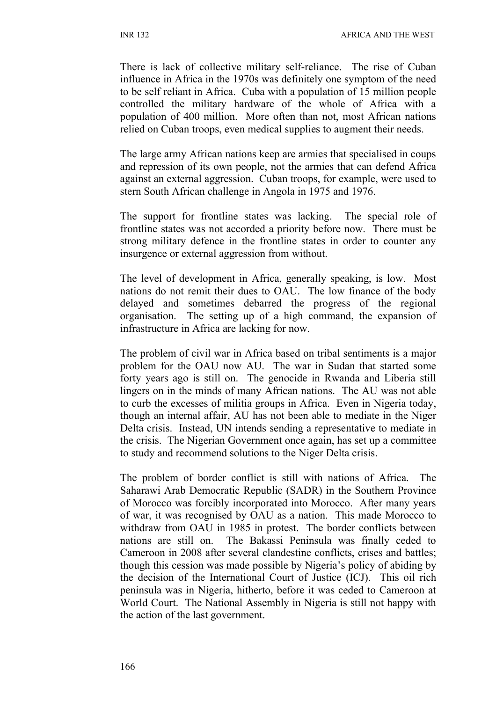There is lack of collective military self-reliance. The rise of Cuban influence in Africa in the 1970s was definitely one symptom of the need to be self reliant in Africa. Cuba with a population of 15 million people controlled the military hardware of the whole of Africa with a population of 400 million. More often than not, most African nations relied on Cuban troops, even medical supplies to augment their needs.

The large army African nations keep are armies that specialised in coups and repression of its own people, not the armies that can defend Africa against an external aggression. Cuban troops, for example, were used to stern South African challenge in Angola in 1975 and 1976.

The support for frontline states was lacking. The special role of frontline states was not accorded a priority before now. There must be strong military defence in the frontline states in order to counter any insurgence or external aggression from without.

The level of development in Africa, generally speaking, is low. Most nations do not remit their dues to OAU. The low finance of the body delayed and sometimes debarred the progress of the regional organisation. The setting up of a high command, the expansion of infrastructure in Africa are lacking for now.

The problem of civil war in Africa based on tribal sentiments is a major problem for the OAU now AU. The war in Sudan that started some forty years ago is still on. The genocide in Rwanda and Liberia still lingers on in the minds of many African nations. The AU was not able to curb the excesses of militia groups in Africa. Even in Nigeria today, though an internal affair, AU has not been able to mediate in the Niger Delta crisis. Instead, UN intends sending a representative to mediate in the crisis. The Nigerian Government once again, has set up a committee to study and recommend solutions to the Niger Delta crisis.

The problem of border conflict is still with nations of Africa. The Saharawi Arab Democratic Republic (SADR) in the Southern Province of Morocco was forcibly incorporated into Morocco. After many years of war, it was recognised by OAU as a nation. This made Morocco to withdraw from OAU in 1985 in protest. The border conflicts between nations are still on. The Bakassi Peninsula was finally ceded to Cameroon in 2008 after several clandestine conflicts, crises and battles; though this cession was made possible by Nigeria's policy of abiding by the decision of the International Court of Justice (ICJ). This oil rich peninsula was in Nigeria, hitherto, before it was ceded to Cameroon at World Court. The National Assembly in Nigeria is still not happy with the action of the last government.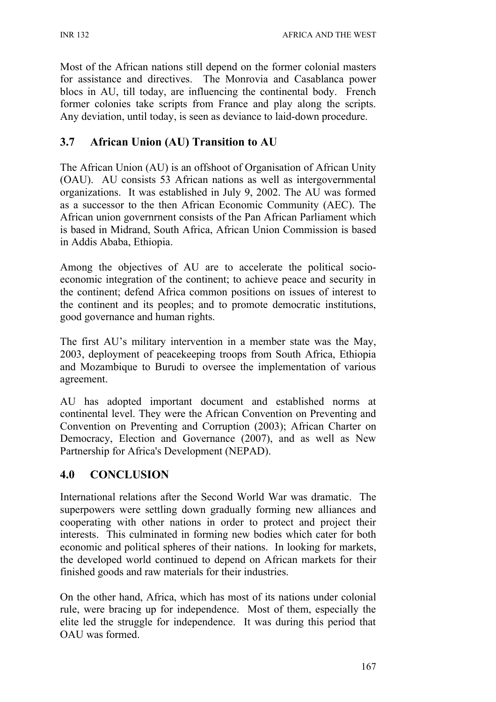Most of the African nations still depend on the former colonial masters for assistance and directives. The Monrovia and Casablanca power blocs in AU, till today, are influencing the continental body. French former colonies take scripts from France and play along the scripts. Any deviation, until today, is seen as deviance to laid-down procedure.

# **3.7 African Union (AU) Transition to AU**

The African Union (AU) is an offshoot of Organisation of African Unity (OAU). AU consists 53 African nations as well as intergovernmental organizations. It was established in July 9, 2002. The AU was formed as a successor to the then African Economic Community (AEC). The African union governrnent consists of the Pan African Parliament which is based in Midrand, South Africa, African Union Commission is based in Addis Ababa, Ethiopia.

Among the objectives of AU are to accelerate the political socioeconomic integration of the continent; to achieve peace and security in the continent; defend Africa common positions on issues of interest to the continent and its peoples; and to promote democratic institutions, good governance and human rights.

The first AU's military intervention in a member state was the May, 2003, deployment of peacekeeping troops from South Africa, Ethiopia and Mozambique to Burudi to oversee the implementation of various agreement.

AU has adopted important document and established norms at continental level. They were the African Convention on Preventing and Convention on Preventing and Corruption (2003); African Charter on Democracy, Election and Governance (2007), and as well as New Partnership for Africa's Development (NEPAD).

# **4.0 CONCLUSION**

International relations after the Second World War was dramatic. The superpowers were settling down gradually forming new alliances and cooperating with other nations in order to protect and project their interests. This culminated in forming new bodies which cater for both economic and political spheres of their nations. In looking for markets, the developed world continued to depend on African markets for their finished goods and raw materials for their industries.

On the other hand, Africa, which has most of its nations under colonial rule, were bracing up for independence. Most of them, especially the elite led the struggle for independence. It was during this period that OAU was formed.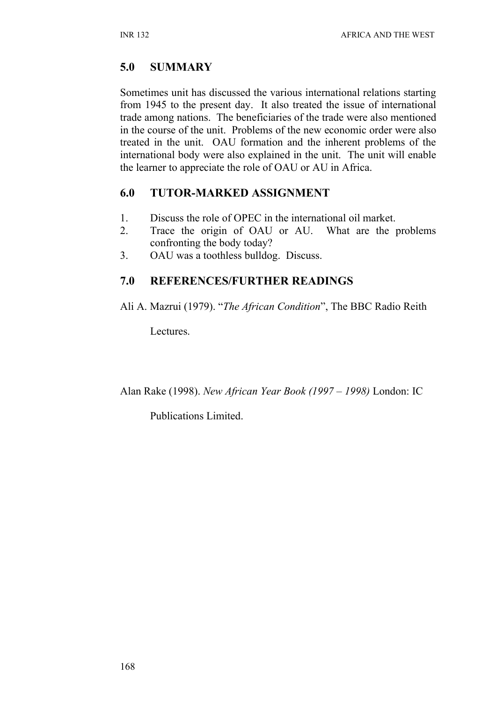# **5.0 SUMMARY**

Sometimes unit has discussed the various international relations starting from 1945 to the present day. It also treated the issue of international trade among nations. The beneficiaries of the trade were also mentioned in the course of the unit. Problems of the new economic order were also treated in the unit. OAU formation and the inherent problems of the international body were also explained in the unit. The unit will enable the learner to appreciate the role of OAU or AU in Africa.

# **6.0 TUTOR-MARKED ASSIGNMENT**

- 1. Discuss the role of OPEC in the international oil market.
- 2. Trace the origin of OAU or AU. What are the problems confronting the body today?
- 3. OAU was a toothless bulldog. Discuss.

# **7.0 REFERENCES/FURTHER READINGS**

Ali A. Mazrui (1979). "*The African Condition*", The BBC Radio Reith

Lectures.

Alan Rake (1998). *New African Year Book (1997 – 1998)* London: IC

Publications Limited.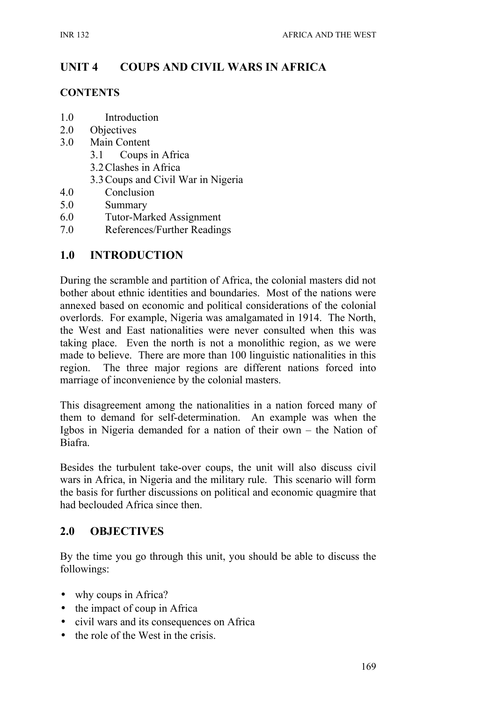# **UNIT 4 COUPS AND CIVIL WARS IN AFRICA**

#### **CONTENTS**

- 1.0 Introduction
- 2.0 Objectives
- 3.0 Main Content
	- 3.1 Coups in Africa
	- 3.2Clashes in Africa
	- 3.3Coups and Civil War in Nigeria
- 4.0 Conclusion
- 5.0 Summary
- 6.0 Tutor-Marked Assignment
- 7.0 References/Further Readings

#### **1.0 INTRODUCTION**

During the scramble and partition of Africa, the colonial masters did not bother about ethnic identities and boundaries. Most of the nations were annexed based on economic and political considerations of the colonial overlords. For example, Nigeria was amalgamated in 1914. The North, the West and East nationalities were never consulted when this was taking place. Even the north is not a monolithic region, as we were made to believe. There are more than 100 linguistic nationalities in this region. The three major regions are different nations forced into marriage of inconvenience by the colonial masters.

This disagreement among the nationalities in a nation forced many of them to demand for self-determination. An example was when the Igbos in Nigeria demanded for a nation of their own – the Nation of Biafra.

Besides the turbulent take-over coups, the unit will also discuss civil wars in Africa, in Nigeria and the military rule. This scenario will form the basis for further discussions on political and economic quagmire that had beclouded Africa since then.

#### **2.0 OBJECTIVES**

By the time you go through this unit, you should be able to discuss the followings:

- why coups in Africa?
- the impact of coup in Africa
- civil wars and its consequences on Africa
- the role of the West in the crisis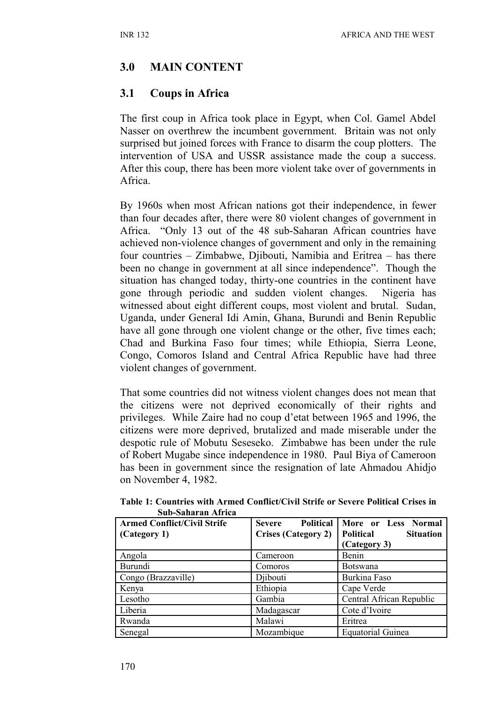# **3.0 MAIN CONTENT**

### **3.1 Coups in Africa**

The first coup in Africa took place in Egypt, when Col. Gamel Abdel Nasser on overthrew the incumbent government. Britain was not only surprised but joined forces with France to disarm the coup plotters. The intervention of USA and USSR assistance made the coup a success. After this coup, there has been more violent take over of governments in Africa.

By 1960s when most African nations got their independence, in fewer than four decades after, there were 80 violent changes of government in Africa. "Only 13 out of the 48 sub-Saharan African countries have achieved non-violence changes of government and only in the remaining four countries – Zimbabwe, Djibouti, Namibia and Eritrea – has there been no change in government at all since independence". Though the situation has changed today, thirty-one countries in the continent have gone through periodic and sudden violent changes. Nigeria has witnessed about eight different coups, most violent and brutal. Sudan, Uganda, under General Idi Amin, Ghana, Burundi and Benin Republic have all gone through one violent change or the other, five times each; Chad and Burkina Faso four times; while Ethiopia, Sierra Leone, Congo, Comoros Island and Central Africa Republic have had three violent changes of government.

That some countries did not witness violent changes does not mean that the citizens were not deprived economically of their rights and privileges. While Zaire had no coup d'etat between 1965 and 1996, the citizens were more deprived, brutalized and made miserable under the despotic rule of Mobutu Seseseko. Zimbabwe has been under the rule of Robert Mugabe since independence in 1980. Paul Biya of Cameroon has been in government since the resignation of late Ahmadou Ahidjo on November 4, 1982.

| SUD-SAHAI AH AH ICA<br><b>Armed Conflict/Civil Strife</b> | <b>Political</b><br><b>Severe</b> | More or Less Normal           |
|-----------------------------------------------------------|-----------------------------------|-------------------------------|
| (Category 1)                                              | <b>Crises (Category 2)</b>        | Political<br><b>Situation</b> |
|                                                           |                                   | (Category 3)                  |
| Angola                                                    | Cameroon                          | Benin                         |
| <b>Burundi</b>                                            | Comoros                           | <b>Botswana</b>               |
| Congo (Brazzaville)                                       | Djibouti                          | Burkina Faso                  |
| Kenya                                                     | Ethiopia                          | Cape Verde                    |
| Lesotho                                                   | Gambia                            | Central African Republic      |
| Liberia                                                   | Madagascar                        | Cote d'Ivoire                 |
| Rwanda                                                    | Malawi                            | Eritrea                       |
| Senegal                                                   | Mozambique                        | <b>Equatorial Guinea</b>      |

**Table 1: Countries with Armed Conflict/Civil Strife or Severe Political Crises in Sub-Saharan Africa**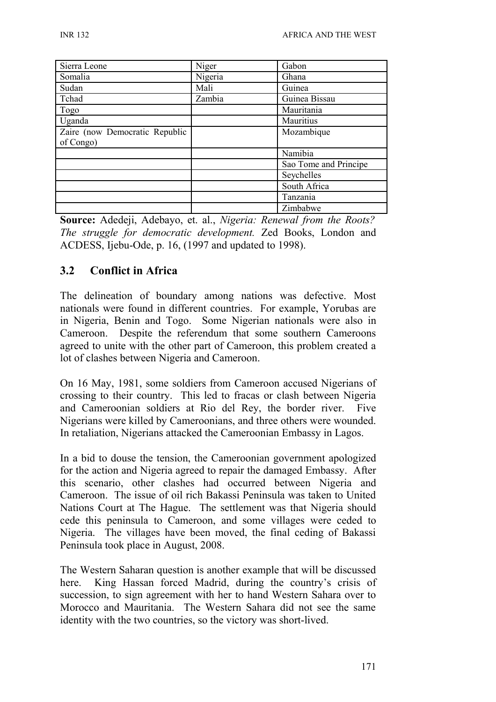| Sierra Leone                   | Niger   | Gabon                 |
|--------------------------------|---------|-----------------------|
| Somalia                        | Nigeria | Ghana                 |
| Sudan                          | Mali    | Guinea                |
| Tchad                          | Zambia  | Guinea Bissau         |
| Togo                           |         | Mauritania            |
| Uganda                         |         | Mauritius             |
| Zaire (now Democratic Republic |         | Mozambique            |
| of Congo)                      |         |                       |
|                                |         | Namibia               |
|                                |         | Sao Tome and Principe |
|                                |         | Seychelles            |
|                                |         | South Africa          |
|                                |         | Tanzania              |
|                                |         | Zimbabwe              |

**Source:** Adedeji, Adebayo, et. al., *Nigeria: Renewal from the Roots? The struggle for democratic development.* Zed Books, London and ACDESS, Ijebu-Ode, p. 16, (1997 and updated to 1998).

### **3.2 Conflict in Africa**

The delineation of boundary among nations was defective. Most nationals were found in different countries. For example, Yorubas are in Nigeria, Benin and Togo. Some Nigerian nationals were also in Cameroon. Despite the referendum that some southern Cameroons agreed to unite with the other part of Cameroon, this problem created a lot of clashes between Nigeria and Cameroon.

On 16 May, 1981, some soldiers from Cameroon accused Nigerians of crossing to their country. This led to fracas or clash between Nigeria and Cameroonian soldiers at Rio del Rey, the border river. Five Nigerians were killed by Cameroonians, and three others were wounded. In retaliation, Nigerians attacked the Cameroonian Embassy in Lagos.

In a bid to douse the tension, the Cameroonian government apologized for the action and Nigeria agreed to repair the damaged Embassy. After this scenario, other clashes had occurred between Nigeria and Cameroon. The issue of oil rich Bakassi Peninsula was taken to United Nations Court at The Hague. The settlement was that Nigeria should cede this peninsula to Cameroon, and some villages were ceded to Nigeria. The villages have been moved, the final ceding of Bakassi Peninsula took place in August, 2008.

The Western Saharan question is another example that will be discussed here. King Hassan forced Madrid, during the country's crisis of succession, to sign agreement with her to hand Western Sahara over to Morocco and Mauritania. The Western Sahara did not see the same identity with the two countries, so the victory was short-lived.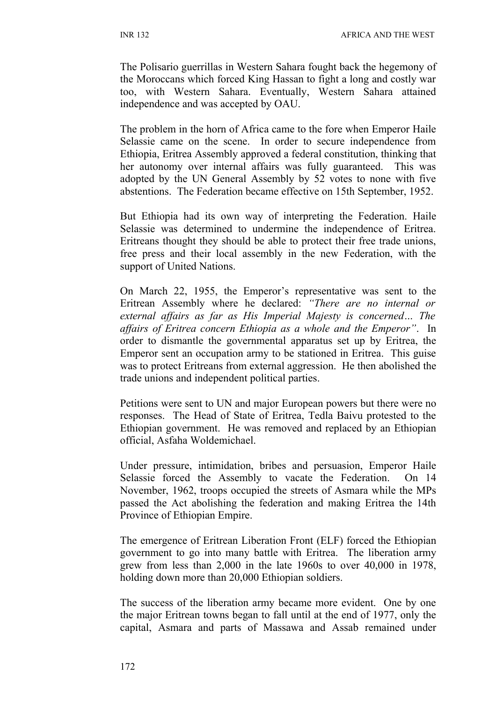The Polisario guerrillas in Western Sahara fought back the hegemony of the Moroccans which forced King Hassan to fight a long and costly war too, with Western Sahara. Eventually, Western Sahara attained independence and was accepted by OAU.

The problem in the horn of Africa came to the fore when Emperor Haile Selassie came on the scene. In order to secure independence from Ethiopia, Eritrea Assembly approved a federal constitution, thinking that her autonomy over internal affairs was fully guaranteed. This was adopted by the UN General Assembly by 52 votes to none with five abstentions. The Federation became effective on 15th September, 1952.

But Ethiopia had its own way of interpreting the Federation. Haile Selassie was determined to undermine the independence of Eritrea. Eritreans thought they should be able to protect their free trade unions, free press and their local assembly in the new Federation, with the support of United Nations.

On March 22, 1955, the Emperor's representative was sent to the Eritrean Assembly where he declared: *"There are no internal or external affairs as far as His Imperial Majesty is concerned… The affairs of Eritrea concern Ethiopia as a whole and the Emperor"*. In order to dismantle the governmental apparatus set up by Eritrea, the Emperor sent an occupation army to be stationed in Eritrea. This guise was to protect Eritreans from external aggression. He then abolished the trade unions and independent political parties.

Petitions were sent to UN and major European powers but there were no responses. The Head of State of Eritrea, Tedla Baivu protested to the Ethiopian government. He was removed and replaced by an Ethiopian official, Asfaha Woldemichael.

Under pressure, intimidation, bribes and persuasion, Emperor Haile Selassie forced the Assembly to vacate the Federation. On 14 November, 1962, troops occupied the streets of Asmara while the MPs passed the Act abolishing the federation and making Eritrea the 14th Province of Ethiopian Empire.

The emergence of Eritrean Liberation Front (ELF) forced the Ethiopian government to go into many battle with Eritrea. The liberation army grew from less than 2,000 in the late 1960s to over 40,000 in 1978, holding down more than 20,000 Ethiopian soldiers.

The success of the liberation army became more evident. One by one the major Eritrean towns began to fall until at the end of 1977, only the capital, Asmara and parts of Massawa and Assab remained under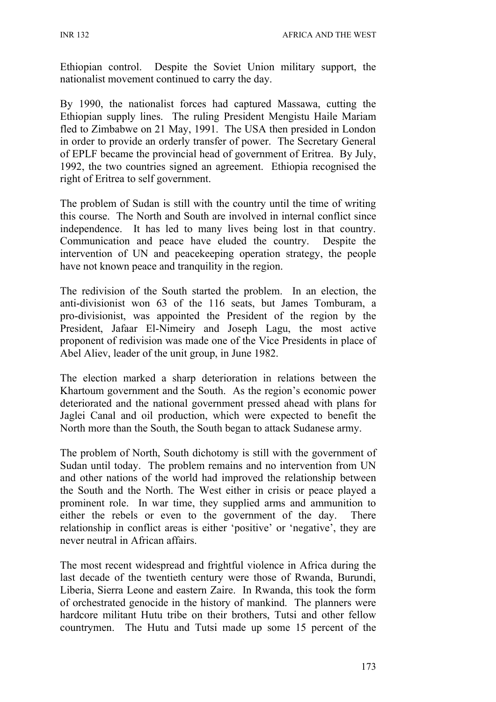Ethiopian control. Despite the Soviet Union military support, the nationalist movement continued to carry the day.

By 1990, the nationalist forces had captured Massawa, cutting the Ethiopian supply lines. The ruling President Mengistu Haile Mariam fled to Zimbabwe on 21 May, 1991. The USA then presided in London in order to provide an orderly transfer of power. The Secretary General of EPLF became the provincial head of government of Eritrea. By July, 1992, the two countries signed an agreement. Ethiopia recognised the right of Eritrea to self government.

The problem of Sudan is still with the country until the time of writing this course. The North and South are involved in internal conflict since independence. It has led to many lives being lost in that country. Communication and peace have eluded the country. Despite the intervention of UN and peacekeeping operation strategy, the people have not known peace and tranquility in the region.

The redivision of the South started the problem. In an election, the anti-divisionist won 63 of the 116 seats, but James Tomburam, a pro-divisionist, was appointed the President of the region by the President, Jafaar El-Nimeiry and Joseph Lagu, the most active proponent of redivision was made one of the Vice Presidents in place of Abel Aliev, leader of the unit group, in June 1982.

The election marked a sharp deterioration in relations between the Khartoum government and the South. As the region's economic power deteriorated and the national government pressed ahead with plans for Jaglei Canal and oil production, which were expected to benefit the North more than the South, the South began to attack Sudanese army.

The problem of North, South dichotomy is still with the government of Sudan until today. The problem remains and no intervention from UN and other nations of the world had improved the relationship between the South and the North. The West either in crisis or peace played a prominent role. In war time, they supplied arms and ammunition to either the rebels or even to the government of the day. There relationship in conflict areas is either 'positive' or 'negative', they are never neutral in African affairs.

The most recent widespread and frightful violence in Africa during the last decade of the twentieth century were those of Rwanda, Burundi, Liberia, Sierra Leone and eastern Zaire. In Rwanda, this took the form of orchestrated genocide in the history of mankind. The planners were hardcore militant Hutu tribe on their brothers, Tutsi and other fellow countrymen. The Hutu and Tutsi made up some 15 percent of the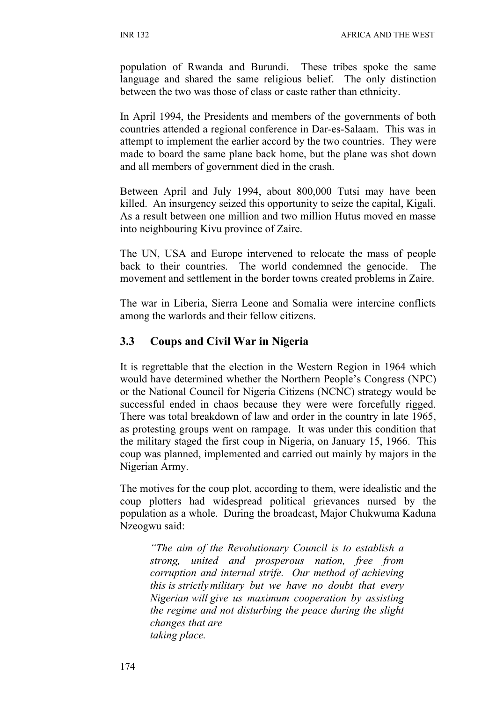population of Rwanda and Burundi. These tribes spoke the same language and shared the same religious belief. The only distinction between the two was those of class or caste rather than ethnicity.

In April 1994, the Presidents and members of the governments of both countries attended a regional conference in Dar-es-Salaam. This was in attempt to implement the earlier accord by the two countries. They were made to board the same plane back home, but the plane was shot down and all members of government died in the crash.

Between April and July 1994, about 800,000 Tutsi may have been killed. An insurgency seized this opportunity to seize the capital, Kigali. As a result between one million and two million Hutus moved en masse into neighbouring Kivu province of Zaire.

The UN, USA and Europe intervened to relocate the mass of people back to their countries. The world condemned the genocide. The movement and settlement in the border towns created problems in Zaire.

The war in Liberia, Sierra Leone and Somalia were intercine conflicts among the warlords and their fellow citizens.

### **3.3 Coups and Civil War in Nigeria**

It is regrettable that the election in the Western Region in 1964 which would have determined whether the Northern People's Congress (NPC) or the National Council for Nigeria Citizens (NCNC) strategy would be successful ended in chaos because they were were forcefully rigged. There was total breakdown of law and order in the country in late 1965, as protesting groups went on rampage. It was under this condition that the military staged the first coup in Nigeria, on January 15, 1966. This coup was planned, implemented and carried out mainly by majors in the Nigerian Army.

The motives for the coup plot, according to them, were idealistic and the coup plotters had widespread political grievances nursed by the population as a whole. During the broadcast, Major Chukwuma Kaduna Nzeogwu said:

*"The aim of the Revolutionary Council is to establish a strong, united and prosperous nation, free from corruption and internal strife. Our method of achieving this is strictly military but we have no doubt that every Nigerian will give us maximum cooperation by assisting the regime and not disturbing the peace during the slight changes that are taking place.*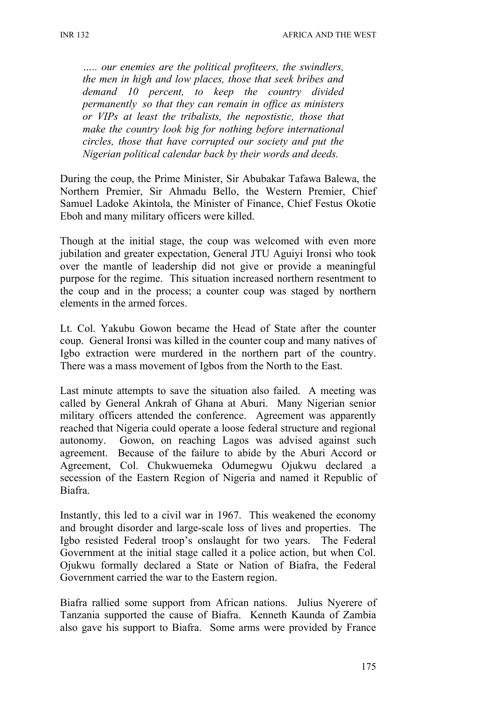*….. our enemies are the political profiteers, the swindlers, the men in high and low places, those that seek bribes and demand 10 percent, to keep the country divided permanently so that they can remain in office as ministers or VIPs at least the tribalists, the nepostistic, those that make the country look big for nothing before international circles, those that have corrupted our society and put the Nigerian political calendar back by their words and deeds.*

During the coup, the Prime Minister, Sir Abubakar Tafawa Balewa, the Northern Premier, Sir Ahmadu Bello, the Western Premier, Chief Samuel Ladoke Akintola, the Minister of Finance, Chief Festus Okotie Eboh and many military officers were killed.

Though at the initial stage, the coup was welcomed with even more jubilation and greater expectation, General JTU Aguiyi Ironsi who took over the mantle of leadership did not give or provide a meaningful purpose for the regime. This situation increased northern resentment to the coup and in the process; a counter coup was staged by northern elements in the armed forces.

Lt. Col. Yakubu Gowon became the Head of State after the counter coup. General Ironsi was killed in the counter coup and many natives of Igbo extraction were murdered in the northern part of the country. There was a mass movement of Igbos from the North to the East.

Last minute attempts to save the situation also failed. A meeting was called by General Ankrah of Ghana at Aburi. Many Nigerian senior military officers attended the conference. Agreement was apparently reached that Nigeria could operate a loose federal structure and regional autonomy. Gowon, on reaching Lagos was advised against such agreement. Because of the failure to abide by the Aburi Accord or Agreement, Col. Chukwuemeka Odumegwu Ojukwu declared a secession of the Eastern Region of Nigeria and named it Republic of Biafra.

Instantly, this led to a civil war in 1967. This weakened the economy and brought disorder and large-scale loss of lives and properties. The Igbo resisted Federal troop's onslaught for two years. The Federal Government at the initial stage called it a police action, but when Col. Ojukwu formally declared a State or Nation of Biafra, the Federal Government carried the war to the Eastern region.

Biafra rallied some support from African nations. Julius Nyerere of Tanzania supported the cause of Biafra. Kenneth Kaunda of Zambia also gave his support to Biafra. Some arms were provided by France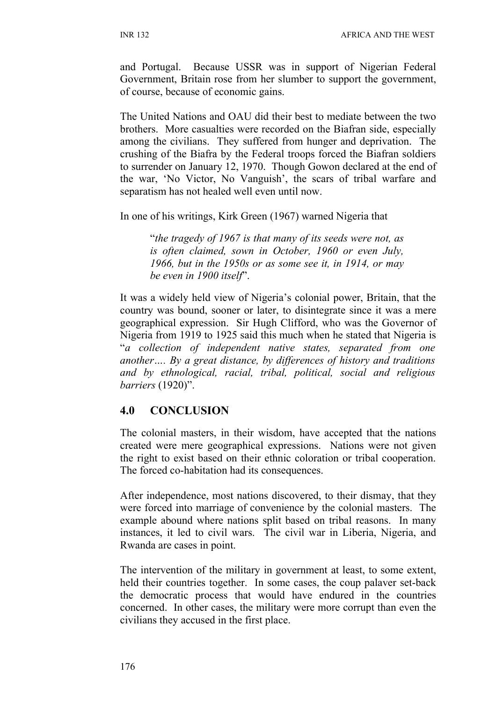and Portugal. Because USSR was in support of Nigerian Federal Government, Britain rose from her slumber to support the government, of course, because of economic gains.

The United Nations and OAU did their best to mediate between the two brothers. More casualties were recorded on the Biafran side, especially among the civilians. They suffered from hunger and deprivation. The crushing of the Biafra by the Federal troops forced the Biafran soldiers to surrender on January 12, 1970. Though Gowon declared at the end of the war, 'No Victor, No Vanguish', the scars of tribal warfare and separatism has not healed well even until now.

In one of his writings, Kirk Green (1967) warned Nigeria that

"*the tragedy of 1967 is that many of its seeds were not, as is often claimed, sown in October, 1960 or even July, 1966, but in the 1950s or as some see it, in 1914, or may be even in 1900 itself*".

It was a widely held view of Nigeria's colonial power, Britain, that the country was bound, sooner or later, to disintegrate since it was a mere geographical expression. Sir Hugh Clifford, who was the Governor of Nigeria from 1919 to 1925 said this much when he stated that Nigeria is "*a collection of independent native states, separated from one another…. By a great distance, by differences of history and traditions and by ethnological, racial, tribal, political, social and religious barriers* (1920)".

### **4.0 CONCLUSION**

The colonial masters, in their wisdom, have accepted that the nations created were mere geographical expressions. Nations were not given the right to exist based on their ethnic coloration or tribal cooperation. The forced co-habitation had its consequences.

After independence, most nations discovered, to their dismay, that they were forced into marriage of convenience by the colonial masters. The example abound where nations split based on tribal reasons. In many instances, it led to civil wars. The civil war in Liberia, Nigeria, and Rwanda are cases in point.

The intervention of the military in government at least, to some extent, held their countries together. In some cases, the coup palaver set-back the democratic process that would have endured in the countries concerned. In other cases, the military were more corrupt than even the civilians they accused in the first place.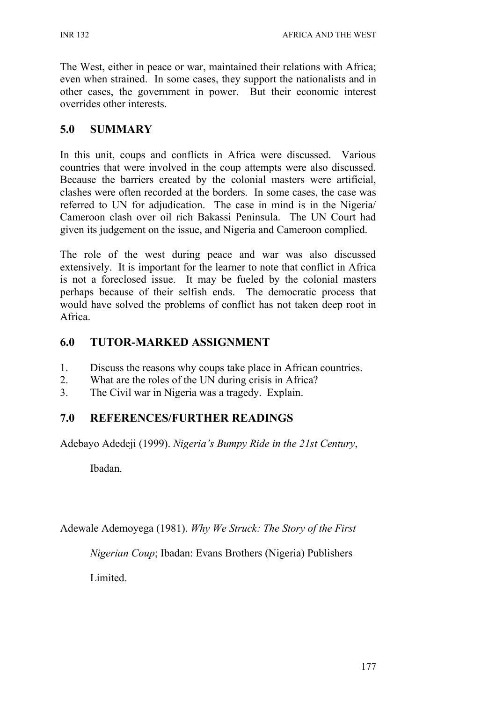The West, either in peace or war, maintained their relations with Africa; even when strained. In some cases, they support the nationalists and in other cases, the government in power. But their economic interest overrides other interests.

### **5.0 SUMMARY**

In this unit, coups and conflicts in Africa were discussed. Various countries that were involved in the coup attempts were also discussed. Because the barriers created by the colonial masters were artificial, clashes were often recorded at the borders. In some cases, the case was referred to UN for adjudication. The case in mind is in the Nigeria/ Cameroon clash over oil rich Bakassi Peninsula. The UN Court had given its judgement on the issue, and Nigeria and Cameroon complied.

The role of the west during peace and war was also discussed extensively. It is important for the learner to note that conflict in Africa is not a foreclosed issue. It may be fueled by the colonial masters perhaps because of their selfish ends. The democratic process that would have solved the problems of conflict has not taken deep root in Africa.

### **6.0 TUTOR-MARKED ASSIGNMENT**

- 1. Discuss the reasons why coups take place in African countries.
- 2. What are the roles of the UN during crisis in Africa?
- 3. The Civil war in Nigeria was a tragedy. Explain.

### **7.0 REFERENCES/FURTHER READINGS**

Adebayo Adedeji (1999). *Nigeria's Bumpy Ride in the 21st Century*,

Ibadan.

Adewale Ademoyega (1981). *Why We Struck: The Story of the First* 

*Nigerian Coup*; Ibadan: Evans Brothers (Nigeria) Publishers

Limited.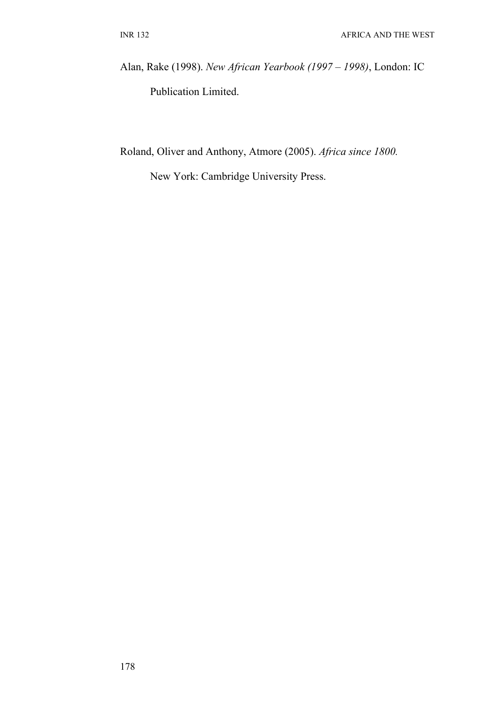Alan, Rake (1998). *New African Yearbook (1997 – 1998)*, London: IC Publication Limited.

Roland, Oliver and Anthony, Atmore (2005). *Africa since 1800.*

New York: Cambridge University Press.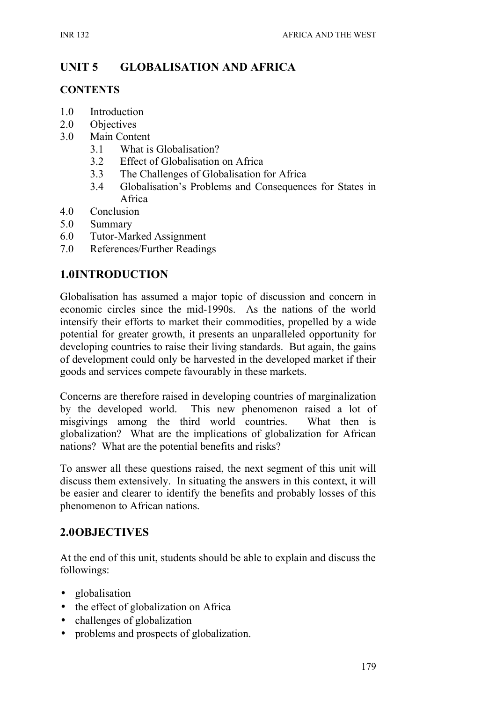# **UNIT 5 GLOBALISATION AND AFRICA**

#### **CONTENTS**

- 1.0 Introduction
- 2.0 Objectives
- 3.0 Main Content
	- 3.1 What is Globalisation?
	- 3.2 Effect of Globalisation on Africa
	- 3.3 The Challenges of Globalisation for Africa
	- 3.4 Globalisation's Problems and Consequences for States in Africa
- 4.0 Conclusion
- 5.0 Summary
- 6.0 Tutor-Marked Assignment
- 7.0 References/Further Readings

### **1.0INTRODUCTION**

Globalisation has assumed a major topic of discussion and concern in economic circles since the mid-1990s. As the nations of the world intensify their efforts to market their commodities, propelled by a wide potential for greater growth, it presents an unparalleled opportunity for developing countries to raise their living standards. But again, the gains of development could only be harvested in the developed market if their goods and services compete favourably in these markets.

Concerns are therefore raised in developing countries of marginalization by the developed world. This new phenomenon raised a lot of misgivings among the third world countries. What then is globalization? What are the implications of globalization for African nations? What are the potential benefits and risks?

To answer all these questions raised, the next segment of this unit will discuss them extensively. In situating the answers in this context, it will be easier and clearer to identify the benefits and probably losses of this phenomenon to African nations.

### **2.0OBJECTIVES**

At the end of this unit, students should be able to explain and discuss the followings:

- globalisation
- the effect of globalization on Africa
- challenges of globalization
- problems and prospects of globalization.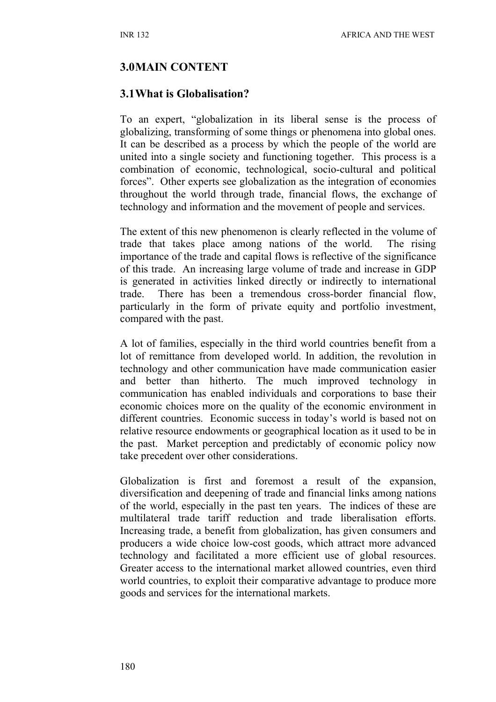#### **3.0MAIN CONTENT**

#### **3.1What is Globalisation?**

To an expert, "globalization in its liberal sense is the process of globalizing, transforming of some things or phenomena into global ones. It can be described as a process by which the people of the world are united into a single society and functioning together. This process is a combination of economic, technological, socio-cultural and political forces". Other experts see globalization as the integration of economies throughout the world through trade, financial flows, the exchange of technology and information and the movement of people and services.

The extent of this new phenomenon is clearly reflected in the volume of trade that takes place among nations of the world. The rising importance of the trade and capital flows is reflective of the significance of this trade. An increasing large volume of trade and increase in GDP is generated in activities linked directly or indirectly to international trade. There has been a tremendous cross-border financial flow, particularly in the form of private equity and portfolio investment, compared with the past.

A lot of families, especially in the third world countries benefit from a lot of remittance from developed world. In addition, the revolution in technology and other communication have made communication easier and better than hitherto. The much improved technology in communication has enabled individuals and corporations to base their economic choices more on the quality of the economic environment in different countries. Economic success in today's world is based not on relative resource endowments or geographical location as it used to be in the past. Market perception and predictably of economic policy now take precedent over other considerations.

Globalization is first and foremost a result of the expansion, diversification and deepening of trade and financial links among nations of the world, especially in the past ten years. The indices of these are multilateral trade tariff reduction and trade liberalisation efforts. Increasing trade, a benefit from globalization, has given consumers and producers a wide choice low-cost goods, which attract more advanced technology and facilitated a more efficient use of global resources. Greater access to the international market allowed countries, even third world countries, to exploit their comparative advantage to produce more goods and services for the international markets.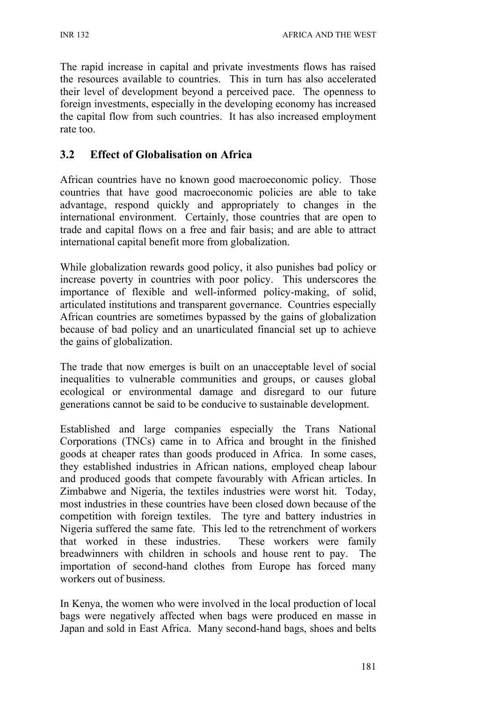The rapid increase in capital and private investments flows has raised the resources available to countries. This in turn has also accelerated their level of development beyond a perceived pace. The openness to foreign investments, especially in the developing economy has increased the capital flow from such countries. It has also increased employment rate too.

### **3.2 Effect of Globalisation on Africa**

African countries have no known good macroeconomic policy. Those countries that have good macroeconomic policies are able to take advantage, respond quickly and appropriately to changes in the international environment. Certainly, those countries that are open to trade and capital flows on a free and fair basis; and are able to attract international capital benefit more from globalization.

While globalization rewards good policy, it also punishes bad policy or increase poverty in countries with poor policy. This underscores the importance of flexible and well-informed policy-making, of solid, articulated institutions and transparent governance. Countries especially African countries are sometimes bypassed by the gains of globalization because of bad policy and an unarticulated financial set up to achieve the gains of globalization.

The trade that now emerges is built on an unacceptable level of social inequalities to vulnerable communities and groups, or causes global ecological or environmental damage and disregard to our future generations cannot be said to be conducive to sustainable development.

Established and large companies especially the Trans National Corporations (TNCs) came in to Africa and brought in the finished goods at cheaper rates than goods produced in Africa. In some cases, they established industries in African nations, employed cheap labour and produced goods that compete favourably with African articles. In Zimbabwe and Nigeria, the textiles industries were worst hit. Today, most industries in these countries have been closed down because of the competition with foreign textiles. The tyre and battery industries in Nigeria suffered the same fate. This led to the retrenchment of workers that worked in these industries. These workers were family breadwinners with children in schools and house rent to pay. The importation of second-hand clothes from Europe has forced many workers out of business.

In Kenya, the women who were involved in the local production of local bags were negatively affected when bags were produced en masse in Japan and sold in East Africa. Many second-hand bags, shoes and belts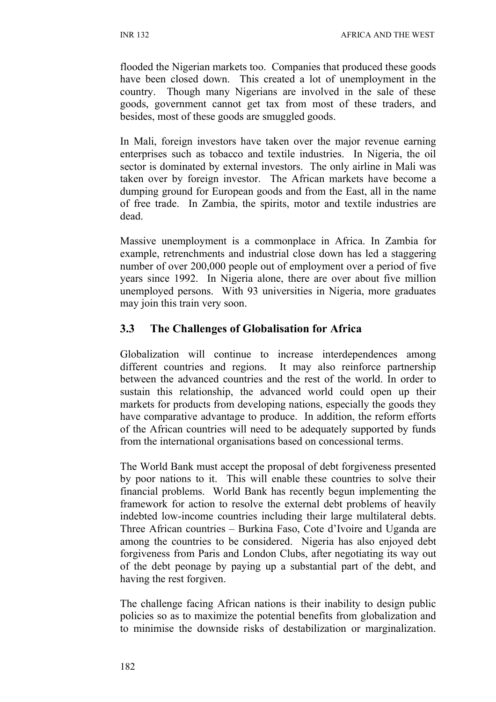flooded the Nigerian markets too. Companies that produced these goods have been closed down. This created a lot of unemployment in the country. Though many Nigerians are involved in the sale of these goods, government cannot get tax from most of these traders, and besides, most of these goods are smuggled goods.

In Mali, foreign investors have taken over the major revenue earning enterprises such as tobacco and textile industries. In Nigeria, the oil sector is dominated by external investors. The only airline in Mali was taken over by foreign investor. The African markets have become a dumping ground for European goods and from the East, all in the name of free trade. In Zambia, the spirits, motor and textile industries are dead.

Massive unemployment is a commonplace in Africa. In Zambia for example, retrenchments and industrial close down has led a staggering number of over 200,000 people out of employment over a period of five years since 1992. In Nigeria alone, there are over about five million unemployed persons. With 93 universities in Nigeria, more graduates may join this train very soon.

### **3.3 The Challenges of Globalisation for Africa**

Globalization will continue to increase interdependences among different countries and regions. It may also reinforce partnership between the advanced countries and the rest of the world. In order to sustain this relationship, the advanced world could open up their markets for products from developing nations, especially the goods they have comparative advantage to produce. In addition, the reform efforts of the African countries will need to be adequately supported by funds from the international organisations based on concessional terms.

The World Bank must accept the proposal of debt forgiveness presented by poor nations to it. This will enable these countries to solve their financial problems. World Bank has recently begun implementing the framework for action to resolve the external debt problems of heavily indebted low-income countries including their large multilateral debts. Three African countries – Burkina Faso, Cote d'Ivoire and Uganda are among the countries to be considered. Nigeria has also enjoyed debt forgiveness from Paris and London Clubs, after negotiating its way out of the debt peonage by paying up a substantial part of the debt, and having the rest forgiven.

The challenge facing African nations is their inability to design public policies so as to maximize the potential benefits from globalization and to minimise the downside risks of destabilization or marginalization.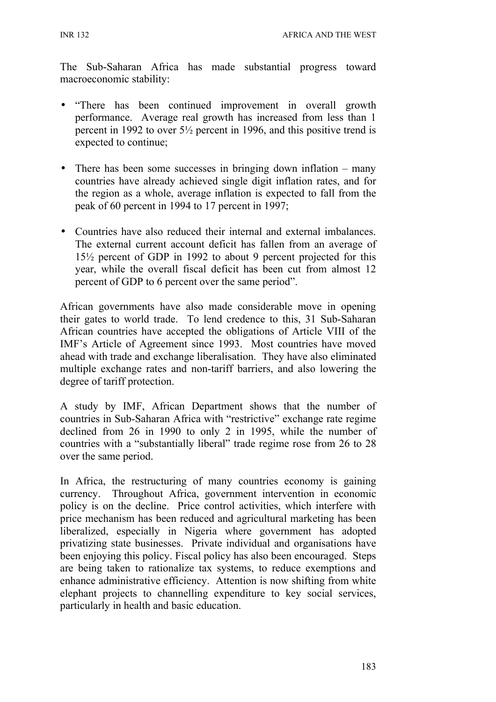The Sub-Saharan Africa has made substantial progress toward macroeconomic stability:

- "There has been continued improvement in overall growth performance. Average real growth has increased from less than 1 percent in 1992 to over 5½ percent in 1996, and this positive trend is expected to continue;
- There has been some successes in bringing down inflation many countries have already achieved single digit inflation rates, and for the region as a whole, average inflation is expected to fall from the peak of 60 percent in 1994 to 17 percent in 1997;
- Countries have also reduced their internal and external imbalances. The external current account deficit has fallen from an average of 15½ percent of GDP in 1992 to about 9 percent projected for this year, while the overall fiscal deficit has been cut from almost 12 percent of GDP to 6 percent over the same period".

African governments have also made considerable move in opening their gates to world trade. To lend credence to this, 31 Sub-Saharan African countries have accepted the obligations of Article VIII of the IMF's Article of Agreement since 1993. Most countries have moved ahead with trade and exchange liberalisation. They have also eliminated multiple exchange rates and non-tariff barriers, and also lowering the degree of tariff protection.

A study by IMF, African Department shows that the number of countries in Sub-Saharan Africa with "restrictive" exchange rate regime declined from 26 in 1990 to only 2 in 1995, while the number of countries with a "substantially liberal" trade regime rose from 26 to 28 over the same period.

In Africa, the restructuring of many countries economy is gaining currency. Throughout Africa, government intervention in economic policy is on the decline. Price control activities, which interfere with price mechanism has been reduced and agricultural marketing has been liberalized, especially in Nigeria where government has adopted privatizing state businesses. Private individual and organisations have been enjoying this policy. Fiscal policy has also been encouraged. Steps are being taken to rationalize tax systems, to reduce exemptions and enhance administrative efficiency. Attention is now shifting from white elephant projects to channelling expenditure to key social services, particularly in health and basic education.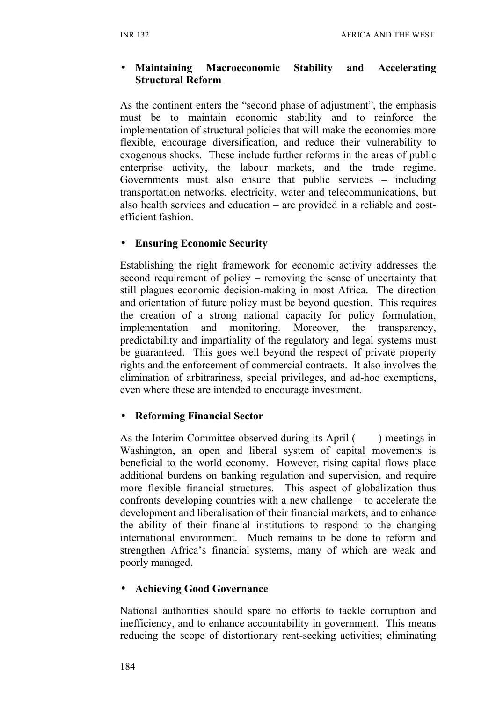#### • **Maintaining Macroeconomic Stability and Accelerating Structural Reform**

As the continent enters the "second phase of adjustment", the emphasis must be to maintain economic stability and to reinforce the implementation of structural policies that will make the economies more flexible, encourage diversification, and reduce their vulnerability to exogenous shocks. These include further reforms in the areas of public enterprise activity, the labour markets, and the trade regime. Governments must also ensure that public services – including transportation networks, electricity, water and telecommunications, but also health services and education – are provided in a reliable and costefficient fashion.

### • **Ensuring Economic Security**

Establishing the right framework for economic activity addresses the second requirement of policy – removing the sense of uncertainty that still plagues economic decision-making in most Africa. The direction and orientation of future policy must be beyond question. This requires the creation of a strong national capacity for policy formulation, implementation and monitoring. Moreover, the transparency, predictability and impartiality of the regulatory and legal systems must be guaranteed. This goes well beyond the respect of private property rights and the enforcement of commercial contracts. It also involves the elimination of arbitrariness, special privileges, and ad-hoc exemptions, even where these are intended to encourage investment.

### • **Reforming Financial Sector**

As the Interim Committee observed during its April () meetings in Washington, an open and liberal system of capital movements is beneficial to the world economy. However, rising capital flows place additional burdens on banking regulation and supervision, and require more flexible financial structures. This aspect of globalization thus confronts developing countries with a new challenge – to accelerate the development and liberalisation of their financial markets, and to enhance the ability of their financial institutions to respond to the changing international environment. Much remains to be done to reform and strengthen Africa's financial systems, many of which are weak and poorly managed.

#### • **Achieving Good Governance**

National authorities should spare no efforts to tackle corruption and inefficiency, and to enhance accountability in government. This means reducing the scope of distortionary rent-seeking activities; eliminating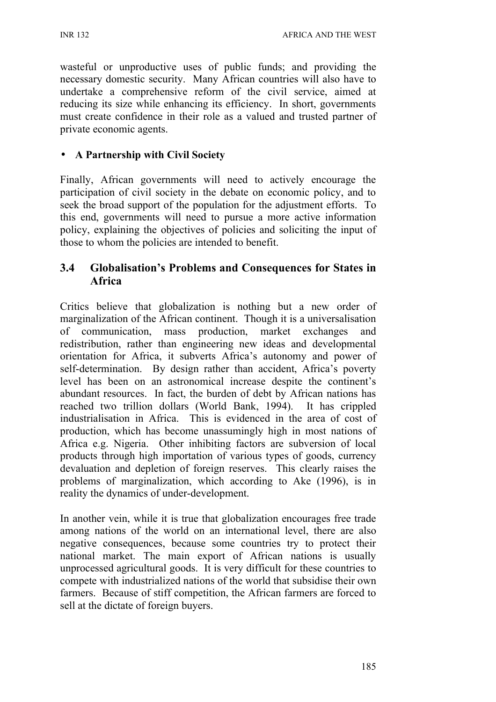wasteful or unproductive uses of public funds; and providing the necessary domestic security. Many African countries will also have to undertake a comprehensive reform of the civil service, aimed at reducing its size while enhancing its efficiency. In short, governments must create confidence in their role as a valued and trusted partner of private economic agents.

### • **A Partnership with Civil Society**

Finally, African governments will need to actively encourage the participation of civil society in the debate on economic policy, and to seek the broad support of the population for the adjustment efforts. To this end, governments will need to pursue a more active information policy, explaining the objectives of policies and soliciting the input of those to whom the policies are intended to benefit.

### **3.4 Globalisation's Problems and Consequences for States in Africa**

Critics believe that globalization is nothing but a new order of marginalization of the African continent. Though it is a universalisation of communication, mass production, market exchanges and redistribution, rather than engineering new ideas and developmental orientation for Africa, it subverts Africa's autonomy and power of self-determination. By design rather than accident, Africa's poverty level has been on an astronomical increase despite the continent's abundant resources. In fact, the burden of debt by African nations has reached two trillion dollars (World Bank, 1994). It has crippled industrialisation in Africa. This is evidenced in the area of cost of production, which has become unassumingly high in most nations of Africa e.g. Nigeria. Other inhibiting factors are subversion of local products through high importation of various types of goods, currency devaluation and depletion of foreign reserves. This clearly raises the problems of marginalization, which according to Ake (1996), is in reality the dynamics of under-development.

In another vein, while it is true that globalization encourages free trade among nations of the world on an international level, there are also negative consequences, because some countries try to protect their national market. The main export of African nations is usually unprocessed agricultural goods. It is very difficult for these countries to compete with industrialized nations of the world that subsidise their own farmers. Because of stiff competition, the African farmers are forced to sell at the dictate of foreign buyers.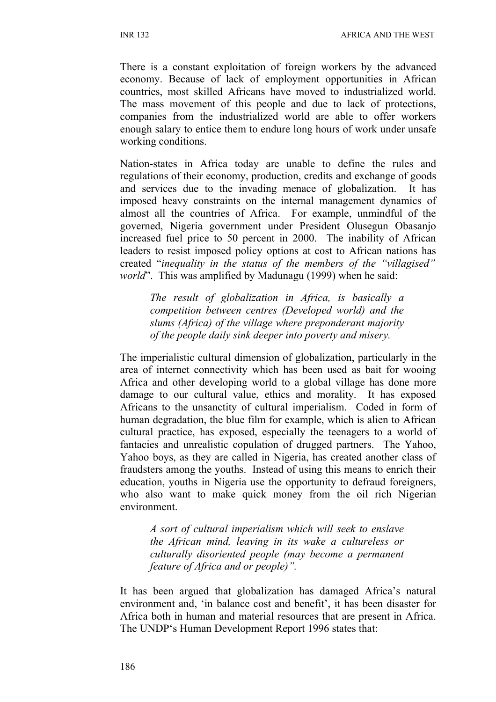There is a constant exploitation of foreign workers by the advanced economy. Because of lack of employment opportunities in African countries, most skilled Africans have moved to industrialized world. The mass movement of this people and due to lack of protections, companies from the industrialized world are able to offer workers enough salary to entice them to endure long hours of work under unsafe working conditions.

Nation-states in Africa today are unable to define the rules and regulations of their economy, production, credits and exchange of goods and services due to the invading menace of globalization. It has imposed heavy constraints on the internal management dynamics of almost all the countries of Africa. For example, unmindful of the governed, Nigeria government under President Olusegun Obasanjo increased fuel price to 50 percent in 2000. The inability of African leaders to resist imposed policy options at cost to African nations has created "*inequality in the status of the members of the "villagised" world*". This was amplified by Madunagu (1999) when he said:

*The result of globalization in Africa, is basically a competition between centres (Developed world) and the slums (Africa) of the village where preponderant majority of the people daily sink deeper into poverty and misery.*

The imperialistic cultural dimension of globalization, particularly in the area of internet connectivity which has been used as bait for wooing Africa and other developing world to a global village has done more damage to our cultural value, ethics and morality. It has exposed Africans to the unsanctity of cultural imperialism. Coded in form of human degradation, the blue film for example, which is alien to African cultural practice, has exposed, especially the teenagers to a world of fantacies and unrealistic copulation of drugged partners. The Yahoo, Yahoo boys, as they are called in Nigeria, has created another class of fraudsters among the youths. Instead of using this means to enrich their education, youths in Nigeria use the opportunity to defraud foreigners, who also want to make quick money from the oil rich Nigerian environment.

*A sort of cultural imperialism which will seek to enslave the African mind, leaving in its wake a cultureless or culturally disoriented people (may become a permanent feature of Africa and or people)".*

It has been argued that globalization has damaged Africa's natural environment and, 'in balance cost and benefit', it has been disaster for Africa both in human and material resources that are present in Africa. The UNDP's Human Development Report 1996 states that: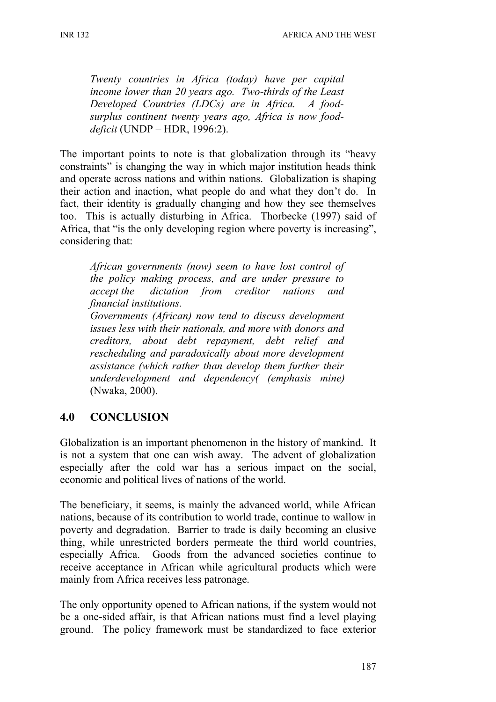*Twenty countries in Africa (today) have per capital income lower than 20 years ago. Two-thirds of the Least Developed Countries (LDCs) are in Africa. A foodsurplus continent twenty years ago, Africa is now fooddeficit* (UNDP – HDR, 1996:2).

The important points to note is that globalization through its "heavy constraints" is changing the way in which major institution heads think and operate across nations and within nations. Globalization is shaping their action and inaction, what people do and what they don't do. In fact, their identity is gradually changing and how they see themselves too. This is actually disturbing in Africa. Thorbecke (1997) said of Africa, that "is the only developing region where poverty is increasing", considering that:

*African governments (now) seem to have lost control of the policy making process, and are under pressure to accept the dictation from creditor nations and financial institutions.*

*Governments (African) now tend to discuss development issues less with their nationals, and more with donors and creditors, about debt repayment, debt relief and rescheduling and paradoxically about more development assistance (which rather than develop them further their underdevelopment and dependency( (emphasis mine)* (Nwaka, 2000).

# **4.0 CONCLUSION**

Globalization is an important phenomenon in the history of mankind. It is not a system that one can wish away. The advent of globalization especially after the cold war has a serious impact on the social, economic and political lives of nations of the world.

The beneficiary, it seems, is mainly the advanced world, while African nations, because of its contribution to world trade, continue to wallow in poverty and degradation. Barrier to trade is daily becoming an elusive thing, while unrestricted borders permeate the third world countries, especially Africa. Goods from the advanced societies continue to receive acceptance in African while agricultural products which were mainly from Africa receives less patronage.

The only opportunity opened to African nations, if the system would not be a one-sided affair, is that African nations must find a level playing ground. The policy framework must be standardized to face exterior